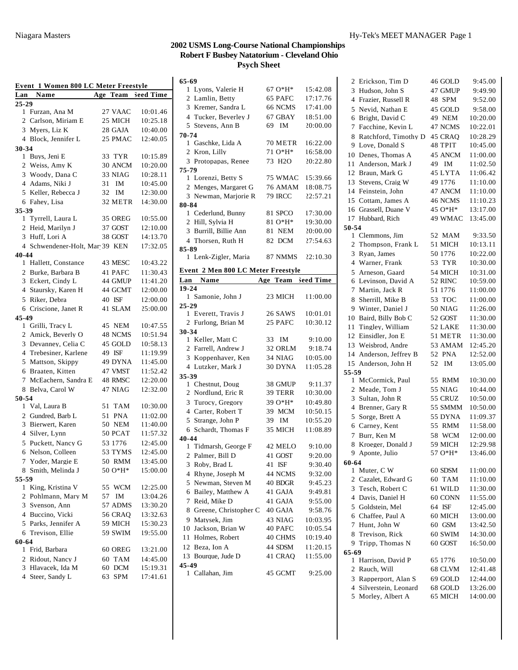#### **65-69**

| Event 1 Women 800 LC Meter Freestyle |                                |    |                |                    |
|--------------------------------------|--------------------------------|----|----------------|--------------------|
| Lan                                  | Name                           |    |                | Age Team Seed Time |
| 25-29                                |                                |    |                |                    |
|                                      | 1 Furzan, Ana M                |    | 27 VAAC        | 10:01.46           |
|                                      | 2 Carlson, Miriam E            |    | 25 MICH        | 10:25.18           |
| 3                                    | Myers, Liz K                   |    | 28 GAJA        | 10:40.00           |
|                                      | 4 Block, Jennifer L            |    | 25 PMAC        | 12:40.05           |
| 30-34                                |                                |    |                |                    |
|                                      | 1 Buys, Jeni E                 |    | 33 TYR         | 10:15.89           |
|                                      | 2 Weiss, Amy K                 |    | 30 ANCM        | 10:20.00           |
|                                      | 3 Woody, Dana C                |    | 33 NIAG        | 10:28.11           |
|                                      | 4 Adams, Niki J                | 31 | IM             | 10:45.00           |
|                                      | 5 Keller, Rebecca J            | 32 | IM             | 12:30.00           |
|                                      | 6 Fahey, Lisa                  |    | 32 METR        | 14:30.00           |
| 35-39                                |                                |    |                |                    |
| 1                                    | Tyrrell, Laura L               |    | 35 OREG        | 10:55.00           |
|                                      | 2 Heid, Marilyn J              |    | 37 GOST        | 12:10.00           |
|                                      | 3 Huff, Lori A                 |    | 38 GOST        | 14:13.70           |
|                                      | 4 Schwendener-Holt, Mar 39 KEN |    |                | 17:32.05           |
| 40-44                                |                                |    |                |                    |
|                                      | 1 Hallett, Constance           |    | 43 MESC        | 10:43.22           |
|                                      | 2 Burke, Barbara B             |    | 41 PAFC        | 11:30.43           |
| 3                                    | Eckert, Cindy L                |    | 44 GMUP        | 11:41.20           |
|                                      | 4 Staursky, Karen H            |    | 44 GCMT        | 12:00.00           |
| 5                                    | Riker, Debra                   |    | 40 ISF         | 12:00.00           |
|                                      | 6 Criscione, Janet R           |    | 41 SLAM        | 25:00.00           |
| 45-49                                |                                |    |                |                    |
|                                      | 1 Grilli, Tracy L              |    | 45 NEM         | 10:47.55           |
|                                      | 2 Amick, Beverly O             |    | 48 NCMS        | 10:51.94           |
| 3                                    | Devanney, Celia C              |    | 45 GOLD        | 10:58.13           |
| $\overline{4}$                       | Trebesiner, Karlene            |    | 49 ISF         | 11:19.99           |
| 5                                    | Mattson, Skippy                |    | 49 DYNA        | 11:45.00           |
|                                      | 6 Braaten, Kitten              |    | 47 VMST        | 11:52.42           |
|                                      | 7 McEachern, Sandra E          |    | 48 RMSC        | 12:20.00           |
|                                      | 8 Belva, Carol W               |    | 47 NIAG        | 12:32.00           |
| 50-54                                |                                |    |                |                    |
| 1                                    | Val, Laura B                   |    | 51 TAM         | 10:30.00           |
| $\mathbf{2}$                         | Gundred, Barb L                |    | 51 PNA         | 11:02.00           |
| 3                                    | Bierwert, Karen                |    | 50 NEM         | 11:40.00           |
|                                      | 4 Silver, Lynn                 |    | 50 PCAT        | 11:57.32           |
| 5                                    | Puckett, Nancy G               |    | 53 1776        | 12:45.00           |
|                                      | 6 Nelson, Colleen              |    | 53 TYMS        | 12:45.00           |
|                                      | 7 Yoder, Margie E              |    | 50 RMM         | 13:45.00           |
|                                      | 8 Smith, Melinda J             |    | 50 O*H*        | 15:00.00           |
| 55-59                                |                                |    |                |                    |
|                                      | 1 King, Kristina V             |    | 55 WCM         | 12:25.00           |
|                                      | 2 Pohlmann, Mary M             | 57 | IM             | 13:04.26           |
|                                      | 3 Svenson, Ann                 |    | 57 ADMS        | 13:30.20           |
|                                      | 4 Buccino, Vicki               |    | <b>56 CRAQ</b> | 13:32.63           |
|                                      | 5 Parks, Jennifer A            |    | 59 MICH        | 15:30.23           |
|                                      | 6 Trevison, Ellie              |    | 59 SWIM        | 19:55.00           |
| 60-64                                |                                |    |                |                    |
|                                      | 1 Frid, Barbara                |    | 60 OREG        | 13:21.00           |
|                                      | 2 Ridout, Nancy J              |    | 60 TAM         | 14:45.00           |
|                                      | 3 Hlavacek, Ida M              |    | 60 DCM         | 15:19.31           |
|                                      | 4 Steer, Sandy L               | 63 | SPM            | 17:41.61           |

| 65-69                              |                     |                     |
|------------------------------------|---------------------|---------------------|
| 1 Lyons, Valerie H                 | 67 O*H*             | 15:42.08            |
| 2 Lamlin, Betty                    | 65 PAFC             | 17:17.76            |
| 3 Kremer, Sandra L                 | 66 NCMS             | 17:41.00            |
| 4 Tucker, Beverley J               | 67 GBAY             | 18:51.00            |
| 5 Stevens, Ann B                   | 69<br>IM            | 20:00.00            |
| 70-74                              |                     |                     |
| 1 Gaschke, Lida A                  | 70 METR             | 16:22.00            |
| 2 Kron, Lilly                      | 71 O*H*             | 16:58.00            |
| 3 Protopapas, Renee                | 73 H <sub>2</sub> O | 20:22.80            |
| 75-79                              |                     |                     |
| 1 Lorenzi, Betty S                 | 75 WMAC             | 15:39.66            |
| 2 Menges, Margaret G               | <b>76 AMAM</b>      | 18:08.75            |
| 3 Newman, Marjorie R               | <b>79 IRCC</b>      | 22:57.21            |
| 80-84                              |                     |                     |
| 1 Cederlund, Bunny                 | 81 SPCO             | 17:30.00            |
| 2 Hill, Sylvia H                   | 81 O*H*             | 19:30.00            |
| 3 Burrill, Billie Ann              | 81 NEM              | 20:00.00            |
| 4 Thorsen, Ruth H                  | 82 DCM              | 27:54.63            |
| 85-89                              |                     |                     |
| 1 Lenk-Zigler, Maria               | 87 NMMS             | 22:10.30            |
| Event 2 Men 800 LC Meter Freestyle |                     |                     |
| <b>Lan</b> Name                    | Age Team Seed Time  |                     |
| 19-24                              |                     |                     |
| 1 Samonie, John J                  | 23 MICH             | 11:00.00            |
| $25 - 29$                          |                     |                     |
| 1 Everett, Travis J                | 26 SAWS             | 10:01.01            |
| 2 Furlong, Brian M                 | 25 PAFC             | 10:30.12            |
| 30-34                              |                     |                     |
| 1 Keller, Matt C                   | 33 IM               | 9:10.00             |
| 2 Farrell, Andrew J                | 32 ORLM<br>34 NIAG  | 9:18.74<br>10:05.00 |
|                                    |                     |                     |
| 3 Koppenhaver, Ken                 |                     |                     |
| 4 Lutzker, Mark J                  | 30 DYNA             | 11:05.28            |
| 35-39                              |                     |                     |
| 1 Chestnut, Doug                   | 38 GMUP             | 9:11.37             |
| 2 Nordlund, Eric R                 | 39 TERR             | 10:30.00            |
| 3 Turocy, Gregory                  | 39 O*H*             | 10:49.80            |
| 4 Carter, Robert T                 | 39 MCM              | 10:50.15            |
| 5 Strange, John P                  | 39 IM               | 10:55.20            |
| 6 Schardt, Thomas F                | 35 MICH             | 11:08.89            |
| 40-44                              |                     | 9:10.00             |
| 1 Tidmarsh, George F               | 42 MELO             |                     |
| 2<br>Palmer, Bill D                | 41 GOST             | 9:20.00             |
| 3<br>Roby, Brad L                  | ISF<br>41           | 9:30.40             |
| Rhyne, Joseph M<br>4               | 44 NCMS             | 9:32.00             |
| Newman, Steven M<br>5              | 40 BDGR             | 9:45.23             |
| Bailey, Matthew A<br>6             | 41 GAJA             | 9:49.81             |
| 7<br>Reid, Mike D                  | 41 GAJA             | 9:55.00             |
| Greene, Christopher C<br>8         | 40 GAJA             | 9:58.76             |
| Matysek, Jim<br>9                  | 43 NIAG             | 10:03.95            |
| Jackson, Brian W<br>10             | 40 PAFC             | 10:05.54            |
| 11<br>Holmes, Robert               | 40 CHMS             | 10:19.40            |
| Beza, Ion A<br>12                  | 44 SDSM             | 11:20.15            |
| 13 Bourque, Jude D<br>45-49        | 41 CRAO             | 11:55.00            |

| 2      | Erickson, Tim D                    | 46 GOLD           | 9:45.00              |
|--------|------------------------------------|-------------------|----------------------|
| 3      | Hudson, John S                     | 47 GMUP           | 9:49.90              |
|        | 4 Frazier, Russell R               | 48 SPM            | 9:52.00              |
| 5      | Nevid, Nathan E                    | 45 GOLD           | 9:58.00              |
| 6      | Bright, David C                    | 49 NEM            | 10:20.00             |
| 7      | Facchine, Kevin L                  | 47 NCMS           | 10:22.01             |
| 8      | Ratchford, Timothy D               | 45 CRAO           | 10:28.29             |
| 9      | Love, Donald S                     | 48 TPIT           | 10:45.00             |
| 10     | Denes, Thomas A                    | 45 ANCM           | 11:00.00             |
| 11     | Anderson, Mark J                   | 49 IM             | 11:02.50             |
|        | 12 Braun, Mark G                   | 45 LYTA           | 11:06.42             |
| 13     | Stevens, Craig W                   | 49 1776           | 11:10.00             |
|        | 14 Feinstein, John                 | 47 ANCM           | 11:10.00             |
|        | 15 Cottam, James A                 | 46 NCMS           | 11:10.23             |
|        | 16 Grassell, Duane V               | 45 O*H*           | 13:17.00             |
|        | 17 Hubbard, Rich                   | 49 WMAC           | 13:45.00             |
| 50-54  |                                    |                   |                      |
|        | 1 Clemmons, Jim                    | 52 MAM            | 9:33.50              |
| 2      | Thompson, Frank L                  | 51 MICH           | 10:13.11             |
| 3      | Ryan, James                        | 50 1776           | 10:22.00             |
| 4      | Warner, Frank                      | 53 TYR            | 10:30.00             |
| 5      | Arneson, Gaard                     | 54 MICH           | 10:31.00             |
| 6      | Levinson, David A                  | 52 RINC           | 10:59.00             |
| 7      | Martin, Jack R                     | 51 1776           | 11:00.00             |
| 8      | Sherrill, Mike B                   | 53 TOC            | 11:00.00             |
| 9      | Winter, Daniel J                   | <b>50 NIAG</b>    | 11:26.00             |
| 10     | Baird, Billy Bob C                 | 52 GOST           | 11:30.00             |
| 11     | Tingley, William                   | 52 LAKE           | 11:30.00             |
|        | 12 Einsidler, Jon E                | 51 METR           | 11:30.00             |
|        | 13 Weisbrod, Andre                 | 53 AMAM           | 12:45.20             |
|        | 14 Anderson, Jeffrey B             | 52 PNA            | 12:52.00             |
| 15     | Anderson, John H                   | 52<br>IΜ          | 13:05.00             |
| 55-59  |                                    |                   |                      |
|        | 1 McCormick, Paul                  | 55 RMM            | 10:30.00             |
|        | 2 Meade, Tom J                     | <b>55 NIAG</b>    | 10:44.00             |
| 3      | Sultan, John R                     | 55 CRUZ           | 10:50.00             |
| 4      | Brenner, Gary R                    | 55 SMMM           | 10:50.00             |
| 5      | Sorge, Brett A                     | 55 DYNA           | 11:09.37             |
| 6      | Carney, Kent                       | 55 RMM            | 11:58.00             |
| 7      | Burr, Ken M                        | 58 WCM<br>59 MICH | 12:00.00<br>12:29.98 |
| 8<br>9 | Kroeger, Donald J<br>Aponte, Julio | 57 O*H*           | 13:46.00             |
| 60-64  |                                    |                   |                      |
| 1      | Muter, C W                         | 60 SDSM           | 11:00.00             |
|        | 2 Cazalet, Edward G                | 60 TAM            | 11:10.00             |
|        | 3 Tesch, Robert C                  | 61 WILD           | 11:30.00             |
|        | 4 Davis, Daniel H                  | 60 CONN           | 11:55.00             |
|        | 5 Goldstein, Mel                   | 64 ISF            | 12:45.00             |
|        | 6 Chaffee, Paul A                  | 60 MICH           | 13:00.00             |
| 7      | Hunt, John W                       | 60 GSM            | 13:42.50             |
| 8      | Trevison, Rick                     | 60 SWIM           | 14:30.00             |
| 9.     | Tripp, Thomas N                    | 60 GOST           | 16:50.00             |
| 65-69  |                                    |                   |                      |
| 1      | Harrison, David P                  | 65 1776           | 10:50.00             |
|        | 2 Rauch, Will                      | 68 CLVM           | 12:41.48             |
| 3      | Rapperport, Alan S                 | 69 GOLD           | 12:44.00             |
|        | 4 Silverstein, Leonard             | 68 GOLD           | 13:26.00             |
| 5      | Morley, Albert A                   | 65 MICH           | 14:00.00             |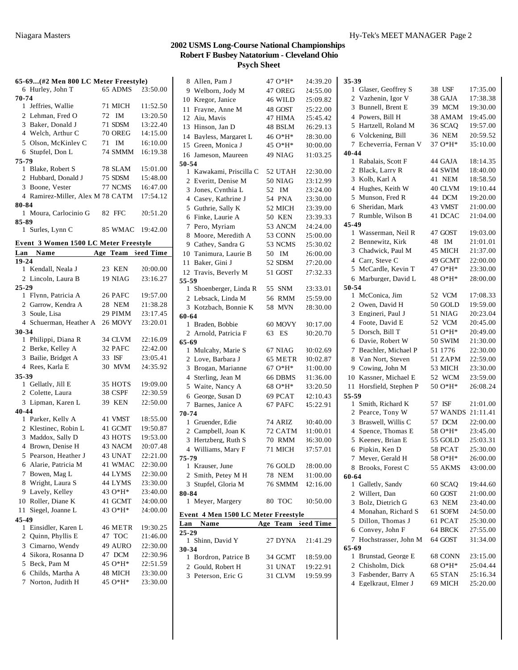|  |  |  | 65-69(#2 Men 800 LC Meter Freestyle) |
|--|--|--|--------------------------------------|
|  |  |  |                                      |

|       | 03-07(#4 MEII 600 LC MEIEI FIEESIVIE) |                |          |
|-------|---------------------------------------|----------------|----------|
|       | 6 Hurley, John T                      | 65 ADMS        | 23:50.00 |
| 70-74 |                                       |                |          |
|       | 1 Jeffries, Wallie                    | 71 MICH        | 11:52.50 |
|       | 2 Lehman, Fred O                      | 72 IM          | 13:20.50 |
|       | 3 Baker, Donald J                     | 71 SDSM        | 13:22.40 |
|       | 4 Welch, Arthur C                     | <b>70 OREG</b> | 14:15.00 |
|       | 5 Olson, McKinley C                   | 71 IM          | 16:10.00 |
|       | 6 Stupfel. Don L                      | 74 SMMM        | 16:19.38 |
| 75-79 |                                       |                |          |
|       | 1 Blake, Robert S                     | 78 SLAM        | 15:01.00 |
|       | 2 Hubbard, Donald J                   | 75 SDSM        | 15:48.00 |
|       | 3 Boone, Vester                       | 77 NCMS        | 16:47.00 |
|       | 4 Ramirez-Miller, Alex M 78 CATM      |                | 17:54.12 |
| 80-84 |                                       |                |          |
|       | 1 Moura, Carlocinio G                 | 82 FFC         | 20:51.20 |
| 85-89 |                                       |                |          |
|       | 1 Surles, Lynn C                      | 85 WMAC        | 19:42.00 |

|  |  |  | Event 3 Women 1500 LC Meter Freestvle |
|--|--|--|---------------------------------------|
|  |  |  |                                       |

| Lan            | Name                   | Age | Team          | Seed Time |
|----------------|------------------------|-----|---------------|-----------|
| 19-24          |                        |     |               |           |
|                | 1 Kendall, Neala J     |     | 23 KEN        | 20:00.00  |
|                | 2 Lincoln, Laura B     |     | 19 NIAG       | 23:16.27  |
| 25-29          |                        |     |               |           |
| 1              | Flynn, Patricia A      |     | 26 PAFC       | 19:57.00  |
| $\mathbf{2}$   | Garrow, Kendra A       |     | 28 NEM        | 21:38.28  |
| 3              | Soule, Lisa            |     | 29 PIMM       | 23:17.45  |
|                | 4 Schuerman, Heather A |     | 26 MOVY       | 23:20.01  |
| 30-34          |                        |     |               |           |
|                | 1 Philippi, Diana R    |     | 34 CLVM       | 22:16.09  |
|                | 2 Berke, Kelley A      |     | 32 PAFC       | 22:42.00  |
|                | 3 Bailie, Bridget A    |     | 33 ISF        | 23:05.41  |
|                | 4 Rees, Karla E        |     | 30 MVM        | 24:35.92  |
| 35-39          |                        |     |               |           |
|                | 1 Gellatly, Jill E     |     | 35 HOTS       | 19:09.00  |
|                | 2 Colette, Laura       |     | 38 CSPF       | 22:30.59  |
|                | 3 Lipman, Karen L      |     | <b>39 KEN</b> | 22:50.00  |
| $40 - 44$      |                        |     |               |           |
|                | 1 Parker, Kelly A      |     | 41 VMST       | 18:55.00  |
|                | 2 Klestinec, Robin L   |     | 41 GCMT       | 19:50.87  |
| 3              | Maddox, Sally D        |     | 43 HOTS       | 19:53.00  |
|                | 4 Brown, Denise H      |     | 43 NACM       | 20:07.48  |
| 5              | Pearson. Heather J     |     | 43 UNAT       | 22:21.00  |
| 6              | Alarie, Patricia M     |     | 41 WMAC       | 22:30.00  |
| 7              | Bowen, Mag L           |     | 44 LYMS       | 22:30.00  |
| 8              | Wright, Laura S        |     | 44 LYMS       | 23:30.00  |
| 9              | Lavely, Kelley         |     | 43 O*H*       | 23:40.00  |
| 10             | Roller, Diane K        |     | 41 GCMT       | 24:00.00  |
| 11             | Siegel, Joanne L       |     | 43 O*H*       | 24:00.00  |
| 45-49          |                        |     |               |           |
| 1              | Einsidler, Karen L     |     | 46 METR       | 19:30.25  |
|                | 2 Ouinn, Phyllis E     |     | 47 TOC        | 21:46.00  |
| 3              | Cimarno, Wendy         |     | 49 AURO       | 22:30.00  |
| $\overline{4}$ | Sikora, Rosanna D      |     | 47 DCM        | 22:30.96  |
| 5              | Beck, Pam M            |     | 45 O*H*       | 22:51.59  |
|                | 6 Childs, Martha A     |     | 48 MICH       | 23:30.00  |
| 7              | Norton, Judith H       |     | 45 O*H*       | 23:30.00  |

| 8 Allen, Pam J                      | 47 O*H*        | 24:39.20  | 35-39               |
|-------------------------------------|----------------|-----------|---------------------|
| 9 Welborn, Jody M                   | 47 OREG        | 24:55.00  | 1 C                 |
| 10 Kregor, Janice                   | 46 WILD        | 25:09.82  | 2<br>7              |
| 11 Frayne, Anne M                   | 48 GOST        | 25:22.00  | 3 F                 |
| 12 Aiu, Mavis                       | 47 HIMA        | 25:45.42  | 4 F                 |
| 13 Hinson, Jan D                    | 48 BSLM        | 26:29.13  | 5F                  |
| 14 Bayless, Margaret L              | 46 O*H*        | 28:30.00  | бΛ                  |
| 15 Green, Monica J                  | 45 O*H*        | 30:00.00  | 7 E                 |
| 16 Jameson, Maureen                 | 49 NIAG        | 31:03.25  | $40 - 44$           |
| 50-54                               |                |           | 1 F                 |
| 1 Kawakami, Priscilla C             | 52 UTAH        | 22:30.00  | $\overline{2}$<br>E |
| 2 Everitt, Denise M                 | <b>50 NIAG</b> | 23:12.99  | 3 F                 |
| 3 Jones, Cynthia L                  | 52<br>IM       | 23:24.00  | 4 F                 |
| 4 Casey, Kathrine J                 | 54 PNA         | 23:30.00  | 5 N                 |
| 5 Guthrie, Sally K                  | 52 MICH        | 23:39.00  | 6S                  |
| 6 Finke, Laurie A                   | <b>50 KEN</b>  | 23:39.33  | 7 F                 |
| 7 Pero, Myriam                      | 53 ANCM        | 24:24.00  | 45-49               |
| 8 Moore, Meredith A                 |                |           | 1 V                 |
| 9 Cathev, Sandra G                  | 53 CONN        | 25:00.00  | 2 F                 |
|                                     | 53 NCMS        | 25:30.02  | 3 C                 |
| 10 Tanimura, Laurie B               | 50 IM          | 26:00.00  | 4 C                 |
| 11 Baker, Gini J                    | 52 SDSM        | 27:20.00  | 5 N                 |
| 12 Travis, Beverly M                | 51 GOST        | 27:32.33  | 6 N                 |
| 55-59                               |                |           | 50-54               |
| 1 Shoenberger, Linda R              | 55 SNM         | 23:33.01  | 1 N                 |
| 2 Lebsack, Linda M                  | 56 RMM         | 25:59.00  | 2 <sub>0</sub>      |
| 3 Kotzbach, Bonnie K                | 58 MVN         | 28:30.00  | 3 F                 |
| 60-64                               |                |           | 4 F                 |
| 1 Braden, Bobbie                    | 60 MOVY        | 30:17.00  | 5 L                 |
| 2 Arnold, Patricia F                | 63 ES          | 30:20.70  |                     |
| $65-69$                             |                |           | 6 I                 |
| 1 Mulcahy, Marie S                  | 67 NIAG        | 30:02.69  | 7 F                 |
| 2 Love, Barbara J                   | 65 METR        | 30:02.87  | J<br>8              |
| 3 Brogan, Marianne                  | $67O*H*$       | 31:00.00  | 9 C                 |
| 4 Sterling, Jean M                  | 66 DBMS        | 31:36.00  | 10F                 |
| 5 Waite, Nancy A                    | 68 O*H*        | 33:20.50  | 11 F                |
| 6 George, Susan D                   | 69 PCAT        | 42:10.43  | 55-59               |
| 7 Barnes, Janice A                  | 67 PAFC        | 15:22.91  | 1S                  |
| 70-74                               |                |           | 2 F                 |
| 1 Gruender, Edie                    | 74 ARIZ        | 30:40.00  | 3E                  |
| 2 Campbell, Joan K                  | 72 CATM        | 31:00.01  | 4S                  |
| 3 Hertzberg, Ruth S                 | 70 RMM         | 36:30.00  | 5F                  |
| 4 Williams, Mary F                  | 71 MICH        | 37:57.01  | 6 F                 |
| 75-79                               |                |           | 7 N                 |
| 1 Krauser, June                     | 76 GOLD        | 28:00.00  | 8 E                 |
| 2 Smith. Petev M H                  | <b>78 NEM</b>  | 31:00.00  | 60-64               |
| 3 Stupfel, Gloria M                 | 76 SMMM        | 42:16.00  | 1 (                 |
| 80-84                               |                |           | 2 V                 |
| 1 Meyer, Margery                    | 80 TOC         | 30:50.00  | 3 F                 |
| Event 4 Men 1500 LC Meter Freestyle |                |           | 4 N                 |
| Lan<br>Name                         | Age Team       | Seed Time | 5 L                 |
| $25 - 29$                           |                |           | 6 C                 |
| 1 Shinn, David Y                    | 27 DYNA        | 21:41.29  | 7 F                 |
| 30-34                               |                |           | 65-69               |
| 1 Bordron, Patrice B                | 34 GCMT        | 18:59.00  | 1 F                 |
| 2 Gould, Robert H                   | 31 UNAT        | 19:22.91  | 2 C                 |
| 3 Peterson, Eric G                  | 31 CLVM        | 19:59.99  | 3 F                 |
|                                     |                |           | $\mathbf{r}$        |

| 1              | Glaser, Geoffrey S   | 38 USF   | 17:35.00 |
|----------------|----------------------|----------|----------|
| 2              | Vazhenin, Igor V     | 38 GAJA  | 17:38.38 |
| 3              | Bunnell, Brent E     | 39 MCM   | 19:30.00 |
| $\overline{4}$ | Powers, Bill H       | 38 AMAM  | 19:45.00 |
| 5              | Hartzell, Roland M   | 36 SCAQ  | 19:57.00 |
| 6              | Volckening, Bill     | 36 NEM   | 20:59.52 |
| 7              | Echeverria, Fernan V | 37 O*H*  | 35:10.00 |
| 40-44          |                      |          |          |
|                | 1 Rabalais, Scott F  | 44 GAJA  | 18:14.35 |
| 2              | Black, Larry R       | 44 SWIM  | 18:40.00 |
| 3              | Kolb, Karl A         | 41 NEM   | 18:58.50 |
| $\overline{4}$ | Hughes, Keith W      | 40 CLVM  | 19:10.44 |
| 5              | Munson, Fred R       | 44 DCM   | 19:20.00 |
| 6              | Sheridan, Mark       | 43 VMST  | 21:00.00 |
| 7              | Rumble, Wilson B     | 41 DCAC  | 21:04.00 |
| 45-49          |                      |          |          |
|                | 1 Wasserman, Neil R  | 47 GOST  | 19:03.00 |
| 2              | Bennewitz, Kirk      | 48<br>IM | 21:01.01 |
|                | 3 Chadwick, Paul M   | 45 MICH  | 21:37.00 |
|                | 4 Carr. Steve C      | 49 GCMT  | 22:00.00 |
| 5              | McCardle, Kevin T    | 47 O*H*  | 23:30.00 |
|                | 6 Marburger, David L | 48 O*H*  | 28:00.00 |
| 50-54          |                      |          |          |
|                | 1 McConica, Jim      | 52 VCM   | 17:08.33 |
| $\overline{2}$ | Owen, David H        | 50 GOLD  | 19:59.00 |
| 3              | Engineri, Paul J     | 51 NIAG  | 20:23.04 |
| 4              | Foote, David E       | 52 VCM   | 20:45.00 |
| 5              | Dorsch, Bill T       | 51 O*H*  | 20:49.00 |
| 6              | Davie, Robert W      | 50 SWIM  | 21:30.00 |
| 7              | Beachler, Michael P  | 51 1776  | 22:30.00 |
| 8              | Van Nort, Steven     | 51 ZAPM  | 22:59.00 |
| 9              | Cowing, John M       | 53 MICH  | 23:30.00 |
| 10             | Kassner, Michael E   | 52 WCM   | 23:59.00 |
| 11             | Horsfield, Stephen P | 50 O*H*  | 26:08.24 |
| 55-59          |                      |          |          |
| 1              | Smith, Richard K     | 57 ISF   | 21:01.00 |
| 2              | Pearce, Tony W       | 57 WANDS | 21:11.41 |
| 3              | Braswell, Willis C   | 57 DCM   | 22:00.00 |
| 4              | Spence, Thomas E     | 58 O*H*  | 23:45.00 |
| 5              | Keeney, Brian E      | 55 GOLD  | 25:03.31 |
| 6              | Pipkin, Ken D        | 58 PCAT  | 25:30.00 |
| 7              | Meyer, Gerald H      | 58 O*H*  | 26:00.00 |
| 8              | Brooks, Forest C     | 55 AKMS  | 43:00.00 |
| 60-64          |                      |          |          |
|                | 1 Galletly, Sandy    | 60 SCAQ  | 19:44.60 |
|                | 2 Willert, Dan       | 60 GOST  | 21:00.00 |
|                | 3 Bolz, Dietrich G   | 63 NEM   | 23:40.00 |
|                | 4 Monahan, Richard S | 61 SOFM  | 24:50.00 |
| 5              | Dillon, Thomas J     | 61 PCAT  | 25:30.00 |
|                | 6 Convey, John F     | 64 BRCK  | 27:55.00 |
| 7              | Hochstrasser, John M | 64 GOST  | 31:34.00 |
| 65-69          | Brunstad, George E   |          |          |
| 1              |                      | 68 CONN  | 23:15.00 |
|                | 2 Chisholm, Dick     | 68 O*H*  | 25:04.44 |
|                | 3 Fasbender, Barry A | 65 STAN  | 25:16.34 |
|                | 4 Egelkraut, Elmer J | 69 MICH  | 25:20.00 |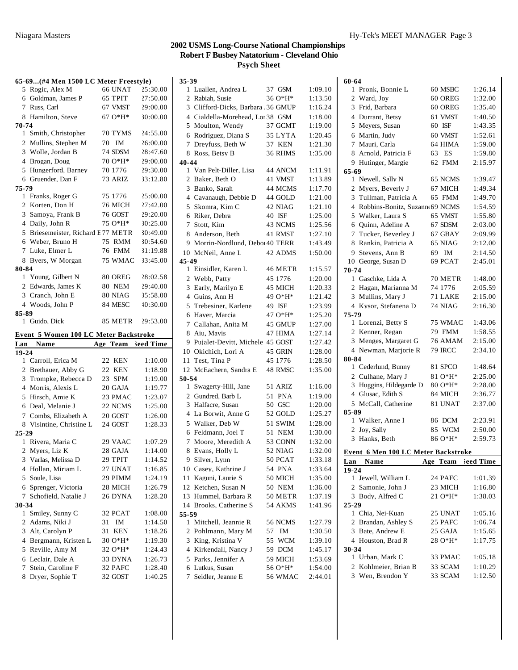#### **65-69...(#4 Men 1500 LC Meter Freestyle)** Rogic, Alex M 66 UNAT 25:30.00 Goldman, James P 65 TPIT 27:50.00 Russ, Carl 67 VMST 29:00.00 Hamilton, Steve 67 O\*H\* 30:00.00 **70-74** Smith, Christopher 70 TYMS 24:55.00 Mullins, Stephen M 70 IM 26:00.00 Wolle, Jordan B 74 SDSM 28:47.60 Brogan, Doug 70 O\*H\* 29:00.00 Hungerford, Barney 70 1776 29:30.00 Gruender, Dan F 73 ARIZ 33:12.80 **75-79** Franks, Roger G 75 1776 25:00.00 Korten, Don H 76 MICH 27:42.00 Samoya, Frank B 76 GOST 29:20.00 Daily, John R 75 O\*H\* 30:25.00 Briesemeister, Richard E 77 METR 30:49.00 Weber, Bruno H 75 RMM 30:54.60 Luke, Elmer L 76 FMM 31:19.88 Byers, W Morgan 75 WMAC 33:45.00 **80-84** Young, Gilbert N 80 OREG 28:02.58 2 Edwards, James K 80 NEM 29:40.00 Cranch, John E 80 NIAG 35:58.00 Woods, John P 84 MESC 40:30.00 **85-89** Guido, Dick 85 METR 29:53.00 **Event 5 Women 100 LC Meter Backstroke** Lan **Name e 19-24** Age Team Seed Time Carroll, Erica M 22 KEN 1:10.00 Brethauer, Abby G 22 KEN 1:18.90 Trompke, Rebecca D 23 SPM 1:19.00 Morris, Alexis L 20 GAJA 1:19.77 Hirsch, Amie K 23 PMAC 1:23.07 Deal, Melanie J 22 NCMS 1:25.00 7 Combs, Elizabeth A 20 GOST 1:26.00 8 Visintine, Christine L 24 GOST 1:28.33 **25-29** Rivera, Maria C 29 VAAC 1:07.29 Myers, Liz K 28 GAJA 1:14.00 Varlas, Melissa D 29 TPIT 1:14.52 Hollan, Miriam L 27 UNAT 1:16.85 Soule, Lisa 29 PIMM 1:24.19 Sprenger, Victoria 28 MICH 1:26.79 Schofield, Natalie J 26 DYNA 1:28.20 **30-34** Smiley, Sunny C 32 PCAT 1:08.00 2 Adams, Niki J 31 IM 1:14.50 Alt, Carolyn P 31 KEN 1:18.26 Bergmann, Kristen L 30 O\*H\* 1:19.30 Reville, Amy M 32 O\*H\* 1:24.43 Leclair, Dale A 33 DYNA 1:26.73 Stein, Caroline F 32 PAFC 1:28.40 Dryer, Sophie T 32 GOST 1:40.25

| 35-39          |                                    |    |            |         |
|----------------|------------------------------------|----|------------|---------|
| 1              | Luallen, Andrea L                  |    | 37 GSM     | 1:09.10 |
| $\overline{2}$ | Rabiah, Susie                      |    | 36 O*H*    | 1:13.50 |
|                | 3 Clifford-Dicks, Barbara .36 GMUP |    |            | 1:16.24 |
|                | 4 Cialdella-Morehead, Lor 38 GSM   |    |            | 1:18.00 |
| 5              | Moulton, Wendy                     |    | 37 GCMT    | 1:19.00 |
| 6              | Rodriguez, Diana S                 |    | 35 LYTA    | 1:20.45 |
| 7              | Dreyfuss, Beth W                   |    | 37 KEN     | 1:21.30 |
|                | 8 Ross, Betsy B                    |    | 36 RHMS    | 1:35.00 |
| 40-44          |                                    |    |            |         |
|                | 1 Van Pelt-Diller, Lisa            |    | 44 ANCM    | 1:11.91 |
|                | 2 Baker, Beth O                    |    | 41 VMST    | 1:13.89 |
| 3              | Banko, Sarah                       |    | 44 MCMS    | 1:17.70 |
|                | 4 Cavanaugh, Debbie D              |    | 44 GOLD    | 1:21.00 |
| 5              | Skomra, Kim C                      |    | 42 NIAG    | 1:21.10 |
| 6              | Riker, Debra                       |    | 40 ISF     | 1:25.00 |
| 7              | Stott, Kim                         |    | 43 NCMS    | 1:25.56 |
| 8              | Anderson, Beth                     |    | 41 RMST    | 1:27.10 |
| 9              | Morrin-Nordlund, Deboi 40 TERR     |    |            | 1:43.49 |
|                | 10 McNeil, Anne L                  |    | 42 ADMS    | 1:50.00 |
| 45-49          |                                    |    |            |         |
|                | 1 Einsidler, Karen L               |    | 46 METR    | 1:15.57 |
| 2              | Webb, Patty                        |    | 45 1776    | 1:20.00 |
| 3              | Early, Marilyn E                   |    | 45 MICH    | 1:20.33 |
|                | 4 Guins, Ann H                     |    | 49 O*H*    | 1:21.42 |
| 5              | Trebesiner, Karlene                |    | 49 ISF     | 1:23.99 |
| 6              | Haver, Marcia                      |    | 47 O*H*    | 1:25.20 |
|                | 7 Callahan, Anita M                |    | 45 GMUP    | 1:27.00 |
| 8              | Aiu, Mavis                         |    | 47 HIMA    | 1:27.14 |
| 9.             | Pujalet-Devitt, Michele 45 GOST    |    |            | 1:27.42 |
|                | 10 Okichich, Lori A                |    | 45 GRIN    | 1:28.00 |
| 11             | Test, Tina P                       |    | 45 1776    | 1:28.50 |
|                | 12 McEachern, Sandra E             |    | 48 RMSC    | 1:35.00 |
| 50-54          |                                    |    |            |         |
|                | 1 Swagerty-Hill, Jane              |    | 51 ARIZ    | 1:16.00 |
|                | 2 Gundred, Barb L                  |    | 51 PNA     | 1:19.00 |
| 3              | Halfacre, Susan                    |    | 50 GSC     | 1:20.00 |
| $\overline{4}$ | La Borwit, Anne G                  |    | 52 GOLD    | 1:25.27 |
| 5              | Walker, Deb W                      |    | 51 SWIM    | 1:28.00 |
| 6              | Feldmann, Joel T                   |    | 51 NEM     | 1:30.00 |
| 7              | Moore, Meredith A                  |    | 53 CONN    | 1:32.00 |
| 8              | Evans, Holly L                     |    | 52 NIAG    | 1:32.00 |
| 9.             | Silver, Lynn                       |    | 50 PCAT    | 1:33.18 |
|                | 10 Casey, Kathrine J               |    | 54 PNA     | 1:33.64 |
|                | 11 Kaguni, Laurie S                |    | 50 MICH    | 1:35.00 |
|                | 12 Ketchen, Susan N                |    | 50 NEM     | 1:36.00 |
|                | 13 Hummel, Barbara R               |    | 50 METR    | 1:37.19 |
|                | 14 Brooks, Catherine S             |    | 54 AKMS    | 1:41.96 |
| 55-59          |                                    |    |            |         |
| 1              | Mitchell, Jeannie R                |    | 56 NCMS    | 1:27.79 |
| 2              | Pohlmann, Mary M                   | 57 | IM         | 1:30.50 |
| 3              | King, Kristina V                   | 55 | <b>WCM</b> | 1:39.10 |
|                | 4 Kirkendall, Nancy J              |    | 59 DCM     | 1:45.17 |
|                | 5 Parks, Jennifer A                |    | 59 MICH    | 1:53.69 |
|                | 6 Lutkus, Susan                    |    | 56 O*H*    | 1:54.00 |
| 7              | Seidler, Jeanne E                  |    | 56 WMAC    | 2:44.01 |

| 60-64     |                                         |                |                    |
|-----------|-----------------------------------------|----------------|--------------------|
| 1         | Pronk, Bonnie L                         | 60 MSBC        | 1:26.14            |
| 2         | Ward, Joy                               | 60 OREG        | 1:32.00            |
| 3         | Frid, Barbara                           | 60 OREG        | 1:35.40            |
|           | 4 Durrant, Betsy                        | 61 VMST        | 1:40.50            |
|           | 5 Meyers, Susan                         | 60 ISF         | 1:43.35            |
|           | 6 Martin, Judy                          | 60 VMST        | 1:52.61            |
| 7         | Mauri, Carla                            | 64 HIMA        | 1:59.00            |
| 8         | Arnold, Patricia F                      | 63 ES          | 1:59.80            |
|           | 9 Hutinger, Margie                      | 62 FMM         | 2:15.97            |
| 65-69     |                                         |                |                    |
| 1         | Newell, Sally N                         | 65 NCMS        | 1:39.47            |
| 2         | Myers, Beverly J                        | 67 MICH        | 1:49.34            |
| 3         | Tullman, Patricia A                     | 65 FMM         | 1:49.70            |
| 4         | Robbins-Bonitz, Suzann 69 NCMS          |                | 1:54.59            |
|           | 5 Walker, Laura S                       | 65 VMST        | 1:55.80            |
| 6         | Quinn, Adeline A                        | 67 SDSM        | 2:03.00            |
| 7         | Tucker, Beverley J                      | 67 GBAY        | 2:09.99            |
| 8         | Rankin, Patricia A                      | 65 NIAG        | 2:12.00            |
| 9.        | Stevens, Ann B                          | 69 IM          | 2:14.50            |
|           | 10 George, Susan D                      | 69 PCAT        | 2:45.01            |
| 70-74     |                                         |                |                    |
|           | 1 Gaschke, Lida A                       | 70 METR        | 1:48.00            |
|           | 2 Hagan, Marianna M                     | 74 1776        | 2:05.59            |
|           | 3 Mullins, Mary J                       | 71 LAKE        | 2:15.00            |
|           | 4 Kysor, Stefanena D                    | 74 NIAG        | 2:16.30            |
| 75-79     |                                         |                |                    |
|           | 1 Lorenzi, Betty S                      | 75 WMAC        | 1:43.06            |
|           | 2 Kenner, Regan                         | 79 FMM         | 1:58.55            |
|           | 3 Menges, Margaret G                    | 76 AMAM        | 2:15.00            |
|           | 4 Newman, Mariorie R                    | <b>79 IRCC</b> | 2:34.10            |
| 80-84     |                                         |                |                    |
|           | 1 Cederlund, Bunny                      | 81 SPCO        | 1:48.64            |
|           | 2 Culhane, Mary J                       | 81 O*H*        | 2:25.00            |
| 3         | Huggins, Hildegarde D                   | 80 O*H*        | 2:28.00            |
|           | 4 Glusac, Edith S                       | 84 MICH        | 2:36.77            |
|           | 5 McCall, Catherine                     |                |                    |
| 85-89     |                                         | 81 UNAT        | 2:37.00            |
|           |                                         |                |                    |
|           | 1 Walker, Anne I                        | 86 DCM         | 2:23.91            |
|           | 2 Joy, Sally                            | 85 WCM         | 2:50.00            |
|           | 3 Hanks, Beth                           | 86 O*H*        | 2:59.73            |
|           |                                         |                |                    |
|           | Event 6 Men 100 LC Meter Backstroke     |                |                    |
| Lan       | Name                                    | Age Team       | leed Time          |
| $19 - 24$ |                                         |                |                    |
|           | 1 Jewell, William L                     | 24 PAFC        | 1:01.39            |
|           | 2 Samonie, John J                       | 23 MICH        | 1:16.80            |
|           | 3 Body, Alfred C                        | 21 O*H*        | 1:38.03            |
| $25 - 29$ |                                         |                |                    |
|           | 1 Chia, Nei-Kuan                        | 25 UNAT        | 1:05.16<br>1:06.74 |
|           | 2 Brandan, Ashley S<br>3 Bate, Andrew E | 25 PAFC        |                    |
|           |                                         | 25 GAJA        | 1:15.65            |
| 30-34     | 4 Houston, Brad R                       | 28 O*H*        | 1:17.75            |
|           | 1 Urban, Mark C                         | 33 PMAC        | 1:05.18            |
|           | 2 Kohlmeier, Brian B                    | 33 SCAM        | 1:10.29            |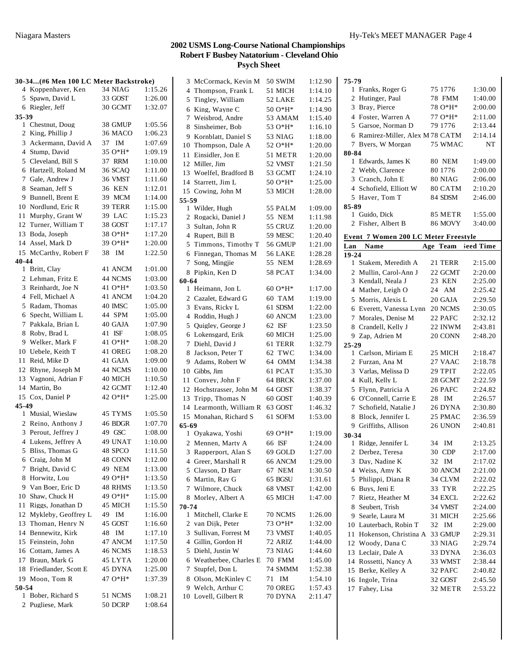| 30-34(#6 Men 100 LC Meter Backstroke) |                         |          |         |  |
|---------------------------------------|-------------------------|----------|---------|--|
|                                       | 4 Koppenhaver, Ken      | 34 NIAG  | 1:15.26 |  |
| 5                                     | Spawn, David L          | 33 GOST  | 1:26.00 |  |
|                                       | 6 Riegler, Jeff         | 30 GCMT  | 1:32.07 |  |
| 35-39                                 |                         |          |         |  |
|                                       | 1 Chestnut, Doug        | 38 GMUP  | 1:05.56 |  |
| $\mathbf{2}$                          | King, Phillip J         | 36 MACO  | 1:06.23 |  |
|                                       | 3 Ackermann, David A    | 37 IM    | 1:07.69 |  |
|                                       | 4 Stump, David          | 35 O*H*  | 1:09.19 |  |
| 5                                     | Cleveland, Bill S       | 37 RRM   | 1:10.00 |  |
| 6                                     | Hartzell, Roland M      | 36 SCAQ  | 1:11.00 |  |
| 7                                     | Gale, Andrew J          | 36 VMST  | 1:11.60 |  |
| 8                                     | Seaman, Jeff S          | 36 KEN   | 1:12.01 |  |
| 9                                     | Bunnell, Brent E        | 39 MCM   | 1:14.00 |  |
| 10                                    | Nordlund, Eric R        | 39 TERR  | 1:15.00 |  |
| 11                                    | Murphy, Grant W         | 39 LAC   | 1:15.23 |  |
| 12                                    | Turner, William T       | 38 GOST  | 1:17.17 |  |
| 13                                    | Boda, Joseph            | 38 O*H*  | 1:17.20 |  |
|                                       | 14 Assel, Mark D        | 39 O*H*  | 1:20.00 |  |
| 15                                    | McCarthy, Robert F      | 38 IM    | 1:22.50 |  |
| 40-44                                 |                         |          |         |  |
|                                       | 1 Britt, Clay           | 41 ANCM  | 1:01.00 |  |
|                                       | 2 Lehman, Fritz E       | 44 NCMS  | 1:03.00 |  |
| 3                                     | Reinhardt, Joe N        | 41 O*H*  | 1:03.50 |  |
|                                       | 4 Fell, Michael A       | 41 ANCM  | 1:04.20 |  |
|                                       | 5 Radam, Thomas         | 40 IMSC  | 1:05.00 |  |
| 6                                     | Specht, William L       | 44 SPM   | 1:05.00 |  |
| 7                                     | Pakkala, Brian L        | 40 GAJA  | 1:07.90 |  |
| 8                                     | Roby, Brad L            | 41 ISF   | 1:08.05 |  |
| 9                                     | Welker, Mark F          | 41 O*H*  | 1:08.20 |  |
| 10                                    | Uebele, Keith T         | 41 OREG  | 1:08.20 |  |
| 11                                    | Reid, Mike D            | 41 GAJA  | 1:09.00 |  |
| 12                                    | Rhyne, Joseph M         | 44 NCMS  | 1:10.00 |  |
| 13                                    | Vagnoni, Adrian F       | 40 MICH  | 1:10.50 |  |
| 14                                    | Martin, Bo              | 42 GCMT  | 1:12.40 |  |
|                                       | 15 Cox, Daniel P        | 42 O*H*  | 1:25.00 |  |
| 45-49                                 |                         |          |         |  |
|                                       | 1 Musial, Wieslaw       | 45 TYMS  | 1:05.50 |  |
|                                       | 2 Reino, Anthony J      | 46 BDGR  | 1:07.70 |  |
|                                       | 3 Perout, Jeffrey J     | 49 GSC   | 1:08.00 |  |
|                                       | 4 Lukens, Jeffrey A     | 49 UNAT  | 1:10.00 |  |
| 5                                     | Bliss, Thomas G         | 48 SPCO  | 1:11.50 |  |
| 6                                     | Craig, John M           | 48 CONN  | 1:12.00 |  |
| 7                                     | Bright, David C         | 49 NEM   | 1:13.00 |  |
| 8                                     | Horwitz, Lou            | 49 O*H*  | 1:13.50 |  |
|                                       | 9 Van Boer, Eric D      | 48 RHMS  | 1:13.50 |  |
| 10                                    | Shaw, Chuck H           | 49 O*H*  | 1:15.00 |  |
| 11                                    | Riggs, Jonathan D       | 45 MICH  | 1:15.50 |  |
| 12                                    | Mykleby, Geoffrey L     | IM<br>49 | 1:16.00 |  |
|                                       | 13 Thoman, Henry N      | 45 GOST  | 1:16.60 |  |
| 14                                    | Bennewitz, Kirk         | 48 IM    | 1:17.10 |  |
|                                       | 15 Feinstein, John      | 47 ANCM  | 1:17.50 |  |
|                                       | 16 Cottam, James A      | 46 NCMS  | 1:18.53 |  |
|                                       | 17 Braun, Mark G        | 45 LYTA  | 1:20.00 |  |
|                                       | 18 Friedlander, Scott E | 45 DYNA  | 1:25.00 |  |
|                                       | 19 Moon, Tom R          | 47 O*H*  | 1:37.39 |  |
| 50-54                                 |                         |          |         |  |
| 1                                     | Bober, Richard S        | 51 NCMS  | 1:08.21 |  |
| 2                                     | Pugliese, Mark          | 50 DCRP  | 1:08.64 |  |
|                                       |                         |          |         |  |

|                | 3 McCormack, Kevin M    | <b>50 SWIM</b> | 1:12.90 |
|----------------|-------------------------|----------------|---------|
|                |                         |                |         |
|                | 4 Thompson, Frank L     | 51 MICH        | 1:14.10 |
|                | 5 Tingley, William      | 52 LAKE        | 1:14.25 |
| 6              | King, Wayne C           | 50 O*H*        | 1:14.90 |
| 7              | Weisbrod, Andre         | 53 AMAM        | 1:15.40 |
| 8              | Sinsheimer, Bob         | 53 O*H*        | 1:16.10 |
| 9              | Kornblatt, Daniel S     | 53 NIAG        | 1:18.00 |
| 10             | Thompson, Dale A        | 52 O*H*        | 1:20.00 |
| 11             | Einsidler, Jon E        | 51 METR        | 1:20.00 |
|                | 12 Miller, Jim          | 52 VMST        | 1:21.50 |
|                | 13 Woelfel, Bradford B  | 53 GCMT        | 1:24.10 |
|                | 14 Starrett, Jim L      | 50 O*H*        | 1:25.00 |
|                | 15 Cowing, John M       | 53 MICH        | 1:28.00 |
| 55-59          |                         |                |         |
| 1              | Wilder, Hugh            | 55 PALM        | 1:09.00 |
|                | 2 Rogacki, Daniel J     | 55 NEM         | 1:11.98 |
|                | 3 Sultan, John R        | 55 CRUZ        | 1:20.00 |
|                | 4 Rupert, Bill B        | 59 MESC        | 1:20.40 |
| 5              | Timmons, Timothy T      |                | 1:21.00 |
|                |                         | 56 GMUP        |         |
|                | 6 Finnegan, Thomas M    | 56 LAKE        | 1:28.28 |
| 7              | Song, Mingjie           | 55 NEM         | 1:28.69 |
|                | 8 Pipkin. Ken D         | 58 PCAT        | 1:34.00 |
| 60-64          |                         |                |         |
| 1              | Heimann, Jon L          | $60O*H*$       | 1:17.00 |
|                | 2 Cazalet, Edward G     | 60 TAM         | 1:19.00 |
|                | 3 Evans, Ricky L        | 61 SDSM        | 1:22.00 |
|                | 4 Roddin, Hugh J        | 60 ANCM        | 1:23.00 |
|                | 5 Ouigley, George J     | 62 ISF         | 1:23.50 |
|                | 6 Lokensgard, Erik      | 60 MICH        | 1:25.00 |
| 7              | Diehl, David J          | 61 TERR        | 1:32.79 |
| 8              | Jackson, Peter T        | 62 TWC         | 1:34.00 |
| 9              | Adams, Robert W         | 64 OMM         | 1:34.38 |
|                | 10 Gibbs, Jim           | 61 PCAT        | 1:35.30 |
| 11             | Convey, John F          | 64 BRCK        | 1:37.00 |
|                |                         | 64 GOST        |         |
|                | 12 Hochstrasser, John M |                | 1:38.37 |
|                | 13 Tripp, Thomas N      | 60 GOST        | 1:40.39 |
|                | 14 Learmonth, William R | 63 GOST        | 1:46.32 |
|                | 15 Monahan, Richard S   | 61 SOFM        | 1:53.00 |
| 65-69          |                         |                |         |
| 1              | Ovakawa, Yoshi          | 69 O*H*        | 1:19.00 |
| $\overline{c}$ | Mennen, Marty A         | 66 ISF         | 1:24.00 |
|                | 3 Rapperport, Alan S    | 69 GOLD        | 1:27.00 |
|                | 4 Greer, Marshall R     | 66 ANCM        | 1:29.00 |
|                | 5 Clayson, D Barr       | 67 NEM         | 1:30.50 |
| 6              | Martin, Ray G           | 65 BGSU        | 1:31.61 |
| 7              | Wilmore, Chuck          | 68 VMST        | 1:42.00 |
| 8.             | Morley, Albert A        | 65 MICH        | 1:47.00 |
| 70-74          |                         |                |         |
| 1              | Mitchell, Clarke E      | 70 NCMS        | 1:26.00 |
| 2              | van Dijk, Peter         | 73 O*H*        | 1:32.00 |
| 3              | Sullivan. Forrest M     | 73 VMST        | 1:40.05 |
|                | 4 Gillin, Gordon H      | 72 ARIZ        | 1:44.00 |
| 5              | Diehl, Justin W         | 73 NIAG        | 1:44.60 |
| 6              | Weatherbee, Charles E   | <b>70 FMM</b>  | 1:45.00 |
| 7              | Stupfel, Don L          | 74 SMMM        | 1:52.38 |
|                |                         |                |         |
| 8              | Olson, McKinley C       | 71<br>IM       | 1:54.10 |
| 9              | Welch, Arthur C         | 70 OREG        | 1:57.43 |
| 10             | Lovell, Gilbert R       | 70 DYNA        | 2:11.47 |

| 75-79          |                                             |    |                    |                    |
|----------------|---------------------------------------------|----|--------------------|--------------------|
|                | 1 Franks, Roger G                           |    | 75 1776            | 1:30.00            |
|                | 2 Hutinger, Paul                            |    | 78 FMM             | 1:40.00            |
|                | 3 Bray, Pierce                              |    | 78 O*H*            | 2:00.00            |
|                | 4 Foster, Warren A                          |    | 77 O*H*            | 2:11.00            |
|                | 5 Garsoe, Norman D                          |    | 79 1776            | 2:13.44            |
|                | 6 Ramirez-Miller, Alex M 78 CATM            |    |                    | 2:14.14            |
|                | 7 Byers, W Morgan                           |    | 75 WMAC            | NT                 |
| 80-84          |                                             |    |                    |                    |
|                | 1 Edwards, James K                          |    | <b>80 NEM</b>      | 1:49.00            |
|                | 2 Webb, Clarence                            |    | 80 1776            | 2:00.00            |
|                | 3 Cranch, John E                            |    | 80 NIAG            | 2:06.00            |
|                | 4 Schofield, Elliott W                      |    | 80 CATM            | 2:10.20            |
|                | 5 Haver, Tom T                              |    | 84 SDSM            | 2:46.00            |
| 85-89          |                                             |    |                    |                    |
|                | 1 Guido, Dick                               |    | 85 METR            | 1:55.00            |
|                | 2 Fisher, Albert B                          |    | <b>86 MOVY</b>     | 3:40.00            |
|                |                                             |    |                    |                    |
|                | <u>Event 7 Women 200 LC Meter Freestyle</u> |    |                    |                    |
| Lan            | Name                                        |    |                    | Age Team Seed Time |
| 19-24          | 1 Stakem, Meredith A                        |    | 21 TERR            | 2:15.00            |
|                | 2 Mullin, Carol-Ann J                       |    | 22 GCMT            | 2:20.00            |
|                | 3 Kendall, Neala J                          |    | 23 KEN             |                    |
|                |                                             |    |                    | 2:25.00<br>2:25.42 |
|                | 4 Mather, Leigh O                           |    | 24 AM              |                    |
|                | 5 Morris, Alexis L                          |    | 20 GAJA            | 2:29.50            |
|                | 6 Everett, Vanessa Lynn                     |    | 20 NCMS            | 2:30.05            |
|                | 7 Morales, Denise M                         |    | 22 PAFC            | 2:32.12            |
|                | 8 Crandell, Kelly J                         |    | 22 INWM            | 2:43.81            |
|                | 9 Zap, Adrien M                             |    | 20 CONN            | 2:48.20            |
| 25-29          |                                             |    |                    |                    |
|                | 1 Carlson, Miriam E                         |    | 25 MICH            | 2:18.47            |
|                | 2 Furzan, Ana M                             |    | 27 VAAC            | 2:18.78            |
|                | 3 Varlas, Melissa D                         |    | 29 TPIT            | 2:22.05            |
|                | 4 Kull, Kelly L                             |    | 28 GCMT            | 2:22.59            |
|                | 5 Flynn, Patricia A                         |    | 26 PAFC            | 2:24.82            |
|                | 6 O'Connell, Carrie E                       |    | 28 IM              | 2:26.57            |
|                | 7 Schofield, Natalie J                      |    |                    |                    |
|                |                                             |    | 26 DYNA            | 2:30.80            |
|                | 8 Block, Jennifer L                         |    | 25 PMAC            | 2:36.59            |
|                | 9 Griffiths, Allison                        |    | 26 UNON            | 2:40.81            |
| 30-34          |                                             |    |                    |                    |
|                | 1 Ridge, Jennifer L                         |    | 34 IM              | 2:13.25            |
|                | 2 Derbez, Teresa                            |    | 30 CDP             | 2:17.00            |
| 3              | Day, Nadine K                               | 32 | IM                 | 2:17.02            |
| $\overline{4}$ | Weiss, Amy K                                |    | 30 ANCM            | 2:21.00            |
| 5              | Philippi, Diana R                           |    | 34 CLVM            | 2:22.02            |
| 6              | Buys, Jeni E                                |    | 33 TYR             | 2:22.25            |
| 7              | Rietz, Heather M                            |    | 34 EXCL            | 2:22.62            |
| 8              | Seubert, Trish                              |    | 34 VMST            | 2:24.00            |
| 9              | Searle, Laura M                             |    | 31 MICH            | 2:25.66            |
| 10             | Lauterbach, Robin T                         | 32 | IM                 | 2:29.00            |
| 11             | Hokenson, Christina A                       |    | 33 GMUP            | 2:29.31            |
| 12             | Woody, Dana C                               |    | 33 NIAG            | 2:29.74            |
| 13             | Leclair, Dale A                             |    | 33 DYNA            | 2:36.03            |
|                | 14 Rossetti, Nancy A                        |    | 33 WMST            | 2:38.44            |
|                | 15 Berke, Kelley A                          |    | 32 PAFC            | 2:40.82            |
| 16<br>17       | Ingole, Trina<br>Fahey, Lisa                |    | 32 GOST<br>32 METR | 2:45.50<br>2:53.22 |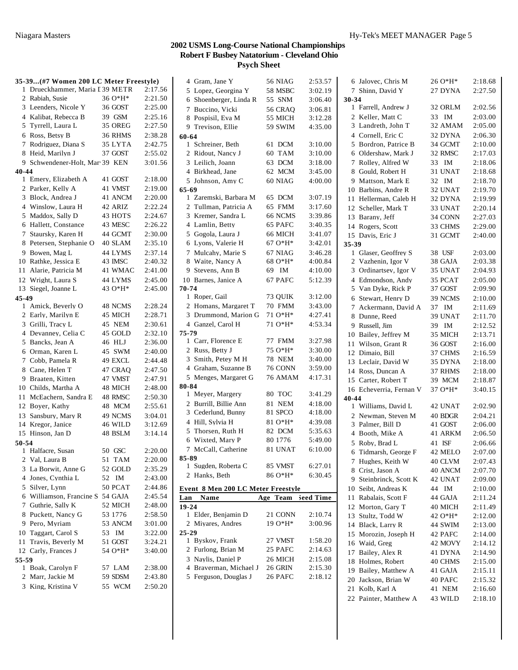| 35-39(#7 Women 200 LC Meter Freestyle) |         |         | 4 Gram, Jane Y                     | 56 NIAG        | 2:53.57   | 6 Jalovec, Chris  |
|----------------------------------------|---------|---------|------------------------------------|----------------|-----------|-------------------|
| 1 Drueckhammer, Maria I 39 METR        |         | 2:17.56 | 5 Lopez, Georgina Y                | 58 MSBC        | 3:02.19   | 7 Shinn, David    |
| 2 Rabiah, Susie                        | 36 O*H* | 2:21.50 | 6 Shoenberger, Linda R             | 55 SNM         | 3:06.40   | 30-34             |
| 3 Leenders, Nicole Y                   | 36 GOST | 2:25.00 | 7 Buccino, Vicki                   | <b>56 CRAQ</b> | 3:06.81   | 1 Farrell, Andre  |
| 4 Kalibat, Rebecca B                   | 39 GSM  | 2:25.16 | 8 Pospisil, Eva M                  | 55 MICH        | 3:12.28   | 2 Keller, Matt    |
| 5 Tyrrell, Laura L                     | 35 OREG | 2:27.50 | 9 Trevison, Ellie                  | 59 SWIM        | 4:35.00   | 3 Landreth, Joh   |
| 6 Ross, Betsy B                        | 36 RHMS | 2:38.28 | 60-64                              |                |           | 4 Cornell, Eric   |
| 7 Rodriguez, Diana S                   | 35 LYTA | 2:42.75 | 1 Schreiner, Beth                  | 61 DCM         | 3:10.00   | 5 Bordron, Pati   |
| 8 Heid, Marilyn J                      | 37 GOST | 2:55.02 | 2 Ridout, Nancy J                  | 60 TAM         | 3:10.00   | 6 Oldershaw, M.   |
| 9 Schwendener-Holt, Mar 39 KEN         |         | 3:01.56 | 3 Leilich, Joann                   | 63 DCM         | 3:18.00   | 7 Rolley, Alfree  |
| 40-44                                  |         |         | 4 Birkhead, Jane                   | 62 MCM         | 3:45.00   | 8 Gould, Robert   |
| 1 Emery, Elizabeth A                   | 41 GOST | 2:18.00 | 5 Johnson, Amy C                   | 60 NIAG        | 4:00.00   | 9 Mattson, Mai    |
| 2 Parker, Kelly A                      | 41 VMST | 2:19.00 | $65 - 69$                          |                |           | 10 Barbins, Andr  |
| 3 Block, Andrea J                      | 41 ANCM | 2:20.00 | 1 Zaremski, Barbara M              | 65 DCM         | 3:07.19   | 11 Hellerman, Ca  |
| 4 Winslow, Laura H                     | 42 ARIZ | 2:22.24 | 2 Tullman, Patricia A              | 65 FMM         | 3:17.60   | 12 Scheller, Mar  |
| 5 Maddox, Sally D                      | 43 HOTS | 2:24.67 | 3 Kremer, Sandra L                 | 66 NCMS        | 3:39.86   | 13 Barany, Jeff   |
| 6 Hallett, Constance                   | 43 MESC | 2:26.22 | 4 Lamlin, Betty                    | 65 PAFC        | 3:40.35   | 14 Rogers, Scott  |
| 7 Staursky, Karen H                    | 44 GCMT | 2:30.00 | 5 Gogola, Laura J                  | 66 MICH        | 3:41.07   | 15 Davis, Eric J  |
| 8 Petersen, Stephanie O                | 40 SLAM | 2:35.10 | 6 Lyons, Valerie H                 | $67O*H*$       | 3:42.01   | 35-39             |
| 9 Bowen, Mag L                         | 44 LYMS | 2:37.14 | 7 Mulcahy, Marie S                 | 67 NIAG        | 3:46.28   | 1 Glaser, Geoff   |
| 10 Rathke, Jessica E                   | 43 IMSC | 2:40.32 | 8 Waite, Nancy A                   | 68 O*H*        | 4:00.84   | 2 Vazhenin, Igo   |
| 11 Alarie, Patricia M                  | 41 WMAC | 2:41.00 | 9 Stevens, Ann B                   | 69 IM          | 4:10.00   | 3 Ordinartsev, 1  |
| 12 Wright, Laura S                     | 44 LYMS | 2:45.00 | 10 Barnes, Janice A                | 67 PAFC        | 5:12.39   | 4 Edmondson,      |
| 13 Siegel, Joanne L                    | 43 O*H* | 2:45.00 | 70-74                              |                |           | 5 Van Dyke, Ri    |
| 45-49                                  |         |         | 1 Roper, Gail                      | 73 QUIK        | 3:12.00   | 6 Stewart, Henr   |
| 1 Amick, Beverly O                     | 48 NCMS | 2:28.24 | 2 Homans, Margaret T               | 70 FMM         | 3:43.00   | 7 Ackermann, I    |
| 2 Early, Marilyn E                     | 45 MICH | 2:28.71 | 3 Drummond, Marion G               | $710*H*$       | 4:27.41   | 8 Dunne, Reed     |
| 3 Grilli, Tracy L                      | 45 NEM  | 2:30.61 | 4 Ganzel, Carol H                  | 71 O*H*        | 4:53.34   | 9 Russell, Jim    |
| 4 Devanney, Celia C                    | 45 GOLD | 2:32.10 | 75-79                              |                |           | 10 Bailey, Jeffre |
| 5 Bancks, Jean A                       | 46 HLJ  | 2:36.00 | 1 Carr, Florence E                 | 77 FMM         | 3:27.98   | 11 Wilson, Gran   |
| 6 Orman, Karen L                       | 45 SWM  | 2:40.00 | 2 Russ, Betty J                    | 75 O*H*        | 3:30.00   | 12 Dimaio, Bill   |
| 7 Cobb, Pamela R                       | 49 EXCL | 2:44.48 | 3 Smith, Petey M H                 | 78 NEM         | 3:40.00   | 13 Leclair, David |
| 8 Cane, Helen T                        | 47 CRAQ | 2:47.50 | 4 Graham, Suzanne B                | 76 CONN        | 3:59.00   | 14 Ross, Duncan   |
| 9 Braaten, Kitten                      | 47 VMST | 2:47.91 | 5 Menges, Margaret G               | 76 AMAM        | 4:17.31   | 15 Carter, Rober  |
| 10 Childs, Martha A                    | 48 MICH | 2:48.00 | 80-84                              |                |           | 16 Echeverria, F  |
| 11 McEachern, Sandra E                 | 48 RMSC | 2:50.30 | 1 Meyer, Margery                   | 80 TOC         | 3:41.29   | 40-44             |
| 12 Boyer, Kathy                        | 48 MCM  | 2:55.61 | 2 Burrill, Billie Ann              | 81 NEM         | 4:18.00   | 1 Williams, Dav   |
| 13 Sansbury, Mary R                    | 49 NCMS | 3:04.01 | 3 Cederlund, Bunny                 | 81 SPCO        | 4:18.00   | 2 Newman, Ste     |
| 14 Kregor, Janice                      | 46 WILD | 3:12.69 | 4 Hill, Sylvia H                   | 81 O*H*        | 4:39.08   | 3 Palmer, Bill I  |
| 15 Hinson, Jan D                       | 48 BSLM | 3:14.14 | 5 Thorsen, Ruth H                  | 82 DCM         | 5:35.63   | 4 Booth, Mike     |
| 50-54                                  |         |         | 6 Wixted, Mary P                   | 80 1776        | 5:49.00   | 5 Roby, Brad L    |
| 1 Halfacre, Susan                      | 50 GSC  | 2:20.00 | 7 McCall, Catherine                | 81 UNAT        | 6:10.00   | 6 Tidmarsh, Ge    |
| 2 Val, Laura B                         | 51 TAM  | 2:20.00 | 85-89                              |                |           | 7 Hughes, Keitl   |
| 3 La Borwit, Anne G                    | 52 GOLD | 2:35.29 | 1 Sugden, Roberta C                | 85 VMST        | 6:27.01   | 8 Crist, Jason A  |
| 4 Jones, Cynthia L                     | 52 IM   | 2:43.00 | 2 Hanks, Beth                      | 86 O*H*        | 6:30.45   | 9 Steinbrinck, S  |
| 5 Silver, Lynn                         | 50 PCAT | 2:44.86 | Event 8 Men 200 LC Meter Freestyle |                |           | 10 Seibt, Andrea  |
| 6 Williamson, Francine S 54 GAJA       |         | 2:45.54 | Lan<br>Name                        | Age Team       | Seed Time | 11 Rabalais, Scot |
| 7 Guthrie, Sally K                     | 52 MICH | 2:48.00 | $19 - 24$                          |                |           | 12 Morton, Gary   |
| 8 Puckett, Nancy G                     | 53 1776 | 2:58.50 | 1 Elder, Benjamin D                | 21 CONN        | 2:10.74   | 13 Stultz, Todd   |
| 9 Pero, Myriam                         | 53 ANCM | 3:01.00 | 2 Miyares, Andres                  | 19 O*H*        | 3:00.96   | 14 Black, Larry   |
| 10 Taggart, Carol S                    | 53 IM   | 3:22.00 | $25 - 29$                          |                |           | 15 Morozin, Jose  |
| 11 Travis, Beverly M                   | 51 GOST | 3:24.21 | 1 Byskov, Frank                    | 27 VMST        | 1:58.20   | 16 Waid, Greg     |
| 12 Carly, Frances J                    | 54 O*H* | 3:40.00 | 2 Furlong, Brian M                 | 25 PAFC        | 2:14.63   | 17 Bailey, Alex 1 |
| 55-59                                  |         |         | 3 Naylis, Daniel P                 | 26 MICH        | 2:15.08   | 18 Holmes, Robe   |
| 1 Boak, Carolyn F                      | 57 LAM  | 2:38.00 | 4 Braverman, Michael J             | 26 GRIN        | 2:15.30   | 19 Bailey, Matth  |
| 2 Marr, Jackie M                       | 59 SDSM | 2:43.80 | 5 Ferguson, Douglas J              | 26 PAFC        | 2:18.12   | 20 Jackson, Bria  |
| 3 King, Kristina V                     | 55 WCM  | 2:50.20 |                                    |                |           | 21 Kolb, Karl A   |
|                                        |         |         |                                    |                |           |                   |

|              | 6 Jalovec, Chris M      | 26 O*H*  | 2:18.68 |
|--------------|-------------------------|----------|---------|
| 7            | Shinn, David Y          | 27 DYNA  | 2:27.50 |
| 30-34        |                         |          |         |
| 1            | Farrell, Andrew J       | 32 ORLM  | 2:02.56 |
| 2            | Keller, Matt C          | 33 IM    | 2:03.00 |
| 3            | Landreth, John T        | 32 AMAM  | 2:05.00 |
|              | 4 Cornell, Eric C       | 32 DYNA  | 2:06.30 |
| 5            | Bordron, Patrice B      | 34 GCMT  | 2:10.00 |
| 6            | Oldershaw, Mark J       | 32 RMSC  | 2:17.03 |
| 7            | Rolley, Alfred W        | 33 IM    | 2:18.06 |
| 8            | Gould, Robert H         | 31 UNAT  | 2:18.68 |
| 9.           | Mattson, Mark E         | 32 IM    | 2:18.70 |
|              | 10 Barbins, Andre R     | 32 UNAT  | 2:19.70 |
|              | 11 Hellerman, Caleb H   | 32 DYNA  | 2:19.99 |
|              | 12 Scheller, Mark T     | 33 UNAT  | 2:20.14 |
| 13           | Barany, Jeff            | 34 CONN  | 2:27.03 |
|              | 14 Rogers, Scott        | 33 CHMS  | 2:29.00 |
|              | 15 Davis, Eric J        | 31 GCMT  | 2:40.00 |
| 35-39        |                         |          |         |
| 1            | Glaser, Geoffrey S      | 38 USF   | 2:03.00 |
| $\mathbf{2}$ | Vazhenin, Igor V        | 38 GAJA  | 2:03.38 |
|              | 3 Ordinartsev, Igor V   | 35 UNAT  | 2:04.93 |
|              |                         |          |         |
| 4            | Edmondson, Andy         | 35 PCAT  | 2:05.00 |
| 5            | Van Dyke, Rick P        | 37 GOST  | 2:09.90 |
| 6            | Stewart, Henry D        | 39 NCMS  | 2:10.00 |
| 7            | Ackermann, David A      | 37<br>IM | 2:11.69 |
| 8            | Dunne, Reed             | 39 UNAT  | 2:11.70 |
| 9            | Russell, Jim            | 39 IM    | 2:12.52 |
| 10           | Bailey, Jeffrey M       | 35 MICH  | 2:13.71 |
| 11           | Wilson, Grant R         | 36 GOST  | 2:16.00 |
|              | 12 Dimaio, Bill         | 37 CHMS  | 2:16.59 |
|              | 13 Leclair, David W     | 35 DYNA  | 2:18.00 |
|              | 14 Ross, Duncan A       | 37 RHMS  | 2:18.00 |
|              | 15 Carter, Robert T     | 39 MCM   | 2:18.87 |
|              | 16 Echeverria, Fernan V | 37 O*H*  | 3:40.15 |
| 40-44        |                         |          |         |
|              | 1 Williams, David L     | 42 UNAT  | 2:02.90 |
| 2            | Newman, Steven M        | 40 BDGR  | 2:04.21 |
| 3            | Palmer, Bill D          | 41 GOST  | 2:06.00 |
|              | 4 Booth, Mike A         | 41 ARKM  | 2:06.50 |
|              | 5 Roby, Brad L          | 41 ISF   | 2:06.66 |
|              | 6 Tidmarsh, George F    | 42 MELO  | 2:07.00 |
| 7            | Hughes, Keith W         | 40 CLVM  | 2:07.43 |
| 8            | Crist, Jason A          | 40 ANCM  | 2:07.70 |
| 9.           | Steinbrinck, Scott K    | 42 UNAT  | 2:09.00 |
|              | 10 Seibt, Andreas K     | 44 IM    | 2:10.00 |
| 11           | Rabalais, Scott F       | 44 GAJA  | 2:11.24 |
|              |                         |          |         |
| 12           | Morton, Gary T          | 40 MICH  | 2:11.49 |
| 13           | Stultz, Todd W          | 42 O*H*  | 2:12.00 |
|              | 14 Black, Larry R       | 44 SWIM  | 2:13.00 |
|              | 15 Morozin, Joseph H    | 42 PAFC  | 2:14.00 |
|              | 16 Waid, Greg           | 42 MOVY  | 2:14.12 |
| 17           | Bailey, Alex R          | 41 DYNA  | 2:14.90 |
| 18           | Holmes, Robert          | 40 CHMS  | 2:15.00 |
| 19           | Bailey, Matthew A       | 41 GAJA  | 2:15.11 |
| 20           | Jackson, Brian W        | 40 PAFC  | 2:15.32 |
| 21           | Kolb, Karl A            | 41 NEM   | 2:16.60 |
| 22           | Painter, Matthew A      | 43 WILD  | 2:18.10 |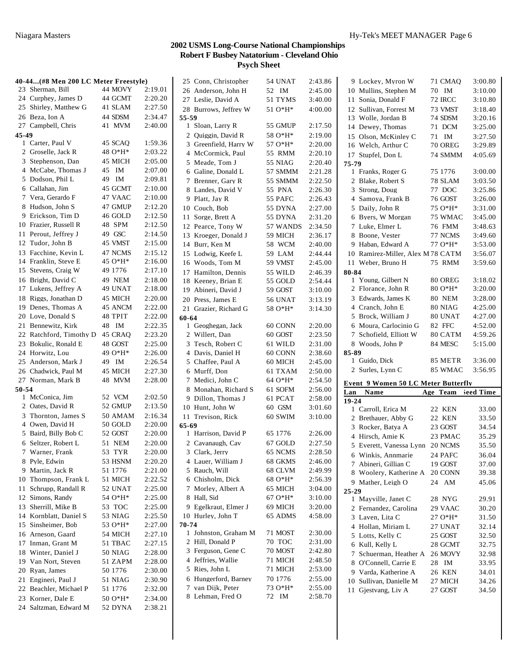|       | 40-44(#8 Men 200 LC Meter Freestyle)       |                    |                    | 25 Conn, Christopher       | 54 UNAT  | 2:43.86 | 9 Lockey, Myron W                      | 71 CMAQ            | 3:00.80        |
|-------|--------------------------------------------|--------------------|--------------------|----------------------------|----------|---------|----------------------------------------|--------------------|----------------|
|       | 23 Sherman, Bill                           | 44 MOVY            | 2:19.01            | 26 Anderson, John H        | 52 IM    | 2:45.00 | 10 Mullins, Stephen M                  | 70 IM              | 3:10.00        |
|       | 24 Curphey, James D                        | 44 GCMT            | 2:20.20            | 27 Leslie, David A         | 51 TYMS  | 3:40.00 | 11 Sonia, Donald F                     | <b>72 IRCC</b>     | 3:10.80        |
|       | 25 Shirley, Matthew G                      | 41 SLAM            | 2:27.50            | 28 Burrows, Jeffrey W      | 51 O*H*  | 4:00.00 | 12 Sullivan, Forrest M                 | 73 VMST            | 3:18.40        |
|       | 26 Beza, Ion A                             | 44 SDSM            | 2:34.47            | 55-59                      |          |         |                                        |                    |                |
|       | 27 Campbell, Chris                         | 41 MVM             | 2:40.00            | 1 Sloan, Larry R           | 55 GMUP  | 2:17.50 | 13 Wolle, Jordan B<br>14 Dewey, Thomas | 74 SDSM<br>71 DCM  | 3:20.16        |
| 45-49 |                                            |                    |                    | 2 Quiggin, David R         | 58 O*H*  | 2:19.00 |                                        |                    | 3:25.00        |
|       | 1 Carter, Paul V                           | 45 SCAQ            | 1:59.36            |                            |          |         | 15 Olson, McKinley C                   | 71 IM              | 3:27.50        |
|       | 2 Groselle, Jack R                         | 48 O*H*            | 2:03.22            | 3 Greenfield, Harry W      | 57 O*H*  | 2:20.00 | 16 Welch, Arthur C                     | 70 OREG            | 3:29.89        |
|       | 3 Stephenson, Dan                          | 45 MICH            | 2:05.00            | 4 McCormick, Paul          | 55 RMM   | 2:20.10 | 17 Stupfel, Don L                      | 74 SMMM            | 4:05.69        |
|       | 4 McCabe, Thomas J                         | 45 IM              | 2:07.00            | 5 Meade, Tom J             | 55 NIAG  | 2:20.40 | 75-79                                  |                    |                |
|       |                                            |                    |                    | 6 Galine, Donald L         | 57 SMMM  | 2:21.28 | 1 Franks, Roger G                      | 75 1776            | 3:00.00        |
|       | 5 Dodson, Phil L                           | 49 IM              | 2:09.81            | 7 Brenner, Gary R          | 55 SMMM  | 2:22.50 | 2 Blake, Robert S                      | 78 SLAM            | 3:03.50        |
|       | 6 Callahan, Jim                            | 45 GCMT            | 2:10.00            | 8 Landes, David V          | 55 PNA   | 2:26.30 | 3 Strong, Doug                         | 77 DOC             | 3:25.86        |
|       | 7 Vera, Gerardo F                          | 47 VAAC            | 2:10.00            | 9 Platt, Jay R             | 55 PAFC  | 2:26.43 | 4 Samoya, Frank B                      | 76 GOST            | 3:26.00        |
|       | 8 Hudson, John S                           | 47 GMUP            | 2:12.20            | 10 Couch, Bob              | 55 DYNA  | 2:27.00 | 5 Daily, John R                        | 75 O*H*            | 3:31.00        |
|       | 9 Erickson, Tim D                          | 46 GOLD            | 2:12.50            | 11 Sorge, Brett A          | 55 DYNA  | 2:31.20 | 6 Byers, W Morgan                      | 75 WMAC            | 3:45.00        |
|       | 10 Frazier, Russell R                      | 48 SPM             | 2:12.50            | 12 Pearce, Tony W          | 57 WANDS | 2:34.50 | 7 Luke, Elmer L                        | 76 FMM             | 3:48.63        |
|       | 11 Perout, Jeffrey J                       | 49 GSC             | 2:14.50            | 13 Kroeger, Donald J       | 59 MICH  | 2:36.17 | 8 Boone, Vester                        | 77 NCMS            | 3:49.60        |
|       | 12 Tudor, John B                           | 45 VMST            | 2:15.00            | 14 Burr, Ken M             | 58 WCM   | 2:40.00 | 9 Haban, Edward A                      | 77 O*H*            | 3:53.00        |
|       | 13 Facchine, Kevin L                       | 47 NCMS            | 2:15.12            | 15 Lodwig, Keefe L         | 59 LAM   | 2:44.44 | 10 Ramirez-Miller, Alex M 78 CATM      |                    | 3:56.07        |
|       | 14 Franklin, Steve E                       | 45 O*H*            | 2:16.00            | 16 Woods, Tom M            | 59 VMST  | 2:45.00 | 11 Weber, Bruno H                      | 75 RMM             | 3:59.60        |
|       | 15 Stevens, Craig W                        | 49 1776            | 2:17.10            | 17 Hamilton, Dennis        | 55 WILD  | 2:46.39 | 80-84                                  |                    |                |
|       | 16 Bright, David C                         | 49 NEM             | 2:18.00            | 18 Keeney, Brian E         | 55 GOLD  | 2:54.44 | 1 Young, Gilbert N                     | 80 OREG            | 3:18.02        |
|       | 17 Lukens, Jeffrey A                       | 49 UNAT            | 2:18.00            | 19 Abineri, David J        | 59 GOST  | 3:10.00 | 2 Florance, John R                     | 80 O*H*            | 3:20.00        |
|       | 18 Riggs, Jonathan D                       | 45 MICH            | 2:20.00            | 20 Press, James E          | 56 UNAT  | 3:13.19 | 3 Edwards, James K                     | <b>80 NEM</b>      | 3:28.00        |
|       | 19 Denes, Thomas A                         | 45 ANCM            | 2:22.00            | 21 Grazier, Richard G      | 58 O*H*  | 3:14.30 | 4 Cranch, John E                       | 80 NIAG            | 4:25.00        |
|       | 20 Love, Donald S                          | 48 TPIT            | 2:22.00            |                            |          |         | 5 Brock, William J                     | 80 UNAT            | 4:27.00        |
|       | 21 Bennewitz, Kirk                         | 48 IM              | 2:22.35            | 60-64<br>1 Geoghegan, Jack | 60 CONN  | 2:20.00 | 6 Moura, Carlocinio G                  | 82 FFC             | 4:52.00        |
| 22    | Ratchford, Timothy D                       | 45 CRAQ            | 2:23.20            | 2 Willert, Dan             | 60 GOST  | 2:23.50 | 7 Schofield, Elliott W                 | 80 CATM            | 4:59.26        |
|       | 23 Bokulic, Ronald E                       |                    |                    |                            |          |         |                                        |                    |                |
|       |                                            |                    |                    |                            |          |         |                                        |                    |                |
|       |                                            | 48 GOST            | 2:25.00            | 3 Tesch, Robert C          | 61 WILD  | 2:31.00 | 8 Woods, John P                        | 84 MESC            | 5:15.00        |
|       | 24 Horwitz, Lou                            | 49 O*H*            | 2:26.00            | 4 Davis, Daniel H          | 60 CONN  | 2:38.60 | 85-89                                  |                    |                |
|       | 25 Anderson, Mark J                        | 49 IM              | 2:26.54            | 5 Chaffee, Paul A          | 60 MICH  | 2:45.00 | 1 Guido, Dick                          | 85 METR            | 3:36.00        |
|       | 26 Chadwick, Paul M                        | 45 MICH            | 2:27.30            | 6 Murff, Don               | 61 TXAM  | 2:50.00 | 2 Surles, Lynn C                       | 85 WMAC            | 3:56.95        |
|       | 27 Norman, Mark B                          | 48 MVM             | 2:28.00            | 7 Medici, John C           | 64 O*H*  | 2:54.50 | Event 9 Women 50 LC Meter Butterfly    |                    |                |
| 50-54 |                                            |                    |                    | 8 Monahan, Richard S       | 61 SOFM  | 2:56.00 | Name<br>Lan                            | Age Team           | leed Time      |
|       | 1 McConica, Jim                            | 52 VCM             | 2:02.50            | 9 Dillon, Thomas J         | 61 PCAT  | 2:58.00 | 19-24                                  |                    |                |
|       | 2 Oates, David R                           | 52 GMUP            | 2:13.50            | 10 Hunt, John W            | 60 GSM   | 3:01.60 | 1 Carroll, Erica M                     | 22 KEN             | 33.00          |
|       | 3 Thornton, James S                        | 50 AMAM            | 2:16.34            | 11 Trevison, Rick          | 60 SWIM  | 3:10.00 | 2 Brethauer, Abby G                    | 22 KEN             | 33.50          |
|       | 4 Owen, David H                            | 50 GOLD            | 2:20.00            | 65-69                      |          |         | 3 Rocker, Batya A                      | 23 GOST            | 34.54          |
|       | 5 Baird, Billy Bob C                       | 52 GOST            | 2:20.00            | 1 Harrison, David P        | 65 1776  | 2:26.00 | 4 Hirsch, Amie K                       | 23 PMAC            | 35.29          |
|       | 6 Seltzer, Robert L                        | 51 NEM             | 2:20.00            | 2 Cavanaugh, Cav           | 67 GOLD  | 2:27.50 | 5 Everett, Vanessa Lynn 20 NCMS        |                    | 35.50          |
|       | 7 Warner, Frank                            | 53 TYR             | 2:20.00            | 3 Clark, Jerry             | 65 NCMS  | 2:28.50 | 6 Winkis, Annmarie                     |                    |                |
|       | 8 Pyle, Edwin                              | 53 HSNM            | 2:20.20            | 4 Lauer, William J         | 68 GKMS  | 2:46.00 |                                        | 24 PAFC<br>19 GOST | 36.04<br>37.00 |
|       | 9 Martin, Jack R                           | 51 1776            | 2:21.00            | 5 Rauch, Will              | 68 CLVM  | 2:49.99 | 7 Abineri, Gillian C                   |                    |                |
|       | 10 Thompson, Frank L                       | 51 MICH            | 2:22.52            | 6 Chisholm, Dick           | 68 O*H*  | 2:56.39 | 8 Woolery, Katherine A                 | 20 CONN            | 39.38          |
|       | 11 Schrupp, Randall R                      | 52 UNAT            | 2:25.00            | 7 Morley, Albert A         | 65 MICH  | 3:04.00 | 9 Mather, Leigh O                      | 24 AM              | 45.06          |
|       | 12 Simons, Randy                           | 54 O*H*            | 2:25.00            | 8 Hall, Sid                | 67 O*H*  | 3:10.00 | $25 - 29$                              |                    |                |
|       | 13 Sherrill, Mike B                        | 53 TOC             | 2:25.00            | 9 Egelkraut, Elmer J       | 69 MICH  | 3:20.00 | 1 Mayville, Janet C                    | 28 NYG             | 29.91          |
|       | 14 Kornblatt, Daniel S                     | 53 NIAG            | 2:25.50            | 10 Hurley, John T          | 65 ADMS  | 4:58.00 | 2 Fernandez, Carolina                  | 29 VAAC            | 30.20          |
|       | 15 Sinsheimer, Bob                         | 53 O*H*            | 2:27.00            | 70-74                      |          |         | 3 Laven, Lita C                        | 27 O*H*            | 31.50          |
|       | 16 Arneson, Gaard                          |                    |                    | 1 Johnston, Graham M       | 71 MOST  | 2:30.00 | 4 Hollan, Miriam L                     | 27 UNAT            | 32.14          |
|       |                                            | 54 MICH            | 2:27.10            | 2 Hill, Donald P           | 70 TOC   | 2:31.00 | 5 Lotts, Kelly C                       | 25 GOST            | 32.50          |
|       | 17 Inman, Grant M                          | 51 TBAC            | 2:27.15            | 3 Ferguson, Gene C         | 70 MOST  | 2:42.80 | 6 Kull, Kelly L                        | 28 GCMT            | 32.75          |
|       | 18 Winter, Daniel J                        | <b>50 NIAG</b>     | 2:28.00            | 4 Jeffries, Wallie         | 71 MICH  | 2:48.50 | 7 Schuerman, Heather A                 | 26 MOVY            | 32.98          |
|       | 19 Van Nort, Steven                        | 51 ZAPM            | 2:28.00            | 5 Ries, John L             |          |         | 8 O'Connell, Carrie E                  | 28 IM              | 33.95          |
|       | 20 Ryan, James                             | 50 1776            | 2:30.00            |                            | 71 MICH  | 2:53.00 | 9 Varda, Katherine A                   | <b>26 KEN</b>      | 34.01          |
|       | 21 Engineri, Paul J                        | 51 NIAG            | 2:30.90            | 6 Hungerford, Barney       | 70 1776  | 2:55.00 | 10 Sullivan, Danielle M                | 27 MICH            | 34.26          |
|       | 22 Beachler, Michael P                     | 51 1776            | 2:32.00            | 7 van Dijk, Peter          | 73 O*H*  | 2:55.00 | 11 Gjestvang, Liv A                    | 27 GOST            | 34.50          |
|       | 23 Korner, Dale E<br>24 Saltzman, Edward M | 50 O*H*<br>52 DYNA | 2:34.00<br>2:38.21 | 8 Lehman, Fred O           | 72 IM    | 2:58.70 |                                        |                    |                |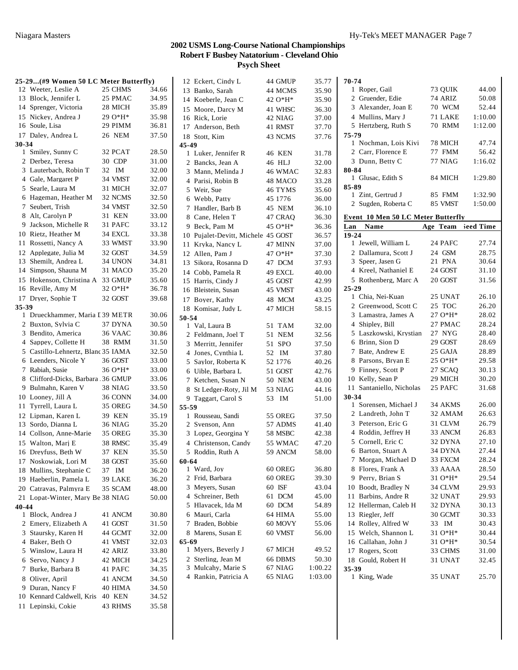|                       | 25-29(#9 Women 50 LC Meter Butterfly) |    |                |       |
|-----------------------|---------------------------------------|----|----------------|-------|
|                       | 12 Weeter, Leslie A                   |    | 25 CHMS        | 34.66 |
|                       | 13 Block, Jennifer L                  |    | 25 PMAC        | 34.95 |
|                       | 14 Sprenger, Victoria                 |    | 28 MICH        | 35.89 |
|                       | 15 Nickey, Andrea J                   |    | 29 O*H*        | 35.98 |
|                       | 16 Soule, Lisa                        |    | 29 PIMM        | 36.81 |
|                       | 17 Daley, Andrea L                    |    | 26 NEM         | 37.50 |
| 30-34                 |                                       |    |                |       |
|                       | 1 Smiley, Sunny C                     |    | 32 PCAT        | 28.50 |
| 2                     | Derbez, Teresa                        |    | 30 CDP         | 31.00 |
| 3                     | Lauterbach, Robin T                   | 32 | IM             | 32.00 |
|                       | 4 Gale, Margaret P                    |    | 34 VMST        | 32.00 |
| 5                     | Searle, Laura M                       |    | 31 MICH        | 32.07 |
|                       | 6 Hageman, Heather M                  |    | 32 NCMS        | 32.50 |
|                       |                                       |    |                |       |
| 7                     | Seubert, Trish                        |    | 34 VMST        | 32.50 |
| 8                     | Alt, Carolyn P                        |    | 31 KEN         | 33.00 |
| 9                     | Jackson, Michelle R                   |    | 31 PAFC        | 33.12 |
|                       | 10 Rietz, Heather M                   |    | 34 EXCL        | 33.38 |
|                       | 11 Rossetti, Nancy A                  |    | 33 WMST        | 33.90 |
|                       | 12 Applegate, Julia M                 |    | 32 GOST        | 34.59 |
|                       | 13 Shemilt, Andrea L                  |    | 34 UNON        | 34.81 |
|                       | 14 Simpson, Shauna M                  |    | 31 MACO        | 35.20 |
|                       | 15 Hokenson, Christina A              |    | 33 GMUP        | 35.60 |
|                       | 16 Reville, Amy M                     |    | 32 O*H*        | 36.78 |
|                       | 17 Drver, Sophie T                    |    | 32 GOST        | 39.68 |
| 35-39                 |                                       |    |                |       |
|                       | 1 Drueckhammer, Maria I 39 METR       |    |                | 30.06 |
| $\overline{c}$        | Buxton, Sylvia C                      |    | 37 DYNA        | 30.50 |
| 3                     | Bendito, America                      |    | 36 VAAC        | 30.86 |
|                       | 4 Sappey, Collette H                  |    | 38 RMM         | 31.50 |
| 5                     | Castillo-Lehnertz, Blanc 35 IAMA      |    |                | 32.50 |
|                       | 6 Leenders, Nicole Y                  |    | 36 GOST        | 33.00 |
| 7                     | Rabiah, Susie                         |    | 36 O*H*        | 33.00 |
| 8                     | Clifford-Dicks, Barbara 36 GMUP       |    |                | 33.06 |
| 9.                    | Bulmahn, Karen V                      |    | 38 NIAG        | 33.50 |
|                       | 10 Looney, Jill A                     |    | 36 CONN        | 34.00 |
|                       | 11 Tyrrell, Laura L                   |    | 35 OREG        | 34.50 |
|                       | 12 Lipman, Karen L                    |    | 39 KEN         | 35.19 |
|                       | 13 Sordo, Dianna L                    |    | <b>36 NIAG</b> | 35.20 |
|                       | 14 Collson, Anne-Marie                |    | 35 OREG        | 35.30 |
|                       | 15 Walton, Marj E                     |    | 38 RMSC        | 35.49 |
| 16                    | Dreyfuss, Beth W                      |    | 37 KEN         | 35.50 |
|                       | 17 Noskowiak, Lori M                  |    | 38 GOST        | 35.60 |
| 18                    | Mullins, Stephanie C                  | 37 | ΙM             | 36.20 |
| 19                    | Haeberlin, Pamela L                   |    | 39 LAKE        | 36.20 |
|                       | 20 Catravas, Palmyra E                |    | 35 SCAM        |       |
|                       | 21 Lopat-Winter, Mary Be 38 NIAG      |    |                | 48.00 |
|                       |                                       |    |                | 50.00 |
| 40-44<br>$\mathbf{1}$ | Block, Andrea J                       |    | 41 ANCM        | 30.80 |
| 2                     | Emery, Elizabeth A                    |    | 41 GOST        | 31.50 |
|                       |                                       |    |                |       |
| 3                     | Staursky, Karen H<br>4 Baker, Beth O  |    | 44 GCMT        | 32.00 |
|                       |                                       |    | 41 VMST        | 32.03 |
| 5                     | Winslow, Laura H                      |    | 42 ARIZ        | 33.80 |
| 6                     | Servo, Nancy J                        |    | 42 MICH        | 34.25 |
| 7                     | Burke, Barbara B                      |    | 41 PAFC        | 34.35 |
|                       | 8 Oliver, April                       |    | 41 ANCM        | 34.50 |
| 9.                    | Duran, Nancy F                        |    | 40 HIMA        | 34.50 |
| 10                    | Kennard Caldwell, Kris                |    | 40 KEN         | 34.52 |
| 11                    | Lepinski, Cokie                       |    | 43 RHMS        | 35.58 |

|                | 12 Eckert, Cindy L              | 44 GMUP          | 35.77          |
|----------------|---------------------------------|------------------|----------------|
|                | 13 Banko, Sarah                 | 44 MCMS          | 35.90          |
|                | 14 Koeberle, Jean C             | 42 O*H*          | 35.90          |
|                | 15 Moore, Darcy M               | 41 WHSC          | 36.30          |
| 16             | Rick, Lorie                     | 42 NIAG          | 37.00          |
| 17             | Anderson, Beth                  | 41 RMST          | 37.70          |
| 18             | Stott, Kim                      | 43 NCMS          | 37.76          |
| 45-49          |                                 |                  |                |
|                | 1 Luker, Jennifer R             | 46 KEN           | 31.78          |
| $\overline{2}$ | Bancks, Jean A                  | 46 HLJ           | 32.00          |
|                | 3 Mann, Melinda J               | 46 WMAC          | 32.83          |
| 4              | Parisi, Robin B                 | 48 MACO          | 33.28          |
| 5              | Weir, Sue                       | 46 TYMS          | 35.60          |
| 6              | Webb, Patty                     | 45 1776          | 36.00          |
| 7              | Handler, Barb B                 | 45 NEM           | 36.10          |
| 8              | Cane, Helen T                   | 47 CRAO          | 36.30          |
|                |                                 | 45 O*H*          |                |
| 9              | Beck, Pam M                     |                  | 36.36<br>36.57 |
| 10             | Pujalet-Devitt, Michele 45 GOST |                  |                |
| 11             | Kryka, Nancy L                  | 47 MINN          | 37.00          |
|                | 12 Allen, Pam J                 | 47 O*H*          | 37.30          |
|                | 13 Sikora, Rosanna D            | 47 DCM           | 37.93          |
|                | 14 Cobb. Pamela R               | 49 EXCL          | 40.00          |
|                | 15 Harris, Cindy J              | 45 GOST          | 42.99          |
| 16             | Bleistein, Susan                | 45 VMST          | 43.00          |
| 17             | Bover, Kathy                    | 48 MCM           | 43.25          |
|                | 18 Komisar, Judy L              | 47 MICH          | 58.15          |
| 50-54          |                                 |                  |                |
|                | 1 Val, Laura B                  | 51<br>TAM        | 32.00          |
|                | 2 Feldmann, Joel T              | 51 NEM           | 32.56          |
| 3              | Merritt, Jennifer               | <b>SPO</b><br>51 | 37.50          |
| 4              | Jones, Cynthia L                | 52 IM            | 37.80          |
| 5              | Saylor, Roberta K               | 52 1776          | 40.26          |
| 6              | Uible, Barbara L                | 51 GOST          | 42.76          |
| 7              | Ketchen, Susan N                | 50 NEM           | 43.00          |
| 8              | St Ledger-Roty, Jil M           | 53 NIAG          | 44.16          |
|                | 9 Taggart, Carol S              | 53<br>IM         | 51.00          |
| 55-59          |                                 |                  |                |
|                | 1 Rousseau, Sandi               | 55 OREG          | 37.50          |
|                | 2 Svenson, Ann                  | 57 ADMS          | 41.40          |
|                | 3 Lopez, Georgina Y             | 58 MSBC          | 42.38          |
|                | 4 Christenson, Candy            | 55 WMAC          | 47.20          |
|                | 5 Roddin, Ruth A                | 59 ANCM          | 58.00          |
| 60-64          |                                 |                  |                |
| 1              | Ward, Joy                       | 60 OREG          | 36.80          |
| 2              | Frid, Barbara                   | 60 OREG          | 39.30          |
|                | 3 Mevers, Susan                 | 60 ISF           | 43.04          |
|                | 4 Schreiner, Beth               | 61<br><b>DCM</b> | 45.00          |
|                | 5 Hlavacek, Ida M               | 60 DCM           | 54.89          |
| 6              | Mauri, Carla                    | 64 HIMA          | 55.00          |
| 7              | Braden, Bobbie                  | 60 MOVY          | 55.06          |
| 8              | Marens, Susan E                 | 60 VMST          | 56.00          |
| 65-69          |                                 |                  |                |
| 1              | Myers, Beverly J                | 67 MICH          | 49.52          |
|                | 2 Sterling, Jean M              | 66 DBMS          | 50.30          |
|                | 3 Mulcahy, Marie S              | 67 NIAG          | 1:00.22        |
|                | 4 Rankin, Patricia A            | 65 NIAG          | 1:03.00        |
|                |                                 |                  |                |

| 70-74                              |          |           |
|------------------------------------|----------|-----------|
| 1 Roper, Gail                      | 73 OUIK  | 44.00     |
| 2 Gruender, Edie                   | 74 ARIZ  | 50.08     |
| 3 Alexander, Joan E                | 70 WCM   | 52.44     |
| 4 Mullins, Mary J                  | 71 LAKE  | 1:10.00   |
| 5 Hertzberg, Ruth S                | 70 RMM   | 1:12.00   |
| 75-79                              |          |           |
| 1 Nochman, Lois Kivi               | 78 MICH  | 47.74     |
| 2 Carr, Florence E                 | 77 FMM   | 56.42     |
| 3 Dunn, Betty C                    | 77 NIAG  | 1:16.02   |
| 80-84                              |          |           |
| 1 Glusac, Edith S                  | 84 MICH  | 1:29.80   |
| 85-89                              |          |           |
| 1 Zint, Gertrud J                  | 85 FMM   | 1:32.90   |
| 2 Sugden, Roberta C                | 85 VMST  | 1:50.00   |
| Event 10 Men 50 LC Meter Butterfly |          |           |
| Lan Name                           | Age Team | leed Time |
| 19-24                              |          |           |
| 1 Jewell, William L                | 24 PAFC  | 27.74     |
| 2 Dallamura, Scott J               | 24 GSM   | 28.75     |
| 3 Speer, Jasen G                   | 21 PNA   | 30.64     |
| 4 Kreel, Nathaniel E               | 24 GOST  | 31.10     |
| 5 Rothenberg, Marc A               | 20 GOST  | 31.56     |
| $25 - 29$                          |          |           |
| 1 Chia, Nei-Kuan                   | 25 UNAT  | 26.10     |
| 2 Greenwood, Scott C               | 25 TOC   | 26.20     |
| 3 Lamastra, James A                | $27O*H*$ | 28.02     |
| 4 Shipley, Bill                    | 27 PMAC  | 28.24     |
| 5 Laszkowski, Krystian             | 27 NYG   | 28.40     |
| 6 Brinn, Sion D                    | 29 GOST  | 28.69     |
| 7 Bate, Andrew E                   | 25 GAJA  | 28.89     |
| 8 Parsons, Bryan E                 | 25 O*H*  | 29.58     |
| 9 Finney, Scott P                  | 27 SCAO  | 30.13     |
| 10 Kelly, Sean P                   | 29 MICH  | 30.20     |
| 11 Santaniello, Nicholas           | 25 PAFC  | 31.68     |
| 30-34                              |          |           |
| 1 Sorensen, Michael J              | 34 AKMS  | 26.00     |
| 2 Landreth, John T                 | 32 AMAM  | 26.63     |
| 3 Peterson, Eric G                 | 31 CLVM  | 26.79     |
| 4 Roddin, Jeffrey H                | 33 ANCM  | 26.83     |
| 5 Cornell, Eric C                  | 32 DYNA  | 27.10     |
| 6 Barton, Stuart A                 | 34 DYNA  | 27.44     |
| 7.<br>Morgan, Michael D            | 33 FXCM  | 28.24     |
| Flores, Frank A<br>8               | 33 AAAA  | 28.50     |
| Perry, Brian S<br>9                | 31 O*H*  | 29.54     |
| 10 Boodt, Bradley N                | 34 CLVM  | 29.93     |
| Barbins, Andre R<br>11             | 32 UNAT  | 29.93     |
| 12 Hellerman, Caleb H              | 32 DYNA  | 30.13     |
| 13 Riegler, Jeff                   | 30 GCMT  | 30.33     |
| 14 Rolley, Alfred W                | 33<br>IM | 30.43     |
| 15 Welch, Shannon L                | $310*H*$ | 30.44     |
| 16 Callahan, John J                | 31 O*H*  | 30.54     |
| 17<br>Rogers, Scott                | 33 CHMS  | 31.00     |
| 18 Gould, Robert H                 | 31 UNAT  | 32.45     |
| 35-39                              |          |           |
| King, Wade<br>1                    | 35 UNAT  | 25.70     |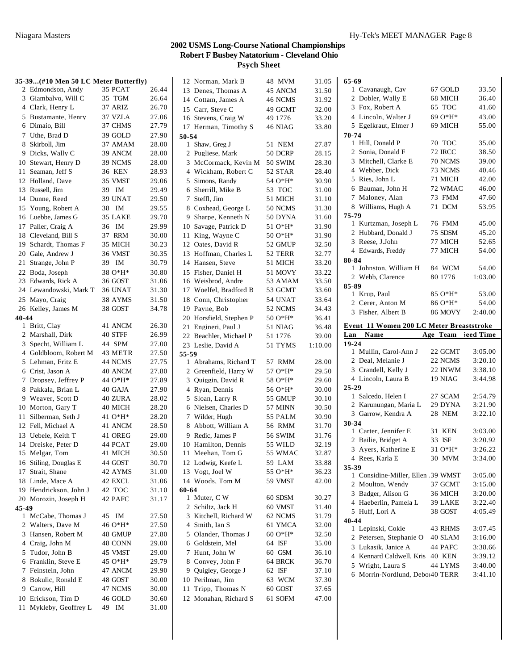| 35-39(#10 Men 50 LC Meter Butterfly)         |                  |                | 12 Norman, Mark B       | 48 MVM         | 31.05   | 65-69                                       |                    |         |
|----------------------------------------------|------------------|----------------|-------------------------|----------------|---------|---------------------------------------------|--------------------|---------|
| 2 Edmondson, Andy                            | 35 PCAT          | 26.44          | 13 Denes, Thomas A      | 45 ANCM        | 31.50   | 1 Cavanaugh, Cav                            | 67 GOLD            | 33.50   |
| 3 Giambalvo, Will C                          | 35 TGM           | 26.64          | 14 Cottam, James A      | 46 NCMS        | 31.92   | 2 Dobler, Wally E                           | 68 MICH            | 36.40   |
| 4 Clark, Henry L                             | 37 ARIZ          | 26.70          | 15 Carr, Steve C        | 49 GCMT        | 32.00   | 3 Fox, Robert A                             | 65 TOC             | 41.60   |
| 5 Bustamante, Henry                          | 37 VZLA          | 27.06          | 16 Stevens, Craig W     | 49 1776        | 33.20   | 4 Lincoln, Walter J                         | $690*H^*$          | 43.00   |
| 6 Dimaio, Bill                               | 37 CHMS          | 27.79          | 17 Herman, Timothy S    | 46 NIAG        | 33.80   | 5 Egelkraut, Elmer J                        | 69 MICH            | 55.00   |
| 7 Uthe, Brad D                               | 39 GOLD          | 27.90          | 50-54                   |                |         | 70-74                                       |                    |         |
| 8 Skirboll, Jim                              | 37 AMAM          | 28.00          | 1 Shaw, Greg J          | 51 NEM         | 27.87   | 1 Hill, Donald P                            | 70 TOC             | 35.00   |
| 9 Dicks, Wally C                             | 39 ANCM          | 28.00          | 2 Pugliese, Mark        | 50 DCRP        | 28.15   | 2 Sonia, Donald F                           | 72 IRCC            | 38.50   |
| 10 Stewart, Henry D                          | 39 NCMS          | 28.00          | 3 McCormack, Kevin M    | <b>50 SWIM</b> | 28.30   | 3 Mitchell, Clarke E                        | 70 NCMS            | 39.00   |
| 11 Seaman, Jeff S                            | <b>36 KEN</b>    | 28.93          | 4 Wickham, Robert C     | 52 STAR        | 28.40   | 4 Webber, Dick                              | 73 NCMS            | 40.46   |
| 12 Holland, Dave                             | 35 VMST          | 29.06          | 5 Simons, Randy         | 54 O*H*        | 30.90   | 5 Ries, John L                              | 71 MICH            | 42.00   |
| 13 Russell, Jim                              | 39 IM            | 29.49          | 6 Sherrill, Mike B      | 53 TOC         | 31.00   | 6 Bauman, John H                            | 72 WMAC            | 46.00   |
| 14 Dunne, Reed                               | 39 UNAT          | 29.50          | 7 Steffl, Jim           | 51 MICH        | 31.10   | 7 Maloney, Alan                             | 73 FMM             | 47.60   |
| 15 Young, Robert A                           | 38 IM            | 29.55          | 8 Coxhead, George L     | 50 NCMS        | 31.30   | 8 Williams, Hugh A                          | 71 DCM             | 53.95   |
| 16 Luebbe, James G                           | 35 LAKE          | 29.70          | 9 Sharpe, Kenneth N     | 50 DYNA        | 31.60   | 75-79                                       |                    |         |
| 17 Paller, Craig A                           | 36 IM            | 29.99          | 10 Savage, Patrick D    | $51O*H*$       | 31.90   | 1 Kurtzman, Joseph L                        | 76 FMM             | 45.00   |
| 18 Cleveland, Bill S                         | 37 RRM           | 30.00          | 11 King, Wayne C        | $500*H*$       |         | 2 Hubbard, Donald J                         | 75 SDSM            | 45.20   |
|                                              |                  | 30.23          | 12 Oates, David R       |                | 31.90   | 3 Reese, J.John                             | 77 MICH            | 52.65   |
| 19 Schardt, Thomas F                         | 35 MICH          |                |                         | 52 GMUP        | 32.50   | 4 Edwards, Freddy                           | 77 MICH            | 54.00   |
| 20 Gale, Andrew J                            | 36 VMST          | 30.35          | 13 Hoffman, Charles L   | 52 TERR        | 32.77   | 80-84                                       |                    |         |
| 21 Strange, John P                           | 39 IM            | 30.79          | 14 Hansen, Steve        | 51 MICH        | 33.20   | 1 Johnston, William H                       | 84 WCM             | 54.00   |
| 22 Boda, Joseph                              | 38 O*H*          | 30.80          | 15 Fisher, Daniel H     | 51 MOVY        | 33.22   | 2 Webb, Clarence                            | 80 1776            | 1:03.00 |
| 23 Edwards, Rick A                           | 36 GOST          | 31.06          | 16 Weisbrod, Andre      | 53 AMAM        | 33.50   | 85-89                                       |                    |         |
| 24 Lewandowski, Mark T                       | 36 UNAT          | 31.30          | 17 Woelfel, Bradford B  | 53 GCMT        | 33.60   | 1 Krup, Paul                                | 85 O*H*            | 53.00   |
| 25 Mayo, Craig                               | 38 AYMS          | 31.50          | 18 Conn, Christopher    | 54 UNAT        | 33.64   | 2 Cerer, Anton M                            | 86 O*H*            | 54.00   |
| 26 Kelley, James M                           | 38 GOST          | 34.78          | 19 Payne, Bob           | 52 NCMS        | 34.43   | 3 Fisher, Albert B                          | 86 MOVY            | 2:40.00 |
| 40-44                                        |                  |                | 20 Horsfield, Stephen P | $50 O*H*$      | 36.41   |                                             |                    |         |
| 1 Britt, Clay                                | 41 ANCM          | 26.30          | 21 Engineri, Paul J     | 51 NIAG        | 36.48   | Event 11 Women 200 LC Meter Breaststroke    |                    |         |
| 2 Marshall, Dirk                             | 40 STFF          | 26.99          | 22 Beachler, Michael P  | 51 1776        | 39.00   | Name<br>Lan                                 | Age Team leed Time |         |
|                                              |                  |                |                         |                |         |                                             |                    |         |
| 3 Specht, William L                          | 44 SPM           | 27.00          | 23 Leslie, David A      | 51 TYMS        | 1:10.00 | $19 - 24$                                   |                    |         |
| 4 Goldbloom, Robert M                        | 43 METR          | 27.50          | 55-59                   |                |         | 1 Mullin, Carol-Ann J                       | 22 GCMT            | 3:05.00 |
| 5 Lehman, Fritz E                            | 44 NCMS          | 27.75          | 1 Abrahams, Richard T   | 57 RMM         | 28.00   | 2 Deal, Melanie J                           | 22 NCMS            | 3:20.10 |
| 6 Crist, Jason A                             | 40 ANCM          | 27.80          | 2 Greenfield, Harry W   | 57 O*H*        | 29.50   | 3 Crandell, Kelly J                         | 22 INWM            | 3:38.10 |
| 7 Dropsey, Jeffrey P                         | 44 O*H*          | 27.89          | 3 Quiggin, David R      | 58 O*H*        | 29.60   | 4 Lincoln, Laura B                          | 19 NIAG            | 3:44.98 |
| 8 Pakkala, Brian L                           | 40 GAJA          | 27.90          | 4 Ryan, Dennis          | 56 O*H*        | 30.00   | $25 - 29$                                   |                    |         |
| 9 Weaver, Scott D                            | 40 ZURA          | 28.02          | 5 Sloan, Larry R        | 55 GMUP        | 30.10   | 1 Salcedo, Helen I                          | 27 SCAM            | 2:54.79 |
| 10 Morton, Gary T                            | 40 MICH          | 28.20          | 6 Nielsen, Charles D    | 57 MINN        | 30.50   | 2 Karunungan, Maria L                       | 29 DYNA            | 3:21.90 |
| 11 Silberman, Seth J                         | 41 O*H*          | 28.20          | 7 Wilder, Hugh          | 55 PALM        | 30.90   | 3 Garrow, Kendra A                          | 28 NEM             | 3:22.10 |
| 12 Fell, Michael A                           | 41 ANCM          | 28.50          | 8 Abbott, William A     | 56 RMM         | 31.70   | 30-34<br>1 Carter, Jennifer E               | 31 KEN             | 3:03.00 |
| 13 Uebele, Keith T                           | 41 OREG          | 29.00          | 9 Redic, James P        | <b>56 SWIM</b> | 31.76   |                                             | 33 ISF             |         |
| 14 Dreiske, Peter D                          | 44 PCAT          | 29.00          | 10 Hamilton, Dennis     | 55 WILD        | 32.19   | 2 Bailie, Bridget A                         |                    | 3:20.92 |
| 15 Melgar, Tom                               | 41 MICH          | 30.50          | 11 Meehan, Tom G        | 55 WMAC        | 32.87   | 3 Ayers, Katherine E                        | 31 O*H*            | 3:26.22 |
| 16 Stiling, Douglas E                        | 44 GOST          | 30.70          | 12 Lodwig, Keefe L      | 59 LAM         | 33.88   | 4 Rees, Karla E                             | 30 MVM             | 3:34.00 |
| 17 Strait, Shane                             | 42 AYMS          | 31.00          | 13 Vogt, Joel W         | 55 O*H*        | 36.23   | 35-39<br>1 Considine-Miller, Ellen .39 WMST |                    | 3:05.00 |
| 18 Linde, Mace A                             | 42 EXCL          | 31.06          | 14 Woods, Tom M         | 59 VMST        | 42.00   | 2 Moulton, Wendy                            | 37 GCMT            | 3:15.00 |
| 19 Hendrickson, John J                       | 42 TOC           | 31.10          | 60-64                   |                |         | 3 Badger, Alison G                          | 36 MICH            | 3:20.00 |
| 20 Morozin, Joseph H                         | 42 PAFC          | 31.17          | 1 Muter, C W            | 60 SDSM        | 30.27   | 4 Haeberlin, Pamela L                       | 39 LAKE            | 3:22.40 |
| 45-49                                        |                  |                | 2 Schiltz, Jack H       | 60 VMST        | 31.40   | 5 Huff, Lori A                              | 38 GOST            | 4:05.49 |
| 1 McCabe, Thomas J                           | 45 IM            | 27.50          | 3 Kitchell, Richard W   | 62 NCMS        | 31.79   | 40-44                                       |                    |         |
| 2 Walters, Dave M                            | 46 O*H*          | 27.50          | 4 Smith, Ian S          | 61 YMCA        | 32.00   | 1 Lepinski, Cokie                           | 43 RHMS            | 3:07.45 |
| 3 Hansen, Robert M                           | 48 GMUP          | 27.80          | 5 Olander, Thomas J     | $600*H*$       | 32.50   | 2 Petersen, Stephanie O                     | 40 SLAM            | 3:16.00 |
| 4 Craig, John M                              | 48 CONN          | 29.00          | 6 Goldstein, Mel        | 64 ISF         | 35.00   | 3 Lukasik, Janice A                         | 44 PAFC            | 3:38.66 |
| 5 Tudor, John B                              | 45 VMST          | 29.00          | 7 Hunt, John W          | 60 GSM         | 36.10   | 4 Kennard Caldwell, Kris 40 KEN             |                    | 3:39.12 |
| 6 Franklin, Steve E                          | 45 O*H*          | 29.79          | 8 Convey, John F        | 64 BRCK        | 36.70   | 5 Wright, Laura S                           | 44 LYMS            | 3:40.00 |
| 7 Feinstein, John                            | 47 ANCM          | 29.90          | 9 Quigley, George J     | 62 ISF         | 37.10   | 6 Morrin-Nordlund, Debol 40 TERR            |                    | 3:41.10 |
| 8 Bokulic, Ronald E                          | 48 GOST          | 30.00          | 10 Perilman, Jim        | 63 WCM         | 37.30   |                                             |                    |         |
| 9 Carrow, Hill                               | 47 NCMS          | 30.00          | 11 Tripp, Thomas N      | 60 GOST        | 37.65   |                                             |                    |         |
| 10 Erickson, Tim D<br>11 Mykleby, Geoffrey L | 46 GOLD<br>49 IM | 30.60<br>31.00 | 12 Monahan, Richard S   | 61 SOFM        | 47.00   |                                             |                    |         |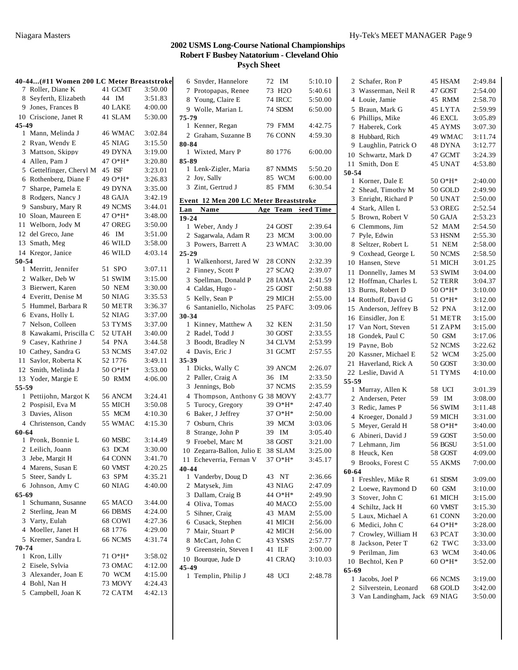|              | 40-44(#11 Women 200 LC Meter Breaststroke |                |         |
|--------------|-------------------------------------------|----------------|---------|
| 7            | Roller, Diane K                           | 41 GCMT        | 3:50.00 |
|              | 8 Seyferth, Elizabeth                     | 44 IM          | 3:51.83 |
|              | 9 Jones, Frances B                        | 40 LAKE        | 4:00.00 |
|              | 10 Criscione, Janet R                     | 41 SLAM        | 5:30.00 |
| 45-49        |                                           |                |         |
| 1            | Mann, Melinda J                           | 46 WMAC        | 3:02.84 |
|              | 2 Ryan, Wendy E                           | 45 NIAG        | 3:15.50 |
|              | 3 Mattson, Skippy                         | 49 DYNA        | 3:19.00 |
|              | 4 Allen, Pam J                            | 47 O*H*        | 3:20.80 |
|              | 5 Gettelfinger, Cheryl M                  | 45 ISF         | 3:23.01 |
| 6            | Rothenberg, Diane F                       | 49 O*H*        | 3:26.83 |
| 7            | Sharpe, Pamela E                          | 49 DYNA        | 3:35.00 |
| 8            | Rodgers, Nancy J                          | 48 GAJA        | 3:42.19 |
| 9            | Sansbury, Mary R                          | 49 NCMS        | 3:44.01 |
|              | 10 Sloan, Maureen E                       | 47 O*H*        | 3:48.00 |
|              | 11 Welborn, Jody M                        | 47 OREG        | 3:50.00 |
|              | 12 del Greco, Jane                        | 46 IM          | 3:51.00 |
| 13           | Smath, Meg                                | 46 WILD        | 3:58.00 |
|              | 14 Kregor, Janice                         | 46 WILD        | 4:03.14 |
| 50-54        |                                           |                |         |
| $\mathbf{1}$ | Merritt, Jennifer                         | 51 SPO         | 3:07.11 |
|              | 2 Walker, Deb W                           | <b>51 SWIM</b> | 3:15.00 |
| 3            | Bierwert, Karen                           | <b>50 NEM</b>  | 3:30.00 |
|              | 4 Everitt, Denise M                       | <b>50 NIAG</b> | 3:35.53 |
| 5            | Hummel, Barbara R                         | 50 METR        | 3:36.37 |
| 6            | Evans, Holly L                            | 52 NIAG        | 3:37.00 |
| 7            | Nelson, Colleen                           | 53 TYMS        | 3:37.00 |
| 8            | Kawakami, Priscilla C                     | 52 UTAH        | 3:40.00 |
|              | 9 Casey, Kathrine J                       | 54 PNA         | 3:44.58 |
|              | 10 Cathey, Sandra G                       | 53 NCMS        | 3:47.02 |
| 11           | Saylor, Roberta K                         | 52 1776        | 3:49.11 |
|              | 12 Smith, Melinda J                       | 50 O*H*        | 3:53.00 |
|              | 13 Yoder, Margie E                        | 50 RMM         | 4:06.00 |
| 55-59        |                                           |                |         |
|              | 1 Pettijohn, Margot K                     | 56 ANCM        | 3:24.41 |
|              | 2 Pospisil, Eva M                         | 55 MICH        | 3:50.08 |
|              | 3 Davies, Alison                          | 55 MCM         | 4:10.30 |
|              | 4 Christenson, Candy                      | 55 WMAC        | 4:15.30 |
| 60-64        |                                           |                |         |
| 1            | Pronk, Bonnie L                           | 60 MSBC        | 3:14.49 |
|              | 2 Leilich, Joann                          | 63 DCM         | 3:30.00 |
|              | 3 Jebe, Margit H                          | 64 CONN        | 3:41.70 |
|              | 4 Marens, Susan E                         | 60 VMST        | 4:20.25 |
|              | 5 Steer, Sandy L                          | 63 SPM         | 4:35.21 |
| 6            | Johnson, Amy C                            | 60 NIAG        | 4:40.00 |
| 65-69        |                                           |                |         |
|              | 1 Schumann, Susanne                       | 65 MACO        | 3:44.00 |
|              | 2 Sterling, Jean M                        | 66 DBMS        | 4:24.00 |
|              | 3 Varty, Eulah                            | 68 COWI        | 4:27.36 |
|              | 4 Moeller, Janet H                        | 68 1776        | 4:29.00 |
|              | 5 Kremer, Sandra L                        | 66 NCMS        | 4:31.74 |
| 70-74        |                                           |                |         |
| 1            | Kron, Lilly                               | 71 O*H*        | 3:58.02 |
|              | 2 Eisele, Sylvia                          | 73 OMAC        | 4:12.00 |
|              | 3 Alexander, Joan E                       | 70 WCM         | 4:15.00 |
|              | 4 Bohl, Nan H                             | 73 MOVY        | 4:24.43 |
|              | 5 Campbell, Joan K                        | 72 CATM        | 4:42.13 |

|                | 6 Snyder, Hannelore                    | 72 | IM             | 5:10.10   |
|----------------|----------------------------------------|----|----------------|-----------|
| 7              | Protopapas, Renee                      |    | 73 H2O         | 5:40.61   |
|                | 8 Young, Claire E                      |    | <b>74 IRCC</b> | 5:50.00   |
|                | 9 Wolle, Marian L                      |    | 74 SDSM        | 6:50.00   |
| 75-79          |                                        |    |                |           |
|                | 1 Kenner, Regan                        |    | 79 FMM         | 4:42.75   |
|                | 2 Graham, Suzanne B                    |    | 76 CONN        | 4:59.30   |
| 80-84          |                                        |    |                |           |
|                | 1 Wixted, Mary P                       |    | 80 1776        | 6:00.00   |
| 85-89          |                                        |    |                |           |
|                | 1 Lenk-Zigler, Maria                   |    | 87 NMMS        | 5:50.20   |
|                | 2 Joy, Sally                           |    | 85 WCM         | 6:00.00   |
|                | 3 Zint, Gertrud J                      |    | 85 FMM         | 6:30.54   |
|                |                                        |    |                |           |
|                | Event 12 Men 200 LC Meter Breaststroke |    |                |           |
| Lan            | Name                                   |    | Age Team       | Seed Time |
| 19-24          |                                        |    |                |           |
|                | 1 Weber, Andy J                        |    | 24 GOST        | 2:39.64   |
| $\overline{2}$ | Sagarwala, Adam R                      |    | 23 MCM         | 3:00.00   |
|                | 3 Powers, Barrett A                    |    | 23 WMAC        | 3:30.00   |
| $25 - 29$      |                                        |    |                |           |
|                | 1 Walkenhorst, Jared W                 |    | 28 CONN        | 2:32.39   |
| 2              | Finney, Scott P                        |    | 27 SCAQ        | 2:39.07   |
| 3              | Spellman, Donald P                     |    | 28 IAMA        | 2:41.59   |
|                | 4 Caldas, Hugo -                       |    | 25 GOST        | 2:50.88   |
|                | 5 Kelly, Sean P                        |    | 29 MICH        | 2:55.00   |
|                | 6 Santaniello, Nicholas                |    | 25 PAFC        | 3:09.06   |
| 30-34          |                                        |    |                |           |
|                | 1 Kinney, Matthew A                    |    | 32 KEN         | 2:31.50   |
|                | 2 Radel, Todd J                        |    | 30 GOST        | 2:33.55   |
|                | 3 Boodt, Bradley N                     |    | 34 CLVM        | 2:53.99   |
|                | 4 Davis, Eric J                        |    | 31 GCMT        | 2:57.55   |
| 35-39          |                                        |    |                |           |
|                | 1 Dicks, Wally C                       |    | 39 ANCM        | 2:26.07   |
| 2              | Paller, Craig A                        |    | 36 IM          | 2:33.50   |
| 3              | Jennings, Bob                          |    | 37 NCMS        | 2:35.59   |
|                |                                        |    |                |           |
| $\overline{4}$ | Thompson, Anthony G 38 MOVY            |    |                | 2:43.77   |
| 5              | Turocy, Gregory                        |    | 39 O*H*        | 2:47.40   |
| 6              | Baker, J Jeffrey                       |    | 37 O*H*        | 2:50.00   |
| 7              | Osburn, Chris                          |    | 39 MCM         | 3:03.06   |
| 8              | Strange, John P                        | 39 | IM             | 3:05.40   |
| 9.             | Froebel, Marc M                        |    | 38 GOST        | 3:21.00   |
| 10             | Zegarra-Ballon, Julio E                |    | 38 SLAM        | 3:25.00   |
|                | 11 Echeverria, Fernan V                |    | 37 O*H*        | 3:45.17   |
| 40-44          |                                        |    |                |           |
|                | 1 Vanderby, Doug D                     |    | 43 NT          | 2:36.66   |
|                | 2 Matysek, Jim                         |    | 43 NIAG        | 2:47.09   |
|                | 3 Dallam, Craig B                      |    | 44 O*H*        | 2:49.90   |
|                | 4 Oliva, Tomas                         |    | 40 MACO        | 2:55.00   |
| 5              | Sihner, Craig                          |    | 43 MAM         | 2:55.00   |
|                | 6 Cusack, Stephen                      |    | 41 MICH        | 2:56.00   |
|                | 7 Mair, Stuart P                       |    | 42 MICH        | 2:56.00   |
|                | 8 McCart, John C                       |    | 43 YSMS        | 2:57.77   |
|                | 9 Greenstein, Steven I                 |    | 41 ILF         | 3:00.00   |
|                | Bourque, Jude D                        |    |                | 3:10.03   |
| 10             |                                        |    | 41 CRAQ        |           |
| 45-49<br>1     | Templin, Philip J                      |    | 48 UCI         | 2:48.78   |
|                |                                        |    |                |           |

| 2              | Schafer, Ron P         | 45 HSAM   | 2:49.84 |
|----------------|------------------------|-----------|---------|
| 3              | Wasserman, Neil R      | 47 GOST   | 2:54.00 |
| 4              | Louie, Jamie           | 45 RMM    | 2:58.70 |
| 5              | Braun, Mark G          | 45 LYTA   | 2:59.99 |
| 6              | Phillips, Mike         | 46 EXCL   | 3:05.89 |
| 7              | Haberek, Cork          | 45 AYMS   | 3:07.30 |
| 8              | Hubbard, Rich          | 49 WMAC   | 3:11.74 |
| 9              | Laughlin, Patrick O    | 48 DYNA   | 3:12.77 |
|                | 10 Schwartz, Mark D    | 47 GCMT   | 3:24.39 |
| 11             | Smith, Don E           | 45 UNAT   | 4:53.80 |
| 50-54          |                        |           |         |
|                | 1 Korner, Dale E       | $500*H*$  | 2:40.00 |
| $\overline{2}$ | Shead, Timothy M       | 50 GOLD   | 2:49.90 |
| 3              | Enright, Richard P     | 50 UNAT   | 2:50.00 |
| 4              | Stark, Allen L         | 53 OREG   | 2:52.54 |
| 5              | Brown, Robert V        | 50 GAJA   | 2:53.23 |
|                |                        |           |         |
|                | 6 Clemmons, Jim        | 52 MAM    | 2:54.50 |
| 7              | Pyle, Edwin            | 53 HSNM   | 2:55.30 |
| 8              | Seltzer, Robert L      | 51 NEM    | 2:58.00 |
|                | 9 Coxhead, George L    | 50 NCMS   | 2:58.50 |
|                | 10 Hansen, Steve       | 51 MICH   | 3:01.25 |
| 11             | Donnelly, James M      | 53 SWIM   | 3:04.00 |
| 12             | Hoffman, Charles L     | 52 TERR   | 3:04.37 |
|                | 13 Burns, Robert D     | 50 O*H*   | 3:10.00 |
|                | 14 Rotthoff, David G   | 51 $O*H*$ | 3:12.00 |
|                | 15 Anderson, Jeffrey B | 52 PNA    | 3:12.00 |
|                | 16 Einsidler, Jon E    | 51 METR   | 3:15.00 |
|                | 17 Van Nort, Steven    | 51 ZAPM   | 3:15.00 |
|                | 18 Gondek, Paul C      | 50 GSM    | 3:17.06 |
|                | 19 Payne, Bob          | 52 NCMS   | 3:22.62 |
| 20             | Kassner, Michael E     | 52 WCM    | 3:25.00 |
| 21             | Haverland, Rick A      | 50 GOST   | 3:30.00 |
|                | 22 Leslie, David A     | 51 TYMS   | 4:10.00 |
| 55-59          |                        |           |         |
|                | 1 Murray, Allen K      | 58 UCI    | 3:01.39 |
| $\overline{2}$ | Andersen, Peter        | 59<br>IM  | 3:08.00 |
| 3              | Redic, James P         | 56 SWIM   | 3:11.48 |
| $\overline{4}$ | Kroeger, Donald J      | 59 MICH   | 3:31.00 |
| 5              | Meyer, Gerald H        | 58 O*H*   | 3:40.00 |
| 6              | Abineri, David J       | 59 GOST   | 3:50.00 |
| 7              | Lehmann, Jim           | 56 BGSU   | 3:51.00 |
| 8              | Heuck, Ken             | 58 GOST   | 4:09.00 |
|                | 9 Brooks, Forest C     | 55 AKMS   | 7:00.00 |
| 60-64          |                        |           |         |
|                | 1 Freshley, Mike R     | 61 SDSM   | 3:09.00 |
|                | 2 Loewe, Raymond D     | 60 GSM    | 3:10.00 |
| 3              | Stover, John C         | 61 MICH   | 3:15.00 |
|                | 4 Schiltz, Jack H      | 60 VMST   | 3:15.30 |
| 5              | Laux. Michael A        | 61 CONN   | 3:20.00 |
|                | 6 Medici, John C       | 64 O*H*   | 3:28.00 |
| 7              | Crowley, William H     | 63 PCAT   | 3:30.00 |
| 8              | Jackson, Peter T       | 62 TWC    | 3:33.00 |
|                | 9 Perilman, Jim        | 63 WCM    | 3:40.06 |
|                | 10 Bechtol. Ken P      | $60O*H*$  | 3:52.00 |
| 65-69          |                        |           |         |
|                | 1 Jacobs, Joel P       | 66 NCMS   | 3:19.00 |
|                | 2 Silverstein, Leonard | 68 GOLD   | 3:42.00 |
|                | 3 Van Landingham, Jack | 69 NIAG   | 3:50.00 |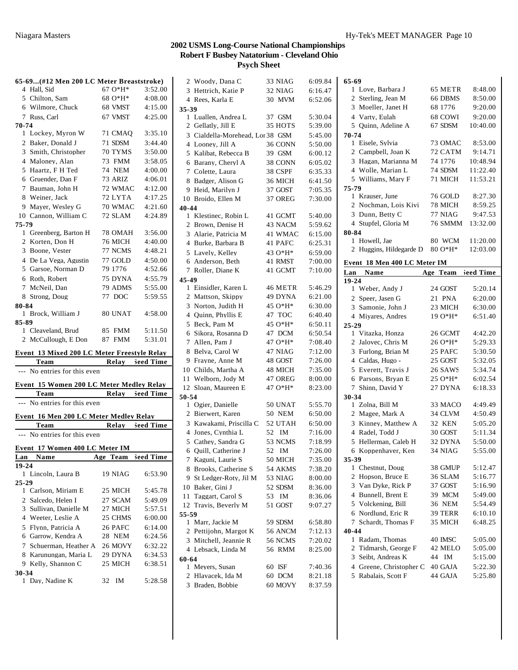| 65-69(#12 Men 200 LC Meter Breaststroke)<br>4 Hall, Sid | $67O*H*$        | 3:52.00   |                |
|---------------------------------------------------------|-----------------|-----------|----------------|
| 5 Chilton, Sam                                          | 68 O*H*         | 4:08.00   |                |
| 6 Wilmore, Chuck                                        | 68 VMST         | 4:15.00   |                |
| 7 Russ, Carl                                            | 67 VMST         | 4:25.00   | 3.             |
| 70-74                                                   |                 |           |                |
| 1 Lockey, Myron W                                       | 71 CMAO         | 3:35.10   |                |
| 2 Baker, Donald J                                       | 71 SDSM         | 3:44.40   |                |
| 3 Smith, Christopher                                    | 70 TYMS         | 3:50.00   |                |
| 4 Malonev, Alan                                         | 73 FMM          | 3:58.05   |                |
| 5 Haartz, F H Ted                                       | 74 NEM          | 4:00.00   |                |
| 6 Gruender, Dan F                                       | 73 ARIZ         | 4:06.01   |                |
| 7 Bauman, John H                                        | 72 WMAC         | 4:12.00   |                |
| 8 Weiner, Jack                                          | 72 LYTA         | 4:17.25   |                |
| 9 Mayer, Wesley G                                       | 70 WMAC         | 4:21.60   | $\overline{4}$ |
| 10 Cannon, William C                                    | 72 SLAM         | 4:24.89   |                |
| 75-79                                                   |                 |           |                |
| 1 Greenberg, Barton H                                   | 78 OMAH         | 3:56.00   |                |
| 2 Korten, Don H                                         | 76 MICH         | 4:40.00   |                |
| 3 Boone, Vester                                         | 77 NCMS         | 4:48.21   |                |
| 4 De La Vega, Agustin                                   | 77 GOLD         | 4:50.00   |                |
| 5 Garsoe, Norman D                                      | 79 1776         | 4:52.66   |                |
| 6 Roth, Robert                                          | 75 DYNA         | 4:55.79   | 4              |
| 7 McNeil, Dan                                           | 79 ADMS         | 5:55.00   |                |
| 8 Strong, Doug                                          | 77 DOC          | 5:59.55   |                |
| 80-84                                                   |                 |           |                |
| 1 Brock, William J                                      | 80 UNAT         | 4:58.00   |                |
| 85-89                                                   |                 |           |                |
| 1 Cleaveland, Brud                                      | 85 FMM          | 5:11.50   |                |
| 2 McCullough, E Don                                     | 87 FMM          | 5:31.01   |                |
|                                                         |                 |           |                |
| Event 13 Mixed 200 LC Meter Freestyle Relay             |                 |           |                |
| <b>Team</b>                                             | Relay Seed Time |           |                |
| --- No entries for this even                            |                 |           |                |
| Event 15 Women 200 LC Meter Medley Relay                |                 |           |                |
| Team                                                    | Relay Seed Time |           | 51             |
| --- No entries for this even                            |                 |           |                |
| Event 16 Men 200 LC Meter Medlev Relav                  |                 |           |                |
| Team                                                    | Relay           | Seed Time |                |
| --- No entries for this even                            |                 |           |                |
|                                                         |                 |           |                |
| Event 17 Women 400 LC Meter IM                          |                 |           |                |
| Name<br>Lan                                             | Age Team        | Seed Time |                |
| $19 - 24$                                               |                 |           |                |
| 1 Lincoln, Laura B                                      | 19 NIAG         | 6:53.90   |                |
| $25 - 29$                                               |                 |           |                |
| 1 Carlson, Miriam E                                     | 25 MICH         | 5:45.78   |                |
| 2 Salcedo, Helen I                                      | 27 SCAM         | 5:49.09   |                |
| 3 Sullivan, Danielle M                                  | 27 MICH         | 5:57.51   | 5.             |
| 4 Weeter, Leslie A                                      | 25 CHMS         | 6:00.00   |                |
| 5 Flynn, Patricia A                                     | 26 PAFC         | 6:14.00   |                |
| 6 Garrow, Kendra A                                      | 28 NEM          | 6:24.56   |                |
| 7 Schuerman, Heather A                                  | 26 MOVY         | 6:32.22   |                |
| 8 Karunungan, Maria L                                   | 29 DYNA         | 6:34.53   | 61             |
| 9 Kelly, Shannon C                                      | 25 MICH         | 6:38.51   |                |
| $30 - 34$                                               |                 |           |                |
| 1 Day, Nadine K                                         | 32<br>IM        | 5:28.58   |                |

|       | 2 Woody, Dana C                  |    | 33 NIAG | 6:09.84 |
|-------|----------------------------------|----|---------|---------|
|       | 3 Hettrich, Katie P              |    | 32 NIAG | 6:16.47 |
|       | 4 Rees, Karla E                  |    | 30 MVM  | 6:52.06 |
| 35-39 |                                  |    |         |         |
|       | 1 Luallen, Andrea L              |    | 37 GSM  | 5:30.04 |
|       | 2 Gellatly, Jill E               |    | 35 HOTS | 5:39.00 |
|       | 3 Cialdella-Morehead, Lor 38 GSM |    |         | 5:45.00 |
|       | 4 Looney, Jill A                 |    | 36 CONN | 5:50.00 |
|       | 5 Kalibat, Rebecca B             |    | 39 GSM  | 6:00.12 |
|       | 6 Barany, Cheryl A               |    | 38 CONN | 6:05.02 |
|       | 7 Colette, Laura                 |    | 38 CSPF | 6:35.33 |
|       | 8 Badger, Alison G               |    | 36 MICH | 6:41.50 |
|       | 9 Heid, Marilyn J                |    | 37 GOST | 7:05.35 |
|       | 10 Broido, Ellen M               |    | 37 OREG | 7:30.00 |
| 40-44 |                                  |    |         |         |
|       | 1 Klestinec, Robin L             |    | 41 GCMT | 5:40.00 |
|       | 2 Brown, Denise H                |    | 43 NACM | 5:59.62 |
|       | 3 Alarie, Patricia M             |    | 41 WMAC | 6:15.00 |
|       | 4 Burke, Barbara B               |    | 41 PAFC | 6:25.31 |
|       | 5 Lavely, Kelley                 |    | 43 O*H* | 6:59.00 |
|       | 6 Anderson, Beth                 |    | 41 RMST | 7:00.00 |
|       | 7 Roller, Diane K                |    | 41 GCMT | 7:10.00 |
| 45-49 |                                  |    |         |         |
|       | 1 Einsidler, Karen L             |    | 46 METR | 5:46.29 |
|       | 2 Mattson, Skippy                |    | 49 DYNA | 6:21.00 |
|       | 3 Norton, Judith H               |    | 45 O*H* | 6:30.00 |
|       | 4 Quinn, Phyllis E               |    | 47 TOC  | 6:40.40 |
|       | 5 Beck, Pam M                    |    | 45 O*H* |         |
|       |                                  |    |         | 6:50.11 |
|       | 6 Sikora, Rosanna D              |    | 47 DCM  | 6:50.54 |
|       | 7 Allen, Pam J                   |    | 47 O*H* | 7:08.40 |
| 8     | Belva, Carol W                   |    | 47 NIAG | 7:12.00 |
| 9.    | Frayne, Anne M                   |    | 48 GOST | 7:26.00 |
|       | 10 Childs, Martha A              |    | 48 MICH | 7:35.00 |
| 11    | Welborn, Jody M                  |    | 47 OREG | 8:00.00 |
| 12    | Sloan, Maureen E                 |    | 47 O*H* | 8:23.00 |
| 50-54 |                                  |    |         |         |
|       | 1 Ogier, Danielle                |    | 50 UNAT | 5:55.70 |
|       | 2 Bierwert, Karen                |    | 50 NEM  | 6:50.00 |
|       | 3 Kawakami, Priscilla C          |    | 52 UTAH | 6:50.00 |
|       | 4 Jones, Cynthia L               |    | 52 IM   | 7:16.00 |
|       | 5 Cathey, Sandra G               |    | 53 NCMS | 7:18.99 |
|       | 6 Quill, Catherine J             | 52 | IM      | 7:26.00 |
|       | 7 Kaguni, Laurie S               |    | 50 MICH | 7:35.00 |
|       | 8 Brooks, Catherine S            |    | 54 AKMS | 7:38.20 |
|       | 9 St Ledger-Roty, Jil M          |    | 53 NIAG | 8:00.00 |
|       | 10 Baker, Gini J                 |    | 52 SDSM | 8:36.00 |
|       | 11 Taggart, Carol S              | 53 | IM      | 8:36.06 |
|       | 12 Travis, Beverly M             |    | 51 GOST | 9:07.27 |
| 55-59 |                                  |    |         |         |
| 1     | Marr, Jackie M                   |    | 59 SDSM | 6:58.80 |
|       | 2 Pettijohn, Margot K            |    | 56 ANCM | 7:12.13 |
|       | 3 Mitchell, Jeannie R            |    | 56 NCMS | 7:20.02 |
|       | 4 Lebsack, Linda M               |    | 56 RMM  | 8:25.00 |
| 60-64 |                                  |    |         |         |
|       | 1 Meyers, Susan                  |    | 60 ISF  | 7:40.36 |
|       | 2 Hlavacek, Ida M                |    | 60 DCM  | 8:21.18 |
|       | 3 Braden, Bobbie                 |    | 60 MOVY | 8:37.59 |
|       |                                  |    |         |         |

| 65-69                                          |                    |                    |
|------------------------------------------------|--------------------|--------------------|
| 1 Love, Barbara J                              | 65 METR            | 8:48.00            |
| 2 Sterling, Jean M                             | 66 DBMS            | 8:50.00            |
| 3 Moeller, Janet H                             | 68 1776            | 9:20.00            |
| 4 Varty, Eulah                                 | 68 COWI            | 9:20.00            |
| 5 Ouinn, Adeline A                             | 67 SDSM            | 10:40.00           |
| 70-74                                          |                    |                    |
| 1 Eisele, Sylvia                               | 73 OMAC            | 8:53.00            |
| 2 Campbell, Joan K                             | 72 CATM            | 9:14.71            |
| 3 Hagan, Marianna M                            | 74 1776            | 10:48.94           |
| 4 Wolle, Marian L                              | 74 SDSM            | 11:22.40           |
| 5 Williams, Mary F                             | 71 MICH            | 11:53.21           |
|                                                |                    |                    |
| 75-79<br>1 Krauser, June                       | 76 GOLD            | 8:27.30            |
| 2 Nochman, Lois Kivi                           | 78 MICH            | 8:59.25            |
|                                                |                    |                    |
| 3 Dunn, Betty C                                | 77 NIAG            | 9:47.53            |
| 4 Stupfel, Gloria M                            | 76 SMMM            | 13:32.00           |
| 80-84                                          |                    |                    |
| 1 Howell, Jae                                  | 80 WCM             | 11:20.00           |
| 2 Huggins, Hildegarde D                        | $80O*H*$           | 12:03.00           |
| Event 18 Men 400 LC Meter IM                   |                    |                    |
| Lan<br>Name                                    | Age Team           | leed Time          |
| 19-24                                          |                    |                    |
| 1 Weber, Andy J                                | 24 GOST            | 5:20.14            |
| 2 Speer, Jasen G                               | 21 PNA             | 6:20.00            |
| 3 Samonie, John J                              | 23 MICH            | 6:30.00            |
| 4 Miyares, Andres                              | $19.0*H*$          | 6:51.40            |
|                                                |                    |                    |
|                                                |                    |                    |
| $25 - 29$                                      |                    |                    |
| 1 Vitazka, Honza                               | 26 GCMT            | 4:42.20            |
| 2 Jalovec, Chris M                             | 26 O*H*            | 5:29.33            |
| 3 Furlong, Brian M                             | 25 PAFC            | 5:30.50            |
| 4 Caldas, Hugo -                               | 25 GOST            | 5:32.05            |
| 5 Everett, Travis J                            | 26 SAWS            | 5:34.74            |
| 6 Parsons, Bryan E                             | 25 O*H*            | 6:02.54            |
| 7 Shinn, David Y                               | 27 DYNA            | 6:18.33            |
| 30-34                                          |                    |                    |
| 1 Zolna, Bill M                                | 33 MACO            | 4:49.49            |
| 2 Magee, Mark A                                | 34 CLVM            | 4:50.49            |
| 3 Kinney, Matthew A                            | 32 KEN             | 5:05.20            |
| 4 Radel, Todd J                                | 30 GOST            | 5:11.34            |
| 5 Hellerman, Caleb H                           | 32 DYNA            | 5:50.00            |
|                                                |                    |                    |
| 6 Koppenhaver, Ken                             | 34 NIAG            | 5:55.00            |
| 35-39                                          |                    |                    |
| 1 Chestnut, Doug                               | 38 GMUP            | 5:12.47            |
| 2 Hopson, Bruce E                              | 36 SLAM            | 5:16.77            |
| 3 Van Dyke, Rick P                             | 37 GOST            | 5:16.90            |
| 4 Bunnell, Brent E                             | 39 MCM             | 5:49.00            |
| 5 Volckening, Bill                             | 36 NEM             | 5:54.49            |
| Nordlund, Eric R<br>6                          | 39 TERR            | 6:10.10            |
| Schardt, Thomas F<br>7                         | 35 MICH            | 6:48.25            |
| 40-44                                          |                    |                    |
| 1 Radam, Thomas                                | 40 IMSC            | 5:05.00            |
| 2 Tidmarsh, George F                           | 42 MELO            | 5:05.00            |
| 3 Seibt, Andreas K                             | IM<br>44           | 5:15.00            |
| 4 Greene, Christopher C<br>5 Rabalais, Scott F | 40 GAJA<br>44 GAJA | 5:22.30<br>5:25.80 |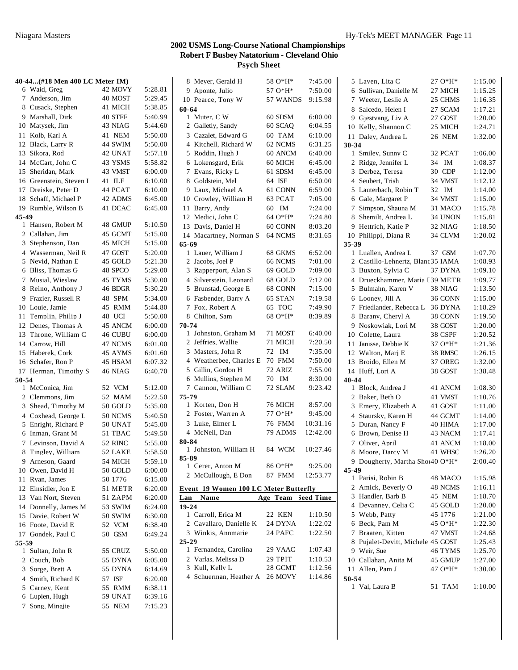|       | 40-44(#18 Men 400 LC Meter IM) |                |         | 8 Meyer, Gerald H                     | 58 O*H*            | 7:45.00  | 5 Laven, Lita C                    | $27.0*H*$ | 1:15.00 |
|-------|--------------------------------|----------------|---------|---------------------------------------|--------------------|----------|------------------------------------|-----------|---------|
|       | 6 Waid, Greg                   | 42 MOVY        | 5:28.81 | 9 Aponte, Julio                       | 57 O*H*            | 7:50.00  | 6 Sullivan, Danielle M             | 27 MICH   | 1:15.25 |
|       | 7 Anderson, Jim                | 40 MOST        | 5:29.45 | 10 Pearce, Tony W                     | 57 WANDS           | 9:15.98  | 7 Weeter, Leslie A                 | 25 CHMS   | 1:16.35 |
|       | 8 Cusack, Stephen              | 41 MICH        | 5:38.85 | 60-64                                 |                    |          | 8 Salcedo, Helen I                 | 27 SCAM   | 1:17.21 |
|       | 9 Marshall, Dirk               | 40 STFF        | 5:40.99 | 1 Muter, C W                          | 60 SDSM            | 6:00.00  | 9 Gjestvang, Liv A                 | 27 GOST   | 1:20.00 |
|       | 10 Matysek, Jim                | 43 NIAG        | 5:44.60 | 2 Galletly, Sandy                     | 60 SCAQ            | 6:04.55  | 10 Kelly, Shannon C                | 25 MICH   | 1:24.71 |
|       | 11 Kolb, Karl A                | 41 NEM         | 5:50.00 | 3 Cazalet, Edward G                   | 60 TAM             | 6:10.00  | 11 Daley, Andrea L                 | 26 NEM    | 1:32.00 |
|       | 12 Black, Larry R              | 44 SWIM        | 5:50.00 | 4 Kitchell, Richard W                 | 62 NCMS            | 6:31.25  | 30-34                              |           |         |
|       | 13 Sikora, Rod                 | 42 UNAT        | 5:57.18 | 5 Roddin, Hugh J                      | 60 ANCM            | 6:40.00  | 1 Smiley, Sunny C                  | 32 PCAT   | 1:06.00 |
|       | 14 McCart, John C              | 43 YSMS        | 5:58.82 | 6 Lokensgard, Erik                    | 60 MICH            | 6:45.00  | 2 Ridge, Jennifer L                | 34 IM     | 1:08.37 |
|       | 15 Sheridan, Mark              | 43 VMST        | 6:00.00 | 7 Evans, Ricky L                      | 61 SDSM            | 6:45.00  | 3 Derbez, Teresa                   | 30 CDP    | 1:12.00 |
|       | 16 Greenstein, Steven I        | 41 ILF         | 6:10.00 | 8 Goldstein, Mel                      | 64 ISF             | 6:50.00  | 4 Seubert, Trish                   | 34 VMST   | 1:12.12 |
|       | 17 Dreiske, Peter D            | 44 PCAT        | 6:10.00 | 9 Laux, Michael A                     | 61 CONN            | 6:59.00  | 5 Lauterbach, Robin T              | 32 IM     | 1:14.00 |
|       | 18 Schaff, Michael P           | 42 ADMS        | 6:45.00 | 10 Crowley, William H                 | 63 PCAT            | 7:05.00  | 6 Gale, Margaret P                 | 34 VMST   | 1:15.00 |
|       | 19 Rumble, Wilson B            | 41 DCAC        | 6:45.00 | 11 Barry, Andy                        | 60 IM              | 7:24.00  | 7 Simpson, Shauna M                | 31 MACO   | 1:15.78 |
| 45-49 | 1 Hansen, Robert M             | 48 GMUP        | 5:10.50 | 12 Medici, John C                     | 64 O*H*            | 7:24.80  | 8 Shemilt, Andrea L                | 34 UNON   | 1:15.81 |
|       | 2 Callahan, Jim                | 45 GCMT        | 5:15.00 | 13 Davis, Daniel H                    | 60 CONN            | 8:03.20  | 9 Hettrich, Katie P                | 32 NIAG   | 1:18.50 |
|       | 3 Stephenson, Dan              | 45 MICH        | 5:15.00 | 14 Macartney, Norman S<br>65-69       | 64 NCMS            | 8:31.65  | 10 Philippi, Diana R<br>$35 - 39$  | 34 CLVM   | 1:20.02 |
|       | 4 Wasserman, Neil R            | 47 GOST        | 5:20.00 | 1 Lauer, William J                    | 68 GKMS            | 6:52.00  | 1 Luallen, Andrea L                | 37 GSM    | 1:07.70 |
|       | 5 Nevid, Nathan E              | 45 GOLD        | 5:21.30 | 2 Jacobs, Joel P                      | 66 NCMS            | 7:01.00  | 2 Castillo-Lehnertz, Blanc 35 IAMA |           | 1:08.93 |
|       | 6 Bliss, Thomas G              | 48 SPCO        | 5:29.00 | 3 Rapperport, Alan S                  | 69 GOLD            | 7:09.00  | 3 Buxton, Sylvia C                 | 37 DYNA   | 1:09.10 |
|       | 7 Musial, Wieslaw              | 45 TYMS        | 5:30.00 | 4 Silverstein, Leonard                | 68 GOLD            | 7:12.00  | 4 Drueckhammer, Maria I 39 METR    |           | 1:09.77 |
|       | 8 Reino, Anthony J             | 46 BDGR        | 5:30.20 | 5 Brunstad, George E                  | 68 CONN            | 7:15.00  | 5 Bulmahn, Karen V                 | 38 NIAG   | 1:13.50 |
|       | 9 Frazier, Russell R           | 48 SPM         | 5:34.00 | 6 Fasbender, Barry A                  | 65 STAN            | 7:19.58  | 6 Looney, Jill A                   | 36 CONN   | 1:15.00 |
|       | 10 Louie, Jamie                | 45 RMM         | 5:44.80 | 7 Fox, Robert A                       | 65 TOC             | 7:49.90  | 7 Friedlander, Rebecca L           | 36 DYNA   | 1:18.29 |
|       | 11 Templin, Philip J           | 48 UCI         | 5:50.00 | 8 Chilton, Sam                        | 68 O*H*            | 8:39.89  | 8 Barany, Cheryl A                 | 38 CONN   | 1:19.50 |
|       | 12 Denes, Thomas A             | 45 ANCM        | 6:00.00 | 70-74                                 |                    |          | 9 Noskowiak, Lori M                | 38 GOST   | 1:20.00 |
|       | 13 Throne, William C           | 46 CUBU        | 6:00.00 | 1 Johnston, Graham M                  | 71 MOST            | 6:40.00  | 10 Colette, Laura                  | 38 CSPF   | 1:20.52 |
|       | 14 Carrow, Hill                | 47 NCMS        | 6:01.00 | 2 Jeffries, Wallie                    | 71 MICH            | 7:20.50  | 11 Janisse, Debbie K               | $370*H*$  | 1:21.36 |
|       | 15 Haberek, Cork               | 45 AYMS        | 6:01.60 | 3 Masters, John R                     | 72 IM              | 7:35.00  | 12 Walton, Marj E                  | 38 RMSC   | 1:26.15 |
|       | 16 Schafer, Ron P              | 45 HSAM        | 6:07.32 | 4 Weatherbee, Charles E 70 FMM        |                    | 7:50.00  | 13 Broido, Ellen M                 | 37 OREG   | 1:32.00 |
|       | 17 Herman, Timothy S           | 46 NIAG        | 6:40.70 | 5 Gillin, Gordon H                    | 72 ARIZ            | 7:55.00  | 14 Huff, Lori A                    | 38 GOST   | 1:38.48 |
| 50-54 |                                |                |         | 6 Mullins, Stephen M                  | 70 IM              | 8:30.00  | 40-44                              |           |         |
|       | 1 McConica, Jim                | 52 VCM         | 5:12.00 | 7 Cannon, William C                   | 72 SLAM            | 9:23.42  | 1 Block, Andrea J                  | 41 ANCM   | 1:08.30 |
|       | 2 Clemmons, Jim                | 52 MAM         | 5:22.50 | 75-79                                 |                    |          | 2 Baker, Beth O                    | 41 VMST   | 1:10.76 |
|       | 3 Shead, Timothy M             | 50 GOLD        | 5:35.00 | 1 Korten, Don H                       | 76 MICH            | 8:57.00  | 3 Emery, Elizabeth A               | 41 GOST   | 1:11.00 |
|       | 4 Coxhead, George L            | 50 NCMS        | 5:40.50 | 2 Foster, Warren A                    | 77 O*H*            | 9:45.00  | 4 Staursky, Karen H                | 44 GCMT   | 1:14.00 |
|       | 5 Enright, Richard P           | 50 UNAT        | 5:45.00 | 3 Luke, Elmer L                       | <b>76 FMM</b>      | 10:31.16 | 5 Duran, Nancy F                   | 40 HIMA   | 1:17.00 |
|       | 6 Inman, Grant M               | 51 TBAC        | 5:49.50 | 4 McNeil, Dan                         | 79 ADMS            | 12:42.00 | 6 Brown, Denise H                  | 43 NACM   | 1:17.41 |
|       | 7 Levinson, David A            | 52 RINC        | 5:55.00 | 80-84                                 |                    |          | 7 Oliver, April                    | 41 ANCM   | 1:18.00 |
|       | 8 Tingley, William             | 52 LAKE        | 5:58.50 | 1 Johnston, William H                 | 84 WCM             | 10:27.46 | 8 Moore, Darcy M                   | 41 WHSC   | 1:26.20 |
|       | 9 Arneson, Gaard               | 54 MICH        | 5:59.10 | 85-89<br>1 Cerer, Anton M             | 86 O*H*            | 9:25.00  | 9 Dougherty, Martha Shoi 40 O*H*   |           | 2:00.40 |
|       | 10 Owen, David H               | 50 GOLD        | 6:00.00 |                                       | 87 FMM             |          | 45-49                              |           |         |
|       | 11 Ryan, James                 | 50 1776        | 6:15.00 | 2 McCullough, E Don                   |                    | 12:53.77 | 1 Parisi, Robin B                  | 48 MACO   | 1:15.98 |
|       | 12 Einsidler, Jon E            | 51 METR        | 6:20.00 | Event 19 Women 100 LC Meter Butterfly |                    |          | 2 Amick, Beverly O                 | 48 NCMS   | 1:16.11 |
|       | 13 Van Nort, Steven            | 51 ZAPM        | 6:20.00 | Lan Name                              | Age Team Seed Time |          | 3 Handler, Barb B                  | 45 NEM    | 1:18.70 |
|       | 14 Donnelly, James M           | 53 SWIM        | 6:24.00 | $19 - 24$                             |                    |          | 4 Devanney, Celia C                | 45 GOLD   | 1:20.00 |
|       | 15 Davie, Robert W             | <b>50 SWIM</b> | 6:30.00 | 1 Carroll, Erica M                    | 22 KEN             | 1:10.50  | 5 Webb, Patty                      | 45 1776   | 1:21.00 |
|       | 16 Foote, David E              | 52 VCM         | 6:38.40 | 2 Cavallaro, Danielle K               | 24 DYNA            | 1:22.02  | 6 Beck, Pam M                      | 45 O*H*   | 1:22.30 |
|       | 17 Gondek, Paul C              | 50 GSM         | 6:49.24 | 3 Winkis, Annmarie                    | 24 PAFC            | 1:22.50  | 7 Braaten, Kitten                  | 47 VMST   | 1:24.68 |
| 55-59 |                                |                |         | 25-29                                 |                    |          | 8 Pujalet-Devitt, Michele 45 GOST  |           | 1:25.43 |
|       | 1 Sultan, John R               | 55 CRUZ        | 5:50.00 | 1 Fernandez, Carolina                 | 29 VAAC            | 1:07.43  | 9 Weir, Sue                        | 46 TYMS   | 1:25.70 |
|       | 2 Couch, Bob                   | 55 DYNA        | 6:05.00 | 2 Varlas, Melissa D                   | 29 TPIT            | 1:10.53  | 10 Callahan, Anita M               | 45 GMUP   | 1:27.00 |
|       | 3 Sorge, Brett A               | 55 DYNA        | 6:14.69 | 3 Kull, Kelly L                       | 28 GCMT            | 1:12.56  | 11 Allen, Pam J                    | 47 O*H*   | 1:30.00 |
|       | 4 Smith, Richard K             | 57 ISF         | 6:20.00 | 4 Schuerman, Heather A 26 MOVY        |                    | 1:14.86  | 50-54                              |           |         |
|       | 5 Carney, Kent                 | 55 RMM         | 6:38.11 |                                       |                    |          | 1 Val, Laura B                     | 51 TAM    | 1:10.00 |
|       | 6 Lupien, Hugh                 | 59 UNAT        | 6:39.16 |                                       |                    |          |                                    |           |         |
|       | 7 Song, Mingjie                | 55 NEM         | 7:15.23 |                                       |                    |          |                                    |           |         |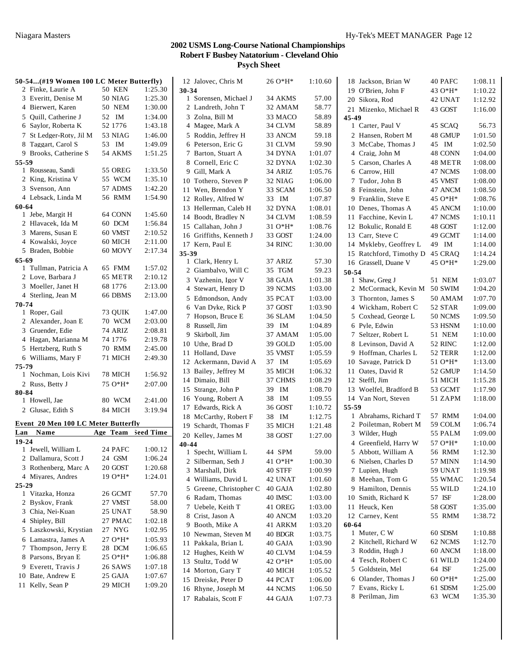| 50-54(#19 Women 100 LC Meter Butterfly) |               |           | 12 Jalovec, Chris M     | 26 O*H*  | 1:10.60 | 18 Jackson, Brian W          | 40 PAFC   | 1:08.11 |
|-----------------------------------------|---------------|-----------|-------------------------|----------|---------|------------------------------|-----------|---------|
| 2 Finke, Laurie A                       | <b>50 KEN</b> | 1:25.30   | $30 - 34$               |          |         | 19 O'Brien, John F           | 43 $O*H*$ | 1:10.22 |
| 3 Everitt, Denise M                     | 50 NIAG       | 1:25.30   | 1 Sorensen, Michael J   | 34 AKMS  | 57.00   | 20 Sikora, Rod               | 42 UNAT   | 1:12.92 |
| 4 Bierwert, Karen                       | 50 NEM        | 1:30.00   | 2 Landreth, John T      | 32 AMAM  | 58.77   | 21 Mizenko, Michael R        | 43 GOST   | 1:16.00 |
| 5 Quill, Catherine J                    | 52 IM         | 1:34.00   | 3 Zolna, Bill M         | 33 MACO  | 58.89   | 45-49                        |           |         |
| 6 Saylor, Roberta K                     | 52 1776       | 1:43.18   | 4 Magee, Mark A         | 34 CLVM  | 58.89   | 1 Carter, Paul V             | 45 SCAO   | 56.73   |
| 7 St Ledger-Roty, Jil M                 | 53 NIAG       | 1:46.00   | 5 Roddin, Jeffrey H     | 33 ANCM  | 59.18   | 2 Hansen, Robert M           | 48 GMUP   | 1:01.50 |
| 8 Taggart, Carol S                      | 53 IM         | 1:49.09   | 6 Peterson, Eric G      | 31 CLVM  | 59.90   | 3 McCabe, Thomas J           | 45 IM     | 1:02.50 |
| 9 Brooks, Catherine S                   | 54 AKMS       | 1:51.25   | 7 Barton, Stuart A      | 34 DYNA  | 1:01.07 | 4 Craig, John M              | 48 CONN   | 1:04.00 |
| 55-59                                   |               |           | 8 Cornell, Eric C       | 32 DYNA  | 1:02.30 | 5 Carson, Charles A          | 48 METR   | 1:08.00 |
| 1 Rousseau, Sandi                       | 55 OREG       | 1:33.50   | 9 Gill, Mark A          | 34 ARIZ  | 1:05.76 | 6 Carrow, Hill               | 47 NCMS   | 1:08.00 |
| 2 King, Kristina V                      | 55 WCM        | 1:35.10   | 10 Tothero, Steven P    | 32 NIAG  | 1:06.00 | 7 Tudor, John B              | 45 VMST   | 1:08.00 |
| 3 Svenson, Ann                          | 57 ADMS       | 1:42.20   | 11 Wen, Brendon Y       | 33 SCAM  | 1:06.50 | 8 Feinstein, John            | 47 ANCM   | 1:08.50 |
| 4 Lebsack, Linda M                      | 56 RMM        | 1:54.90   | 12 Rolley, Alfred W     | 33 IM    | 1:07.87 | 9 Franklin, Steve E          | $45O*H*$  | 1:08.76 |
| 60-64                                   |               |           | 13 Hellerman, Caleb H   | 32 DYNA  | 1:08.01 | 10 Denes, Thomas A           | 45 ANCM   | 1:10.00 |
| 1 Jebe, Margit H                        | 64 CONN       | 1:45.60   | 14 Boodt, Bradley N     | 34 CLVM  | 1:08.59 | 11 Facchine, Kevin L         | 47 NCMS   | 1:10.11 |
| 2 Hlavacek, Ida M                       | 60 DCM        | 1:56.84   | 15 Callahan, John J     | $310*H*$ | 1:08.76 | 12 Bokulic, Ronald E         | 48 GOST   | 1:12.00 |
| 3 Marens, Susan E                       | 60 VMST       | 2:10.52   | 16 Griffiths, Kenneth J | 33 GOST  | 1:24.00 | 13 Carr, Steve C             | 49 GCMT   | 1:14.00 |
| 4 Kowalski, Joyce                       | 60 MICH       | 2:11.00   | 17 Kern, Paul E         | 34 RINC  | 1:30.00 | 14 Mykleby, Geoffrey L       | 49 IM     | 1:14.00 |
| 5 Braden, Bobbie                        | 60 MOVY       | 2:17.34   | 35-39                   |          |         | 15 Ratchford, Timothy D      | 45 CRAQ   | 1:14.24 |
| $65 - 69$                               |               |           | 1 Clark, Henry L        | 37 ARIZ  | 57.30   | 16 Grassell, Duane V         | $45O*H*$  | 1:29.00 |
| 1 Tullman, Patricia A                   | 65 FMM        | 1:57.02   | 2 Giambalvo, Will C     | 35 TGM   | 59.23   | 50-54                        |           |         |
| 2 Love, Barbara J                       | 65 METR       | 2:10.12   | 3 Vazhenin, Igor V      | 38 GAJA  | 1:01.38 | 1 Shaw, Greg J               | 51 NEM    | 1:03.07 |
| 3 Moeller, Janet H                      | 68 1776       | 2:13.00   | 4 Stewart, Henry D      | 39 NCMS  | 1:03.00 | 2 McCormack, Kevin M 50 SWIM |           | 1:04.20 |
| 4 Sterling, Jean M                      | 66 DBMS       | 2:13.00   | 5 Edmondson, Andy       | 35 PCAT  | 1:03.00 | 3 Thornton, James S          | 50 AMAM   | 1:07.70 |
| 70-74                                   |               |           | 6 Van Dyke, Rick P      | 37 GOST  | 1:03.90 | 4 Wickham, Robert C          | 52 STAR   | 1:09.00 |
| 1 Roper, Gail                           | 73 QUIK       | 1:47.00   | 7 Hopson, Bruce E       | 36 SLAM  | 1:04.50 | 5 Coxhead, George L          | 50 NCMS   | 1:09.50 |
| 2 Alexander, Joan E                     | <b>70 WCM</b> | 2:03.00   | 8 Russell, Jim          | 39 IM    | 1:04.89 | 6 Pyle, Edwin                | 53 HSNM   | 1:10.00 |
| 3 Gruender, Edie                        | 74 ARIZ       | 2:08.81   | 9 Skirboll, Jim         | 37 AMAM  | 1:05.00 | 7 Seltzer, Robert L          | 51 NEM    | 1:10.00 |
| 4 Hagan, Marianna M                     | 74 1776       | 2:19.78   | 10 Uthe, Brad D         | 39 GOLD  | 1:05.00 | 8 Levinson, David A          | 52 RINC   | 1:12.00 |
| 5 Hertzberg, Ruth S                     | 70 RMM        | 2:45.00   | 11 Holland, Dave        | 35 VMST  | 1:05.59 | 9 Hoffman, Charles L         | 52 TERR   | 1:12.00 |
| 6 Williams, Mary F                      | 71 MICH       | 2:49.30   | 12 Ackermann, David A   | 37 IM    | 1:05.69 | 10 Savage, Patrick D         | $510*H*$  | 1:13.00 |
| 75-79                                   |               |           | 13 Bailey, Jeffrey M    | 35 MICH  | 1:06.32 | 11 Oates, David R            | 52 GMUP   | 1:14.50 |
| 1 Nochman, Lois Kivi                    | 78 MICH       | 1:56.92   | 14 Dimaio, Bill         | 37 CHMS  | 1:08.29 | 12 Steffl, Jim               | 51 MICH   | 1:15.28 |
| 2 Russ, Betty J                         | 75 O*H*       | 2:07.00   | 15 Strange, John P      | 39 IM    | 1:08.70 | 13 Woelfel, Bradford B       | 53 GCMT   | 1:17.90 |
| 80-84<br>1 Howell, Jae                  | 80 WCM        | 2:41.00   | 16 Young, Robert A      | 38 IM    | 1:09.55 | 14 Van Nort, Steven          | 51 ZAPM   | 1:18.00 |
| 2 Glusac, Edith S                       | 84 MICH       | 3:19.94   | 17 Edwards, Rick A      | 36 GOST  | 1:10.72 | 55-59                        |           |         |
|                                         |               |           | 18 McCarthy, Robert F   | 38 IM    | 1:12.75 | 1 Abrahams, Richard T        | 57 RMM    | 1:04.00 |
| Event 20 Men 100 LC Meter Butterfly     |               |           | 19 Schardt, Thomas F    | 35 MICH  | 1:21.48 | 2 Poiletman, Robert M        | 59 COLM   | 1:06.74 |
| Name<br>Lan                             | Age Team      | Seed Time | 20 Kelley, James M      | 38 GOST  | 1:27.00 | 3 Wilder, Hugh               | 55 PALM   | 1:09.00 |
| $19 - 24$                               |               |           | 40-44                   |          |         | 4 Greenfield, Harry W        | 57 O*H*   | 1:10.00 |
| 1 Jewell, William L                     | 24 PAFC       | 1:00.12   | 1 Specht, William L     | 44 SPM   | 59.00   | 5 Abbott, William A          | 56 RMM    | 1:12.30 |
| 2 Dallamura, Scott J                    | 24 GSM        | 1:06.24   | 2 Silberman, Seth J     | 41 O*H*  | 1:00.30 | 6 Nielsen, Charles D         | 57 MINN   | 1:14.90 |
| 3 Rothenberg, Marc A                    | 20 GOST       | 1:20.68   | 3 Marshall, Dirk        | 40 STFF  | 1:00.99 | 7 Lupien, Hugh               | 59 UNAT   | 1:19.98 |
| 4 Miyares, Andres                       | 19 O*H*       | 1:24.01   | 4 Williams, David L     | 42 UNAT  | 1:01.60 | 8 Meehan, Tom G              | 55 WMAC   | 1:20.54 |
| 25-29                                   |               |           | 5 Greene, Christopher C | 40 GAJA  | 1:02.80 | 9 Hamilton, Dennis           | 55 WILD   | 1:24.10 |
| 1 Vitazka, Honza                        | 26 GCMT       | 57.70     | 6 Radam, Thomas         | 40 IMSC  | 1:03.00 | 10 Smith, Richard K          | 57 ISF    | 1:28.00 |
| 2 Byskov, Frank                         | 27 VMST       | 58.00     | 7 Uebele, Keith T       | 41 OREG  | 1:03.00 | 11 Heuck, Ken                | 58 GOST   | 1:35.00 |
| 3 Chia, Nei-Kuan                        | 25 UNAT       | 58.90     | 8 Crist, Jason A        | 40 ANCM  | 1:03.20 | 12 Carney, Kent              | 55 RMM    | 1:38.72 |
| 4 Shipley, Bill                         | 27 PMAC       | 1:02.18   | 9 Booth, Mike A         | 41 ARKM  | 1:03.20 | 60-64                        |           |         |
| 5 Laszkowski, Krystian                  | 27 NYG        | 1:02.95   | 10 Newman, Steven M     | 40 BDGR  | 1:03.75 | 1 Muter, C W                 | 60 SDSM   | 1:10.88 |
| 6 Lamastra, James A                     | 27 O*H*       | 1:05.93   | 11 Pakkala, Brian L     | 40 GAJA  | 1:03.90 | 2 Kitchell, Richard W        | 62 NCMS   | 1:12.70 |
| 7 Thompson, Jerry E                     | 28 DCM        | 1:06.65   | 12 Hughes, Keith W      | 40 CLVM  | 1:04.59 | 3 Roddin, Hugh J             | 60 ANCM   | 1:18.00 |
| 8 Parsons, Bryan E                      | 25 O*H*       | 1:06.88   | 13 Stultz, Todd W       | 42 O*H*  | 1:05.00 | 4 Tesch, Robert C            | 61 WILD   | 1:24.00 |
| 9 Everett, Travis J                     | 26 SAWS       | 1:07.18   | 14 Morton, Gary T       | 40 MICH  | 1:05.52 | 5 Goldstein, Mel             | 64 ISF    | 1:25.00 |
| 10 Bate, Andrew E                       | 25 GAJA       | 1:07.67   | 15 Dreiske, Peter D     | 44 PCAT  | 1:06.00 | 6 Olander, Thomas J          | $60O*H*$  | 1:25.00 |
| 11 Kelly, Sean P                        | 29 MICH       | 1:09.20   | 16 Rhyne, Joseph M      | 44 NCMS  | 1:06.50 | 7 Evans, Ricky L             | 61 SDSM   | 1:25.00 |
|                                         |               |           |                         |          |         | 8 Perilman, Jim              | 63 WCM    | 1:35.30 |
|                                         |               |           | 17 Rabalais, Scott F    | 44 GAJA  | 1:07.73 |                              |           |         |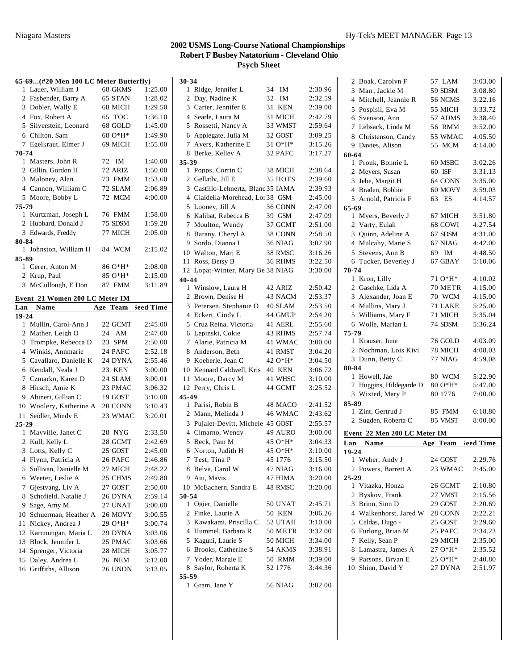#### **65-69...(#20 Men 100 LC Meter Butterfly)** 1 Lauer, William J 68 GKMS 1:25.00 2 Fasbender, Barry A 65 STAN 1:28.02 Dobler, Wally E 68 MICH 1:29.50 Fox, Robert A 65 TOC 1:36.10 Silverstein, Leonard 68 GOLD 1:45.00 Chilton, Sam 68 O\*H\* 1:49.90 Egelkraut, Elmer J 69 MICH 1:55.00 **70-74** Masters, John R 72 IM 1:40.00 Gillin, Gordon H 72 ARIZ 1:50.00 Maloney, Alan 73 FMM 1:53.60 Cannon, William C 72 SLAM 2:06.89 Moore, Bobby L 72 MCM 4:00.00 **75-79** Kurtzman, Joseph L 76 FMM 1:58.00 2 Hubbard, Donald J 75 SDSM 1:59.28 Edwards, Freddy 77 MICH 2:05.00 **80-84** Johnston, William H 84 WCM 2:15.02 **85-89** 1 Cerer, Anton M 86 O\*H\* 2:08.00 2 Krup, Paul 85 O\*H\* 2:15.00 McCullough, E Don 87 FMM 3:11.89 **Event 21 Women 200 LC Meter IM Lan Name Age Team Seed Time e 19-24** Mullin, Carol-Ann J 22 GCMT 2:45.00 Mather, Leigh O 24 AM 2:47.00 Trompke, Rebecca D 23 SPM 2:50.00 Winkis, Annmarie 24 PAFC 2:52.18 Cavallaro, Danielle K 24 DYNA 2:55.46 Kendall, Neala J 23 KEN 3:00.00 Czmarko, Karen D 24 SLAM 3:00.01 Hirsch, Amie K 23 PMAC 3:06.32 Abineri, Gillian C 19 GOST 3:10.00 Woolery, Katherine A 20 CONN 3:10.43 Seidler, Mindy E 23 WMAC 3:20.01 **25-29** Mayville, Janet C 28 NYG 2:33.50 Kull, Kelly L 28 GCMT 2:42.69 Lotts, Kelly C 25 GOST 2:45.00 Flynn, Patricia A 26 PAFC 2:46.86 Sullivan, Danielle M 27 MICH 2:48.22 Weeter, Leslie A 25 CHMS 2:49.80 Gjestvang, Liv A 27 GOST 2:50.00 8 Schofield, Natalie J 26 DYNA 2:59.14 Sage, Amy M 27 UNAT 3:00.00 Schuerman, Heather A 26 MOVY 3:00.55 11 Nickey, Andrea J 29 O\*H\* 3:00.74 Karunungan, Maria L 29 DYNA 3:03.06 Block, Jennifer L 25 PMAC 3:03.66 Sprenger, Victoria 28 MICH 3:05.77 Daley, Andrea L 26 NEM 3:12.00 Griffiths, Allison 26 UNON 3:13.05

| 30-34                        |                                                                                                                                                                                                                                                                                                                                                                                                                                                                                                                                                                                                                                                                                                                            |         |                                                                                                                                                                                                                                                                                                                                                                                                                                                                                           |
|------------------------------|----------------------------------------------------------------------------------------------------------------------------------------------------------------------------------------------------------------------------------------------------------------------------------------------------------------------------------------------------------------------------------------------------------------------------------------------------------------------------------------------------------------------------------------------------------------------------------------------------------------------------------------------------------------------------------------------------------------------------|---------|-------------------------------------------------------------------------------------------------------------------------------------------------------------------------------------------------------------------------------------------------------------------------------------------------------------------------------------------------------------------------------------------------------------------------------------------------------------------------------------------|
| Ridge, Jennifer L<br>1       | 34                                                                                                                                                                                                                                                                                                                                                                                                                                                                                                                                                                                                                                                                                                                         | IM      | 2:30.96                                                                                                                                                                                                                                                                                                                                                                                                                                                                                   |
| 2 Day, Nadine K              | 32                                                                                                                                                                                                                                                                                                                                                                                                                                                                                                                                                                                                                                                                                                                         | IM      | 2:32.59                                                                                                                                                                                                                                                                                                                                                                                                                                                                                   |
| 3 Carter, Jennifer E         | 31                                                                                                                                                                                                                                                                                                                                                                                                                                                                                                                                                                                                                                                                                                                         | KEN     | 2:39.00                                                                                                                                                                                                                                                                                                                                                                                                                                                                                   |
| 4 Searle, Laura M            |                                                                                                                                                                                                                                                                                                                                                                                                                                                                                                                                                                                                                                                                                                                            | 31 MICH | 2:42.79                                                                                                                                                                                                                                                                                                                                                                                                                                                                                   |
|                              |                                                                                                                                                                                                                                                                                                                                                                                                                                                                                                                                                                                                                                                                                                                            |         | 2:59.64                                                                                                                                                                                                                                                                                                                                                                                                                                                                                   |
|                              |                                                                                                                                                                                                                                                                                                                                                                                                                                                                                                                                                                                                                                                                                                                            |         | 3:09.25                                                                                                                                                                                                                                                                                                                                                                                                                                                                                   |
| Ayers, Katherine E           |                                                                                                                                                                                                                                                                                                                                                                                                                                                                                                                                                                                                                                                                                                                            |         | 3:15.26                                                                                                                                                                                                                                                                                                                                                                                                                                                                                   |
| Berke, Kelley A              |                                                                                                                                                                                                                                                                                                                                                                                                                                                                                                                                                                                                                                                                                                                            |         | 3:17.27                                                                                                                                                                                                                                                                                                                                                                                                                                                                                   |
|                              |                                                                                                                                                                                                                                                                                                                                                                                                                                                                                                                                                                                                                                                                                                                            |         |                                                                                                                                                                                                                                                                                                                                                                                                                                                                                           |
|                              |                                                                                                                                                                                                                                                                                                                                                                                                                                                                                                                                                                                                                                                                                                                            |         | 2:38.64                                                                                                                                                                                                                                                                                                                                                                                                                                                                                   |
|                              |                                                                                                                                                                                                                                                                                                                                                                                                                                                                                                                                                                                                                                                                                                                            |         | 2:39.60                                                                                                                                                                                                                                                                                                                                                                                                                                                                                   |
|                              |                                                                                                                                                                                                                                                                                                                                                                                                                                                                                                                                                                                                                                                                                                                            |         | 2:39.93                                                                                                                                                                                                                                                                                                                                                                                                                                                                                   |
|                              |                                                                                                                                                                                                                                                                                                                                                                                                                                                                                                                                                                                                                                                                                                                            |         | 2:45.00                                                                                                                                                                                                                                                                                                                                                                                                                                                                                   |
| Looney, Jill A               |                                                                                                                                                                                                                                                                                                                                                                                                                                                                                                                                                                                                                                                                                                                            |         | 2:47.00                                                                                                                                                                                                                                                                                                                                                                                                                                                                                   |
|                              |                                                                                                                                                                                                                                                                                                                                                                                                                                                                                                                                                                                                                                                                                                                            |         | 2:47.09                                                                                                                                                                                                                                                                                                                                                                                                                                                                                   |
|                              |                                                                                                                                                                                                                                                                                                                                                                                                                                                                                                                                                                                                                                                                                                                            |         | 2:51.00                                                                                                                                                                                                                                                                                                                                                                                                                                                                                   |
|                              |                                                                                                                                                                                                                                                                                                                                                                                                                                                                                                                                                                                                                                                                                                                            |         | 2:58.50                                                                                                                                                                                                                                                                                                                                                                                                                                                                                   |
|                              |                                                                                                                                                                                                                                                                                                                                                                                                                                                                                                                                                                                                                                                                                                                            |         | 3:02.90                                                                                                                                                                                                                                                                                                                                                                                                                                                                                   |
|                              |                                                                                                                                                                                                                                                                                                                                                                                                                                                                                                                                                                                                                                                                                                                            |         | 3:16.26                                                                                                                                                                                                                                                                                                                                                                                                                                                                                   |
| Ross, Betsy B                |                                                                                                                                                                                                                                                                                                                                                                                                                                                                                                                                                                                                                                                                                                                            |         | 3:22.50                                                                                                                                                                                                                                                                                                                                                                                                                                                                                   |
|                              |                                                                                                                                                                                                                                                                                                                                                                                                                                                                                                                                                                                                                                                                                                                            |         | 3:30.00                                                                                                                                                                                                                                                                                                                                                                                                                                                                                   |
|                              |                                                                                                                                                                                                                                                                                                                                                                                                                                                                                                                                                                                                                                                                                                                            |         |                                                                                                                                                                                                                                                                                                                                                                                                                                                                                           |
|                              |                                                                                                                                                                                                                                                                                                                                                                                                                                                                                                                                                                                                                                                                                                                            |         | 2:50.42                                                                                                                                                                                                                                                                                                                                                                                                                                                                                   |
|                              |                                                                                                                                                                                                                                                                                                                                                                                                                                                                                                                                                                                                                                                                                                                            |         | 2:53.37                                                                                                                                                                                                                                                                                                                                                                                                                                                                                   |
|                              |                                                                                                                                                                                                                                                                                                                                                                                                                                                                                                                                                                                                                                                                                                                            |         | 2:53.50                                                                                                                                                                                                                                                                                                                                                                                                                                                                                   |
|                              |                                                                                                                                                                                                                                                                                                                                                                                                                                                                                                                                                                                                                                                                                                                            |         | 2:54.20                                                                                                                                                                                                                                                                                                                                                                                                                                                                                   |
|                              |                                                                                                                                                                                                                                                                                                                                                                                                                                                                                                                                                                                                                                                                                                                            |         | 2:55.60                                                                                                                                                                                                                                                                                                                                                                                                                                                                                   |
|                              |                                                                                                                                                                                                                                                                                                                                                                                                                                                                                                                                                                                                                                                                                                                            |         | 2:57.74                                                                                                                                                                                                                                                                                                                                                                                                                                                                                   |
|                              |                                                                                                                                                                                                                                                                                                                                                                                                                                                                                                                                                                                                                                                                                                                            |         | 3:00.00                                                                                                                                                                                                                                                                                                                                                                                                                                                                                   |
|                              |                                                                                                                                                                                                                                                                                                                                                                                                                                                                                                                                                                                                                                                                                                                            |         | 3:04.20                                                                                                                                                                                                                                                                                                                                                                                                                                                                                   |
|                              |                                                                                                                                                                                                                                                                                                                                                                                                                                                                                                                                                                                                                                                                                                                            |         | 3:04.50                                                                                                                                                                                                                                                                                                                                                                                                                                                                                   |
|                              |                                                                                                                                                                                                                                                                                                                                                                                                                                                                                                                                                                                                                                                                                                                            |         | 3:06.72                                                                                                                                                                                                                                                                                                                                                                                                                                                                                   |
|                              |                                                                                                                                                                                                                                                                                                                                                                                                                                                                                                                                                                                                                                                                                                                            |         | 3:10.00                                                                                                                                                                                                                                                                                                                                                                                                                                                                                   |
|                              |                                                                                                                                                                                                                                                                                                                                                                                                                                                                                                                                                                                                                                                                                                                            |         | 3:25.52                                                                                                                                                                                                                                                                                                                                                                                                                                                                                   |
|                              |                                                                                                                                                                                                                                                                                                                                                                                                                                                                                                                                                                                                                                                                                                                            |         |                                                                                                                                                                                                                                                                                                                                                                                                                                                                                           |
|                              |                                                                                                                                                                                                                                                                                                                                                                                                                                                                                                                                                                                                                                                                                                                            |         | 2:41.52                                                                                                                                                                                                                                                                                                                                                                                                                                                                                   |
|                              |                                                                                                                                                                                                                                                                                                                                                                                                                                                                                                                                                                                                                                                                                                                            |         | 2:43.62                                                                                                                                                                                                                                                                                                                                                                                                                                                                                   |
|                              |                                                                                                                                                                                                                                                                                                                                                                                                                                                                                                                                                                                                                                                                                                                            |         | 2:55.57                                                                                                                                                                                                                                                                                                                                                                                                                                                                                   |
|                              |                                                                                                                                                                                                                                                                                                                                                                                                                                                                                                                                                                                                                                                                                                                            |         | 3:00.00                                                                                                                                                                                                                                                                                                                                                                                                                                                                                   |
|                              |                                                                                                                                                                                                                                                                                                                                                                                                                                                                                                                                                                                                                                                                                                                            |         | 3:04.33                                                                                                                                                                                                                                                                                                                                                                                                                                                                                   |
| 7 Test, Tina P               |                                                                                                                                                                                                                                                                                                                                                                                                                                                                                                                                                                                                                                                                                                                            | 45 1776 | 3:10.00<br>3:15.50                                                                                                                                                                                                                                                                                                                                                                                                                                                                        |
|                              |                                                                                                                                                                                                                                                                                                                                                                                                                                                                                                                                                                                                                                                                                                                            |         |                                                                                                                                                                                                                                                                                                                                                                                                                                                                                           |
|                              |                                                                                                                                                                                                                                                                                                                                                                                                                                                                                                                                                                                                                                                                                                                            |         |                                                                                                                                                                                                                                                                                                                                                                                                                                                                                           |
| 8 Belva, Carol W             |                                                                                                                                                                                                                                                                                                                                                                                                                                                                                                                                                                                                                                                                                                                            | 47 NIAG | 3:16.00                                                                                                                                                                                                                                                                                                                                                                                                                                                                                   |
| 9 Aiu, Mavis                 |                                                                                                                                                                                                                                                                                                                                                                                                                                                                                                                                                                                                                                                                                                                            | 47 HIMA | 3:20.00                                                                                                                                                                                                                                                                                                                                                                                                                                                                                   |
| 10 McEachern, Sandra E       |                                                                                                                                                                                                                                                                                                                                                                                                                                                                                                                                                                                                                                                                                                                            | 48 RMSC | 3:20.00                                                                                                                                                                                                                                                                                                                                                                                                                                                                                   |
| 50-54                        |                                                                                                                                                                                                                                                                                                                                                                                                                                                                                                                                                                                                                                                                                                                            |         |                                                                                                                                                                                                                                                                                                                                                                                                                                                                                           |
| 1 Ogier, Danielle            |                                                                                                                                                                                                                                                                                                                                                                                                                                                                                                                                                                                                                                                                                                                            | 50 UNAT | 2:45.71                                                                                                                                                                                                                                                                                                                                                                                                                                                                                   |
| 2 Finke, Laurie A            |                                                                                                                                                                                                                                                                                                                                                                                                                                                                                                                                                                                                                                                                                                                            | 50 KEN  | 3:06.26                                                                                                                                                                                                                                                                                                                                                                                                                                                                                   |
| 3 Kawakami, Priscilla C      |                                                                                                                                                                                                                                                                                                                                                                                                                                                                                                                                                                                                                                                                                                                            | 52 UTAH | 3:10.00                                                                                                                                                                                                                                                                                                                                                                                                                                                                                   |
| 4 Hummel, Barbara R          |                                                                                                                                                                                                                                                                                                                                                                                                                                                                                                                                                                                                                                                                                                                            | 50 METR | 3:32.00                                                                                                                                                                                                                                                                                                                                                                                                                                                                                   |
| 5 Kaguni, Laurie S           |                                                                                                                                                                                                                                                                                                                                                                                                                                                                                                                                                                                                                                                                                                                            | 50 MICH | 3:34.00                                                                                                                                                                                                                                                                                                                                                                                                                                                                                   |
| 6 Brooks, Catherine S        |                                                                                                                                                                                                                                                                                                                                                                                                                                                                                                                                                                                                                                                                                                                            | 54 AKMS | 3:38.91                                                                                                                                                                                                                                                                                                                                                                                                                                                                                   |
| 7 Yoder, Margie E            |                                                                                                                                                                                                                                                                                                                                                                                                                                                                                                                                                                                                                                                                                                                            | 50 RMM  | 3:39.00                                                                                                                                                                                                                                                                                                                                                                                                                                                                                   |
| 8 Saylor, Roberta K<br>55-59 |                                                                                                                                                                                                                                                                                                                                                                                                                                                                                                                                                                                                                                                                                                                            | 52 1776 | 3:44.36                                                                                                                                                                                                                                                                                                                                                                                                                                                                                   |
|                              | Rossetti, Nancy A<br>5<br>6 Applegate, Julia M<br>7<br>8<br>35-39<br>Popps, Corrin C<br>1<br>2 Gellatly, Jill E<br>5<br>Kalibat, Rebecca B<br>6<br>7<br>Moulton, Wendy<br>Barany, Cheryl A<br>8<br>Sordo, Dianna L<br>9<br>10 Walton, Mari E<br>12<br>40-44<br>1 Winslow, Laura H<br>$\overline{2}$<br>Brown, Denise H<br>3 Petersen, Stephanie O<br>4 Eckert. Cindy L<br>Cruz Reina, Victoria<br>5<br>Lepinski, Cokie<br>6<br>7<br>Alarie, Patricia M<br>Anderson, Beth<br>8<br>Koeberle, Jean C<br>9<br>Kennard Caldwell, Kris<br>10<br>Moore, Darcy M<br>Perry, Chris L<br>12<br>45-49<br>Parisi, Robin B<br>$\mathbf{1}$<br>Mann, Melinda J<br>2<br>3<br>4 Cimarno, Wendy<br>Beck, Pam M<br>5<br>Norton, Judith H<br>6 |         | 33 WMST<br>32 GOST<br>31 O*H*<br>32 PAFC<br>38 MICH<br>35 HOTS<br>3 Castillo-Lehnertz, Blanc 35 IAMA<br>4 Cialdella-Morehead, Lor 38 GSM<br>36 CONN<br>39 GSM<br>37 GCMT<br>38 CONN<br>36 NIAG<br>38 RMSC<br>36 RHMS<br>Lopat-Winter, Mary Be 38 NIAG<br>42 ARIZ<br>43 NACM<br>40 SLAM<br>44 GMUP<br>41 AERL<br>43 RHMS<br>41 WMAC<br>41 RMST<br>42 O*H*<br><b>40 KEN</b><br>41 WHSC<br>44 GCMT<br>48 MACO<br>46 WMAC<br>Pujalet-Devitt, Michele 45 GOST<br>49 AURO<br>45 O*H*<br>45 O*H* |

| 2              | Boak, Carolyn F                    | 57 LAM             | 3:03.00            |
|----------------|------------------------------------|--------------------|--------------------|
| 3              | Marr. Jackie M                     | 59 SDSM            | 3:08.80            |
|                | 4 Mitchell, Jeannie R              | 56 NCMS            | 3:22.16            |
|                | 5 Pospisil, Eva M                  | 55 MICH            | 3:33.72            |
| 6              | Svenson, Ann                       | 57 ADMS            | 3:38.40            |
| 7              | Lebsack, Linda M                   | 56 RMM             | 3:52.00            |
|                | 8 Christenson, Candy               | 55 WMAC            | 4:05.50            |
|                | 9 Davies, Alison                   | 55 MCM             | 4:14.00            |
| 60-64          |                                    |                    |                    |
|                | 1 Pronk, Bonnie L                  | 60 MSBC            | 3:02.26            |
|                | 2 Meyers, Susan                    | 60 ISF             | 3:31.13            |
|                | 3 Jebe, Margit H                   | 64 CONN            | 3:35.00            |
|                | 4 Braden, Bobbie                   | 60 MOVY            | 3:59.03            |
|                | 5 Arnold, Patricia F               | 63 ES              | 4:14.57            |
| 65-69          |                                    |                    |                    |
|                | 1 Myers, Beverly J                 | 67 MICH            | 3:51.80            |
|                | 2 Varty, Eulah                     | 68 COWI            | 4:27.54            |
|                | 3 Ouinn, Adeline A                 | 67 SDSM            | 4:31.00            |
|                | 4 Mulcahy, Marie S                 | 67 NIAG            | 4:42.00            |
| 5              | Stevens, Ann B                     | 69 IM              | 4:48.50            |
|                | 6 Tucker, Beverley J               | 67 GBAY            | 5:10.06            |
| 70-74          |                                    |                    |                    |
|                | 1 Kron, Lilly                      | 71 O*H*            | 4:10.02            |
|                | 2 Gaschke, Lida A                  | 70 METR            | 4:15.00            |
|                | 3 Alexander, Joan E                | 70 WCM             | 4:15.00            |
|                | 4 Mullins, Mary J                  | 71 LAKE            | 5:25.00            |
|                | 5 Williams, Mary F                 | 71 MICH            | 5:35.04            |
|                | 6 Wolle, Marian L                  | 74 SDSM            | 5:36.24            |
| 75-79          |                                    |                    |                    |
|                | 1 Krauser, June                    | 76 GOLD            | 4:03.09            |
|                | 2 Nochman, Lois Kivi               | 78 MICH            | 4:08.03            |
|                | 3 Dunn, Betty C                    | 77 NIAG            | 4:59.08            |
| 80-84          |                                    |                    |                    |
|                | 1 Howell, Jae                      | 80 WCM             | 5:22.90            |
|                | 2 Huggins, Hildegarde D            | 80 O*H*            | 5:47.00            |
|                | 3 Wixted, Mary P                   | 80 1776            | 7:00.00            |
| 85-89          |                                    |                    |                    |
|                | 1 Zint, Gertrud J                  | 85 FMM             | 6:18.80            |
|                | 2 Sugden, Roberta C                | 85 VMST            | 8:00.00            |
|                | Event 22 Men 200 LC Meter IM       |                    |                    |
| Lan            | Name                               | Age Team           | leed Time          |
| $19 - 24$      |                                    |                    |                    |
|                |                                    |                    |                    |
|                |                                    | 24 GOST            |                    |
|                | 1 Weber, Andy J                    | 23 WMAC            | 2:29.76<br>2:45.00 |
| 25-29          | 2 Powers, Barrett A                |                    |                    |
|                | 1 Vitazka, Honza                   | 26 GCMT            | 2:10.80            |
| $\overline{2}$ | Byskov, Frank                      | 27 VMST            | 2:15.56            |
|                | 3 Brinn, Sion D                    | 29 GOST            | 2:20.69            |
|                | 4 Walkenhorst, Jared W             | 28 CONN            | 2:22.21            |
| 5              | Caldas, Hugo -                     | 25 GOST            | 2:29.60            |
| 6              |                                    | 25 PAFC            |                    |
| 7              | Furlong, Brian M                   |                    | 2:34.23            |
|                | Kelly, Sean P                      | 29 MICH<br>27 O*H* | 2:35.00            |
|                | 8 Lamastra, James A                |                    | 2:35.52            |
| 9.<br>10       | Parsons, Bryan E<br>Shinn, David Y | 25 O*H*<br>27 DYNA | 2:40.80<br>2:51.97 |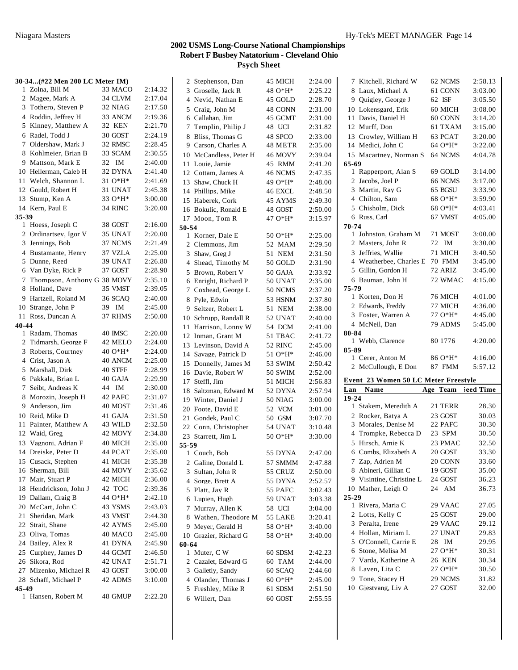|           | 30-34(#22 Men 200 LC Meter IM) |         |         | 2 Stephenson, Dan      | 45 MICH        | 2:24.00 | 7 Kitchell, Richard W                | 62 NCMS            | 2:58.13 |
|-----------|--------------------------------|---------|---------|------------------------|----------------|---------|--------------------------------------|--------------------|---------|
|           | 1 Zolna, Bill M                | 33 MACO | 2:14.32 | 3 Groselle, Jack R     | 48 O*H*        | 2:25.22 | 8 Laux, Michael A                    | 61 CONN            | 3:03.00 |
|           | 2 Magee, Mark A                | 34 CLVM | 2:17.04 | 4 Nevid, Nathan E      | 45 GOLD        | 2:28.70 | 9 Quigley, George J                  | 62 ISF             | 3:05.50 |
|           | 3 Tothero, Steven P            | 32 NIAG | 2:17.50 | 5 Craig, John M        | 48 CONN        | 2:31.00 | 10 Lokensgard, Erik                  | 60 MICH            | 3:08.00 |
|           | 4 Roddin, Jeffrey H            | 33 ANCM | 2:19.36 | 6 Callahan, Jim        | 45 GCMT        | 2:31.00 | 11 Davis, Daniel H                   | 60 CONN            | 3:14.20 |
|           | 5 Kinney, Matthew A            | 32 KEN  | 2:21.70 | 7 Templin, Philip J    | 48 UCI         | 2:31.82 | 12 Murff, Don                        | 61 TXAM            | 3:15.00 |
|           | 6 Radel, Todd J                | 30 GOST | 2:24.19 | 8 Bliss, Thomas G      | 48 SPCO        | 2:33.00 | 13 Crowley, William H                | 63 PCAT            | 3:20.00 |
|           | 7 Oldershaw, Mark J            | 32 RMSC | 2:28.45 | 9 Carson, Charles A    | 48 METR        | 2:35.00 | 14 Medici, John C                    | 64 O*H*            | 3:22.00 |
|           | 8 Kohlmeier, Brian B           | 33 SCAM | 2:30.55 | 10 McCandless, Peter H | 46 MOVY        | 2:39.04 | 15 Macartney, Norman S               | 64 NCMS            | 4:04.78 |
|           | 9 Mattson, Mark E              | 32 IM   | 2:40.00 | 11 Louie, Jamie        | 45 RMM         | 2:41.20 | 65-69                                |                    |         |
|           | 10 Hellerman, Caleb H          | 32 DYNA | 2:41.40 | 12 Cottam, James A     | 46 NCMS        | 2:47.35 | 1 Rapperport, Alan S                 | 69 GOLD            | 3:14.00 |
|           | 11 Welch, Shannon L            | 31 O*H* | 2:41.69 | 13 Shaw, Chuck H       | 49 O*H*        | 2:48.00 | 2 Jacobs, Joel P                     | 66 NCMS            | 3:17.00 |
|           | 12 Gould, Robert H             | 31 UNAT | 2:45.38 | 14 Phillips, Mike      | 46 EXCL        | 2:48.50 | 3 Martin, Ray G                      | 65 BGSU            | 3:33.90 |
|           | 13 Stump, Ken A                | 33 O*H* | 3:00.00 | 15 Haberek, Cork       | 45 AYMS        | 2:49.30 | 4 Chilton, Sam                       | 68 O*H*            | 3:59.90 |
|           | 14 Kern, Paul E                | 34 RINC | 3:20.00 | 16 Bokulic, Ronald E   | 48 GOST        | 2:50.00 | 5 Chisholm, Dick                     | 68 O*H*            | 4:03.41 |
| 35-39     |                                |         |         | 17 Moon, Tom R         | 47 O*H*        | 3:15.97 | 6 Russ, Carl                         | 67 VMST            | 4:05.00 |
|           | 1 Hoess, Joseph C              | 38 GOST | 2:16.00 | 50-54                  |                |         | $70 - 74$                            |                    |         |
|           | 2 Ordinartsev, Igor V          | 35 UNAT | 2:20.00 | 1 Korner, Dale E       | 50 O*H*        | 2:25.00 | 1 Johnston, Graham M                 | 71 MOST            | 3:00.00 |
|           | 3 Jennings, Bob                | 37 NCMS | 2:21.49 | 2 Clemmons, Jim        | 52 MAM         | 2:29.50 | 2 Masters, John R                    | 72 IM              | 3:30.00 |
|           | 4 Bustamante, Henry            | 37 VZLA | 2:25.00 | 3 Shaw, Greg J         | 51 NEM         | 2:31.50 | 3 Jeffries, Wallie                   | 71 MICH            | 3:40.50 |
|           | 5 Dunne, Reed                  | 39 UNAT | 2:26.80 | 4 Shead, Timothy M     | 50 GOLD        | 2:31.90 | 4 Weatherbee, Charles E 70 FMM       |                    | 3:45.00 |
|           | 6 Van Dyke, Rick P             | 37 GOST | 2:28.90 | 5 Brown, Robert V      | 50 GAJA        | 2:33.92 | 5 Gillin, Gordon H                   | 72 ARIZ            | 3:45.00 |
|           | 7 Thompson, Anthony G 38 MOVY  |         | 2:35.10 | 6 Enright, Richard P   |                | 2:35.00 | 6 Bauman, John H                     | 72 WMAC            | 4:15.00 |
|           | 8 Holland, Dave                | 35 VMST | 2:39.05 |                        | 50 UNAT        |         | 75-79                                |                    |         |
|           | 9 Hartzell, Roland M           | 36 SCAQ | 2:40.00 | 7 Coxhead, George L    | 50 NCMS        | 2:37.20 | 1 Korten, Don H                      | 76 MICH            | 4:01.00 |
|           | 10 Strange, John P             | 39 IM   | 2:45.00 | 8 Pyle, Edwin          | 53 HSNM        | 2:37.80 | 2 Edwards, Freddy                    | 77 MICH            | 4:36.00 |
|           | 11 Ross, Duncan A              | 37 RHMS | 2:50.00 | 9 Seltzer, Robert L    | 51 NEM         | 2:38.00 | 3 Foster, Warren A                   | 77 O*H*            | 4:45.00 |
| $40 - 44$ |                                |         |         | 10 Schrupp, Randall R  | 52 UNAT        | 2:40.00 | 4 McNeil, Dan                        | 79 ADMS            | 5:45.00 |
|           | 1 Radam, Thomas                | 40 IMSC | 2:20.00 | 11 Harrison, Lonny W   | 54 DCM         | 2:41.00 | 80-84                                |                    |         |
|           | 2 Tidmarsh, George F           | 42 MELO | 2:24.00 | 12 Inman, Grant M      | 51 TBAC        | 2:41.72 | 1 Webb, Clarence                     | 80 1776            | 4:20.00 |
|           | 3 Roberts, Courtney            | 40 O*H* | 2:24.00 | 13 Levinson, David A   | 52 RINC        | 2:45.00 | 85-89                                |                    |         |
|           | 4 Crist, Jason A               |         | 2:25.00 | 14 Savage, Patrick D   | $510*H*$       | 2:46.00 | 1 Cerer, Anton M                     | 86 O*H*            | 4:16.00 |
|           |                                | 40 ANCM |         | 15 Donnelly, James M   | 53 SWIM        | 2:50.42 | 2 McCullough, E Don                  | 87 FMM             | 5:57.12 |
|           | 5 Marshall, Dirk               | 40 STFF | 2:28.99 | 16 Davie, Robert W     | 50 SWIM        | 2:52.00 |                                      |                    |         |
|           | 6 Pakkala, Brian L             | 40 GAJA | 2:29.90 | 17 Steffl, Jim         | 51 MICH        | 2:56.83 | Event 23 Women 50 LC Meter Freestyle |                    |         |
|           | 7 Seibt, Andreas K             | 44 IM   | 2:30.00 | 18 Saltzman, Edward M  | 52 DYNA        | 2:57.94 | Name<br>Lan                          | Age Team leed Time |         |
|           | 8 Morozin, Joseph H            | 42 PAFC | 2:31.07 | 19 Winter, Daniel J    | <b>50 NIAG</b> | 3:00.00 | $19 - 24$                            |                    |         |
|           | 9 Anderson, Jim                | 40 MOST | 2:31.46 | 20 Foote, David E      | 52 VCM         | 3:01.00 | 1 Stakem, Meredith A                 | 21 TERR            | 28.30   |
|           | 10 Reid, Mike D                | 41 GAJA | 2:31.50 | 21 Gondek, Paul C      | 50 GSM         | 3:07.70 | 2 Rocker, Batya A                    | 23 GOST            | 30.03   |
|           | 11 Painter, Matthew A          | 43 WILD | 2:32.50 | 22 Conn, Christopher   | 54 UNAT        | 3:10.48 | 3 Morales, Denise M                  | 22 PAFC            | 30.30   |
|           | 12 Waid, Greg                  | 42 MOVY | 2:34.80 | 23 Starrett, Jim L     | 50 O*H*        | 3:30.00 | 4 Trompke, Rebecca D                 | 23 SPM             | 30.50   |
|           | 13 Vagnoni, Adrian F           | 40 MICH | 2:35.00 | 55-59                  |                |         | 5 Hirsch, Amie K                     | 23 PMAC            | 32.50   |
|           | 14 Dreiske, Peter D            | 44 PCAT | 2:35.00 | 1 Couch, Bob           | 55 DYNA        | 2:47.00 | 6 Combs, Elizabeth A                 | 20 GOST            | 33.30   |
|           | 15 Cusack, Stephen             | 41 MICH | 2:35.38 | 2 Galine, Donald L     | 57 SMMM        | 2:47.88 | 7 Zap, Adrien M                      | 20 CONN            | 33.60   |
|           | 16 Sherman, Bill               | 44 MOVY | 2:35.62 | 3 Sultan, John R       | 55 CRUZ        | 2:50.00 | 8 Abineri, Gillian C                 | 19 GOST            | 35.00   |
|           | 17 Mair, Stuart P              | 42 MICH | 2:36.00 | 4 Sorge, Brett A       | 55 DYNA        | 2:52.57 | 9 Visintine, Christine L             | 24 GOST            | 36.23   |
|           | 18 Hendrickson, John J         | 42 TOC  | 2:39.36 | 5 Platt, Jay R         | 55 PAFC        | 3:02.43 | 10 Mather, Leigh O                   | 24 AM              | 36.73   |
|           | 19 Dallam, Craig B             | 44 O*H* | 2:42.10 | 6 Lupien, Hugh         | 59 UNAT        | 3:03.38 | 25-29                                |                    |         |
|           | 20 McCart, John C              | 43 YSMS | 2:43.03 | 7 Murray, Allen K      | 58 UCI         | 3:04.00 | 1 Rivera, Maria C                    | 29 VAAC            | 27.05   |
|           | 21 Sheridan, Mark              | 43 VMST | 2:44.30 | 8 Wathen, Theodore M   | 55 LAKE        | 3:20.41 | 2 Lotts, Kelly C                     | 25 GOST            | 29.00   |
|           | 22 Strait, Shane               | 42 AYMS | 2:45.00 | 9 Meyer, Gerald H      | 58 O*H*        | 3:40.00 | 3 Peralta, Irene                     | 29 VAAC            | 29.12   |
|           | 23 Oliva, Tomas                | 40 MACO | 2:45.00 | 10 Grazier, Richard G  | 58 O*H*        | 3:40.00 | 4 Hollan, Miriam L                   | 27 UNAT            | 29.83   |
|           | 24 Bailey, Alex R              | 41 DYNA | 2:45.90 | 60-64                  |                |         | 5 O'Connell, Carrie E                | 28 IM              | 29.95   |
|           | 25 Curphey, James D            | 44 GCMT | 2:46.50 | 1 Muter, C W           | 60 SDSM        | 2:42.23 | 6 Stone, Melisa M                    | 27 O*H*            | 30.31   |
|           | 26 Sikora, Rod                 | 42 UNAT | 2:51.71 | 2 Cazalet, Edward G    | 60 TAM         | 2:44.00 | 7 Varda, Katherine A                 | <b>26 KEN</b>      | 30.34   |
|           | 27 Mizenko, Michael R          | 43 GOST | 3:00.00 | 3 Galletly, Sandy      | 60 SCAQ        | 2:44.60 | 8 Laven, Lita C                      | 27 O*H*            | 30.50   |
|           | 28 Schaff, Michael P           | 42 ADMS | 3:10.00 | 4 Olander, Thomas J    | 60 O*H*        | 2:45.00 | 9 Tone, Stacey H                     | 29 NCMS            | 31.82   |
| 45-49     |                                |         |         | 5 Freshley, Mike R     | 61 SDSM        | 2:51.50 | 10 Gjestvang, Liv A                  | 27 GOST            | 32.00   |
|           | 1 Hansen, Robert M             | 48 GMUP | 2:22.20 | 6 Willert, Dan         | 60 GOST        | 2:55.55 |                                      |                    |         |
|           |                                |         |         |                        |                |         |                                      |                    |         |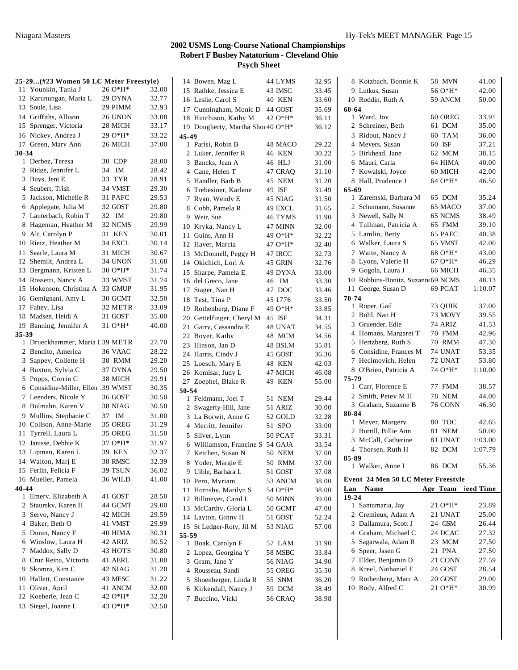| 25-29(#23 Women 50 LC Meter Freestyle) |          |       | 14 Bowen, Mag L                                        | 44 LYMS        | 32.95          | 8 Kotzbach, Bonnie K               | 58 MVN        | 41.00     |
|----------------------------------------|----------|-------|--------------------------------------------------------|----------------|----------------|------------------------------------|---------------|-----------|
| 11 Younkin, Tania J                    | 26 O*H*  | 32.00 | 15 Rathke, Jessica E                                   | 43 IMSC        | 33.45          | 9 Lutkus, Susan                    | 56 O*H*       | 42.00     |
| 12 Karunungan, Maria L                 | 29 DYNA  | 32.77 | 16 Leslie, Carol S                                     | 40 KEN         | 33.60          | 10 Roddin, Ruth A                  | 59 ANCM       | 50.00     |
| 13 Soule, Lisa                         | 29 PIMM  | 32.93 | 17 Cunningham, Monic D                                 | 44 GOST        | 35.69          | 60-64                              |               |           |
| 14 Griffiths, Allison                  | 26 UNON  | 33.08 | 18 Hutchison, Kathy M                                  | $42.0*H*$      | 36.11          | 1 Ward, Joy                        | 60 OREG       | 33.91     |
| 15 Sprenger, Victoria                  | 28 MICH  | 33.17 | 19 Dougherty, Martha Shor 40 O*H*                      |                | 36.12          | 2 Schreiner, Beth                  | 61 DCM        | 35.00     |
| 16 Nickey, Andrea J                    | $290*H*$ | 33.22 | 45-49                                                  |                |                | 3 Ridout, Nancy J                  | 60 TAM        | 36.00     |
| 17 Green, Mary Ann                     | 26 MICH  | 37.00 | 1 Parisi, Robin B                                      | 48 MACO        | 29.22          | 4 Meyers, Susan                    | 60 ISF        | 37.21     |
| 30-34                                  |          |       | 2 Luker, Jennifer R                                    | 46 KEN         | 30.22          | 5 Birkhead, Jane                   | 62 MCM        | 38.15     |
| 1 Derbez, Teresa                       | 30 CDP   | 28.00 | 3 Bancks, Jean A                                       | 46 HLJ         | 31.00          | 6 Mauri, Carla                     | 64 HIMA       | 40.00     |
| 2 Ridge, Jennifer L                    | 34 IM    | 28.42 | 4 Cane, Helen T                                        | 47 CRAQ        | 31.10          | 7 Kowalski, Joyce                  | 60 MICH       | 42.00     |
| 3 Buys, Jeni E                         | 33 TYR   | 28.91 | 5 Handler, Barb B                                      | 45 NEM         | 31.20          | 8 Hall, Prudence J                 | $64O*H*$      | 46.50     |
| 4 Seubert, Trish                       | 34 VMST  | 29.30 | 6 Trebesiner, Karlene                                  | 49 ISF         | 31.49          | $65 - 69$                          |               |           |
| 5 Jackson, Michelle R                  | 31 PAFC  | 29.53 | 7 Ryan, Wendy E                                        | 45 NIAG        | 31.50          | 1 Zaremski, Barbara M              | 65 DCM        | 35.24     |
| 6 Applegate, Julia M                   | 32 GOST  | 29.80 | 8 Cobb, Pamela R                                       | 49 EXCL        | 31.65          | 2 Schumann, Susanne                | 65 MACO       | 37.00     |
| 7 Lauterbach, Robin T                  | 32 IM    | 29.80 | 9 Weir, Sue                                            | 46 TYMS        | 31.90          | 3 Newell, Sally N                  | 65 NCMS       | 38.49     |
| 8 Hageman, Heather M                   | 32 NCMS  | 29.99 | 10 Kryka, Nancy L                                      | 47 MINN        | 32.00          | 4 Tullman, Patricia A              | 65 FMM        | 39.10     |
| 9 Alt, Carolyn P                       | 31 KEN   | 30.01 | 11 Guins, Ann H                                        | 49 O*H*        | 32.22          | 5 Lamlin, Betty                    | 65 PAFC       | 40.38     |
| 10 Rietz, Heather M                    | 34 EXCL  | 30.14 | 12 Haver, Marcia                                       | 47 O*H*        | 32.40          | 6 Walker, Laura S                  | 65 VMST       | 42.00     |
| 11 Searle, Laura M                     | 31 MICH  | 30.67 | 13 McDonnell, Peggy H                                  | 47 IRCC        | 32.73          | 7 Waite, Nancy A                   | 68 O*H*       | 43.00     |
| 12 Shemilt, Andrea L                   | 34 UNON  | 31.68 | 14 Okichich, Lori A                                    | 45 GRIN        | 32.76          | 8 Lyons, Valerie H                 | $67O*H*$      | 46.29     |
| 13 Bergmann, Kristen L                 | 30 O*H*  | 31.74 | 15 Sharpe, Pamela E                                    | 49 DYNA        | 33.00          | 9 Gogola, Laura J                  | 66 MICH       | 46.35     |
| 14 Rossetti, Nancy A                   | 33 WMST  | 31.74 | 16 del Greco, Jane                                     | 46 IM          | 33.30          | 10 Robbins-Bonitz, Suzann 69 NCMS  |               | 48.13     |
| 15 Hokenson, Christina A               | 33 GMUP  | 31.95 | 17 Stager, Nan H                                       | 47 DOC         | 33.46          | 11 George, Susan D                 | 69 PCAT       | 1:10.07   |
| 16 Gemignani, Amy L                    | 30 GCMT  | 32.50 | 18 Test, Tina P                                        | 45 1776        | 33.50          | 70-74                              |               |           |
| 17 Fahey, Lisa                         | 32 METR  | 33.09 | 19 Rothenberg, Diane F                                 | 49 O*H*        | 33.85          | 1 Roper, Gail                      | 73 QUIK       | 37.00     |
| 18 Madsen, Heidi A                     | 31 GOST  | 35.00 | 20 Gettelfinger, Cheryl M                              | 45 ISF         | 34.31          | 2 Bohl, Nan H                      | 73 MOVY       | 39.55     |
| 19 Banning, Jennifer A                 | $310*H*$ | 40.00 | 21 Garry, Cassandra E                                  | 48 UNAT        | 34.55          | 3 Gruender, Edie                   | 74 ARIZ       | 41.53     |
| 35-39                                  |          |       | 22 Boyer, Kathy                                        | 48 MCM         | 34.56          | 4 Homans, Margaret T               | 70 FMM        | 42.96     |
| 1 Drueckhammer, Maria I 39 METR        |          | 27.70 | 23 Hinson, Jan D                                       | 48 BSLM        | 35.81          | 5 Hertzberg, Ruth S                | <b>70 RMM</b> | 47.30     |
| 2 Bendito, America                     | 36 VAAC  | 28.22 | 24 Harris, Cindy J                                     | 45 GOST        | 36.36          | 6 Considine, Frances M             | 74 UNAT       | 53.35     |
| 3 Sappey, Collette H                   | 38 RMM   | 29.20 |                                                        |                |                | 7 Hecimovich, Helen                | 72 UNAT       | 53.80     |
| 4 Buxton, Sylvia C                     | 37 DYNA  | 29.50 | 25 Loesch, Mary E                                      | 48 KEN         | 42.03          | 8 O'Brien, Patricia A              | 74 O*H*       | 1:10.00   |
| 5 Popps, Corrin C                      | 38 MICH  | 29.91 | 26 Komisar, Judy L                                     | 47 MICH        | 46.08          | 75-79                              |               |           |
| 6 Considine-Miller, Ellen 39 WMST      |          | 30.35 | 27 Zoephel, Blake R                                    | 49 KEN         | 55.00          | 1 Carr, Florence E                 | 77 FMM        | 38.57     |
| 7 Leenders, Nicole Y                   | 36 GOST  | 30.50 | 50-54<br>1 Feldmann, Joel T                            | <b>51 NEM</b>  | 29.44          | 2 Smith, Petey M H                 | <b>78 NEM</b> | 44.00     |
| 8 Bulmahn, Karen V                     | 38 NIAG  | 30.50 | 2 Swagerty-Hill, Jane                                  | 51 ARIZ        | 30.00          | 3 Graham, Suzanne B                | 76 CONN       | 46.30     |
| 9 Mullins, Stephanie C                 | 37 IM    | 31.00 | 3 La Borwit, Anne G                                    | 52 GOLD        | 32.28          | 80-84                              |               |           |
| 10 Collson, Anne-Marie                 | 35 OREG  | 31.29 | 4 Merritt, Jennifer                                    | 51 SPO         | 33.00          | 1 Meyer, Margery                   | 80 TOC        | 42.65     |
| 11 Tyrrell, Laura L                    | 35 OREG  | 31.50 |                                                        |                |                | 2 Burrill, Billie Ann              | <b>81 NEM</b> | 50.00     |
| 12 Janisse, Debbie K                   | 37 O*H*  | 31.97 | 5 Silver, Lynn                                         | 50 PCAT        | 33.31          | 3 McCall, Catherine                | 81 UNAT       | 1:03.00   |
| 13 Lipman, Karen L                     | 39 KEN   | 32.37 | 6 Williamson, Francine S 54 GAJA<br>7 Ketchen, Susan N |                | 33.54<br>37.00 | 4 Thorsen, Ruth H                  | 82 DCM        | 1:07.79   |
| 14 Walton, Marj E                      | 38 RMSC  | 32.39 |                                                        | 50 NEM         |                | 85-89                              |               |           |
| 15 Ferlin, Felicia F                   | 39 TSUN  | 36.02 | 8 Yoder, Margie E                                      | 50 RMM         | 37.00          | 1 Walker, Anne I                   | 86 DCM        | 55.36     |
| 16 Mueller, Pamela                     | 36 WILD  | 41.00 | 9 Uible, Barbara L                                     | 51 GOST        | 37.08          | Event 24 Men 50 LC Meter Freestyle |               |           |
| 40-44                                  |          |       | 10 Pero, Myriam                                        | 53 ANCM        | 38.00          | Name<br>Lan                        | Age Team      | leed Time |
| 1 Emery, Elizabeth A                   | 41 GOST  | 28.50 | 11 Hornsby, Marilyn S                                  | 54 O*H*        | 38.00          | 19-24                              |               |           |
| 2 Staursky, Karen H                    | 44 GCMT  | 29.00 | 12 Billmeyer, Carol L                                  | 50 MINN        | 39.00          | 1 Santamaria, Jay                  | 21 O*H*       | 23.89     |
| 3 Servo, Nancy J                       | 42 MICH  | 29.59 | 13 McCarthy, Gloria L                                  | 50 GCMT        | 47.00          | 2 Cremieux, Adam A                 | 21 UNAT       | 25.00     |
| 4 Baker, Beth O                        | 41 VMST  | 29.99 | 14 Layton, Ginny H                                     | 51 GOST        | 52.24          | 3 Dallamura, Scott J               | 24 GSM        | 26.44     |
| 5 Duran, Nancy F                       | 40 HIMA  | 30.31 | 15 St Ledger-Roty, Jil M                               | 53 NIAG        | 57.00          | 4 Graham, Michael C                | 24 DCAC       | 27.32     |
| 6 Winslow, Laura H                     | 42 ARIZ  | 30.52 | 55-59                                                  |                |                | 5 Sagarwala, Adam R                | 23 MCM        | 27.50     |
| 7 Maddox, Sally D                      | 43 HOTS  | 30.80 | 1 Boak, Carolyn F                                      | 57 LAM         | 31.90          | 6 Speer, Jasen G                   | 21 PNA        | 27.50     |
| 8 Cruz Reina, Victoria                 | 41 AERL  | 31.00 | 2 Lopez, Georgina Y                                    | 58 MSBC        | 33.84          | 7 Elder, Benjamin D                | 21 CONN       | 27.59     |
| 9 Skomra, Kim C                        | 42 NIAG  |       | 3 Gram, Jane Y                                         | <b>56 NIAG</b> | 34.90          | 8 Kreel, Nathaniel E               | 24 GOST       | 28.54     |
|                                        |          | 31.20 | 4 Rousseau, Sandi                                      | 55 OREG        | 35.50          |                                    |               |           |
| 10 Hallett, Constance                  | 43 MESC  | 31.22 | 5 Shoenberger, Linda R                                 | 55 SNM         | 36.20          | 9 Rothenberg, Marc A               | 20 GOST       | 29.00     |
| 11 Oliver, April                       | 41 ANCM  | 32.00 | 6 Kirkendall, Nancy J                                  | 59 DCM         | 38.49          | 10 Body, Alfred C                  | 21 O*H*       | 30.99     |
| 12 Koeberle, Jean C                    | 42 O*H*  | 32.20 | 7 Buccino, Vicki                                       | <b>56 CRAQ</b> | 38.98          |                                    |               |           |
| 13 Siegel, Joanne L                    | 43 O*H*  | 32.50 |                                                        |                |                |                                    |               |           |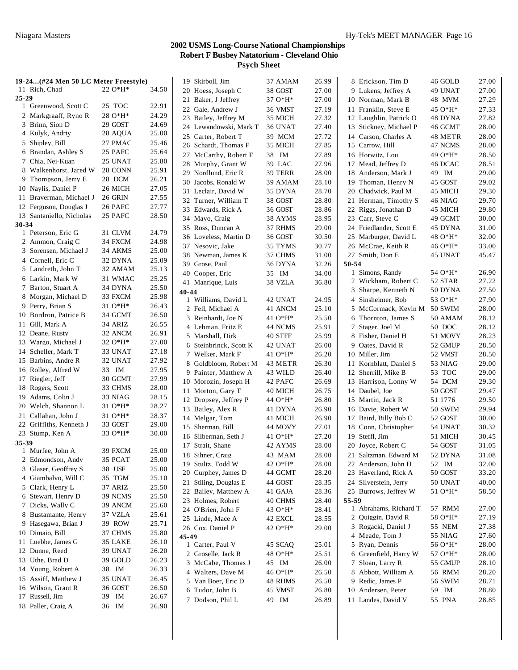| 19-24(#24 Men 50 LC Meter Freestyle)       |                   |       | 19 Skirboll, Jim       | 37 AMAM   | 26.99 | 8 Erickson, Tim D       | 46 GOLD        | 27.00          |
|--------------------------------------------|-------------------|-------|------------------------|-----------|-------|-------------------------|----------------|----------------|
| 11 Rich, Chad                              | $22 O*H*$         | 34.50 | 20<br>Hoess, Joseph C  | 38 GOST   | 27.00 | 9 Lukens, Jeffrey A     | 49 UNAT        | 27.00          |
| $25 - 29$                                  |                   |       | 21 Baker, J Jeffrey    | 37 O*H*   | 27.00 | 10 Norman, Mark B       | 48 MVM         | 27.29          |
| 1 Greenwood, Scott C                       | 25 TOC            | 22.91 | 22 Gale, Andrew J      | 36 VMST   | 27.19 | 11 Franklin, Steve E    | 45 O*H*        | 27.33          |
| 2 Markgraaff, Ryno R                       | 28 O*H*           | 24.29 | 23 Bailey, Jeffrey M   | 35 MICH   | 27.32 | 12 Laughlin, Patrick O  | 48 DYNA        | 27.82          |
| 3 Brinn, Sion D                            | 29 GOST           | 24.69 | 24 Lewandowski, Mark T | 36 UNAT   | 27.40 | 13 Stickney, Michael P  | 46 GCMT        | 28.00          |
| 4 Kulyk, Andriy                            | 28 AOUA           | 25.00 | 25 Carter, Robert T    | 39 MCM    | 27.72 | 14 Carson, Charles A    | 48 METR        | 28.00          |
| 5 Shipley, Bill                            | 27 PMAC           | 25.46 | 26 Schardt, Thomas F   | 35 MICH   | 27.85 | 15 Carrow, Hill         | 47 NCMS        | 28.00          |
| 6 Brandan, Ashley S                        | 25 PAFC           | 25.64 | 27 McCarthy, Robert F  | 38 IM     | 27.89 | 16 Horwitz, Lou         | 49 $O*H*$      | 28.50          |
| 7 Chia, Nei-Kuan                           | 25 UNAT           | 25.80 | 28 Murphy, Grant W     | 39 LAC    | 27.96 | 17 Mead, Jeffrey D      | 46 DCAC        | 28.51          |
| 8 Walkenhorst, Jared W                     | 28 CONN           | 25.91 | 29 Nordlund, Eric R    | 39 TERR   | 28.00 | 18 Anderson, Mark J     | 49 IM          | 29.00          |
| 9 Thompson, Jerry E                        | 28 DCM            | 26.21 | 30 Jacobs, Ronald W    | 39 AMAM   | 28.10 | 19 Thoman, Henry N      | 45 GOST        | 29.02          |
| 10 Naylis, Daniel P                        | 26 MICH           | 27.05 | 31 Leclair, David W    | 35 DYNA   | 28.70 | 20 Chadwick, Paul M     | 45 MICH        | 29.30          |
| 11 Braverman, Michael J                    | 26 GRIN           | 27.55 | 32 Turner, William T   | 38 GOST   | 28.80 | 21 Herman, Timothy S    | 46 NIAG        | 29.70          |
| 12 Ferguson, Douglas J                     | 26 PAFC           | 27.77 | 33 Edwards, Rick A     | 36 GOST   | 28.86 | 22 Riggs, Jonathan D    | 45 MICH        | 29.80          |
| 13 Santaniello, Nicholas                   | 25 PAFC           | 28.50 | 34 Mayo, Craig         | 38 AYMS   | 28.95 | 23 Carr, Steve C        | 49 GCMT        | 30.00          |
| 30-34                                      |                   |       | 35 Ross, Duncan A      | 37 RHMS   | 29.00 | 24 Friedlander, Scott E | 45 DYNA        | 31.00          |
| 1 Peterson, Eric G                         | 31 CLVM           | 24.79 | 36 Loveless, Martin D  | 36 GOST   | 30.50 | 25 Marburger, David L   | 48 O*H*        | 32.00          |
| 2 Ammon, Craig C                           | 34 FXCM           | 24.98 | 37 Nesovic, Jake       | 35 TYMS   | 30.77 | 26 McCrae, Keith R      | 46 O*H*        | 33.00          |
| 3 Sorensen, Michael J                      | 34 AKMS           | 25.00 | 38 Newman, James K     | 37 CHMS   | 31.00 | 27 Smith, Don E         | 45 UNAT        | 45.47          |
| 4 Cornell, Eric C                          | 32 DYNA           | 25.09 | 39 Grose, Paul         | 36 DYNA   | 32.26 | 50-54                   |                |                |
| 5 Landreth, John T                         | 32 AMAM           | 25.13 | 40 Cooper, Eric        | 35 IM     | 34.00 | 1 Simons, Randy         | 54 O*H*        | 26.90          |
| 6 Larkin, Mark W                           | 31 WMAC           | 25.25 | 41 Manrique, Luis      | 38 VZLA   | 36.80 | 2 Wickham, Robert C     | 52 STAR        | 27.22          |
| 7 Barton, Stuart A                         | 34 DYNA           | 25.50 | 40-44                  |           |       | 3 Sharpe, Kenneth N     | 50 DYNA        | 27.50          |
| 8 Morgan, Michael D                        | 33 FXCM           | 25.98 | 1 Williams, David L    | 42 UNAT   | 24.95 | 4 Sinsheimer, Bob       | 53 O*H*        | 27.90          |
| 9 Perry, Brian S                           | 31 O*H*           | 26.43 | 2 Fell, Michael A      | 41 ANCM   | 25.10 | 5 McCormack, Kevin M    | <b>50 SWIM</b> | 28.00          |
| 10 Bordron, Patrice B                      | 34 GCMT           | 26.50 | 3 Reinhardt, Joe N     | 41 $O*H*$ | 25.50 | 6 Thornton, James S     | 50 AMAM        | 28.12          |
| 11 Gill, Mark A                            | 34 ARIZ           | 26.55 | 4 Lehman, Fritz E      | 44 NCMS   | 25.91 | 7 Stager, Joel M        | 50 DOC         | 28.12          |
| 12 Deane, Rusty                            | 32 ANCM           | 26.91 | 5 Marshall, Dirk       | 40 STFF   | 25.99 | 8 Fisher, Daniel H      | 51 MOVY        | 28.23          |
| 13 Wargo, Michael J                        | 32 O*H*           | 27.00 | 6 Steinbrinck, Scott K | 42 UNAT   | 26.00 | 9 Oates, David R        | 52 GMUP        | 28.50          |
| 14 Scheller, Mark T                        | 33 UNAT           | 27.18 | 7 Welker, Mark F       | 41 O*H*   | 26.20 | 10 Miller, Jim          | 52 VMST        | 28.50          |
| 15 Barbins, Andre R                        | 32 UNAT           | 27.92 |                        |           |       |                         |                |                |
| 16 Rolley, Alfred W                        | 33 IM             | 27.95 | 8 Goldbloom, Robert M  | 43 METR   | 26.30 | 11 Kornblatt, Daniel S  | 53 NIAG        | 29.00          |
| 17 Riegler, Jeff                           | 30 GCMT           | 27.99 | 9 Painter, Matthew A   | 43 WILD   | 26.40 | 12 Sherrill, Mike B     | 53 TOC         | 29.00<br>29.30 |
| 18 Rogers, Scott                           | 33 CHMS           | 28.00 | 10 Morozin, Joseph H   | 42 PAFC   | 26.69 | 13 Harrison, Lonny W    | 54 DCM         |                |
| 19 Adams, Colin J                          | 33 NIAG           | 28.15 | 11 Morton, Gary T      | 40 MICH   | 26.75 | 14 Daubel, Joe          | 50 GOST        | 29.47          |
| 20 Welch, Shannon L                        | $310*H*$          | 28.27 | 12 Dropsey, Jeffrey P  | 44 O*H*   | 26.80 | 15 Martin, Jack R       | 51 1776        | 29.50          |
| 21 Callahan, John J                        | 31 O*H*           | 28.37 | 13 Bailey, Alex R      | 41 DYNA   | 26.90 | 16 Davie, Robert W      | <b>50 SWIM</b> | 29.94          |
| 22 Griffiths, Kenneth J                    | 33 GOST           | 29.00 | 14 Melgar, Tom         | 41 MICH   | 26.90 | 17 Baird, Billy Bob C   | 52 GOST        | 30.00          |
| 23 Stump, Ken A                            | 33 O*H*           | 30.00 | 15 Sherman, Bill       | 44 MOVY   | 27.01 | 18 Conn, Christopher    | 54 UNAT        | 30.32          |
| 35-39                                      |                   |       | 16 Silberman, Seth J   | 41 $O*H*$ | 27.20 | 19 Steffl, Jim          | 51 MICH        | 30.45          |
| 1 Murfee, John A                           | 39 FXCM           | 25.00 | 17 Strait, Shane       | 42 AYMS   | 28.00 | 20 Joyce, Robert C      | 54 GOST        | 31.05          |
| 2 Edmondson, Andy                          | 35 PCAT           | 25.00 | 18 Sihner, Craig       | 43 MAM    | 28.00 | 21 Saltzman, Edward M   | 52 DYNA        | 31.08          |
| 3 Glaser, Geoffrey S                       | 38 USF            | 25.00 | 19 Stultz, Todd W      | 42 O*H*   | 28.00 | 22 Anderson, John H     | 52 IM          | 32.00          |
| 4 Giambalvo, Will C                        | 35 TGM            | 25.10 | 20 Curphey, James D    | 44 GCMT   | 28.20 | 23 Haverland, Rick A    | 50 GOST        | 33.20          |
| 5 Clark, Henry L                           | 37 ARIZ           | 25.50 | 21 Stiling, Douglas E  | 44 GOST   | 28.35 | 24 Silverstein, Jerry   | 50 UNAT        | 40.00          |
| 6 Stewart, Henry D                         | 39 NCMS           | 25.50 | 22 Bailey, Matthew A   | 41 GAJA   | 28.36 | 25 Burrows, Jeffrey W   | 51 O*H*        | 58.50          |
| 7 Dicks, Wally C                           | 39 ANCM           | 25.60 | 23 Holmes, Robert      | 40 CHMS   | 28.40 | 55-59                   |                |                |
|                                            |                   |       | 24 O'Brien, John F     | 43 O*H*   | 28.41 | 1 Abrahams, Richard T   | 57 RMM         | 27.00          |
| 8 Bustamante, Henry<br>9 Hasegawa, Brian J | 37 VZLA<br>39 ROW | 25.61 | 25 Linde, Mace A       | 42 EXCL   | 28.55 | 2 Quiggin, David R      | 58 O*H*        | 27.19          |
|                                            |                   | 25.71 | 26 Cox, Daniel P       | 42 O*H*   | 29.00 | 3 Rogacki, Daniel J     | 55 NEM         | 27.38          |
| 10 Dimaio, Bill                            | 37 CHMS           | 25.80 | 45-49                  |           |       | 4 Meade, Tom J          | 55 NIAG        | 27.60          |
| 11 Luebbe, James G                         | 35 LAKE           | 26.10 | 1 Carter, Paul V       | 45 SCAQ   | 25.01 | 5 Ryan, Dennis          | 56 O*H*        | 28.00          |
| 12 Dunne, Reed                             | 39 UNAT           | 26.20 | 2 Groselle, Jack R     | 48 O*H*   | 25.51 | 6 Greenfield, Harry W   | 57 O*H*        | 28.00          |
| 13 Uthe, Brad D                            | 39 GOLD           | 26.23 | 3 McCabe, Thomas J     | 45 IM     | 26.00 | 7 Sloan, Larry R        | 55 GMUP        | 28.10          |
| 14 Young, Robert A                         | 38 IM             | 26.33 | 4 Walters, Dave M      | 46 O*H*   | 26.50 | 8 Abbott, William A     | 56 RMM         | 28.20          |
| 15 Assiff, Matthew J                       | 35 UNAT           | 26.45 | 5 Van Boer, Eric D     | 48 RHMS   | 26.50 | 9 Redic, James P        | <b>56 SWIM</b> | 28.71          |
| 16 Wilson, Grant R                         | 36 GOST           | 26.50 | 6 Tudor, John B        | 45 VMST   | 26.80 | 10 Andersen, Peter      | 59 IM          | 28.80          |
| 17 Russell, Jim                            | 39 IM             | 26.67 | 7 Dodson, Phil L       | 49 IM     | 26.89 | 11 Landes, David V      | 55 PNA         | 28.85          |
| 18 Paller, Craig A                         | 36 IM             | 26.90 |                        |           |       |                         |                |                |
|                                            |                   |       |                        |           |       |                         |                |                |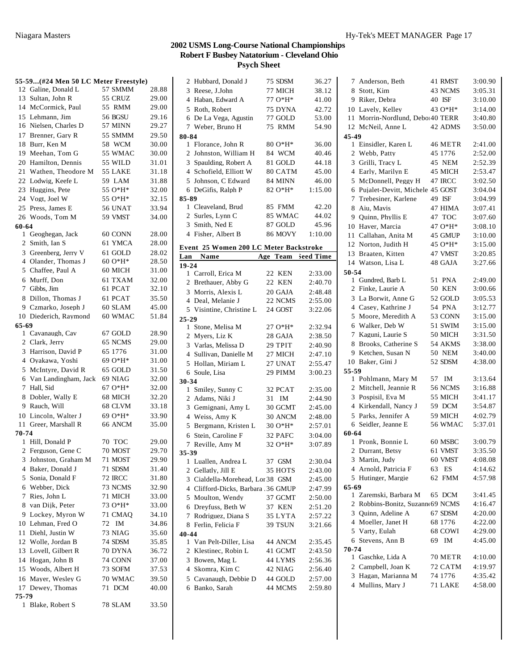|       | 55-59 (#24 Men 50 LC Meter Freestyle) |                |       |
|-------|---------------------------------------|----------------|-------|
|       | 12 Galine, Donald L                   | 57 SMMM        | 28.88 |
|       | 13 Sultan, John R                     | 55 CRUZ        | 29.00 |
|       | 14 McCormick, Paul                    | 55 RMM         | 29.00 |
|       | 15 Lehmann, Jim                       | <b>56 BGSU</b> | 29.16 |
|       | 16 Nielsen, Charles D                 | 57 MINN        | 29.27 |
|       | 17 Brenner, Gary R                    | 55 SMMM        | 29.50 |
|       | 18 Burr, Ken M                        | 58 WCM         | 30.00 |
|       | 19 Meehan, Tom G                      | 55 WMAC        | 30.00 |
|       | 20 Hamilton, Dennis                   | 55 WILD        | 31.01 |
|       | 21 Wathen, Theodore M                 | 55 LAKE        | 31.18 |
|       | 22 Lodwig, Keefe L                    | 59 LAM         | 31.88 |
|       | 23 Huggins, Pete                      | 55 O*H*        | 32.00 |
|       | 24 Vogt, Joel W                       | 55 O*H*        | 32.15 |
|       | 25 Press, James E                     | <b>56 UNAT</b> | 33.94 |
|       | 26 Woods, Tom M                       | 59 VMST        | 34.00 |
| 60-64 |                                       |                |       |
|       | 1 Geoghegan, Jack                     | 60 CONN        | 28.00 |
|       | 2 Smith, Ian S                        | 61 YMCA        | 28.00 |
|       | 3 Greenberg, Jerry V                  | 61 GOLD        | 28.02 |
|       | 4 Olander, Thomas J                   | $60O*H*$       | 28.50 |
|       | 5 Chaffee, Paul A                     | 60 MICH        | 31.00 |
|       | 6 Murff, Don                          | 61 TXAM        | 32.00 |
|       | 7 Gibbs, Jim                          | 61 PCAT        | 32.10 |
|       | 8 Dillon, Thomas J                    | 61 PCAT        | 35.50 |
|       | 9 Czmarko, Joseph J                   | 60 SLAM        | 45.00 |
|       | 10 Diederich, Raymond                 | 60 WMAC        | 51.84 |
| 65-69 |                                       |                |       |
|       | 1 Cavanaugh, Cav                      | 67 GOLD        | 28.90 |
|       | 2 Clark, Jerry                        | 65 NCMS        | 29.00 |
|       | 3 Harrison, David P                   | 65 1776        | 31.00 |
|       | 4 Oyakawa, Yoshi                      | 69 O*H*        | 31.00 |
|       | 5 McIntyre, David R                   | 65 GOLD        | 31.50 |
|       | 6 Van Landingham, Jack                | 69 NIAG        | 32.00 |
|       | 7 Hall, Sid                           | 67 O*H*        | 32.00 |
|       | 8 Dobler, Wally E                     | 68 MICH        | 32.20 |
|       | 9 Rauch, Will                         | 68 CLVM        | 33.18 |
|       | 10 Lincoln, Walter J                  | 69 O*H*        | 33.90 |
|       | 11 Greer, Marshall R                  | 66 ANCM        | 35.00 |
| 70-74 |                                       |                |       |
|       | 1 Hill, Donald P                      | 70 TOC         | 29.00 |
|       | 2 Ferguson, Gene C                    | 70 MOST        | 29.70 |
| 3     | Johnston, Graham M                    | 71 MOST        | 29.90 |
|       | 4 Baker, Donald J                     | 71 SDSM        | 31.40 |
|       | 5 Sonia, Donald F                     | <b>72 IRCC</b> | 31.80 |
|       | 6 Webber, Dick                        | 73 NCMS        | 32.90 |
| 7     | Ries. John L                          | 71 MICH        | 33.00 |
|       | 8 van Dijk, Peter                     | 73 O*H*        | 33.00 |
|       | 9 Lockey, Myron W                     | 71 CMAQ        | 34.10 |
|       | 10 Lehman, Fred O                     | 72<br>IM       | 34.86 |
| 11    | Diehl. Justin W                       | 73 NIAG        | 35.60 |
|       | 12 Wolle, Jordan B                    | 74 SDSM        | 35.85 |
|       | 13 Lovell, Gilbert R                  | <b>70 DYNA</b> | 36.72 |
|       | 14 Hogan, John B                      | 74 CONN        | 37.00 |
|       | 15 Woods, Albert H                    | 73 SOFM        | 37.53 |
| 16    | Mayer, Wesley G                       | 70 WMAC        | 39.50 |
| 17    | Dewey, Thomas                         | 71 DCM         | 40.00 |
| 75-79 |                                       |                |       |
| 1     | Blake, Robert S                       | 78 SLAM        | 33.50 |
|       |                                       |                |       |

| Hubbard, Donald J<br>2                 | 75 SDSM            | 36.27              |
|----------------------------------------|--------------------|--------------------|
| 3 Reese, J.John                        | 77 MICH            | 38.12              |
| 4 Haban, Edward A                      | 77 O*H*            | 41.00              |
| 5 Roth, Robert                         | 75 DYNA            | 42.72              |
| De La Vega, Agustin<br>6               | 77 GOLD            | 53.00              |
| 7 Weber, Bruno H                       | 75 RMM             | 54.90              |
| 80-84                                  |                    |                    |
| 1 Florance, John R                     | $80O*H*$           | 36.00              |
| 2 Johnston, William H                  | 84 WCM             | 40.46              |
| 3 Spaulding, Robert A                  | 81 GOLD            | 44.18              |
| 4 Schofield, Elliott W                 | 80 CATM            | 45.00              |
| 5 Johnson, C Edward                    | 84 MINN            | 46.00              |
| 6 DeGifis, Ralph P                     | 82 O*H*            | 1:15.00            |
| 85-89                                  |                    |                    |
| 1 Cleaveland, Brud                     | 85 FMM             | 42.20              |
| 2 Surles, Lynn C                       | 85 WMAC            | 44.02              |
| 3 Smith, Ned E                         | 87 GOLD            | 45.96              |
| 4 Fisher, Albert B                     | <b>86 MOVY</b>     | 1:10.00            |
|                                        |                    |                    |
| Event 25 Women 200 LC Meter Backstroke |                    |                    |
| Name<br>Lan                            | Age Team Seed Time |                    |
| $19 - 24$<br>1 Carroll, Erica M        | 22 KEN             |                    |
| 2 Brethauer, Abby G                    | 22 KEN             | 2:33.00<br>2:40.70 |
|                                        |                    |                    |
| 3 Morris, Alexis L                     | 20 GAJA            | 2:48.48            |
| 4 Deal, Melanie J                      | 22 NCMS            | 2:55.00            |
| 5 Visintine, Christine L               | 24 GOST            | 3:22.06            |
| 25-29                                  | 27 O*H*            |                    |
| 1 Stone, Melisa M<br>2 Myers, Liz K    |                    | 2:32.94            |
|                                        | 28 GAJA            | 2:38.50            |
| 3 Varlas, Melissa D                    | 29 TPIT            | 2:40.90            |
| 4 Sullivan, Danielle M                 | 27 MICH            | 2:47.10            |
| 5 Hollan, Miriam L                     | 27 UNAT            | 2:55.47            |
| 6 Soule, Lisa                          | 29 PIMM            | 3:00.23            |
| 30-34                                  |                    |                    |
| 1 Smiley, Sunny C                      | 32 PCAT            | 2:35.00            |
| 2 Adams, Niki J                        | 31 IM              | 2:44.90            |
| 3 Gemignani, Amy L                     | 30 GCMT            | 2:45.00            |
| 4 Weiss, Amy K                         | 30 ANCM            | 2:48.00            |
| 5 Bergmann, Kristen L                  | 30 O*H*            | 2:57.01            |
| Stein, Caroline F<br>6                 | 32 PAFC            | 3:04.00            |
| Reville, Amy M<br>7                    | 32 O*H*            | 3:07.89            |
| 35-39                                  |                    |                    |
| Luallen, Andrea L<br>1                 | 37<br><b>GSM</b>   | 2:30.04            |
| 2 Gellatly, Jill E                     | 35 HOTS            | 2:43.00            |
| 3 Cialdella-Morehead, Lor 38 GSM       |                    | 2:45.00            |
| 4 Clifford-Dicks, Barbara .36 GMUP     |                    | 2:47.99            |
| Moulton, Wendy<br>5                    | 37 GCMT            | 2:50.00            |
| Dreyfuss, Beth W<br>6                  | 37 KEN             | 2:51.20            |
| Rodriguez, Diana S<br>7                | 35 LYTA            | 2:57.22            |
| Ferlin, Felicia F<br>8                 | 39 TSUN            | 3:21.66            |
| 40-44                                  |                    |                    |
| Van Pelt-Diller, Lisa<br>1             | 44 ANCM            | 2:35.45            |
| 2 Klestinec, Robin L                   | 41 GCMT            | 2:43.50            |
| Bowen, Mag L<br>3                      | 44 LYMS            | 2:56.36            |
| 4 Skomra, Kim C                        | 42 NIAG            | 2:56.40            |
| 5 Cavanaugh, Debbie D                  | 44 GOLD            | 2:57.00            |
| 6 Banko, Sarah                         | 44 MCMS            | 2:59.80            |
|                                        |                    |                    |

|                | 7 Anderson, Beth                |     | 41 RMST | 3:00.90 |
|----------------|---------------------------------|-----|---------|---------|
| 8              | Stott, Kim                      |     | 43 NCMS | 3:05.31 |
| 9              | Riker, Debra                    |     | 40 ISF  | 3:10.00 |
|                | 10 Lavely, Kelley               |     | 43 O*H* | 3:14.00 |
| 11.            | Morrin-Nordlund, Debo140 TERR   |     |         | 3:40.80 |
|                | 12 McNeil, Anne L               |     | 42 ADMS | 3:50.00 |
| 45-49          |                                 |     |         |         |
|                | 1 Einsidler, Karen L            |     | 46 METR | 2:41.00 |
| 2              | Webb, Patty                     |     | 45 1776 | 2:52.00 |
| 3              | Grilli, Tracy L                 |     | 45 NEM  | 2:52.39 |
| 4              | Early, Marilyn E                |     | 45 MICH | 2:53.47 |
| 5              | McDonnell, Peggy H              |     | 47 IRCC | 3:02.50 |
| 6              | Pujalet-Devitt, Michele 45 GOST |     |         | 3:04.04 |
| 7              | Trebesiner, Karlene             |     | 49 ISF  | 3:04.99 |
|                |                                 |     |         |         |
| 8              | Aiu, Mavis                      |     | 47 HIMA | 3:07.41 |
| 9              | Quinn, Phyllis E                |     | 47 TOC  | 3:07.60 |
| 10             | Haver, Marcia                   |     | 47 O*H* | 3:08.10 |
| 11             | Callahan, Anita M               |     | 45 GMUP | 3:10.00 |
| 12             | Norton, Judith H                |     | 45 O*H* | 3:15.00 |
|                | 13 Braaten, Kitten              |     | 47 VMST | 3:20.85 |
|                | 14 Watson, Lisa L               |     | 48 GAJA | 3:27.66 |
| 50-54          |                                 |     |         |         |
|                | 1 Gundred, Barb L               |     | 51 PNA  | 2:49.00 |
|                | 2 Finke, Laurie A               |     | 50 KEN  | 3:00.66 |
| 3              | La Borwit, Anne G               |     | 52 GOLD | 3:05.53 |
| 4              | Casey, Kathrine J               |     | 54 PNA  | 3:12.77 |
| 5              | Moore, Meredith A               |     | 53 CONN | 3:15.00 |
| 6              | Walker, Deb W                   |     | 51 SWIM | 3:15.00 |
| 7              | Kaguni, Laurie S                |     | 50 MICH | 3:31.50 |
| 8              | Brooks, Catherine S             |     | 54 AKMS | 3:38.00 |
| 9              | Ketchen, Susan N                |     | 50 NEM  | 3:40.00 |
|                | 10 Baker, Gini J                |     | 52 SDSM | 4:38.00 |
| 55-59          |                                 |     |         |         |
|                | 1 Pohlmann, Mary M              | 57  | IM      | 3:13.64 |
| 2              | Mitchell, Jeannie R             |     | 56 NCMS | 3:16.88 |
| 3              | Pospisil, Eva M                 |     | 55 MICH | 3:41.17 |
| 4              | Kirkendall, Nancy J             |     | 59 DCM  | 3:54.87 |
|                | 5 Parks, Jennifer A             |     | 59 MICH | 4:02.79 |
|                | 6 Seidler, Jeanne E             |     | 56 WMAC | 5:37.01 |
| 60-64          |                                 |     |         |         |
|                | 1 Pronk. Bonnie L               |     | 60 MSBC | 3:00.79 |
| 2              | Durrant, Betsy                  |     | 61 VMST | 3:35.50 |
| 3              | Martin, Judy                    |     | 60 VMST | 4:08.08 |
| 4              | Arnold, Patricia F              | 63  | ES      | 4:14.62 |
| 5              | Hutinger, Margie                | 62  | FMM     | 4:57.98 |
| 65-69          |                                 |     |         |         |
| 1              | Zaremski, Barbara M             |     | 65 DCM  | 3:41.45 |
| $\overline{2}$ | Robbins-Bonitz, Suzann 69 NCMS  |     |         | 4:16.47 |
| 3              | Quinn, Adeline A                |     | 67 SDSM | 4:20.00 |
| 4              | Moeller, Janet H                |     | 68 1776 | 4:22.00 |
|                | 5 Varty, Eulah                  |     | 68 COWI | 4:29.00 |
| 6              | Stevens, Ann B                  | 69. | IM      | 4:45.00 |
| 70-74          |                                 |     |         |         |
|                | 1 Gaschke, Lida A               |     | 70 METR | 4:10.00 |
|                | 2 Campbell, Joan K              |     | 72 CATM | 4:19.97 |
| 3              | Hagan, Marianna M               |     | 74 1776 | 4:35.42 |
|                | 4 Mullins, Mary J               |     | 71 LAKE | 4:58.00 |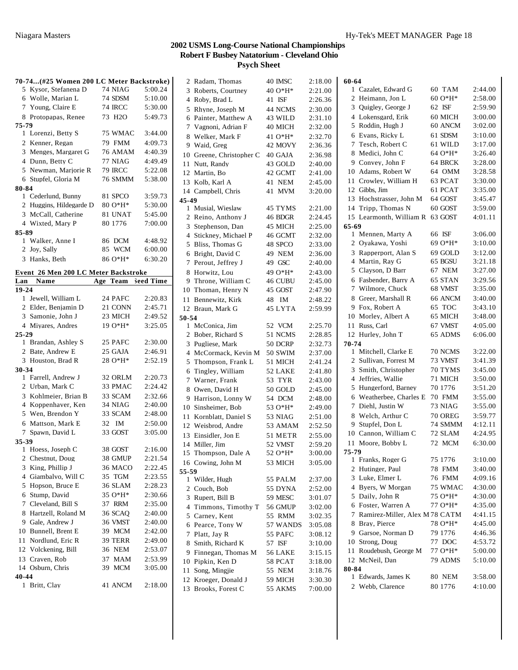|           | 70-74 (#25 Women 200 LC Meter Backstroke) |                     |         |
|-----------|-------------------------------------------|---------------------|---------|
|           | 5 Kysor, Stefanena D                      | 74 NIAG             | 5:00.24 |
|           | 6 Wolle, Marian L                         | 74 SDSM             | 5:10.00 |
|           | 7 Young, Claire E                         | <b>74 IRCC</b>      | 5:30.00 |
|           | 8 Protopapas, Renee                       | 73 H <sub>2</sub> O | 5:49.73 |
| 75-79     |                                           |                     |         |
|           | 1 Lorenzi, Betty S                        | 75 WMAC             | 3:44.00 |
|           | 2 Kenner, Regan                           | 79 FMM              | 4:09.73 |
|           | 3 Menges, Margaret G                      | 76 AMAM             | 4:40.39 |
|           | 4 Dunn, Betty C                           | 77 NIAG             | 4:49.49 |
|           | 5 Newman, Marjorie R                      | 79 IRCC             | 5:22.08 |
|           | 6 Stupfel, Gloria M                       | 76 SMMM             | 5:38.00 |
| 80-84     |                                           |                     |         |
|           | 1 Cederlund, Bunny                        | 81 SPCO             | 3:59.73 |
|           | 2 Huggins, Hildegarde D                   | 80 O*H*             | 5:30.00 |
|           | 3 McCall. Catherine                       | 81 UNAT             | 5:45.00 |
|           | 4 Wixted, Mary P                          | 80 1776             | 7:00.00 |
| 85-89     |                                           |                     |         |
|           | 1 Walker, Anne I                          | 86 DCM              | 4:48.92 |
|           | 2 Joy, Sally                              | 85 WCM              | 6:00.00 |
|           | 3 Hanks, Beth                             | 86 O*H*             | 6:30.20 |
|           |                                           |                     |         |
|           | Event 26 Men 200 LC Meter Backstroke      |                     |         |
| Lan       | Name                                      | Age Team Seed Time  |         |
| 19-24     |                                           |                     |         |
|           | 1 Jewell, William L                       | 24 PAFC             | 2:20.83 |
|           | 2 Elder, Benjamin D                       | 21 CONN             | 2:45.71 |
|           | 3 Samonie, John J                         | 23 MICH             | 2:49.52 |
|           | 4 Miyares, Andres                         | 19 O*H*             | 3:25.05 |
| $25 - 29$ |                                           |                     |         |
|           | 1 Brandan, Ashley S                       | 25 PAFC             | 2:30.00 |
|           | 2 Bate, Andrew E                          | 25 GAJA             | 2:46.91 |
|           | 3 Houston, Brad R                         | 28 O*H*             | 2:52.19 |
| 30-34     |                                           |                     |         |
|           | 1 Farrell, Andrew J                       | 32 ORLM             | 2:20.73 |
|           | 2 Urban, Mark C                           | 33 PMAC             | 2:24.42 |
|           | 3 Kohlmeier, Brian B                      | 33 SCAM             | 2:32.66 |
|           | 4 Koppenhaver, Ken                        | 34 NIAG             | 2:40.00 |
|           | 5 Wen, Brendon Y                          | 33 SCAM             | 2:48.00 |
|           | 6 Mattson, Mark E                         | 32 IM               | 2:50.00 |
| 7         | Spawn, David L                            | 33 GOST             | 3:05.00 |
| 35-39     |                                           |                     |         |
|           | 1 Hoess, Joseph C                         | 38 GOST             | 2:16.00 |
|           | 2 Chestnut, Doug                          | 38 GMUP             | 2:21.54 |
| 3         | King, Phillip J                           | 36 MACO             | 2:22.45 |
|           | 4 Giambalvo, Will C                       | 35 TGM              | 2:23.55 |
|           | 5 Hopson, Bruce E                         | 36 SLAM             | 2:28.23 |
|           | 6 Stump, David                            | 35 O*H*             | 2:30.66 |
| 7         | Cleveland, Bill S                         | 37 RRM              | 2:35.00 |
|           | 8 Hartzell, Roland M                      | 36 SCAO             | 2:40.00 |
|           | 9 Gale, Andrew J                          | 36 VMST             | 2:40.00 |
|           | 10 Bunnell, Brent E                       | 39 MCM              | 2:42.00 |
| 11        | Nordlund, Eric R                          | 39 TERR             | 2:49.00 |
|           | 12 Volckening, Bill                       | 36 NEM              | 2:53.07 |
|           | 13 Craven, Rob                            | 37<br>MAM           | 2:53.99 |
|           |                                           |                     |         |
|           | 14 Osburn, Chris                          | <b>MCM</b><br>39    | 3:05.00 |
| 40-44     |                                           |                     |         |

|       | 2 Radam, Thomas                     |                  | 2:18.00 |
|-------|-------------------------------------|------------------|---------|
|       |                                     | 40 IMSC          |         |
| 3     | Roberts, Courtney                   | 40 O*H*          | 2:21.00 |
| 4     | Roby, Brad L                        | 41 ISF           | 2:26.36 |
| 5     | Rhyne, Joseph M                     | 44 NCMS          | 2:30.00 |
| 6     | Painter, Matthew A                  | 43 WILD          | 2:31.10 |
| 7     | Vagnoni, Adrian F                   | 40 MICH          | 2:32.00 |
| 8     | Welker, Mark F                      | 41 O*H*          | 2:32.70 |
| 9     | Waid, Greg                          | 42 MOVY          | 2:36.36 |
| 10    | Greene, Christopher C               | 40 GAJA          | 2:36.98 |
| 11    | Nutt, Randy                         | 43 GOLD          | 2:40.00 |
| 12    | Martin, Bo                          | 42 GCMT          | 2:41.00 |
|       | 13 Kolb, Karl A                     | 41 NEM           | 2:45.00 |
|       | 14 Campbell, Chris                  | 41<br><b>MVM</b> | 3:20.00 |
| 45-49 |                                     |                  |         |
| 1     | Musial, Wieslaw                     | 45 TYMS          | 2:21.00 |
|       | 2 Reino, Anthony J                  | 46 BDGR          | 2:24.45 |
| 3     | Stephenson, Dan                     | 45 MICH          | 2:25.00 |
| 4     | Stickney, Michael P                 | 46 GCMT          | 2:32.00 |
| 5     | Bliss, Thomas G                     | 48 SPCO          | 2:33.00 |
| 6     | Bright, David C                     | 49 NEM           | 2:36.00 |
| 7     | Perout, Jeffrey J                   | 49 GSC           | 2:40.00 |
| 8     | Horwitz, Lou                        | 49 O*H*          | 2:43.00 |
| 9     | Throne, William C                   | 46 CUBU          | 2:45.00 |
| 10    | Thoman, Henry N                     | 45 GOST          | 2:47.90 |
|       |                                     |                  | 2:48.22 |
|       | 11 Bennewitz, Kirk                  | 48<br>IM         |         |
|       | 12 Braun, Mark G                    | 45 LYTA          | 2:59.99 |
| 50-54 |                                     |                  |         |
|       | 1 McConica, Jim<br>Bober, Richard S | 52 VCM           | 2:25.70 |
| 2     |                                     | 51 NCMS          | 2:28.85 |
| 3     | Pugliese, Mark                      | 50 DCRP          | 2:32.73 |
| 4     | McCormack, Kevin M                  | 50 SWIM          | 2:37.00 |
| 5     | Thompson, Frank L                   | 51 MICH          | 2:41.24 |
| 6     | Tingley, William                    | 52 LAKE          | 2:41.80 |
| 7     | Warner, Frank                       | 53 TYR           | 2:43.00 |
| 8     | Owen, David H                       | 50 GOLD          | 2:45.00 |
| 9     | Harrison, Lonny W                   | 54 DCM           | 2:48.00 |
|       | 10 Sinsheimer, Bob                  | 53 O*H*          | 2:49.00 |
| 11    | Kornblatt, Daniel S                 | 53 NIAG          | 2:51.00 |
|       | 12 Weisbrod, Andre                  | 53 AMAM          | 2:52.50 |
|       | 13 Einsidler, Jon E                 | 51 METR          | 2:55.00 |
|       | 14 Miller, Jim                      | 52 VMST          | 2:59.20 |
|       | 15 Thompson, Dale A                 | 52 O*H*          | 3:00.00 |
|       | 16 Cowing, John M                   | 53 MICH          | 3:05.00 |
| 55-59 |                                     |                  |         |
|       | 1 Wilder, Hugh                      | 55 PALM          | 2:37.00 |
| 2     | Couch, Bob                          | 55 DYNA          | 2:52.00 |
| 3     | Rupert, Bill B                      | 59 MESC          | 3:01.07 |
| 4     | Timmons, Timothy T                  | 56 GMUP          | 3:02.00 |
|       | 5 Carney, Kent                      | 55 RMM           | 3:02.35 |
| 6     | Pearce, Tony W                      | 57 WANDS         | 3:05.08 |
| 7     | Platt, Jay R                        | 55 PAFC          | 3:08.12 |
| 8     | Smith, Richard K                    | 57 ISF           | 3:10.00 |
| 9     | Finnegan, Thomas M                  | 56 LAKE          | 3:15.15 |
| 10    | Pipkin, Ken D                       | 58 PCAT          | 3:18.00 |
|       | 11 Song, Mingjie                    | 55 NEM           | 3:18.76 |
|       | 12 Kroeger, Donald J                | 59 MICH          | 3:30.30 |
|       | 13 Brooks, Forest C                 | 55 AKMS          | 7:00.00 |

| 60-64 |                                |                |         |
|-------|--------------------------------|----------------|---------|
|       | 1 Cazalet, Edward G            | 60 TAM         | 2:44.00 |
| 2     | Heimann, Jon L                 | 60 O*H*        | 2:58.00 |
| 3     | Quigley, George J              | 62 ISF         | 2:59.90 |
| 4     | Lokensgard, Erik               | 60 MICH        | 3:00.00 |
| 5     | Roddin, Hugh J                 | 60 ANCM        | 3:02.00 |
| 6     | Evans, Ricky L                 | 61 SDSM        | 3:10.00 |
| 7     | Tesch, Robert C                | 61 WILD        | 3:17.00 |
| 8     | Medici, John C                 | 64 O*H*        | 3:26.40 |
| 9     | Convey, John F                 | 64 BRCK        | 3:28.00 |
| 10    | Adams, Robert W                | 64 OMM         | 3:28.58 |
| 11    | Crowley, William H             | 63 PCAT        | 3:30.00 |
| 12    | Gibbs, Jim                     | 61 PCAT        | 3:35.00 |
| 13    | Hochstrasser, John M           | 64 GOST        | 3:45.47 |
|       | 14 Tripp, Thomas N             | 60 GOST        | 3:59.00 |
|       | 15 Learmonth, William R        | 63 GOST        | 4:01.11 |
| 65-69 |                                |                |         |
| 1     | Mennen, Marty A                | 66 ISF         | 3:06.00 |
| 2     | Oyakawa, Yoshi                 | 69 O*H*        | 3:10.00 |
| 3     | Rapperport, Alan S             | 69 GOLD        | 3:12.00 |
| 4     | Martin, Ray G                  | 65 BGSU        | 3:21.18 |
| 5     | Clayson, D Barr                | 67 NEM         | 3:27.00 |
| 6     | Fasbender, Barry A             | 65 STAN        | 3:29.56 |
| 7     | Wilmore, Chuck                 | 68 VMST        | 3:35.00 |
| 8     | Greer, Marshall R              | 66 ANCM        | 3:40.00 |
| 9     | Fox. Robert A                  | 65 TOC         | 3:43.10 |
| 10    | Morley, Albert A               | 65 MICH        | 3:48.00 |
| 11    | Russ, Carl                     | 67 VMST        | 4:05.00 |
|       | 12 Hurley, John T              | 65 ADMS        | 6:06.00 |
| 70-74 |                                |                |         |
| 1     | Mitchell, Clarke E             | 70 NCMS        | 3:22.00 |
| 2     | Sullivan, Forrest M            | 73 VMST        | 3:41.39 |
| 3     | Smith, Christopher             | 70 TYMS        | 3:45.00 |
| 4     | Jeffries, Wallie               | 71 MICH        | 3:50.00 |
| 5     | Hungerford, Barney             | 70 1776        | 3:51.20 |
| 6     | Weatherbee, Charles E          | 70 FMM         | 3:55.00 |
| 7     | Diehl, Justin W                | 73 NIAG        | 3:55.00 |
| 8     | Welch, Arthur C                | <b>70 OREG</b> | 3:59.77 |
| 9.    | Stupfel, Don L                 | 74 SMMM        | 4:12.11 |
| 10    | Cannon, William C              | 72 SLAM        | 4:24.95 |
| 11.   | Moore, Bobby L                 | 72 MCM         | 6:30.00 |
| 75-79 |                                |                |         |
|       | 1 Franks, Roger G              | 75 1776        | 3:10.00 |
|       | 2 Hutinger, Paul               | 78 FMM         | 3:40.00 |
| 3     | Luke, Elmer L                  | 76 FMM         | 4:09.16 |
| 4     | Bvers, W Morgan                | 75 WMAC        | 4:30.00 |
| 5     | Daily, John R                  | 75 O*H*        | 4:30.00 |
| 6     | Foster, Warren A               | 77 O*H*        | 4:35.00 |
| 7     | Ramirez-Miller, Alex M 78 CATM |                | 4:41.15 |
| 8     |                                | 78 O*H*        | 4:45.00 |
|       | Bray, Pierce                   |                |         |
| 9.    | Garsoe, Norman D               | 79 1776        | 4:46.36 |
|       | 10 Strong, Doug                | 77 DOC         | 4:53.72 |
|       | 11 Roudebush, George M         | 77 O*H*        | 5:00.00 |
|       | 12 McNeil, Dan                 | 79 ADMS        | 5:10.00 |
| 80-84 |                                |                |         |
| 1     | Edwards, James K               | 80 NEM         | 3:58.00 |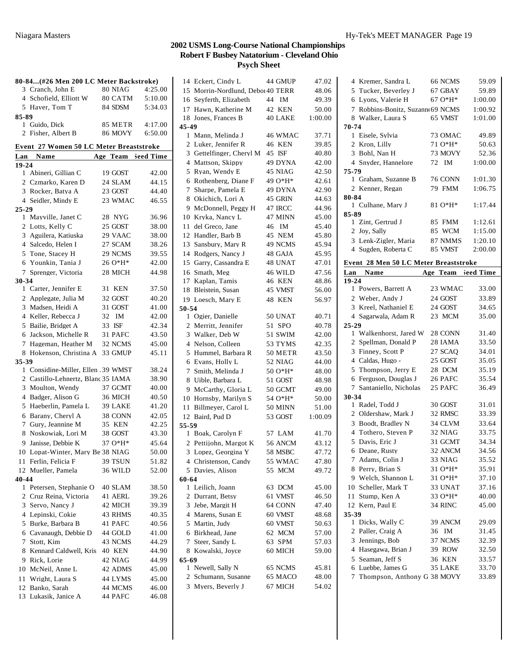|           | 80-84(#26 Men 200 LC Meter Backstroke)         |    |               |                    |
|-----------|------------------------------------------------|----|---------------|--------------------|
|           | 3 Cranch, John E                               |    | 80 NIAG       | 4:25.00            |
|           | 4 Schofield, Elliott W                         |    | 80 CATM       | 5:10.00            |
|           | 5 Haver, Tom T                                 |    | 84 SDSM       | 5:34.03            |
| 85-89     |                                                |    |               |                    |
|           | 1 Guido, Dick                                  |    | 85 METR       | 4:17.00            |
|           | 2 Fisher, Albert B                             |    | 86 MOVY       | 6:50.00            |
|           |                                                |    |               |                    |
|           | <b>Event 27 Women 50 LC Meter Breaststroke</b> |    |               |                    |
| Lan       | Name                                           |    |               | Age Team Seed Time |
| $19 - 24$ |                                                |    |               |                    |
|           | 1 Abineri, Gillian C                           |    | 19 GOST       | 42.00              |
|           | 2 Czmarko, Karen D                             |    | 24 SLAM       | 44.15              |
|           | 3 Rocker, Batya A                              |    | 23 GOST       | 44.40              |
|           | 4 Seidler, Mindy E                             |    | 23 WMAC       | 46.55              |
| 25-29     |                                                |    |               |                    |
|           | 1 Mayville, Janet C                            |    | 28 NYG        | 36.96              |
|           | 2 Lotts, Kelly C                               |    | 25 GOST       | 38.00              |
|           | 3 Aguilera, Katiuska                           |    | 29 VAAC       | 38.00              |
|           | 4 Salcedo, Helen I                             |    | 27 SCAM       | 38.26              |
|           | 5 Tone, Stacey H                               |    | 29 NCMS       | 39.55              |
|           | 6 Younkin, Tania J                             |    | 26 O*H*       | 42.00              |
| 7         | Sprenger, Victoria                             |    | 28 MICH       | 44.98              |
| 30-34     |                                                |    |               |                    |
|           | 1 Carter, Jennifer E                           |    | 31 KEN        | 37.50              |
|           | 2 Applegate, Julia M                           |    | 32 GOST       | 40.20              |
|           | 3 Madsen, Heidi A                              |    | 31 GOST       | 41.00              |
|           | 4 Keller, Rebecca J                            | 32 | IM            | 42.00              |
|           | 5 Bailie, Bridget A                            |    | 33 ISF        | 42.34              |
|           | 6 Jackson, Michelle R                          |    | 31 PAFC       | 43.50              |
|           | 7 Hageman, Heather M                           |    | 32 NCMS       | 45.00              |
| 8         | Hokenson, Christina A                          |    | 33 GMUP       | 45.11              |
| 35-39     |                                                |    |               |                    |
|           | 1 Considine-Miller, Ellen .39 WMST             |    |               | 38.24              |
|           | 2 Castillo-Lehnertz, Blanc 35 IAMA             |    |               | 38.90              |
|           | 3 Moulton, Wendy                               |    | 37 GCMT       | 40.00              |
|           | 4 Badger, Alison G                             |    | 36 MICH       | 40.50              |
|           | 5 Haeberlin, Pamela L                          |    | 39 LAKE       | 41.20              |
|           | 6 Barany, Cheryl A                             |    | 38 CONN       | 42.05              |
|           | 7 Gury, Jeannine M                             |    | 35 KEN        | 42.25              |
|           | 8 Noskowiak, Lori M                            |    | 38 GOST       | 43.30              |
| 9         | Janisse, Debbie K                              |    | 37 O*H*       | 45.64              |
|           | 10 Lopat-Winter, Mary Be 38 NIAG               |    |               | 50.00              |
|           | 11 Ferlin, Felicia F                           |    | 39 TSUN       | 51.82              |
|           | 12 Mueller, Pamela                             |    | 36 WILD       | 52.00              |
| 40-44     |                                                |    |               |                    |
|           | 1 Petersen, Stephanie O                        |    | 40 SLAM       | 38.50              |
|           | 2 Cruz Reina, Victoria                         |    | 41 AERL       | 39.26              |
| 3         | Servo, Nancy J                                 |    | 42 MICH       | 39.39              |
|           | 4 Lepinski, Cokie                              |    | 43 RHMS       | 40.35              |
| 5         | Burke, Barbara B                               |    | 41 PAFC       | 40.56              |
|           | 6 Cavanaugh, Debbie D                          |    | 44 GOLD       | 41.00              |
| 7         | Stott, Kim                                     |    | 43 NCMS       | 44.29              |
| 8         | Kennard Caldwell, Kris                         |    | <b>40 KEN</b> | 44.90              |
| 9         | Rick, Lorie                                    |    | 42 NIAG       | 44.99              |
|           | 10 McNeil, Anne L                              |    | 42 ADMS       | 45.00              |
| 11        | Wright, Laura S                                |    | 44 LYMS       | 45.00              |
|           | 12 Banko, Sarah                                |    | 44 MCMS       | 46.00              |
|           | 13 Lukasik, Janice A                           |    | 44 PAFC       | 46.08              |
|           |                                                |    |               |                    |

|       | 14 Eckert, Cindy L                          |    | 44 GMUP            | 47.02          |
|-------|---------------------------------------------|----|--------------------|----------------|
|       | 15 Morrin-Nordlund, Debo140 TERR            |    |                    | 48.06          |
|       | 16 Seyferth, Elizabeth                      | 44 | IM                 | 49.39          |
|       | 17 Hawn, Katherine M                        |    | 42 KEN             | 50.00          |
|       | 18 Jones, Frances B                         |    | 40 LAKE            | 1:00.00        |
| 45-49 |                                             |    |                    |                |
|       | 1 Mann, Melinda J                           |    | 46 WMAC            | 37.71          |
| 2     | Luker, Jennifer R                           |    | 46 KEN             | 39.85          |
| 3     | Gettelfinger, Cheryl M                      |    | 45 ISF             | 40.80          |
| 4     | Mattson, Skippy                             |    | 49 DYNA            | 42.00          |
| 5     | Ryan, Wendy E                               |    | 45 NIAG            | 42.50          |
| 6     | Rothenberg, Diane F                         |    | 49 O*H*            | 42.61          |
| 7     | Sharpe, Pamela E                            |    | 49 DYNA            | 42.90          |
| 8     | Okichich, Lori A                            |    | 45 GRIN            | 44.63          |
| 9     | McDonnell, Peggy H                          |    | 47 IRCC            | 44.96          |
| 10    | Kryka, Nancy L                              |    | 47 MINN            | 45.00          |
| 11    | del Greco, Jane                             |    | 46 IM              | 45.40          |
| 12    | Handler, Barb B                             |    | 45 NEM             |                |
| 13    | Sansbury, Mary R                            |    | 49 NCMS            | 45.80<br>45.94 |
|       |                                             |    |                    |                |
|       | 14 Rodgers, Nancy J                         |    | 48 GAJA            | 45.95          |
|       | 15 Garry, Cassandra E                       |    | 48 UNAT            | 47.01          |
| 16    | Smath, Meg                                  |    | 46 WILD            | 47.56          |
| 17    | Kaplan, Tamis                               |    | 46 KEN             | 48.86          |
| 18    | Bleistein, Susan                            |    | 45 VMST            | 56.00          |
|       | 19 Loesch, Mary E                           |    | 48 KEN             | 56.97          |
| 50-54 | 1 Ogier, Danielle                           |    | 50 UNAT            | 40.71          |
| 2     | Merritt, Jennifer                           |    | 51 SPO             | 40.78          |
| 3     | Walker, Deb W                               |    | 51 SWIM            | 42.00          |
| 4     | Nelson, Colleen                             |    | 53 TYMS            | 42.35          |
| 5     | Hummel, Barbara R                           |    | 50 METR            | 43.50          |
| 6     | Evans, Holly L                              |    | 52 NIAG            | 44.00          |
| 7     | Smith, Melinda J                            |    | 50 O*H*            | 48.00          |
| 8     | Uible, Barbara L                            |    | 51 GOST            | 48.98          |
| 9     |                                             |    |                    |                |
|       | McCarthy, Gloria L<br>10 Hornsby, Marilyn S |    | 50 GCMT<br>54 O*H* | 49.00<br>50.00 |
| 11    | Billmeyer, Carol L                          |    | <b>50 MINN</b>     |                |
|       |                                             |    |                    | 51.00          |
| 55-59 | 12 Baird, Pud D                             |    | 53 GOST            | 1:00.09        |
|       | 1 Boak, Carolyn F                           |    | 57 LAM             | 41.70          |
| 2     | Pettijohn, Margot K                         |    | 56 ANCM            | 43.12          |
| 3     | Lopez, Georgina Y                           |    | 58 MSBC            | 47.72          |
|       | 4 Christenson, Candy                        |    | 55 WMAC            | 47.80          |
|       | 5 Davies, Alison                            |    | 55 MCM             | 49.72          |
| 60-64 |                                             |    |                    |                |
|       | 1 Leilich. Joann                            |    | 63 DCM             | 45.00          |
|       | 2 Durrant, Betsy                            |    | 61 VMST            | 46.50          |
| 3     | Jebe, Margit H                              |    | 64 CONN            | 47.40          |
|       | 4 Marens, Susan E                           |    | 60 VMST            | 48.68          |
| 5     | Martin, Judy                                |    | 60 VMST            | 50.63          |
| 6     | Birkhead, Jane                              |    | 62 MCM             | 57.00          |
| 7     | Steer, Sandy L                              |    | 63 SPM             | 57.03          |
| 8     | Kowalski, Joyce                             |    | 60 MICH            | 59.00          |
| 65-69 |                                             |    |                    |                |
| 1     | Newell, Sally N                             |    | 65 NCMS            | 45.81          |
|       | 2 Schumann, Susanne                         |    | 65 MACO            | 48.00          |
|       | 3 Myers, Beverly J                          |    | 67 MICH            | 54.02          |

| 4 Kremer, Sandra L                                    | 66 NCMS          | 59.09          |
|-------------------------------------------------------|------------------|----------------|
| 5 Tucker, Beverley J                                  | 67 GBAY          | 59.89          |
| 6 Lyons, Valerie H                                    | 67 O*H*          | 1:00.00        |
| 7 Robbins-Bonitz, Suzann 69 NCMS                      |                  | 1:00.92        |
| 8 Walker, Laura S                                     | 65 VMST          | 1:01.00        |
| 70-74                                                 |                  |                |
| 1 Eisele, Sylvia                                      | 73 OMAC          | 49.89          |
| 2 Kron, Lilly                                         | 71 O*H*          | 50.63          |
| 3 Bohl, Nan H                                         | 73 MOVY          | 52.36          |
| 4 Snyder, Hannelore                                   | 72 IM            | 1:00.00        |
| 75-79                                                 |                  |                |
| 1 Graham, Suzanne B                                   | 76 CONN          | 1:01.30        |
| 2 Kenner, Regan                                       | 79 FMM           | 1:06.75        |
| 80-84                                                 |                  |                |
| 1 Culhane, Mary J                                     | 81 O*H*          | 1:17.44        |
| 85-89                                                 |                  |                |
| 1 Zint, Gertrud J                                     | 85 FMM           | 1:12.61        |
| 2 Joy, Sally                                          | 85 WCM           | 1:15.00        |
| 3 Lenk-Zigler, Maria                                  | 87 NMMS          | 1:20.10        |
| 4 Sugden, Roberta C                                   | 85 VMST          | 2:00.00        |
| Event 28 Men 50 LC Meter Breaststroke                 |                  |                |
| Lan Name                                              | Age Team         | leed Time      |
| $19 - 24$                                             |                  |                |
| 1 Powers, Barrett A                                   | 23 WMAC          | 33.00          |
| 2 Weber, Andy J                                       | 24 GOST          | 33.89          |
| 3 Kreel, Nathaniel E                                  | 24 GOST          | 34.65          |
| 4 Sagarwala, Adam R                                   | 23 MCM           | 35.00          |
| 25-29                                                 |                  |                |
|                                                       |                  |                |
| 1 Walkenhorst, Jared W                                | 28 CONN          | 31.40          |
| 2 Spellman, Donald P                                  | 28 IAMA          | 33.50          |
| 3 Finney, Scott P                                     | 27 SCAO          | 34.01          |
| 4 Caldas, Hugo -                                      | 25 GOST          | 35.05          |
| 5 Thompson, Jerry E                                   | 28 DCM           | 35.19          |
| 6 Ferguson, Douglas J                                 | 26 PAFC          | 35.54          |
| Santaniello, Nicholas<br>7                            | 25 PAFC          | 36.49          |
| 30-34                                                 |                  |                |
| 1 Radel, Todd J                                       | 30 GOST          | 31.01          |
| 2 Oldershaw, Mark J                                   | 32 RMSC          | 33.39          |
| 3 Boodt, Bradley N                                    | 34 CLVM          | 33.64          |
| 4 Tothero, Steven P                                   | 32 NIAG          | 33.75          |
| 5 Davis, Eric J                                       | 31 GCMT          | 34.34          |
| 6 Deane, Rusty                                        | 32 ANCM          | 34.56          |
| Adams, Colin J<br>7.                                  | 33 NIAG          | 35.52          |
| 8 Perry, Brian S                                      | 31 O*H*          | 35.91          |
| 9 Welch, Shannon L                                    | 31 O*H*          | 37.10          |
| 10 Scheller, Mark T                                   | 33 UNAT          | 37.16          |
| Stump, Ken A<br>11.                                   | 33 O*H*          | 40.00          |
| Kern, Paul E<br>12                                    | 34 RINC          | 45.00          |
| 35-39                                                 |                  |                |
| 1 Dicks, Wally C                                      | 39 ANCM          | 29.09          |
| 2<br>Paller, Craig A                                  | 36<br>IM         | 31.45          |
| 3 Jennings, Bob                                       | 37 NCMS          | 32.39          |
| 4 Hasegawa, Brian J                                   | 39 ROW           | 32.50          |
| 5 Seaman, Jeff S                                      | <b>KEN</b><br>36 | 33.57          |
| 6 Luebbe, James G<br>Thompson, Anthony G 38 MOVY<br>7 | 35 LAKE          | 33.70<br>33.89 |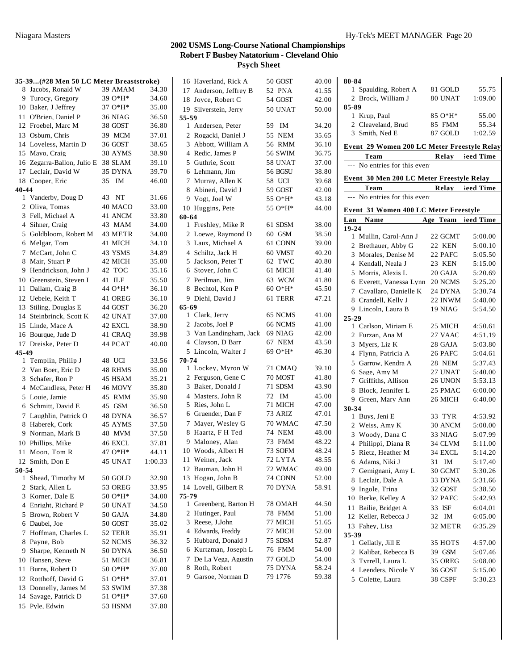|                | 35-39(#28 Men 50 LC Meter Breaststroke) |           |         |
|----------------|-----------------------------------------|-----------|---------|
|                | 8 Jacobs, Ronald W                      | 39 AMAM   | 34.30   |
|                | 9 Turocy, Gregory                       | 39 O*H*   | 34.60   |
|                | 10 Baker, J Jeffrey                     | 37 O*H*   | 35.00   |
|                | 11 O'Brien, Daniel P                    | 36 NIAG   | 36.50   |
|                | 12 Froebel, Marc M                      | 38 GOST   | 36.80   |
|                | 13 Osburn, Chris                        | 39 MCM    | 37.01   |
|                | 14 Loveless, Martin D                   | 36 GOST   | 38.65   |
|                | 15 Mayo, Craig                          | 38 AYMS   | 38.90   |
|                | 16 Zegarra-Ballon, Julio E 38 SLAM      |           | 39.10   |
|                | 17 Leclair, David W                     | 35 DYNA   | 39.70   |
|                | 18 Cooper, Eric                         | 35 IM     | 46.00   |
| 40-44          |                                         |           |         |
|                | 1 Vanderby, Doug D                      | 43 NT     | 31.66   |
|                | 2 Oliva, Tomas                          | 40 MACO   | 33.00   |
|                | 3 Fell, Michael A                       | 41 ANCM   | 33.80   |
| $\overline{4}$ | Sihner, Craig                           | 43 MAM    | 34.00   |
|                | 5 Goldbloom, Robert M                   | 43 METR   | 34.00   |
|                | 6 Melgar, Tom                           | 41 MICH   | 34.10   |
| $\tau$         | McCart. John C                          | 43 YSMS   | 34.89   |
| 8              | Mair, Stuart P                          | 42 MICH   | 35.00   |
|                | 9 Hendrickson, John J                   | 42 TOC    | 35.16   |
|                | 10 Greenstein, Steven I                 | ILF<br>41 | 35.50   |
| 11             | Dallam, Craig B                         | 44 O*H*   | 36.10   |
|                | 12 Uebele, Keith T                      | 41 OREG   | 36.10   |
|                | 13 Stiling, Douglas E                   | 44 GOST   | 36.20   |
|                | 14 Steinbrinck, Scott K                 | 42 UNAT   | 37.00   |
|                | 15 Linde, Mace A                        | 42 EXCL   | 38.90   |
|                | 16 Bourque, Jude D                      | 41 CRAQ   | 39.98   |
|                | 17 Dreiske, Peter D                     | 44 PCAT   | 40.00   |
| 45-49          |                                         |           |         |
|                | 1 Templin, Philip J                     | 48 UCI    | 33.56   |
|                | 2 Van Boer, Eric D                      | 48 RHMS   | 35.00   |
| 3              | Schafer, Ron P                          | 45 HSAM   | 35.21   |
|                | 4 McCandless, Peter H                   | 46 MOVY   | 35.80   |
| 5              | Louie, Jamie                            | 45 RMM    | 35.90   |
|                | 6 Schmitt, David E                      | 45 GSM    | 36.50   |
| 7              | Laughlin, Patrick O                     | 48 DYNA   | 36.57   |
|                | 8 Haberek, Cork                         | 45 AYMS   | 37.50   |
|                | 9 Norman, Mark B                        | 48 MVM    | 37.50   |
|                | 10 Phillips, Mike                       | 46 EXCL   | 37.81   |
|                | 11 Moon, Tom R                          | 47 O*H*   | 44.11   |
|                | 12 Smith, Don E                         | 45 UNAT   | 1:00.33 |
| 50-54          |                                         |           |         |
|                | 1 Shead, Timothy M                      | 50 GOLD   | 32.90   |
| $\overline{2}$ | Stark, Allen L                          | 53 OREG   | 33.95   |
| 3              | Korner, Dale E                          | 50 O*H*   | 34.00   |
|                | 4 Enright, Richard P                    | 50 UNAT   | 34.50   |
| 5              | Brown, Robert V                         | 50 GAJA   | 34.80   |
| 6              | Daubel, Joe                             | 50 GOST   | 35.02   |
| 7              | Hoffman, Charles L                      | 52 TERR   | 35.91   |
| 8              | Payne, Bob                              | 52 NCMS   | 36.32   |
| 9              | Sharpe, Kenneth N                       | 50 DYNA   | 36.50   |
|                | 10 Hansen, Steve                        | 51 MICH   | 36.81   |
| 11             | Burns, Robert D                         | 50 O*H*   | 37.00   |
|                | 12 Rotthoff, David G                    | 51 O*H*   | 37.01   |
|                | 13 Donnelly, James M                    | 53 SWIM   | 37.38   |
|                | 14 Savage, Patrick D                    | 51 O*H*   | 37.60   |
| 15             | Pyle, Edwin                             | 53 HSNM   | 37.80   |

|       | 16 Haverland, Rick A   | 50 GOST  | 40.00 |
|-------|------------------------|----------|-------|
|       | 17 Anderson, Jeffrey B | 52 PNA   | 41.55 |
|       | 18 Joyce, Robert C     | 54 GOST  | 42.00 |
|       | 19 Silverstein, Jerry  | 50 UNAT  | 50.00 |
| 55-59 |                        |          |       |
|       | 1 Andersen, Peter      | 59 IM    | 34.20 |
|       | 2 Rogacki, Daniel J    | 55 NEM   | 35.65 |
| 3     | Abbott, William A      | 56 RMM   | 36.10 |
|       | 4 Redic, James P       | 56 SWIM  | 36.75 |
|       | 5 Guthrie, Scott       | 58 UNAT  | 37.00 |
|       | 6 Lehmann, Jim         | 56 BGSU  | 38.80 |
| 7     | Murray, Allen K        | 58 UCI   | 39.68 |
| 8     | Abineri, David J       | 59 GOST  | 42.00 |
|       | 9 Vogt, Joel W         | 55 O*H*  | 43.18 |
|       | 10 Huggins, Pete       | 55 O*H*  | 44.00 |
| 60-64 |                        |          |       |
|       | 1 Freshley, Mike R     | 61 SDSM  | 38.00 |
|       | 2 Loewe, Raymond D     | 60 GSM   | 38.50 |
|       | 3 Laux, Michael A      |          | 39.00 |
|       |                        | 61 CONN  |       |
|       | 4 Schiltz, Jack H      | 60 VMST  | 40.20 |
| 5     | Jackson, Peter T       | 62 TWC   | 40.80 |
|       | 6 Stover, John C       | 61 MICH  | 41.40 |
| 7     | Perilman. Jim          | 63 WCM   | 41.80 |
| 8     | Bechtol. Ken P         | $60O*H*$ | 45.50 |
|       | 9 Diehl, David J       | 61 TERR  | 47.21 |
| 65-69 |                        |          |       |
|       | 1 Clark, Jerry         | 65 NCMS  | 41.00 |
|       | 2 Jacobs, Joel P       | 66 NCMS  | 41.00 |
|       | 3 Van Landingham, Jack | 69 NIAG  | 42.00 |
|       | 4 Clayson, D Barr      | 67 NEM   | 43.50 |
|       | 5 Lincoln, Walter J    | 69 O*H*  | 46.30 |
| 70-74 |                        |          |       |
|       | 1 Lockey, Myron W      | 71 CMAQ  | 39.10 |
|       | 2 Ferguson, Gene C     | 70 MOST  | 41.80 |
| 3     | Baker, Donald J        | 71 SDSM  | 43.90 |
|       | 4 Masters, John R      | 72 IM    | 45.00 |
| 5     | Ries, John L           | 71 MICH  | 47.00 |
|       | 6 Gruender, Dan F      | 73 ARIZ  | 47.01 |
| 7     | Mayer, Wesley G        | 70 WMAC  | 47.50 |
| 8     | Haartz, F H Ted        | 74 NEM   | 48.00 |
|       |                        |          |       |
| 9     | Maloney, Alan          | 73 FMM   | 48.22 |
|       | 10 Woods, Albert H     | 73 SOFM  | 48.24 |
| 11    | Weiner, Jack           | 72 LYTA  | 48.55 |
| 12    | Bauman, John H         | 72 WMAC  | 49.00 |
|       | 13 Hogan, John B       | 74 CONN  | 52.00 |
|       | 14 Lovell, Gilbert R   | 70 DYNA  | 58.91 |
| 75-79 |                        |          |       |
|       | 1 Greenberg, Barton H  | 78 OMAH  | 44.50 |
|       | 2 Hutinger, Paul       | 78 FMM   | 51.00 |
| 3     | Reese, J.John          | 77 MICH  | 51.65 |
| 4     | Edwards, Freddy        | 77 MICH  | 52.00 |
| 5     | Hubbard, Donald J      | 75 SDSM  | 52.87 |
| 6     | Kurtzman, Joseph L     | 76 FMM   | 54.00 |
| 7     | De La Vega, Agustin    | 77 GOLD  | 54.00 |
| 8     | Roth, Robert           | 75 DYNA  | 58.24 |
| 9     | Garsoe, Norman D       | 79 1776  | 59.38 |
|       |                        |          |       |
|       |                        |          |       |

| 80-84        |                                             |          |                    |
|--------------|---------------------------------------------|----------|--------------------|
|              | 1 Spaulding, Robert A                       | 81 GOLD  | 55.75              |
|              | 2 Brock, William J                          | 80 UNAT  | 1:09.00            |
| 85-89        |                                             |          |                    |
|              | 1 Krup, Paul                                | 85 O*H*  | 55.00              |
|              | 2 Cleaveland, Brud                          | 85 FMM   | 55.34              |
|              | 3 Smith, Ned E                              | 87 GOLD  | 1:02.59            |
|              | Event 29 Women 200 LC Meter Freestyle Relay |          |                    |
|              | Team                                        | Relay    | leed Time          |
|              | --- No entries for this even                |          |                    |
|              |                                             |          |                    |
|              | Event 30 Men 200 LC Meter Freestyle Relay   |          |                    |
|              | <b>Team</b>                                 |          | Relay Seed Time    |
| $---$        | No entries for this even                    |          |                    |
|              | Event 31 Women 400 LC Meter Freestyle       |          |                    |
|              | Lan Name                                    |          | Age Team Seed Time |
| 19-24        |                                             |          |                    |
|              | 1 Mullin, Carol-Ann J                       | 22 GCMT  | 5:00.00            |
|              | 2 Brethauer, Abby G                         | 22 KEN   | 5:00.10            |
| 3            | Morales, Denise M                           | 22 PAFC  | 5:05.50            |
|              | 4 Kendall, Neala J                          | 23 KEN   | 5:15.00            |
|              | 5 Morris, Alexis L                          | 20 GAJA  | 5:20.69            |
| 6            | Everett, Vanessa Lynn                       | 20 NCMS  | 5:25.20            |
|              | 7 Cavallaro, Danielle K                     | 24 DYNA  | 5:30.74            |
|              | 8 Crandell, Kelly J                         | 22 INWM  | 5:48.00            |
|              | 9 Lincoln, Laura B                          | 19 NIAG  | 5:54.50            |
| $25 - 29$    |                                             |          |                    |
|              | 1 Carlson, Miriam E                         | 25 MICH  | 4:50.61            |
|              | 2 Furzan, Ana M                             | 27 VAAC  | 4:51.19            |
| 3            | Myers, Liz K                                | 28 GAJA  | 5:03.80            |
|              | 4 Flynn, Patricia A                         | 26 PAFC  | 5:04.61            |
| 5            | Garrow, Kendra A                            | 28 NEM   | 5:37.43            |
| 6            | Sage, Amy M                                 | 27 UNAT  | 5:40.00            |
| 7            | Griffiths, Allison                          | 26 UNON  | 5:53.13            |
| 8            | Block, Jennifer L                           | 25 PMAC  | 6:00.00            |
|              | 9 Green, Mary Ann                           | 26 MICH  | 6:40.00            |
| 30-34        |                                             |          |                    |
|              | 1 Buys, Jeni E                              | 33 TYR   | 4:53.92            |
|              | 2 Weiss, Amy K                              | 30 ANCM  | 5:00.00            |
|              | 3 Woody, Dana C                             | 33 NIAG  | 5:07.99            |
|              | 4 Philippi, Diana R                         | 34 CLVM  | 5:11.00            |
|              | 5 Rietz, Heather M                          | 34 EXCL  | 5:14.20            |
|              | 6 Adams, Niki J                             | 31 IM    | 5:17.40            |
| 7            | Gemignani, Amy L                            | 30 GCMT  | 5:30.26            |
|              | 8 Leclair, Dale A                           | 33 DYNA  | 5:31.66            |
|              | 9 Ingole, Trina                             | 32 GOST  | 5:38.50            |
|              | 10 Berke, Kelley A                          | 32 PAFC  | 5:42.93            |
| 11           | Bailie, Bridget A                           | 33 ISF   | 6:04.01            |
|              | 12 Keller, Rebecca J                        | IΜ<br>32 | 6:05.00            |
|              | 13 Fahey, Lisa                              | 32 METR  | 6:35.29            |
| 35-39        |                                             |          |                    |
| $\mathbf{1}$ | Gellatly, Jill E                            | 35 HOTS  | 4:57.00            |
| $\mathbf{2}$ | Kalibat, Rebecca B                          | 39 GSM   | 5:07.46            |
|              | 3 Tyrrell, Laura L                          | 35 OREG  | 5:08.00            |
|              | 4 Leenders, Nicole Y                        | 36 GOST  | 5:15.00            |
|              | 5 Colette, Laura                            | 38 CSPF  | 5:30.23            |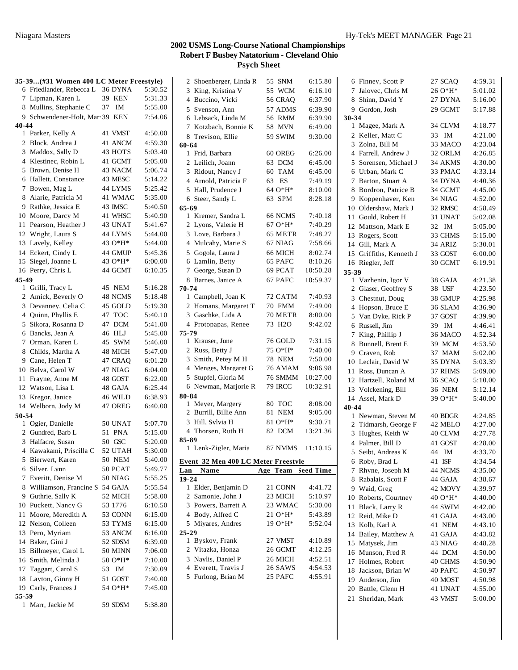|           | 35-39(#31 Women 400 LC Meter Freestyle)   |                    |                    | 2 Shoenberger, Linda R                | 55 SNM             | 6:15.80            |
|-----------|-------------------------------------------|--------------------|--------------------|---------------------------------------|--------------------|--------------------|
|           | 6 Friedlander, Rebecca L 36 DYNA          |                    | 5:30.52            | 3 King, Kristina V                    | 55 WCM             | 6:16.10            |
|           | 7 Lipman, Karen L                         | <b>39 KEN</b>      | 5:31.33            | 4 Buccino, Vicki                      | 56 CRAQ            | 6:37.90            |
|           | 8 Mullins, Stephanie C                    | 37 IM              | 5:55.00            | 5 Svenson, Ann                        | 57 ADMS            | 6:39.90            |
|           | 9 Schwendener-Holt, Mar 39 KEN            |                    | 7:54.06            | 6 Lebsack, Linda M                    | 56 RMM             | 6:39.90            |
| $40 - 44$ |                                           | 41 VMST            | 4:50.00            | 7 Kotzbach, Bonnie K                  | 58 MVN             | 6:49.00            |
|           | 1 Parker, Kelly A                         |                    |                    | 8 Trevison, Ellie                     | 59 SWIM            | 9:30.00            |
|           | 2 Block, Andrea J<br>3 Maddox, Sally D    | 41 ANCM<br>43 HOTS | 4:59.30<br>5:03.40 | 60-64                                 |                    |                    |
|           | 4 Klestinec, Robin L                      | 41 GCMT            | 5:05.00            | 1 Frid, Barbara                       | 60 OREG            | 6:26.00            |
|           | 5 Brown, Denise H                         | 43 NACM            | 5:06.74            | 2 Leilich, Joann<br>3 Ridout, Nancy J | 63 DCM<br>60 TAM   | 6:45.00            |
|           | 6 Hallett, Constance                      | 43 MESC            | 5:14.22            | 4 Arnold, Patricia F                  | 63<br>ES           | 6:45.00<br>7:49.19 |
|           | 7 Bowen, Mag L                            | 44 LYMS            | 5:25.42            | 5 Hall, Prudence J                    | 64 O*H*            | 8:10.00            |
|           | 8 Alarie, Patricia M                      | 41 WMAC            | 5:35.00            | 6 Steer, Sandy L                      | 63 SPM             | 8:28.18            |
|           | 9 Rathke, Jessica E                       | 43 IMSC            | 5:40.50            | 65-69                                 |                    |                    |
|           | 10 Moore, Darcy M                         | 41 WHSC            | 5:40.90            | 1 Kremer, Sandra L                    | 66 NCMS            | 7:40.18            |
|           | 11 Pearson, Heather J                     | 43 UNAT            | 5:41.67            | 2 Lyons, Valerie H                    | $67O*H*$           | 7:40.29            |
|           | 12 Wright, Laura S                        | 44 LYMS            | 5:44.00            | 3 Love, Barbara J                     | 65 METR            | 7:48.27            |
|           | 13 Lavely, Kelley                         | 43 O*H*            | 5:44.00            | 4 Mulcahy, Marie S                    | 67 NIAG            | 7:58.66            |
|           | 14 Eckert, Cindy L                        | 44 GMUP            | 5:45.36            | 5 Gogola, Laura J                     | 66 MICH            | 8:02.74            |
|           | 15 Siegel, Joanne L                       | 43 O*H*            | 6:00.00            | 6 Lamlin, Betty                       | 65 PAFC            | 8:10.26            |
|           | 16 Perry, Chris L                         | 44 GCMT            | 6:10.35            | 7 George, Susan D                     | 69 PCAT            | 10:50.28           |
| 45-49     |                                           |                    |                    | 8 Barnes, Janice A                    | 67 PAFC            | 10:59.37           |
|           | 1 Grilli, Tracy L                         | 45 NEM             | 5:16.28            | 70-74                                 |                    |                    |
|           | 2 Amick, Beverly O                        | 48 NCMS            | 5:18.48            | 1 Campbell, Joan K                    | 72 CATM            | 7:40.93            |
|           | 3 Devanney, Celia C                       | 45 GOLD            | 5:19.30            | 2 Homans, Margaret T                  | 70 FMM             | 7:49.00            |
|           | 4 Quinn, Phyllis E                        | 47 TOC             | 5:40.10            | 3 Gaschke, Lida A                     | 70 METR            | 8:00.00            |
|           | 5 Sikora, Rosanna D<br>6 Bancks, Jean A   | 47 DCM<br>46 HLJ   | 5:41.00            | 4 Protopapas, Renee<br>75-79          | 73 H2O             | 9:42.02            |
|           | 7 Orman, Karen L                          | 45 SWM             | 5:45.00<br>5:46.00 | 1 Krauser, June                       | 76 GOLD            | 7:31.15            |
|           | 8 Childs, Martha A                        | 48 MICH            | 5:47.00            | 2 Russ, Betty J                       | 75 O*H*            | 7:40.00            |
|           | 9 Cane, Helen T                           | 47 CRAQ            | 6:01.20            | 3 Smith, Petey M H                    | 78 NEM             | 7:50.00            |
|           | 10 Belva, Carol W                         | 47 NIAG            | 6:04.00            | 4 Menges, Margaret G                  | 76 AMAM            | 9:06.98            |
|           | 11 Frayne, Anne M                         | 48 GOST            | 6:22.00            | 5 Stupfel, Gloria M                   | 76 SMMM            | 10:27.00           |
|           | 12 Watson, Lisa L                         | 48 GAJA            | 6:25.44            | 6 Newman, Marjorie R                  | 79 IRCC            | 10:32.91           |
|           | 13 Kregor, Janice                         | 46 WILD            | 6:38.93            | 80-84                                 |                    |                    |
|           | 14 Welborn, Jody M                        | 47 OREG            | 6:40.00            | 1 Meyer, Margery                      | 80 TOC             | 8:08.00            |
| 50-54     |                                           |                    |                    | 2 Burrill, Billie Ann                 | 81 NEM             | 9:05.00            |
|           | 1 Ogier, Danielle                         | 50 UNAT            | 5:07.70            | 3 Hill, Sylvia H                      | 81 O*H*            | 9:30.71            |
|           | 2 Gundred, Barb L                         | 51 PNA             | 5:15.00            | 4 Thorsen, Ruth H                     | 82 DCM             | 13:21.36           |
|           | 3 Halfacre, Susan                         | 50 GSC             | 5:20.00            | 85-89                                 |                    |                    |
|           | 4 Kawakami, Priscilla C                   | 52 UTAH            | 5:30.00            | 1 Lenk-Zigler, Maria                  | 87 NMMS            | 11:10.15           |
|           | 5 Bierwert, Karen                         | <b>50 NEM</b>      | 5:40.00            | Event 32 Men 400 LC Meter Freestvle   |                    |                    |
|           | 6 Silver, Lynn                            | 50 PCAT            | 5:49.77            | Name<br>Lan                           | Age Team           | Seed Time          |
|           | 7 Everitt, Denise M                       | 50 NIAG            | 5:55.25            | $19 - 24$                             |                    |                    |
|           | 8 Williamson, Francine S 54 GAJA          |                    | 5:55.54            | 1 Elder, Benjamin D                   | 21 CONN            | 4:41.72            |
|           |                                           |                    |                    |                                       |                    |                    |
|           | 9 Guthrie, Sally K                        | 52 MICH            | 5:58.00            | 2 Samonie, John J                     | 23 MICH            | 5:10.97            |
|           | 10 Puckett, Nancy G                       | 53 1776            | 6:10.50            | 3 Powers, Barrett A                   | 23 WMAC            | 5:30.00            |
|           | 11 Moore, Meredith A                      | 53 CONN            | 6:15.00            | 4 Body, Alfred C                      | $210*H*$           | 5:43.89            |
|           | 12 Nelson, Colleen                        | 53 TYMS            | 6:15.00            | 5 Miyares, Andres                     | $19O*H*$           | 5:52.04            |
|           | 13 Pero, Myriam                           | 53 ANCM            | 6:16.00            | $25 - 29$                             |                    |                    |
|           | 14 Baker, Gini J                          | 52 SDSM            | 6:39.00            | 1 Byskov, Frank<br>2 Vitazka, Honza   | 27 VMST            | 4:10.89            |
|           | 15 Billmeyer, Carol L                     | 50 MINN            | 7:06.00            | 3 Naylis, Daniel P                    | 26 GCMT            | 4:12.25            |
|           | 16 Smith, Melinda J                       | 50 O*H*            | 7:10.00            | 4 Everett, Travis J                   | 26 MICH<br>26 SAWS | 4:52.51<br>4:54.53 |
|           | 17 Taggart, Carol S                       | 53 IM              | 7:30.09            | 5 Furlong, Brian M                    | 25 PAFC            | 4:55.91            |
|           | 18 Layton, Ginny H<br>19 Carly, Frances J | 51 GOST<br>54 O*H* | 7:40.00            |                                       |                    |                    |
| 55-59     |                                           |                    | 7:45.00            |                                       |                    |                    |
|           | 1 Marr, Jackie M                          | 59 SDSM            | 5:38.80            |                                       |                    |                    |

|              | 3 King, Kristina V                  | 55 WCM              | 6:16.10   |
|--------------|-------------------------------------|---------------------|-----------|
|              | 4 Buccino, Vicki                    | 56 CRAQ             | 6:37.90   |
|              | 5 Svenson, Ann                      | 57 ADMS             | 6:39.90   |
|              | 6 Lebsack, Linda M                  | 56 RMM              | 6:39.90   |
|              | 7 Kotzbach, Bonnie K                | 58 MVN              | 6:49.00   |
|              | 8 Trevison, Ellie                   | 59 SWIM             | 9:30.00   |
| 60-64        |                                     |                     |           |
|              | 1 Frid, Barbara                     | 60 OREG             | 6:26.00   |
|              | 2 Leilich, Joann                    | 63 DCM              | 6:45.00   |
|              | 3 Ridout, Nancy J                   | 60 TAM              | 6:45.00   |
|              | 4 Arnold, Patricia F                | 63 ES               | 7:49.19   |
|              | 5 Hall, Prudence J                  | 64 O*H*             | 8:10.00   |
|              | 6 Steer, Sandy L                    | 63 SPM              | 8:28.18   |
|              |                                     |                     |           |
| 65-69<br>1   | Kremer, Sandra L                    | 66 NCMS             | 7:40.18   |
|              | 2 Lyons, Valerie H                  |                     |           |
|              |                                     | 67 O*H*             | 7:40.29   |
|              | 3 Love, Barbara J                   | 65 METR             | 7:48.27   |
|              | 4 Mulcahy, Marie S                  | 67 NIAG             | 7:58.66   |
|              | 5 Gogola, Laura J                   | 66 MICH             | 8:02.74   |
|              | 6 Lamlin, Betty                     | 65 PAFC             | 8:10.26   |
|              | 7 George, Susan D                   | 69 PCAT             | 10:50.28  |
|              | 8 Barnes, Janice A                  | 67 PAFC             | 10:59.37  |
| 70-74        |                                     |                     |           |
|              | 1 Campbell, Joan K                  | 72 CATM             | 7:40.93   |
|              | 2 Homans, Margaret T                | 70 FMM              | 7:49.00   |
|              | 3 Gaschke, Lida A                   | 70 METR             | 8:00.00   |
|              | 4 Protopapas, Renee                 | 73 H <sub>2</sub> O | 9:42.02   |
| 75-79        |                                     |                     |           |
|              | 1 Krauser, June                     | 76 GOLD             | 7:31.15   |
|              | 2 Russ, Betty J                     | 75 O*H*             | 7:40.00   |
|              | 3 Smith, Petey M H                  | <b>78 NEM</b>       | 7:50.00   |
|              | 4 Menges, Margaret G                | 76 AMAM             | 9:06.98   |
|              | 5 Stupfel, Gloria M                 | 76 SMMM             | 10:27.00  |
|              | 6 Newman, Marjorie R                | <b>79 IRCC</b>      | 10:32.91  |
| 80-84        |                                     |                     |           |
|              | 1 Meyer, Margery                    | 80 TOC              | 8:08.00   |
|              | 2 Burrill, Billie Ann               | 81<br>NEM           | 9:05.00   |
|              | 3 Hill, Sylvia H                    | 81 O*H*             | 9:30.71   |
|              | 4 Thorsen, Ruth H                   | 82 DCM              | 13:21.36  |
| 85-89        |                                     |                     |           |
|              | 1 Lenk-Zigler, Maria                | 87 NMMS             | 11:10.15  |
|              | Event 32 Men 400 LC Meter Freestvle |                     |           |
|              | Lan Name                            | Age Team            | Seed Time |
| 19-24        |                                     |                     |           |
|              | 1 Elder, Benjamin D                 | 21 CONN             | 4:41.72   |
|              | 2 Samonie, John J                   | 23 MICH             | 5:10.97   |
|              | 3 Powers, Barrett A                 | 23 WMAC             | 5:30.00   |
|              | 4 Body, Alfred C                    | $21 O*H*$           | 5:43.89   |
|              | 5 Miyares, Andres                   | 19 O*H*             | 5:52.04   |
| 25-29        |                                     |                     |           |
| $\mathbf{1}$ | Byskov, Frank                       | 27 VMST             | 4:10.89   |
|              | 2 Vitazka, Honza                    | 26 GCMT             | 4:12.25   |
|              | 3 Naylis, Daniel P                  | 26 MICH             | 4:52.51   |
|              | 4 Everett, Travis J                 | 26 SAWS             | 4:54.53   |
|              | 5 Furlong, Brian M                  | 25 PAFC             | 4:55.91   |
|              |                                     |                     |           |
|              |                                     |                     |           |
|              |                                     |                     |           |

|                | 6 Finney, Scott P       | 27 SCAQ  | 4:59.31 |
|----------------|-------------------------|----------|---------|
| 7              | Jalovec, Chris M        | 26 O*H*  | 5:01.02 |
| 8              | Shinn, David Y          | 27 DYNA  | 5:16.00 |
|                | 9 Gordon, Josh          | 29 GCMT  | 5:17.88 |
| 30-34          |                         |          |         |
|                | 1 Magee, Mark A         | 34 CLVM  | 4:18.77 |
| 2              | Keller, Matt C          | IM<br>33 | 4:21.00 |
| 3              | Zolna, Bill M           | 33 MACO  | 4:23.04 |
| 4              | Farrell, Andrew J       | 32 ORLM  | 4:26.85 |
| 5              | Sorensen, Michael J     | 34 AKMS  | 4:30.00 |
| 6              | Urban, Mark C           | 33 PMAC  | 4:33.14 |
| 7              | Barton, Stuart A        | 34 DYNA  | 4:40.36 |
| 8              | Bordron, Patrice B      | 34 GCMT  | 4:45.00 |
| 9              | Koppenhaver, Ken        | 34 NIAG  | 4:52.00 |
|                | 10 Oldershaw, Mark J    | 32 RMSC  | 4:58.49 |
|                | 11 Gould, Robert H      | 31 UNAT  | 5:02.08 |
| 12             | Mattson, Mark E         | 32<br>IM | 5:05.00 |
| 13             | Rogers, Scott           | 33 CHMS  | 5:15.00 |
|                | 14 Gill, Mark A         | 34 ARIZ  | 5:30.01 |
|                | 15 Griffiths, Kenneth J | 33 GOST  | 6:00.00 |
| 16             | Riegler, Jeff           | 30 GCMT  | 6:19.91 |
| 35-39          |                         |          |         |
|                | 1 Vazhenin, Igor V      | 38 GAJA  | 4:21.38 |
|                | 2 Glaser, Geoffrey S    | 38 USF   | 4:23.50 |
|                | 3 Chestnut, Doug        | 38 GMUP  | 4:25.98 |
| 4              | Hopson, Bruce E         | 36 SLAM  | 4:36.90 |
| 5              | Van Dyke, Rick P        | 37 GOST  | 4:39.90 |
| 6              | Russell, Jim            | 39 IM    | 4:46.41 |
| 7              | King, Phillip J         | 36 MACO  | 4:52.34 |
| 8              | Bunnell, Brent E        | 39 MCM   | 4:53.50 |
|                | 9 Craven, Rob           | 37 MAM   | 5:02.00 |
|                | 10 Leclair, David W     | 35 DYNA  | 5:03.39 |
| 11             | Ross, Duncan A          | 37 RHMS  | 5:09.00 |
|                | 12 Hartzell, Roland M   | 36 SCAQ  | 5:10.00 |
|                | 13 Volckening, Bill     | 36 NEM   | 5:12.14 |
| 40-44          | 14 Assel, Mark D        | 39 O*H*  | 5:40.00 |
|                | 1 Newman, Steven M      | 40 BDGR  | 4:24.85 |
| $\overline{2}$ | Tidmarsh, George F      | 42 MELO  | 4:27.00 |
| 3              | Hughes, Keith W         | 40 CLVM  | 4:27.78 |
|                | 4 Palmer, Bill D        | 41 GOST  | 4:28.00 |
| 5              | Seibt, Andreas K        | 44<br>IM | 4:33.70 |
| 6              | Roby, Brad L            | 41 ISF   | 4:34.54 |
| 7              | Rhyne, Joseph M         | 44 NCMS  | 4:35.00 |
| 8              | Rabalais, Scott F       | 44 GAJA  | 4:38.67 |
| 9.             | Waid, Greg              | 42 MOVY  | 4:39.97 |
| 10             | Roberts, Courtney       | 40 O*H*  | 4:40.00 |
| 11             | Black, Larry R          | 44 SWIM  | 4:42.00 |
| 12             | Reid, Mike D            | 41 GAJA  | 4:43.00 |
| 13             | Kolb, Karl A            | 41 NEM   | 4:43.10 |
| 14             | Bailey, Matthew A       | 41 GAJA  | 4:43.82 |
| 15             | Matysek, Jim            | 43 NIAG  | 4:48.28 |
| 16             | Munson, Fred R          | 44 DCM   | 4:50.00 |
| 17             | Holmes, Robert          | 40 CHMS  | 4:50.90 |
| 18             | Jackson, Brian W        | 40 PAFC  | 4:50.97 |
| 19             | Anderson, Jim           | 40 MOST  | 4:50.98 |
|                | 20 Battle, Glenn H      | 41 UNAT  | 4:55.00 |
| 21             | Sheridan, Mark          | 43 VMST  | 5:00.00 |
|                |                         |          |         |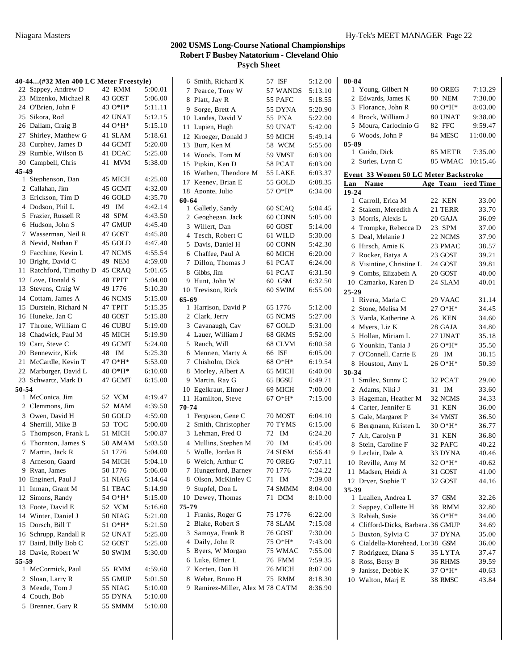|       | 40-44 (#32 Men 400 LC Meter Freestyle) |                |         | 6 Smith, Richard K               | 57 ISF         | 5:12.00 |
|-------|----------------------------------------|----------------|---------|----------------------------------|----------------|---------|
|       | 22 Sappey, Andrew D                    | 42 RMM         | 5:00.01 | 7 Pearce, Tony W                 | 57 WANDS       | 5:13.10 |
|       | 23 Mizenko, Michael R                  | 43 GOST        | 5:06.00 | 8 Platt, Jay R                   | 55 PAFC        | 5:18.55 |
|       | 24 O'Brien, John F                     | 43 O*H*        | 5:11.11 | 9 Sorge, Brett A                 | 55 DYNA        | 5:20.90 |
|       | 25 Sikora, Rod                         | 42 UNAT        | 5:12.15 | 10 Landes, David V               | 55 PNA         | 5:22.00 |
|       | 26 Dallam, Craig B                     | 44 O*H*        | 5:15.10 | 11 Lupien, Hugh                  | 59 UNAT        | 5:42.00 |
|       | 27 Shirley, Matthew G                  | 41 SLAM        | 5:18.61 | 12 Kroeger, Donald J             | 59 MICH        | 5:49.14 |
|       | 28 Curphey, James D                    | 44 GCMT        | 5:20.00 |                                  |                |         |
|       | 29 Rumble, Wilson B                    | 41 DCAC        | 5:25.00 | 13 Burr, Ken M                   | 58 WCM         | 5:55.00 |
|       | 30 Campbell, Chris                     | 41 MVM         | 5:38.00 | 14 Woods, Tom M                  | 59 VMST        | 6:03.00 |
| 45-49 |                                        |                |         | 15 Pipkin, Ken D                 | 58 PCAT        | 6:03.00 |
|       | 1 Stephenson, Dan                      | 45 MICH        | 4:25.00 | 16 Wathen, Theodore M            | 55 LAKE        | 6:03.37 |
|       | 2 Callahan, Jim                        | 45 GCMT        | 4:32.00 | 17 Keeney, Brian E               | 55 GOLD        | 6:08.35 |
|       | 3 Erickson, Tim D                      | 46 GOLD        | 4:35.70 | 18 Aponte, Julio                 | 57 O*H*        | 6:34.00 |
|       |                                        |                |         | 60-64                            |                |         |
|       | 4 Dodson, Phil L                       | 49 IM          | 4:42.14 | 1 Galletly, Sandy                | 60 SCAQ        | 5:04.45 |
|       | 5 Frazier, Russell R                   | 48 SPM         | 4:43.50 | 2 Geoghegan, Jack                | 60 CONN        | 5:05.00 |
|       | 6 Hudson, John S                       | 47 GMUP        | 4:45.40 | 3 Willert, Dan                   | 60 GOST        | 5:14.00 |
|       | 7 Wasserman, Neil R                    | 47 GOST        | 4:45.80 | 4 Tesch, Robert C                | 61 WILD        | 5:30.00 |
|       | 8 Nevid, Nathan E                      | 45 GOLD        | 4:47.40 | 5 Davis, Daniel H                | 60 CONN        | 5:42.30 |
|       | 9 Facchine, Kevin L                    | 47 NCMS        | 4:55.54 | 6 Chaffee, Paul A                | 60 MICH        | 6:20.00 |
|       | 10 Bright, David C                     | 49 NEM         | 4:59.00 | 7 Dillon, Thomas J               | 61 PCAT        | 6:24.00 |
|       | 11 Ratchford, Timothy D                | 45 CRAQ        | 5:01.65 | 8 Gibbs, Jim                     | 61 PCAT        | 6:31.50 |
|       | 12 Love, Donald S                      | 48 TPIT        | 5:04.00 | 9 Hunt, John W                   | 60 GSM         | 6:32.50 |
|       | 13 Stevens, Craig W                    | 49 1776        | 5:10.30 | 10 Trevison, Rick                | 60 SWIM        | 6:55.00 |
|       | 14 Cottam, James A                     | 46 NCMS        | 5:15.00 | $65 - 69$                        |                |         |
|       | 15 Durstein, Richard N                 | 47 TPIT        | 5:15.35 | 1 Harrison, David P              | 65 1776        | 5:12.00 |
|       | 16 Huneke, Jan C                       | 48 GOST        | 5:15.80 | 2 Clark, Jerry                   | 65 NCMS        | 5:27.00 |
|       | 17 Throne, William C                   | 46 CUBU        | 5:19.00 | 3 Cavanaugh, Cav                 | 67 GOLD        | 5:31.00 |
|       | 18 Chadwick, Paul M                    | 45 MICH        | 5:19.90 | 4 Lauer, William J               | 68 GKMS        | 5:52.00 |
|       | 19 Carr, Steve C                       | 49 GCMT        | 5:24.00 | 5 Rauch, Will                    | 68 CLVM        | 6:00.58 |
|       | 20 Bennewitz, Kirk                     | 48 IM          | 5:25.30 | 6 Mennen, Marty A                | 66 ISF         | 6:05.00 |
|       | 21 McCardle, Kevin T                   | 47 O*H*        | 5:53.00 | 7 Chisholm, Dick                 | 68 O*H*        | 6:19.54 |
|       | 22 Marburger, David L                  | 48 O*H*        | 6:10.00 | 8 Morley, Albert A               | 65 MICH        | 6:40.00 |
|       | 23 Schwartz, Mark D                    | 47 GCMT        | 6:15.00 | 9 Martin, Ray G                  | 65 BGSU        | 6:49.71 |
| 50-54 |                                        |                |         | 10 Egelkraut, Elmer J            | 69 MICH        | 7:00.00 |
|       | 1 McConica, Jim                        | 52 VCM         | 4:19.47 | 11 Hamilton, Steve               | 67 O*H*        | 7:15.00 |
|       | 2 Clemmons, Jim                        | 52 MAM         | 4:39.50 | 70-74                            |                |         |
|       | 3 Owen, David H                        | 50 GOLD        | 4:59.00 | 1 Ferguson, Gene C               | 70 MOST        | 6:04.10 |
|       | 4 Sherrill, Mike B                     | 53 TOC         | 5:00.00 | 2 Smith, Christopher             | 70 TYMS        | 6:15.00 |
|       | 5 Thompson, Frank L                    | 51 MICH        | 5:00.87 | 3 Lehman, Fred O                 | 72<br>IM       | 6:24.20 |
|       | 6 Thornton, James S                    |                |         | 4 Mullins, Stephen M             | 70 IM          |         |
|       |                                        | 50 AMAM        | 5:03.50 |                                  | 74 SDSM        | 6:45.00 |
|       | 7 Martin, Jack R                       | 51 1776        | 5:04.00 | 5 Wolle, Jordan B                |                | 6:56.41 |
|       | 8 Arneson, Gaard                       | 54 MICH        | 5:04.10 | 6 Welch, Arthur C                | <b>70 OREG</b> | 7:07.11 |
|       | 9 Ryan, James                          | 50 1776        | 5:06.00 | 7 Hungerford, Barney             | 70 1776        | 7:24.22 |
|       | 10 Engineri, Paul J                    | 51 NIAG        | 5:14.64 | 8 Olson, McKinley C              | 71 IM          | 7:39.08 |
|       | 11 Inman, Grant M                      | 51 TBAC        | 5:14.90 | 9 Stupfel, Don L                 | 74 SMMM        | 8:04.00 |
|       | 12 Simons, Randy                       | 54 O*H*        | 5:15.00 | 10 Dewey, Thomas                 | 71 DCM         | 8:10.00 |
|       | 13 Foote, David E                      | 52 VCM         | 5:16.60 | 75-79                            |                |         |
|       | 14 Winter, Daniel J                    | 50 NIAG        | 5:21.00 | 1 Franks, Roger G                | 75 1776        | 6:22.00 |
|       | 15 Dorsch, Bill T                      | 51 O*H*        | 5:21.50 | 2 Blake, Robert S                | 78 SLAM        | 7:15.08 |
|       | 16 Schrupp, Randall R                  | 52 UNAT        | 5:25.00 | 3 Samoya, Frank B                | 76 GOST        | 7:30.00 |
|       | 17 Baird, Billy Bob C                  | 52 GOST        | 5:25.00 | 4 Daily, John R                  | 75 O*H*        | 7:43.00 |
|       | 18 Davie, Robert W                     | <b>50 SWIM</b> | 5:30.00 | 5 Byers, W Morgan                | 75 WMAC        | 7:55.00 |
| 55-59 |                                        |                |         | 6 Luke, Elmer L                  | 76 FMM         | 7:59.35 |
|       | 1 McCormick, Paul                      | 55 RMM         | 4:59.60 | 7 Korten, Don H                  | 76 MICH        | 8:07.00 |
|       | 2 Sloan, Larry R                       | 55 GMUP        | 5:01.50 | 8 Weber, Bruno H                 | 75 RMM         | 8:18.30 |
|       | 3 Meade, Tom J                         | 55 NIAG        | 5:10.00 | 9 Ramirez-Miller, Alex M 78 CATM |                | 8:36.90 |
|       | 4 Couch, Bob                           | 55 DYNA        | 5:10.00 |                                  |                |         |
|       | 5 Brenner, Gary R                      | 55 SMMM        | 5:10.00 |                                  |                |         |
|       |                                        |                |         |                                  |                |         |

| 80-84          |                                       |                  |           |
|----------------|---------------------------------------|------------------|-----------|
|                | 1 Young, Gilbert N                    | 80 OREG          | 7:13.29   |
|                | 2 Edwards, James K                    | 80 NEM           | 7:30.00   |
|                | 3 Florance, John R                    | 80 O*H*          | 8:03.00   |
|                | 4 Brock. William J                    | 80 UNAT          | 9:38.00   |
|                | 5 Moura, Carlocinio G                 | 82 FFC           | 9:59.47   |
|                | 6 Woods, John P                       | 84 MESC          | 11:00.00  |
| 85-89          |                                       |                  |           |
|                | 1 Guido, Dick                         | 85 METR          | 7:35.00   |
| $\overline{2}$ | Surles, Lynn C                        | 85 WMAC          | 10:15.46  |
|                |                                       |                  |           |
|                | Event 33 Women 50 LC Meter Backstroke |                  |           |
| Lan            | Name                                  | Age Team         | leed Time |
| 19-24          | 1 Carroll, Erica M                    | 22 KEN           | 33.00     |
| $\overline{2}$ | Stakem, Meredith A                    | 21 TERR          | 33.70     |
| 3              | Morris, Alexis L                      | 20 GAJA          | 36.09     |
|                |                                       |                  |           |
|                | 4 Trompke, Rebecca D                  | 23 SPM           | 37.00     |
|                | 5 Deal, Melanie J                     | 22 NCMS          | 37.90     |
| 6              | Hirsch, Amie K                        | 23 PMAC          | 38.57     |
| 7              | Rocker, Batya A                       | 23 GOST          | 39.21     |
| 8              | Visintine, Christine L                | 24 GOST          | 39.81     |
|                | 9 Combs, Elizabeth A                  | 20 GOST          | 40.00     |
|                | 10 Czmarko, Karen D                   | 24 SLAM          | 40.01     |
| 25-29          |                                       |                  |           |
|                | 1 Rivera, Maria C                     | 29 VAAC          | 31.14     |
|                | 2 Stone, Melisa M                     | 27 O*H*          | 34.45     |
|                | 3 Varda, Katherine A                  | 26 KEN           | 34.60     |
| 4              | Myers, Liz K                          | 28 GAJA          | 34.80     |
| 5              | Hollan, Miriam L                      | 27 UNAT          | 35.18     |
| 6              | Younkin, Tania J                      | 26 O*H*          | 35.50     |
| 7              | O'Connell, Carrie E                   | IM<br>28.        | 38.15     |
|                | 8 Houston, Amy L                      | 26 O*H*          | 50.39     |
| 30-34          |                                       |                  |           |
|                | 1 Smiley, Sunny C                     | 32 PCAT          | 29.00     |
|                | 2 Adams, Niki J                       | 31<br>IM         | 33.60     |
| 3              | Hageman, Heather M                    | 32 NCMS          | 34.33     |
|                | 4 Carter, Jennifer E                  | 31 KEN           | 36.00     |
|                | 5 Gale, Margaret P                    | 34 VMST          | 36.50     |
| 6              | Bergmann, Kristen L                   | 30 O*H*          | 36.77     |
| 7              | Alt. Carolyn P                        | 31 KEN           | 36.80     |
| 8              | Stein, Caroline F                     | 32 PAFC          | 40.22     |
| 9              | Leclair, Dale A                       | 33 DYNA          | 40.46     |
| 10             | Reville, Amy M                        | 32 O*H*          | 40.62     |
| 11             | Madsen, Heidi A                       | 31 GOST          | 41.00     |
| 12             | Dryer, Sophie T                       | 32 GOST          | 44.16     |
| 35-39          |                                       |                  |           |
|                | 1 Luallen, Andrea L                   | <b>GSM</b><br>37 | 32.26     |
|                | 2 Sappey, Collette H                  | RMM<br>38        | 32.80     |
| 3              | Rabiah, Susie                         | 36 O*H*          | 34.00     |
|                | 4 Clifford-Dicks, Barbara 36 GMUP     |                  | 34.69     |
|                | Buxton, Sylvia C                      | 37 DYNA          |           |
| 5              |                                       |                  | 35.00     |
| 6              | Cialdella-Morehead, Lo138 GSM         |                  | 36.00     |
| 7              | Rodriguez, Diana S                    | 35 LYTA          | 37.47     |
| 8              | Ross, Betsy B                         | 36 RHMS          | 39.59     |
| 9              | Janisse, Debbie K                     | 37 O*H*          | 40.63     |
|                | 10 Walton, Marj E                     | 38 RMSC          | 43.84     |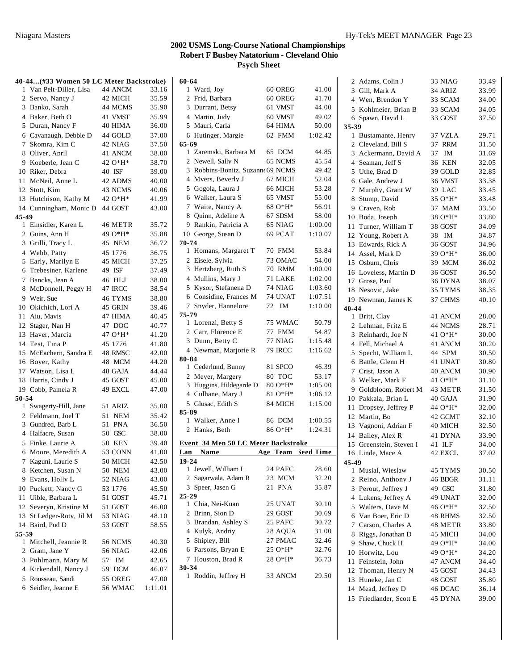1 Ward, Joy 60 OREG 41.00

**60-64**

#### **40-44...(#33 Women 50 LC Meter Backstroke)** Van Pelt-Diller, Lisa 44 ANCM 33.16 2 Servo, Nancy J 42 MICH 35.59 Banko, Sarah 44 MCMS 35.90 Baker, Beth O 41 VMST 35.99 Duran, Nancy F 40 HIMA 36.00 Cavanaugh, Debbie D 44 GOLD 37.00 Skomra, Kim C 42 NIAG 37.50 Oliver, April 41 ANCM 38.00 Koeberle, Jean C 42 O\*H\* 38.70 Riker, Debra 40 ISF 39.00 11 McNeil, Anne L 42 ADMS 40.00 12 Stott, Kim 43 NCMS 40.06 13 Hutchison, Kathy M 42 O\*H\* 41.99 14 Cunningham, Monic D 44 GOST 43.00 **45-49** Einsidler, Karen L 46 METR 35.72 2 Guins, Ann H 49 O\*H\* 35.88 Grilli, Tracy L 45 NEM 36.72 Webb, Patty 45 1776 36.75 Early, Marilyn E 45 MICH 37.25 Trebesiner, Karlene 49 ISF 37.49 Bancks, Jean A 46 HLJ 38.00 8 McDonnell, Peggy H 47 IRCC 38.54 Weir, Sue 46 TYMS 38.80 Okichich, Lori A 45 GRIN 39.46 11 Aiu, Mavis 47 HIMA 40.45 12 Stager, Nan H 47 DOC 40.77 13 Haver, Marcia  $470*H^*$  41.20 14 Test, Tina P 45 1776 41.80 15 McEachern, Sandra E 48 RMSC 42.00 Boyer, Kathy 48 MCM 44.20 17 Watson, Lisa L 48 GAJA 44.44 18 Harris, Cindy J 45 GOST 45.00 19 Cobb, Pamela R 49 EXCL 47.00 **50-54** Swagerty-Hill, Jane 51 ARIZ 35.00 2 Feldmann, Joel T 51 NEM 35.42 3 Gundred, Barb L 51 PNA 36.50 Halfacre, Susan 50 GSC 38.00 Finke, Laurie A 50 KEN 39.40 Moore, Meredith A 53 CONN 41.00 7 Kaguni, Laurie S 50 MICH 42.50 8 Ketchen, Susan N 50 NEM 43.00 Evans, Holly L 52 NIAG 43.00 10 Puckett, Nancy G 53 1776 45.50 11 Uible, Barbara L 51 GOST 45.71 12 Severyn, Kristine M 51 GOST 46.00 13 St Ledger-Roty, Jil M 53 NIAG 48.10 14 Baird, Pud D 53 GOST 58.55 **55-59** 1 Mitchell, Jeannie R 56 NCMS 40.30 Gram, Jane Y 56 NIAG 42.06 Pohlmann, Mary M 57 IM 42.65 Kirkendall, Nancy J 59 DCM 46.07 Rousseau, Sandi 55 OREG 47.00 Seidler, Jeanne E 56 WMAC 1:11.01

|       | 2 Frid, Barbara                             |    | 60 OREG | 41.70              |
|-------|---------------------------------------------|----|---------|--------------------|
|       | 3 Durrant, Betsy                            |    | 61 VMST | 44.00              |
|       | 4 Martin, Judy                              |    | 60 VMST | 49.02              |
|       | 5 Mauri, Carla                              |    | 64 HIMA | 50.00              |
| 6     | Hutinger, Margie                            |    | 62 FMM  | 1:02.42            |
| 65-69 |                                             |    |         |                    |
|       | 1 Zaremski, Barbara M                       |    | 65 DCM  | 44.85              |
|       | 2 Newell, Sally N                           |    | 65 NCMS | 45.54              |
|       | 3 Robbins-Bonitz, Suzanne 69 NCMS           |    |         | 49.42              |
|       | 4 Myers, Beverly J                          |    | 67 MICH | 52.04              |
|       | 5 Gogola, Laura J                           |    | 66 MICH | 53.28              |
|       | 6 Walker, Laura S                           |    | 65 VMST | 55.00              |
|       | 7 Waite, Nancy A                            |    | 68 O*H* | 56.91              |
|       | 8 Ouinn, Adeline A                          |    | 67 SDSM | 58.00              |
|       | 9 Rankin, Patricia A                        |    | 65 NIAG | 1:00.00            |
|       | 10 George, Susan D                          |    | 69 PCAT | 1:10.07            |
| 70-74 |                                             |    |         |                    |
|       | 1 Homans, Margaret T                        |    | 70 FMM  | 53.84              |
|       | 2 Eisele, Sylvia                            |    | 73 OMAC | 54.00              |
|       | 3 Hertzberg, Ruth S                         |    | 70 RMM  | 1:00.00            |
|       | 4 Mullins, Mary J                           |    | 71 LAKE | 1:02.00            |
|       | 5 Kysor, Stefanena D                        |    | 74 NIAG | 1:03.60            |
|       | 6 Considine, Frances M                      |    | 74 UNAT | 1:07.51            |
|       | 7 Snyder, Hannelore                         |    | 72 IM   | 1:10.00            |
| 75-79 |                                             |    |         |                    |
|       | 1 Lorenzi, Betty S                          |    | 75 WMAC | 50.79              |
|       | 2 Carr, Florence E                          |    | 77 FMM  | 54.87              |
|       | 3 Dunn, Betty C                             |    | 77 NIAG | 1:15.48            |
|       | 4 Newman, Marjorie R                        |    | 79 IRCC | 1:16.62            |
| 80-84 |                                             |    |         |                    |
|       | 1 Cederlund, Bunny                          |    | 81 SPCO | 46.39              |
|       | 2 Meyer, Margery                            |    | 80 TOC  | 53.17              |
|       | 3 Huggins, Hildegarde D                     |    | 80 O*H* | 1:05.00            |
|       | 4 Culhane, Mary J                           |    | 81 O*H* | 1:06.12            |
|       |                                             |    |         |                    |
|       | 5 Glusac, Edith S                           |    | 84 MICH | 1:15.00            |
| 85-89 |                                             |    |         |                    |
| 1     | Walker, Anne I                              |    | 86 DCM  | 1:00.55            |
| 2     | Hanks, Beth                                 |    | 86 O*H* | 1:24.31            |
|       |                                             |    |         |                    |
| Lan   | Event 34 Men 50 LC Meter Backstroke<br>Name |    |         |                    |
| 19-24 |                                             |    |         | Age Team Seed Time |
|       | 1 Jewell, William L                         |    | 24 PAFC | 28.60              |
|       | 2 Sagarwala, Adam R                         |    | 23 MCM  | 32.20              |
| 3     | Speer, Jasen G                              | 21 | PNA     | 35.87              |
|       |                                             |    |         |                    |
| 25-29 | 1 Chia, Nei-Kuan                            |    | 25 UNAT | 30.10              |
|       | 2 Brinn, Sion D                             |    | 29 GOST | 30.69              |
|       | 3 Brandan, Ashley S                         |    | 25 PAFC | 30.72              |
|       | 4 Kulyk, Andriy                             |    | 28 AQUA | 31.00              |
|       | 5 Shipley, Bill                             |    | 27 PMAC | 32.46              |
|       | 6 Parsons, Bryan E                          |    | 25 O*H* | 32.76              |
|       | 7 Houston, Brad R                           |    | 28 O*H* | 36.73              |
|       |                                             |    |         |                    |
| 30-34 | 1 Roddin, Jeffrey H                         |    | 33 ANCM | 29.50              |

|                | 2 Adams, Colin J                   | 33 NIAG            | 33.49          |
|----------------|------------------------------------|--------------------|----------------|
|                | 3 Gill, Mark A                     | 34 ARIZ            | 33.99          |
|                | 4 Wen, Brendon Y                   | 33 SCAM            | 34.00          |
| 5              | Kohlmeier, Brian B                 | 33 SCAM            | 34.05          |
|                | 6 Spawn, David L                   | 33 GOST            | 37.50          |
| 35-39          |                                    |                    |                |
| $\mathbf{1}$   | Bustamante, Henry                  | 37 VZLA            | 29.71          |
|                | 2 Cleveland, Bill S                | 37 RRM             | 31.50          |
|                | 3 Ackermann, David A               | 37 IM              | 31.69          |
| $\overline{4}$ | Seaman, Jeff S                     | 36 KEN             | 32.05          |
| 5              | Uthe, Brad D                       | 39 GOLD            | 32.85          |
| 6              | Gale, Andrew J                     | 36 VMST            | 33.38          |
| 7              | Murphy, Grant W                    | 39 LAC             | 33.45          |
| 8              | Stump, David                       | 35 O*H*            | 33.48          |
| 9              | Craven, Rob                        | 37 MAM             | 33.50          |
|                | 10 Boda, Joseph                    | 38 O*H*            | 33.80          |
| 11             | Turner, William T                  | 38 GOST            | 34.09          |
| 12             | Young, Robert A                    | 38<br>IM           | 34.87          |
|                | 13 Edwards, Rick A                 | 36 GOST            | 34.96          |
|                | 14 Assel, Mark D                   | 39 O*H*            | 36.00          |
|                | 15 Osburn, Chris                   | 39 MCM             | 36.02          |
|                | 16 Loveless, Martin D              | 36 GOST            | 36.50          |
|                | 17 Grose, Paul                     | 36 DYNA            | 38.07          |
|                | 18 Nesovic, Jake                   | 35 TYMS            | 38.35          |
|                | 19 Newman, James K                 | 37 CHMS            | 40.10          |
| 40-44          |                                    |                    |                |
|                | 1 Britt, Clay                      | 41 ANCM            | 28.00          |
|                | 2 Lehman, Fritz E                  | 44 NCMS            | 28.71          |
| 3              | Reinhardt, Joe N                   | 41 O*H*            | 30.00          |
| 4              | Fell, Michael A                    | 41 ANCM            | 30.20          |
| 5              | Specht, William L                  | 44 SPM             | 30.50          |
| 6              | Battle, Glenn H                    | 41 UNAT            | 30.80          |
| 8              | 7 Crist, Jason A<br>Welker, Mark F | 40 ANCM<br>41 O*H* | 30.90<br>31.10 |
| 9              | Goldbloom, Robert M                | 43 METR            | 31.50          |
| 10             | Pakkala, Brian L                   | 40 GAJA            | 31.90          |
| 11             | Dropsey, Jeffrey P                 | 44 O*H*            | 32.00          |
|                | 12 Martin, Bo                      | 42 GCMT            | 32.10          |
|                | 13 Vagnoni, Adrian F               | 40 MICH            | 32.50          |
| 14             | Bailey, Alex R                     | 41 DYNA            | 33.90          |
| 15             | Greenstein, Steven I               | 41 ILF             | 34.00          |
| 16             | Linde, Mace A                      | 42 EXCL            | 37.02          |
| 45-49          |                                    |                    |                |
| 1              | Musial. Wieslaw                    | 45 TYMS            | 30.50          |
| $\overline{2}$ | Reino, Anthony J                   | 46 BDGR            | 31.11          |
| 3              | Perout, Jeffrey J                  | 49 GSC             | 31.80          |
|                | 4 Lukens, Jeffrey A                | 49 UNAT            | 32.00          |
| 5              | Walters, Dave M                    | 46 O*H*            | 32.50          |
| 6              | Van Boer, Eric D                   | 48 RHMS            | 32.50          |
| 7              | Carson, Charles A                  | 48 METR            | 33.80          |
| 8              | Riggs, Jonathan D                  | 45 MICH            | 34.00          |
| 9              | Shaw, Chuck H                      | 49 O*H*            | 34.00          |
|                | 10 Horwitz, Lou                    | 49 O*H*            | 34.20          |
| 11             | Feinstein, John                    | 47 ANCM            | 34.40          |
| 12             | Thoman, Henry N                    | 45 GOST            | 34.43          |
| 13             | Huneke, Jan C                      | 48 GOST            | 35.80          |
|                | 14 Mead, Jeffrey D                 | 46 DCAC            | 36.14          |
|                | 15 Friedlander, Scott E            | 45 DYNA            | 39.00          |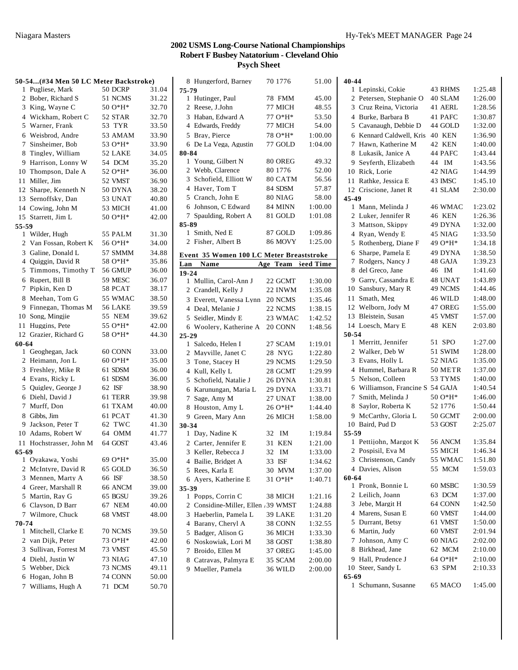|              | 50-54(#34 Men 50 LC Meter Backstroke) |                  |       |
|--------------|---------------------------------------|------------------|-------|
| 1            | Pugliese, Mark                        | 50 DCRP          | 31.04 |
| 2            | Bober, Richard S                      | 51 NCMS          | 31.22 |
| 3            | King, Wayne C                         | 50 O*H*          | 32.70 |
| 4            | Wickham, Robert C                     | 52 STAR          | 32.70 |
| 5            | Warner, Frank                         | 53 TYR           | 33.50 |
| 6            | Weisbrod, Andre                       | 53 AMAM          | 33.90 |
| 7            | Sinsheimer, Bob                       | 53 O*H*          | 33.90 |
| 8            | Tingley, William                      | 52 LAKE          | 34.05 |
| 9            | Harrison, Lonny W                     | 54 DCM           | 35.20 |
|              | 10 Thompson, Dale A                   | 52 O*H*          | 36.00 |
| 11           | Miller, Jim                           | 52 VMST          | 36.90 |
|              | 12 Sharpe, Kenneth N                  | 50 DYNA          | 38.20 |
|              | 13 Sernoffsky, Dan                    | 53 UNAT          | 40.80 |
|              | 14 Cowing, John M                     | 53 MICH          | 41.00 |
|              | 15 Starrett, Jim L                    | 50 O*H*          | 42.00 |
| 55-59        |                                       |                  |       |
|              | 1 Wilder, Hugh                        | 55 PALM          | 31.30 |
|              | 2 Van Fossan, Robert K                | 56 O*H*          | 34.00 |
| 3            | Galine, Donald L                      | 57 SMMM          | 34.88 |
| 4            | Quiggin, David R                      | 58 O*H*          | 35.86 |
| 5            | Timmons, Timothy T                    | 56 GMUP          | 36.00 |
| 6            | Rupert, Bill B                        | 59 MESC          | 36.07 |
| 7            | Pipkin, Ken D                         | 58 PCAT          | 38.17 |
| 8            | Meehan, Tom G                         | 55 WMAC          | 38.50 |
| 9            | Finnegan, Thomas M                    | 56 LAKE          | 39.59 |
|              | 10 Song, Mingjie                      | 55 NEM           | 39.62 |
| 11           | Huggins, Pete                         | 55 O*H*          | 42.00 |
|              | 12 Grazier, Richard G                 | 58 O*H*          | 44.30 |
| 60-64        |                                       |                  |       |
|              | 1 Geoghegan, Jack                     | 60 CONN          | 33.00 |
|              | 2 Heimann, Jon L                      | $60O*H*$         | 35.00 |
| 3            | Freshley, Mike R                      | 61 SDSM          | 36.00 |
| 4            | Evans, Ricky L                        | 61 SDSM          | 36.00 |
| 5            | Quigley, George J                     | 62 ISF           | 38.90 |
| 6            | Diehl, David J                        | 61 TERR          | 39.98 |
| 7            | Murff, Don                            | 61 TXAM          | 40.00 |
| 8            | Gibbs, Jim                            | 61 PCAT          | 41.30 |
| 9.           | Jackson. Peter T                      | 62 TWC           | 41.30 |
|              | 10 Adams, Robert W                    | 64 OMM           | 41.77 |
|              | 11 Hochstrasser, John M               | 64 GOST          | 43.46 |
| 65-69        |                                       |                  |       |
| $\mathbf{1}$ | Oyakawa, Yoshi                        | 69 O*H*          | 35.00 |
| 2            | McIntyre, David R                     | 65 GOLD          | 36.50 |
| 3            | Mennen, Marty A                       | 66 ISF           | 38.50 |
|              | 4 Greer, Marshall R                   | 66 ANCM          | 39.00 |
|              | 5 Martin, Ray G                       | 65 BGSU          | 39.26 |
|              | 6 Clayson, D Barr                     | 67 NEM           | 40.00 |
| 7            | Wilmore, Chuck                        | 68 VMST          | 48.00 |
| 70-74        |                                       |                  |       |
|              | 1 Mitchell, Clarke E                  | 70 NCMS          | 39.50 |
| 2            | van Dijk, Peter                       | 73 O*H*          | 42.00 |
| 3            | Sullivan, Forrest M                   | 73 VMST          | 45.50 |
|              | 4 Diehl, Justin W                     | 73 NIAG          | 47.10 |
| 5            | Webber, Dick                          | 73 NCMS          | 49.11 |
| 6            | Hogan, John B                         | 74 CONN          | 50.00 |
| 7            | Williams, Hugh A                      | 71<br><b>DCM</b> | 50.70 |

| 75-79        |                                             |                |            |                    |
|--------------|---------------------------------------------|----------------|------------|--------------------|
|              | 1 Hutinger, Paul                            | 78 FMM         |            | 45.00              |
|              | 2 Reese, J.John                             | 77 MICH        |            | 48.55              |
|              | 3 Haban, Edward A                           | 77 O*H*        |            | 53.50              |
|              | 4 Edwards, Freddy                           | 77 MICH        |            | 54.00              |
|              | 5 Bray, Pierce                              | 78 O*H*        |            | 1:00.00            |
|              | 6 De La Vega, Agustin                       | 77 GOLD        |            | 1:04.00            |
| 80-84        |                                             |                |            |                    |
|              | 1 Young, Gilbert N                          | 80 OREG        |            | 49.32              |
| $\mathbf{2}$ | Webb, Clarence                              | 80 1776        |            | 52.00              |
|              | 3 Schofield, Elliott W                      |                | 80 CATM    | 56.56              |
|              | 4 Haver, Tom T                              | 84 SDSM        |            | 57.87              |
|              | 5 Cranch, John E                            | 80 NIAG        |            | 58.00              |
|              | 6 Johnson, C Edward                         | 84 MINN        |            | 1:00.00            |
|              | 7 Spaulding, Robert A                       | 81 GOLD        |            | 1:01.08            |
| 85-89        |                                             |                |            |                    |
|              | 1 Smith, Ned E                              | 87 GOLD        |            | 1:09.86            |
|              | 2 Fisher, Albert B                          | <b>86 MOVY</b> |            | 1:25.00            |
|              | Event 35 Women 100 LC Meter Breaststroke    |                |            |                    |
| Lan          | Name                                        |                |            | Age Team Seed Time |
| $19 - 24$    |                                             |                |            |                    |
|              | 1 Mullin, Carol-Ann J                       | 22 GCMT        |            | 1:30.00            |
|              | 2 Crandell, Kelly J                         | 22 INWM        |            | 1:35.08            |
|              | 3 Everett, Vanessa Lynn                     | 20 NCMS        |            | 1:35.46            |
|              | 4 Deal, Melanie J                           | 22 NCMS        |            | 1:38.15            |
|              | 5 Seidler, Mindy E                          |                | 23 WMAC    | 1:42.52            |
|              | 6 Woolery, Katherine A                      | 20 CONN        |            | 1:48.56            |
| $25 - 29$    |                                             |                |            |                    |
|              | 1 Salcedo, Helen I                          | 27 SCAM        |            | 1:19.01            |
|              | 2 Mayville, Janet C                         | 28 NYG         |            | 1:22.80            |
|              | 3 Tone, Stacey H                            | 29 NCMS        |            | 1:29.50            |
|              | 4 Kull, Kelly L                             | 28 GCMT        |            | 1:29.99            |
|              | 5 Schofield, Natalie J                      | 26 DYNA        |            | 1:30.81            |
|              | 6 Karunungan, Maria L                       | 29 DYNA        |            | 1:33.71            |
|              | 7 Sage, Amy M                               | 27 UNAT        |            | 1:38.00            |
|              | 8 Houston, Amy L                            | 26 O*H*        |            | 1:44.40            |
|              | 9 Green, Mary Ann                           | 26 MICH        |            | 1:58.00            |
| 30-34        | 1 Day, Nadine K                             | 32 IM          |            | 1:19.84            |
|              | 2 Carter, Jennifer E                        | 31 KEN         |            | 1:21.00            |
|              | 3 Keller, Rebecca J                         | 32             | IM         | 1:33.00            |
| 4            | Bailie, Bridget A                           | 33             | <b>ISF</b> | 1:34.62            |
|              | 5 Rees, Karla E                             | 30 MVM         |            | 1:37.00            |
|              | 6 Ayers, Katherine E                        | 31 O*H*        |            | 1:40.71            |
| 35-39        |                                             |                |            |                    |
|              |                                             |                |            |                    |
|              | 1 Popps, Corrin C                           | 38 MICH        |            | 1:21.16            |
|              | 2 Considine-Miller, Ellen .39 WMST          |                |            | 1:24.88            |
|              |                                             | 39 LAKE        |            | 1:31.20            |
|              | 3 Haeberlin, Pamela L<br>4 Barany, Cheryl A | 38 CONN        |            | 1:32.55            |
|              |                                             | 36 MICH        |            | 1:33.30            |
|              | 5 Badger, Alison G<br>6 Noskowiak, Lori M   | 38 GOST        |            | 1:38.80            |
|              | 7 Broido, Ellen M                           | 37 OREG        |            | 1:45.00            |
|              | 8 Catravas, Palmyra E                       | 35 SCAM        |            | 2:00.00            |
|              | 9 Mueller, Pamela                           | 36 WILD        |            | 2:00.00            |

| 8 Hungerford, Barney                   | 70 1776        | 51.00     | 40-44                                     |         |
|----------------------------------------|----------------|-----------|-------------------------------------------|---------|
| $-79$                                  |                |           | 1 Lepinski, Cokie<br>43 RHMS              | 1:25.48 |
| 1 Hutinger, Paul                       | 78 FMM         | 45.00     | 2 Petersen, Stephanie O<br>40 SLAM        | 1:26.00 |
| 2 Reese, J.John                        | 77 MICH        | 48.55     | 3 Cruz Reina, Victoria<br>41 AERL         | 1:28.56 |
| 3 Haban, Edward A                      | 77 O*H*        | 53.50     | 4 Burke, Barbara B<br>41 PAFC             | 1:30.87 |
| 4 Edwards, Freddy                      | 77 MICH        | 54.00     | 5 Cavanaugh, Debbie D<br>44 GOLD          | 1:32.00 |
| 5 Bray, Pierce                         | 78 O*H*        | 1:00.00   | 6 Kennard Caldwell, Kris<br><b>40 KEN</b> | 1:36.90 |
| 6 De La Vega, Agustin                  | 77 GOLD        | 1:04.00   | 7 Hawn, Katherine M<br>42 KEN             | 1:40.00 |
| -84                                    |                |           | 8 Lukasik, Janice A<br>44 PAFC            | 1:43.44 |
| 1 Young, Gilbert N                     | 80 OREG        | 49.32     | Seyferth, Elizabeth<br>44 IM<br>9         | 1:43.56 |
| 2 Webb, Clarence                       | 80 1776        | 52.00     | 10 Rick, Lorie<br>42 NIAG                 | 1:44.99 |
| 3 Schofield, Elliott W                 | 80 CATM        | 56.56     | 11 Rathke, Jessica E<br>43 IMSC           | 1:45.10 |
| 4 Haver, Tom T                         | 84 SDSM        | 57.87     | 12 Criscione, Janet R<br>41 SLAM          | 2:30.00 |
| 5 Cranch, John E                       | 80 NIAG        | 58.00     | 45-49                                     |         |
| 6 Johnson, C Edward                    | 84 MINN        | 1:00.00   | 1 Mann, Melinda J<br>46 WMAC              | 1:23.02 |
| 7 Spaulding, Robert A                  | 81 GOLD        | 1:01.08   | 2 Luker, Jennifer R<br>46 KEN             | 1:26.36 |
| -89                                    |                |           | 3 Mattson, Skippy<br>49 DYNA              | 1:32.00 |
| 1 Smith, Ned E                         | 87 GOLD        | 1:09.86   | 4 Ryan, Wendy E<br>45 NIAG                | 1:33.50 |
| 2 Fisher, Albert B                     | <b>86 MOVY</b> | 1:25.00   | 5 Rothenberg, Diane F<br>49 O*H*          | 1:34.18 |
| ent 35 Women 100 LC Meter Breaststroke |                |           | 6 Sharpe, Pamela E<br>49 DYNA             | 1:38.50 |
| Name<br>ın                             | Age Team       | Seed Time | 7 Rodgers, Nancy J<br>48 GAJA             | 1:39.23 |
| -24                                    |                |           | 8 del Greco, Jane<br>46 IM                | 1:41.60 |
| 1 Mullin, Carol-Ann J                  | 22 GCMT        | 1:30.00   | 9 Garry, Cassandra E<br>48 UNAT           | 1:43.89 |
| 2 Crandell, Kelly J                    | 22 INWM        | 1:35.08   | 10 Sansbury, Mary R<br>49 NCMS            | 1:44.46 |
| 3 Everett, Vanessa Lynn 20 NCMS        |                | 1:35.46   | 11 Smath, Meg<br>46 WILD                  | 1:48.00 |
| 4 Deal, Melanie J                      | 22 NCMS        | 1:38.15   | 12 Welborn, Jody M<br>47 OREG             | 1:55.00 |
| 5 Seidler, Mindy E                     | 23 WMAC        | 1:42.52   | 13 Bleistein, Susan<br>45 VMST            | 1:57.00 |
| 6 Woolery, Katherine A                 | 20 CONN        | 1:48.56   | 14 Loesch, Mary E<br>48 KEN               | 2:03.80 |
| $-29$                                  |                |           | 50-54                                     |         |
| 1 Salcedo, Helen I                     | 27 SCAM        | 1:19.01   | 1 Merritt, Jennifer<br>51 SPO             | 1:27.00 |
| 2 Mayville, Janet C                    | 28 NYG         | 1:22.80   | 2 Walker, Deb W<br>51 SWIM                | 1:28.00 |
| 3 Tone, Stacey H                       | 29 NCMS        | 1:29.50   | 3 Evans, Holly L<br>52 NIAG               | 1:35.00 |
| 4 Kull, Kelly L                        | 28 GCMT        | 1:29.99   | 4 Hummel, Barbara R<br>50 METR            | 1:37.00 |
| 5 Schofield, Natalie J                 | 26 DYNA        | 1:30.81   | 5 Nelson, Colleen<br>53 TYMS              | 1:40.00 |
| 6 Karunungan, Maria L                  | 29 DYNA        | 1:33.71   | 6 Williamson, Francine S 54 GAJA          | 1:40.54 |
| 7 Sage, Amy M                          | 27 UNAT        | 1:38.00   | 7 Smith, Melinda J<br>$500*H*$            | 1:46.00 |
| 8 Houston, Amy L                       | 26 O*H*        | 1:44.40   | 8 Saylor, Roberta K<br>52 1776            | 1:50.44 |
| 9 Green, Mary Ann                      | 26 MICH        | 1:58.00   | 9 McCarthy, Gloria L<br>50 GCMT           | 2:00.00 |
| -34                                    |                |           | 10 Baird, Pud D<br>53 GOST                | 2:25.07 |
| 1 Day, Nadine K                        | 32 IM          | 1:19.84   | 55-59                                     |         |
| 2 Carter, Jennifer E                   | 31 KEN         | 1:21.00   | 1 Pettijohn, Margot K<br>56 ANCM          | 1:35.84 |
| 3 Keller, Rebecca J                    | 32 IM          | 1:33.00   | 2 Pospisil, Eva M<br>55 MICH              | 1:46.34 |
| 4 Bailie, Bridget A                    | 33 ISF         | 1:34.62   | 55 WMAC<br>3 Christenson, Candy           | 1:51.80 |
| 5 Rees, Karla E                        | 30 MVM         | 1:37.00   | 4 Davies, Alison<br>55 MCM                | 1:59.03 |
| 6 Ayers, Katherine E                   | 31 O*H*        | 1:40.71   | 60-64                                     |         |
| -39                                    |                |           | 1 Pronk, Bonnie L<br>60 MSBC              | 1:30.59 |
| 1 Popps, Corrin C                      | 38 MICH        | 1:21.16   | 2 Leilich, Joann<br>63 DCM                | 1:37.00 |
| 2 Considine-Miller, Ellen .39 WMST     |                | 1:24.88   | 3 Jebe, Margit H<br>64 CONN               | 1:42.50 |
| 3 Haeberlin, Pamela L                  | 39 LAKE        | 1:31.20   | 4 Marens, Susan E<br>60 VMST              | 1:44.00 |
| 4 Barany, Cheryl A                     | 38 CONN        | 1:32.55   | 5 Durrant, Betsy<br>61 VMST               | 1:50.00 |
| 5 Badger, Alison G                     | 36 MICH        | 1:33.30   | 6 Martin, Judy<br>60 VMST                 | 2:01.94 |
| 6 Noskowiak, Lori M                    | 38 GOST        | 1:38.80   | 7 Johnson, Amy C<br>60 NIAG               | 2:02.00 |
| 7 Broido, Ellen M                      | 37 OREG        | 1:45.00   | 8 Birkhead, Jane<br>62 MCM                | 2:10.00 |
| 8 Catravas, Palmyra E                  | 35 SCAM        | 2:00.00   | 9 Hall, Prudence J<br>64 O*H*             | 2:10.00 |
| 9 Mueller, Pamela                      | 36 WILD        | 2:00.00   | 10 Steer, Sandy L<br>63 SPM               | 2:10.33 |
|                                        |                |           | $65 - 69$                                 |         |
|                                        |                |           | 1 Schumann, Susanne<br>65 MACO            | 1:45.00 |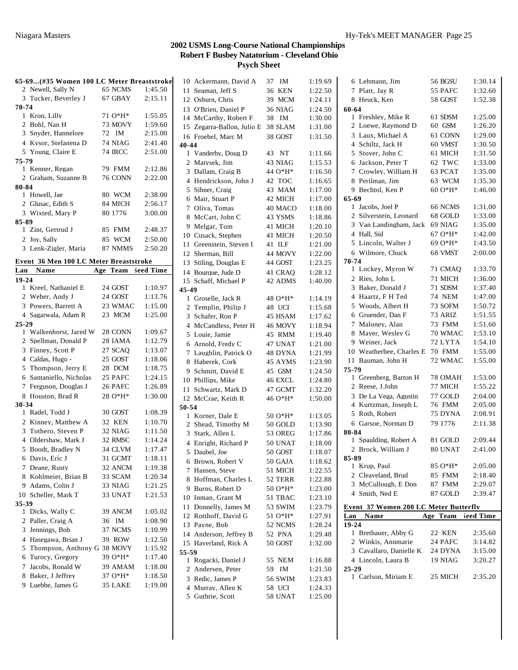|           |                                        |    | 65-69 (#35 Women 100 LC Meter Breaststroke |                    |
|-----------|----------------------------------------|----|--------------------------------------------|--------------------|
|           | 2 Newell, Sally N                      |    | 65 NCMS                                    | 1:45.50            |
|           | 3 Tucker, Beverley J                   |    | 67 GBAY                                    | 2:15.11            |
| 70-74     |                                        |    |                                            |                    |
|           | 1 Kron, Lilly                          |    | 71 O*H*                                    | 1:55.05            |
|           | 2 Bohl, Nan H                          |    | 73 MOVY                                    | 1:59.60            |
|           | 3 Snyder, Hannelore                    |    | 72 IM                                      | 2:15.00            |
|           | 4 Kysor, Stefanena D                   |    | 74 NIAG                                    | 2:41.40            |
|           | 5 Young, Claire E                      |    | <b>74 IRCC</b>                             | 2:51.00            |
| 75-79     |                                        |    |                                            |                    |
|           | 1 Kenner, Regan                        |    | 79 FMM                                     | 2:12.86            |
|           | 2 Graham, Suzanne B                    |    | 76 CONN                                    | 2:22.00            |
| 80-84     |                                        |    |                                            |                    |
|           | 1 Howell, Jae                          |    | 80 WCM                                     | 2:38.00            |
|           | 2 Glusac, Edith S                      |    | 84 MICH                                    | 2:56.17            |
|           | 3 Wixted, Mary P                       |    | 80 1776                                    | 3:00.00            |
| 85-89     |                                        |    |                                            |                    |
|           | 1 Zint, Gertrud J                      |    | 85 FMM                                     | 2:48.37            |
|           | 2 Joy, Sally                           |    | 85 WCM                                     | 2:50.00            |
|           | 3 Lenk-Zigler, Maria                   |    | 87 NMMS                                    | 2:50.20            |
|           |                                        |    |                                            |                    |
|           | Event 36 Men 100 LC Meter Breaststroke |    |                                            |                    |
|           | Lan Name                               |    | Age Team Seed Time                         |                    |
| $19 - 24$ |                                        |    |                                            |                    |
|           | 1 Kreel, Nathaniel E                   |    | 24 GOST                                    | 1:10.97            |
|           | 2 Weber, Andy J                        |    | 24 GOST                                    | 1:13.76            |
|           | 3 Powers, Barrett A                    |    | 23 WMAC                                    | 1:15.00            |
|           | 4 Sagarwala, Adam R                    |    | 23 MCM                                     | 1:25.00            |
| 25-29     |                                        |    |                                            |                    |
|           | 1 Walkenhorst, Jared W                 |    | 28 CONN                                    | 1:09.67            |
|           |                                        |    |                                            |                    |
|           | 2 Spellman, Donald P                   |    | 28 IAMA                                    | 1:12.79            |
|           |                                        |    | 27 SCAO                                    | 1:13.07            |
|           | 3 Finney, Scott P                      |    |                                            |                    |
|           | 4 Caldas, Hugo -                       |    | 25 GOST                                    | 1:18.06            |
|           | 5 Thompson, Jerry E                    |    | 28 DCM                                     | 1:18.75            |
|           | 6 Santaniello, Nicholas                |    | 25 PAFC                                    | 1:24.15            |
|           | 7 Ferguson, Douglas J                  |    | 26 PAFC                                    | 1:26.89            |
|           | 8 Houston, Brad R                      |    | 28 O*H*                                    | 1:30.00            |
| $30 - 34$ |                                        |    |                                            |                    |
|           | 1 Radel, Todd J                        |    | 30 GOST                                    | 1:08.39            |
|           | 2 Kinney, Matthew A                    |    | 32 KEN                                     | 1:10.70            |
|           | 3 Tothero, Steven P                    |    | 32 NIAG                                    | 1:11.50            |
|           | 4 Oldershaw, Mark J                    |    | 32 RMSC                                    | 1:14.24            |
|           | 5 Boodt, Bradley N                     |    | 34 CLVM                                    | 1:17.47            |
|           | 6 Davis, Eric J                        |    | 31 GCMT                                    | 1:18.11            |
|           | 7 Deane, Rusty                         |    | 32 ANCM                                    | 1:19.38            |
|           | 8 Kohlmeier, Brian B                   |    | 33 SCAM                                    | 1:20.34            |
|           | 9 Adams, Colin J                       |    | 33 NIAG                                    | 1:21.25            |
|           | 10 Scheller, Mark T                    |    | 33 UNAT                                    | 1:21.53            |
| 35-39     |                                        |    |                                            |                    |
| 1         | Dicks, Wally C                         |    | 39 ANCM                                    | 1:05.02            |
|           | 2 Paller, Craig A                      | 36 | IM                                         | 1:08.90            |
|           |                                        |    | 37 NCMS                                    |                    |
|           | 3 Jennings, Bob                        |    |                                            | 1:10.99            |
|           | 4 Hasegawa, Brian J                    |    | 39 ROW                                     | 1:12.50            |
|           | 5 Thompson, Anthony G 38 MOVY          |    |                                            | 1:15.92            |
| 6         | Turocy, Gregory                        |    | 39 O*H*                                    | 1:17.40            |
| 7         | Jacobs, Ronald W                       |    | 39 AMAM                                    | 1:18.00            |
| 8<br>9    | Baker, J Jeffrey<br>Luebbe, James G    |    | 37 O*H*<br>35 LAKE                         | 1:18.50<br>1:19.00 |

|       | 10 Ackermann, David A      | IM<br>37         | 1:19.69 |
|-------|----------------------------|------------------|---------|
| 11-   | Seaman, Jeff S             | 36 KEN           | 1:22.50 |
|       | 12 Osburn, Chris           | 39 MCM           | 1:24.11 |
|       | 13 O'Brien, Daniel P       | 36 NIAG          | 1:24.50 |
|       | 14 McCarthy, Robert F      | 38 IM            | 1:30.00 |
|       | 15 Zegarra-Ballon, Julio E | 38 SLAM          | 1:31.00 |
|       | 16 Froebel, Marc M         | 38 GOST          | 1:31.50 |
| 40-44 |                            |                  |         |
|       | 1 Vanderby, Doug D         | NT<br>43         | 1:11.66 |
| 2     | Matysek, Jim               | 43 NIAG          | 1:15.53 |
| 3     | Dallam, Craig B            | 44 O*H*          | 1:16.50 |
| 4     | Hendrickson, John J        | 42 TOC           | 1:16.65 |
| 5     | Sihner, Craig              | 43 MAM           | 1:17.00 |
| 6     | Mair, Stuart P             | 42 MICH          | 1:17.00 |
| 7     | Oliva, Tomas               | 40 MACO          | 1:18.00 |
| 8     | McCart, John C             | 43 YSMS          | 1:18.86 |
| 9     | Melgar, Tom                | 41 MICH          | 1:20.10 |
| 10    | Cusack, Stephen            | 41 MICH          | 1:20.50 |
| 11    | Greenstein, Steven I       | 41 ILF           | 1:21.00 |
| 12    | Sherman, Bill              | 44 MOVY          | 1:22.00 |
|       | 13 Stiling, Douglas E      | 44 GOST          | 1:23.25 |
| 14    | Bourque, Jude D            | 41 CRAO          | 1:28.12 |
|       | 15 Schaff, Michael P       | 42 ADMS          | 1:40.00 |
| 45-49 |                            |                  |         |
| 1     | Groselle, Jack R           | 48 O*H*          | 1:14.19 |
|       | 2 Templin, Philip J        | 48 UCI           | 1:15.68 |
| 3     | Schafer, Ron P             | 45 HSAM          | 1:17.62 |
| 4     | McCandless, Peter H        | 46 MOVY          | 1:18.94 |
| 5     | Louie, Jamie               | 45 RMM           | 1:19.40 |
| 6     | Arnold, Fredy C            | 47 UNAT          | 1:21.00 |
| 7     | Laughlin, Patrick O        | 48 DYNA          | 1:21.99 |
| 8     | Haberek, Cork              | 45 AYMS          | 1:23.90 |
| 9     | Schmitt, David E           | 45 GSM           | 1:24.50 |
|       | 10 Phillips, Mike          | 46 EXCL          | 1:24.80 |
| 11    | Schwartz, Mark D           | 47 GCMT          | 1:32.20 |
|       | 12 McCrae, Keith R         | 46 O*H*          | 1:50.00 |
| 50-54 |                            |                  |         |
|       | 1 Korner, Dale E           | 50 O*H*          | 1:13.05 |
|       | 2 Shead, Timothy M         | 50 GOLD          | 1:13.90 |
| 3     | Stark, Allen L             | 53 OREG          | 1:17.86 |
| 4     | Enright, Richard P         | 50 UNAT          | 1:18.00 |
|       | 5 Daubel, Joe              | 50 GOST          | 1:18.07 |
| 6     | Brown, Robert V            | 50 GAJA          | 1:18.62 |
| 7     | Hansen, Steve              | 51 MICH          | 1:22.55 |
| 8     | Hoffman, Charles L         | 52 TERR          | 1:22.88 |
| 9     | Burns, Robert D            | 50 O*H*          | 1:23.00 |
|       | 10 Inman, Grant M          | 51 TBAC          | 1:23.10 |
| 11    | Donnelly, James M          | 53 SWIM          | 1:23.79 |
|       | 12 Rotthoff, David G       | 51 O*H*          | 1:27.91 |
|       | 13 Payne, Bob              | 52 NCMS          | 1:28.24 |
|       | 14 Anderson, Jeffrey B     | 52 PNA           | 1:29.48 |
|       | 15 Haverland, Rick A       | 50 GOST          | 1:32.00 |
| 55-59 |                            |                  |         |
|       | 1 Rogacki, Daniel J        | 55<br><b>NEM</b> | 1:16.88 |
| 2     | Andersen, Peter            | 59<br>IM         | 1:21.50 |
| 3     | Redic, James P             | 56 SWIM          | 1:23.83 |
| 4     | Murray, Allen K            | 58 UCI           | 1:24.33 |
| 5     | Guthrie, Scott             | 58 UNAT          | 1:25.00 |

| 6 Lehmann, Jim                        | 56 BGSU     | 1:30.14   |
|---------------------------------------|-------------|-----------|
| 7 Platt, Jav R                        | 55 PAFC     | 1:32.60   |
| 8 Heuck, Ken                          | 58 GOST     | 1:52.38   |
| 60-64                                 |             |           |
| 1 Freshley, Mike R                    | 61 SDSM     | 1:25.00   |
| 2 Loewe, Raymond D                    | 60 GSM      | 1:26.20   |
| 3 Laux, Michael A                     | 61 CONN     | 1:29.00   |
| 4 Schiltz, Jack H                     | 60 VMST     | 1:30.50   |
| 5 Stover, John C                      | 61 MICH     | 1:31.50   |
| 6 Jackson, Peter T                    | 62 TWC      | 1:33.00   |
| Crowley, William H<br>7               | 63 PCAT     | 1:35.00   |
| 8 Perilman, Jim                       | 63 WCM      | 1:35.30   |
| 9 Bechtol, Ken P                      | $600*H^*$   | 1:46.00   |
| 65-69                                 |             |           |
| 1 Jacobs, Joel P                      | 66 NCMS     | 1:31.00   |
| 2 Silverstein, Leonard                | 68 GOLD     | 1:33.00   |
|                                       |             |           |
| 3 Van Landingham, Jack                | 69 NIAG     | 1:35.00   |
| 4 Hall, Sid                           | 67 O*H*     | 1:42.00   |
| 5 Lincoln, Walter J                   | 69 O*H*     | 1:43.50   |
| 6 Wilmore, Chuck                      | 68 VMST     | 2:00.00   |
| $70 - 74$                             |             |           |
| 1 Lockey, Myron W                     | 71 CMAQ     | 1:33.70   |
| 2 Ries, John L                        | 71 MICH     | 1:36.00   |
| 3 Baker, Donald J                     | 71 SDSM     | 1:37.40   |
| 4 Haartz, F H Ted                     | 74 NEM      | 1:47.00   |
| 5 Woods, Albert H                     | 73 SOFM     | 1:50.72   |
| 6 Gruender, Dan F                     | 73 ARIZ     | 1:51.55   |
| 7 Maloney, Alan                       | 73 FMM      | 1:51.60   |
| 8 Mayer, Wesley G                     | 70 WMAC     | 1:53.10   |
| 9 Weiner, Jack                        | 72 LYTA     | 1:54.10   |
|                                       |             |           |
|                                       |             |           |
| 10 Weatherbee, Charles E              | 70 FMM      | 1:55.00   |
| 11 Bauman, John H                     | 72 WMAC     | 1:55.00   |
| 75-79                                 |             |           |
| 1 Greenberg, Barton H                 | 78 OMAH     | 1:53.00   |
| 2 Reese, J.John                       | 77 MICH     | 1:55.22   |
| 3 De La Vega, Agustin                 | 77 GOLD     | 2:04.00   |
| 4 Kurtzman, Joseph L                  | 76 FMM      | 2:05.00   |
| 5 Roth, Robert                        | 75 DYNA     | 2:08.91   |
| 6 Garsoe, Norman D                    | 79 1776     | 2:11.38   |
| 80-84                                 |             |           |
| 1 Spaulding, Robert A                 | 81 GOLD     | 2:09.44   |
| 2 Brock, William J                    | 80 UNAT     | 2:41.00   |
| 85-89                                 |             |           |
| Krup, Paul<br>1                       | 85 O*H*     | 2:05.00   |
| 2 Cleaveland, Brud                    | 85 FMM      | 2:18.40   |
| 3 McCullough, E Don                   | 87 FMM      | 2:29.07   |
| 4 Smith, Ned E                        | 87 GOLD     | 2:39.47   |
|                                       |             |           |
| Event 37 Women 200 LC Meter Butterfly |             |           |
| <b>Name</b><br>Lan                    | Team<br>Age | ieed Time |
| $19 - 24$                             |             |           |
| 1 Brethauer, Abby G                   | 22 KEN      | 2:35.60   |
| 2 Winkis, Annmarie                    | 24 PAFC     | 3:14.82   |
| 3 Cavallaro, Danielle K               | 24 DYNA     | 3:15.00   |
| 4 Lincoln, Laura B                    | 19 NIAG     | 3:20.27   |
| $25 - 29$                             |             |           |
| 1 Carlson, Miriam E                   | 25 MICH     | 2:35.20   |
|                                       |             |           |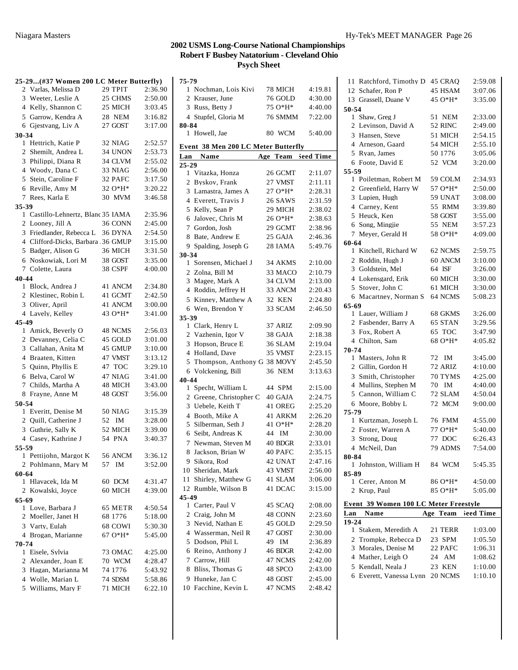|       | 25-29(#37 Women 200 LC Meter Butterfly) |                    |                    |
|-------|-----------------------------------------|--------------------|--------------------|
|       | 2 Varlas, Melissa D                     | 29 TPIT            | 2:36.90            |
|       | 3 Weeter, Leslie A                      | 25 CHMS            | 2:50.00            |
|       | 4 Kelly, Shannon C                      | 25 MICH            | 3:03.45            |
|       | 5 Garrow, Kendra A                      | 28 NEM             | 3:16.82            |
|       | 6 Gjestvang, Liv A                      | 27 GOST            | 3:17.00            |
| 30-34 |                                         |                    |                    |
|       | 1 Hettrich, Katie P                     | 32 NIAG            | 2:52.57            |
|       | 2 Shemilt, Andrea L                     | 34 UNON            | 2:53.73            |
|       | 3 Philippi, Diana R                     | 34 CLVM            | 2:55.02            |
|       | 4 Woody, Dana C                         | 33 NIAG            | 2:56.00            |
|       | 5 Stein, Caroline F                     | 32 PAFC            | 3:17.50            |
|       | 6 Reville, Amy M                        | 32 O*H*            | 3:20.22            |
|       | 7 Rees, Karla E                         | 30 MVM             | 3:46.58            |
| 35-39 |                                         |                    |                    |
|       | 1 Castillo-Lehnertz, Blanc 35 IAMA      |                    | 2:35.96            |
|       | 2 Looney, Jill A                        | 36 CONN            | 2:45.00            |
|       | 3 Friedlander, Rebecca L 36 DYNA        |                    | 2:54.50            |
|       | 4 Clifford-Dicks, Barbara 36 GMUP       |                    | 3:15.00            |
|       | 5 Badger, Alison G                      | 36 MICH            | 3:31.50            |
|       | 6 Noskowiak, Lori M                     | 38 GOST            | 3:35.00            |
|       | 7 Colette, Laura                        | 38 CSPF            | 4:00.00            |
| 40-44 |                                         |                    |                    |
|       | 1 Block, Andrea J                       | 41 ANCM            | 2:34.80            |
|       | 2 Klestinec, Robin L                    | 41 GCMT            | 2:42.50            |
|       | 3 Oliver, April                         | 41 ANCM            | 3:00.00            |
|       | 4 Lavely, Kelley                        | 43 O*H*            | 3:41.00            |
| 45-49 | 1 Amick, Beverly O                      | 48 NCMS            | 2:56.03            |
|       | 2 Devanney, Celia C                     | 45 GOLD            | 3:01.00            |
|       | 3 Callahan, Anita M                     | 45 GMUP            | 3:10.00            |
|       | 4 Braaten, Kitten                       | 47 VMST            | 3:13.12            |
|       | 5 Quinn, Phyllis E                      | 47 TOC             | 3:29.10            |
|       | 6 Belva, Carol W                        | 47 NIAG            | 3:41.00            |
|       | 7 Childs, Martha A                      | 48 MICH            | 3:43.00            |
| 8     | Frayne, Anne M                          | 48 GOST            | 3:56.00            |
| 50-54 |                                         |                    |                    |
|       | 1 Everitt, Denise M                     | <b>50 NIAG</b>     | 3:15.39            |
|       | 2 Quill, Catherine J                    | 52 IM              | 3:28.00            |
|       | 3 Guthrie, Sally K                      | 52 MICH            | 3:39.00            |
|       | 4 Casey, Kathrine J                     | 54 PNA             | 3:40.37            |
| 55-59 |                                         |                    |                    |
|       | 1 Pettijohn, Margot K                   | 56 ANCM            | 3:36.12            |
|       | 2 Pohlmann, Mary M                      | 57 IM              | 3:52.00            |
| 60-64 |                                         |                    |                    |
|       | 1 Hlavacek, Ida M                       | 60 DCM             | 4:31.47            |
|       | 2 Kowalski, Joyce                       | 60 MICH            | 4:39.00            |
| 65-69 |                                         |                    |                    |
|       | 1 Love, Barbara J                       | 65 METR            | 4:50.54            |
|       | 2 Moeller, Janet H                      | 68 1776            | 5:18.00            |
|       | 3 Varty, Eulah                          | 68 COWI            | 5:30.30            |
|       | 4 Brogan, Marianne                      | 67 O*H*            | 5:45.00            |
| 70-74 |                                         |                    |                    |
|       | 1 Eisele, Sylvia<br>2 Alexander, Joan E | 73 OMAC<br>70 WCM  | 4:25.00<br>4:28.47 |
|       | 3 Hagan, Marianna M                     | 74 1776            |                    |
|       | 4 Wolle, Marian L                       |                    | 5:43.92            |
|       | 5 Williams, Mary F                      | 74 SDSM<br>71 MICH | 5:58.86<br>6:22.10 |
|       |                                         |                    |                    |

| 75-79                               |                    |         |
|-------------------------------------|--------------------|---------|
| 1 Nochman, Lois Kivi                | 78 MICH            | 4:19.81 |
| 2 Krauser, June                     | 76 GOLD            | 4:30.00 |
| 3 Russ, Betty J                     | 75 O*H*            | 4:40.00 |
| 4 Stupfel, Gloria M                 | 76 SMMM            | 7:22.00 |
| 80-84                               |                    |         |
| 1 Howell, Jae                       | 80 WCM             | 5:40.00 |
| Event 38 Men 200 LC Meter Butterfly |                    |         |
| Lan Name                            | Age Team Seed Time |         |
| $25 - 29$                           |                    |         |
| 1 Vitazka, Honza                    | 26 GCMT            | 2:11.07 |
| Byskov, Frank<br>2                  | 27 VMST            | 2:11.11 |
| Lamastra, James A<br>3              | $27O*H*$           | 2:28.31 |
| 4 Everett, Travis J                 | 26 SAWS            | 2:31.59 |
| 5 Kelly, Sean P                     | 29 MICH            | 2:38.02 |
| 6 Jalovec, Chris M                  | 26 O*H*            | 2:38.63 |
| 7 Gordon, Josh                      | 29 GCMT            | 2:38.96 |
| Bate, Andrew E<br>8                 | 25 GAJA            | 2:46.36 |
| 9 Spalding, Joseph G                | 28 IAMA            | 5:49.76 |
| 30-34                               |                    |         |
| 1 Sorensen, Michael J               | 34 AKMS            | 2:10.00 |
| 2 Zolna, Bill M                     | 33 MACO            | 2:10.79 |
| 3 Magee, Mark A                     | 34 CLVM            | 2:13.00 |
| 4 Roddin, Jeffrey H                 | 33 ANCM            | 2:20.43 |
| 5 Kinney, Matthew A                 | 32 KEN             | 2:24.80 |
| 6 Wen. Brendon Y                    | 33 SCAM            | 2:46.50 |
| 35-39<br>1 Clark, Henry L           | 37 ARIZ            | 2:09.90 |
| 2 Vazhenin, Igor V                  | 38 GAJA            | 2:18.38 |
| Hopson, Bruce E<br>3                | 36 SLAM            | 2:19.04 |
| 4 Holland, Dave                     | 35 VMST            | 2:23.15 |
| 5<br>Thompson, Anthony G 38 MOVY    |                    | 2:45.50 |
| 6 Volckening, Bill                  | 36 NEM             | 3:13.63 |
| 40-44                               |                    |         |
| Specht, William L<br>1              | 44 SPM             | 2:15.00 |
| 2 Greene, Christopher C             | 40 GAJA            | 2:24.75 |
| 3 Uebele, Keith T                   | 41 OREG            | 2:25.20 |
| 4 Booth, Mike A                     | 41 ARKM            | 2:26.20 |
| 5 Silberman, Seth J                 | 41 O*H*            | 2:28.20 |
| 6 Seibt, Andreas K                  | IM<br>44           | 2:30.00 |
| Newman, Steven M<br>7               | 40 BDGR            | 2:33.01 |
| Jackson, Brian W<br>8               | 40 PAFC            | 2:35.15 |
| 9 Sikora, Rod                       | 42 UNAT            | 2:47.16 |
| 10 Sheridan, Mark                   | 43 VMST            | 2:56.00 |
| Shirley, Matthew G<br>11.           | 41 SLAM            | 3:06.00 |
| Rumble, Wilson B<br>12              | 41 DCAC            | 3:15.00 |
| 45-49                               |                    |         |
| 1 Carter, Paul V                    | 45 SCAQ            | 2:08.00 |
| 2 Craig, John M                     | 48 CONN            | 2:23.60 |
| 3 Nevid, Nathan E                   | 45 GOLD            | 2:29.50 |
| 4 Wasserman, Neil R                 | 47 GOST            | 2:30.00 |
| 5<br>Dodson, Phil L                 | 49<br>IM           | 2:36.89 |
| 6 Reino, Anthony J                  | 46 BDGR            | 2:42.00 |
| 7 Carrow, Hill                      | 47 NCMS            | 2:42.00 |
| 8 Bliss, Thomas G                   | 48 SPCO            | 2:43.00 |
| 9 Huneke, Jan C                     | 48 GOST            | 2:45.00 |
| 10 Facchine, Kevin L                | 47 NCMS            | 2:48.42 |
|                                     |                    |         |

| Ratchford, Timothy D<br>11                   | 45 CRAO  | 2:59.08   |  |  |  |  |  |  |  |
|----------------------------------------------|----------|-----------|--|--|--|--|--|--|--|
| 12 Schafer, Ron P                            | 45 HSAM  | 3:07.06   |  |  |  |  |  |  |  |
| 13 Grassell, Duane V                         | 45 O*H*  | 3:35.00   |  |  |  |  |  |  |  |
| 50-54                                        |          |           |  |  |  |  |  |  |  |
| 1 Shaw, Greg J                               | 51 NEM   | 2:33.00   |  |  |  |  |  |  |  |
| 2 Levinson, David A                          | 52 RINC  | 2:49.00   |  |  |  |  |  |  |  |
| 3 Hansen, Steve                              | 51 MICH  | 2:54.15   |  |  |  |  |  |  |  |
| 4 Arneson, Gaard                             | 54 MICH  | 2:55.10   |  |  |  |  |  |  |  |
| 5 Ryan, James                                | 50 1776  | 3:05.06   |  |  |  |  |  |  |  |
| Foote, David E<br>6                          | 52 VCM   | 3:20.00   |  |  |  |  |  |  |  |
| 55-59                                        |          |           |  |  |  |  |  |  |  |
| 1 Poiletman, Robert M                        | 59 COLM  | 2:34.93   |  |  |  |  |  |  |  |
| 2 Greenfield, Harry W                        | 57 O*H*  | 2:50.00   |  |  |  |  |  |  |  |
| 3 Lupien, Hugh                               | 59 UNAT  | 3:08.00   |  |  |  |  |  |  |  |
| 4 Carney, Kent                               | 55 RMM   | 3:39.80   |  |  |  |  |  |  |  |
| 5 Heuck, Ken                                 | 58 GOST  | 3:55.00   |  |  |  |  |  |  |  |
| 6 Song, Mingjie                              | 55 NEM   | 3:57.23   |  |  |  |  |  |  |  |
| 7 Meyer, Gerald H                            | 58 O*H*  | 4:09.00   |  |  |  |  |  |  |  |
| 60-64                                        |          |           |  |  |  |  |  |  |  |
| Kitchell, Richard W<br>1                     | 62 NCMS  | 2:59.75   |  |  |  |  |  |  |  |
| 2 Roddin, Hugh J                             | 60 ANCM  | 3:10.00   |  |  |  |  |  |  |  |
| 3 Goldstein, Mel                             | 64 ISF   | 3:26.00   |  |  |  |  |  |  |  |
| 4 Lokensgard, Erik                           | 60 MICH  | 3:30.00   |  |  |  |  |  |  |  |
|                                              |          |           |  |  |  |  |  |  |  |
| 5<br>Stover, John C                          | 61 MICH  | 3:30.00   |  |  |  |  |  |  |  |
| 6 Macartney, Norman S                        | 64 NCMS  | 5:08.23   |  |  |  |  |  |  |  |
| 65-69                                        |          |           |  |  |  |  |  |  |  |
| 1 Lauer, William J                           | 68 GKMS  | 3:26.00   |  |  |  |  |  |  |  |
| 2 Fasbender, Barry A                         | 65 STAN  | 3:29.56   |  |  |  |  |  |  |  |
| 3 Fox, Robert A                              | 65 TOC   | 3:47.90   |  |  |  |  |  |  |  |
| 4 Chilton, Sam                               | 68 O*H*  | 4:05.82   |  |  |  |  |  |  |  |
|                                              |          |           |  |  |  |  |  |  |  |
| 70-74                                        |          |           |  |  |  |  |  |  |  |
| 1 Masters, John R                            | IM<br>72 | 3:45.00   |  |  |  |  |  |  |  |
| 2 Gillin, Gordon H                           | 72 ARIZ  | 4:10.00   |  |  |  |  |  |  |  |
| 3 Smith, Christopher                         | 70 TYMS  | 4:25.00   |  |  |  |  |  |  |  |
| 4 Mullins, Stephen M                         | 70 IM    | 4:40.00   |  |  |  |  |  |  |  |
| 5 Cannon, William C                          | 72 SLAM  | 4:50.04   |  |  |  |  |  |  |  |
| 6 Moore, Bobby L                             | 72 MCM   | 9:00.00   |  |  |  |  |  |  |  |
| 75-79                                        |          |           |  |  |  |  |  |  |  |
| 1 Kurtzman, Joseph L                         | 76 FMM   | 4:55.00   |  |  |  |  |  |  |  |
| 2 Foster, Warren A                           | 77 O*H*  | 5:40.00   |  |  |  |  |  |  |  |
| 3 Strong, Doug                               | 77 DOC   | 6:26.43   |  |  |  |  |  |  |  |
| 4 McNeil. Dan                                | 79 ADMS  | 7:54.00   |  |  |  |  |  |  |  |
| 80-84                                        |          |           |  |  |  |  |  |  |  |
| 1 Johnston, William H                        | 84 WCM   | 5:45.35   |  |  |  |  |  |  |  |
| 85-89                                        |          |           |  |  |  |  |  |  |  |
| 1 Cerer, Anton M                             | 86 O*H*  | 4:50.00   |  |  |  |  |  |  |  |
| Krup, Paul<br>2                              | 85 O*H*  | 5:05.00   |  |  |  |  |  |  |  |
|                                              |          |           |  |  |  |  |  |  |  |
| <b>Event 39 Women 100 LC Meter Freestyle</b> |          |           |  |  |  |  |  |  |  |
| Lan Name                                     | Age Team | leed Time |  |  |  |  |  |  |  |
| 19-24<br>Stakem, Meredith A<br>1             | 21 TERR  | 1:03.00   |  |  |  |  |  |  |  |
|                                              |          |           |  |  |  |  |  |  |  |
| 2 Trompke, Rebecca D                         | 23 SPM   | 1:05.50   |  |  |  |  |  |  |  |
| 3 Morales, Denise M                          | 22 PAFC  | 1:06.31   |  |  |  |  |  |  |  |
| 4 Mather, Leigh O                            | 24 AM    | 1:08.62   |  |  |  |  |  |  |  |
| 5 Kendall, Neala J                           | 23 KEN   | 1:10.00   |  |  |  |  |  |  |  |
| 6 Everett, Vanessa Lynn 20 NCMS              |          | 1:10.10   |  |  |  |  |  |  |  |
|                                              |          |           |  |  |  |  |  |  |  |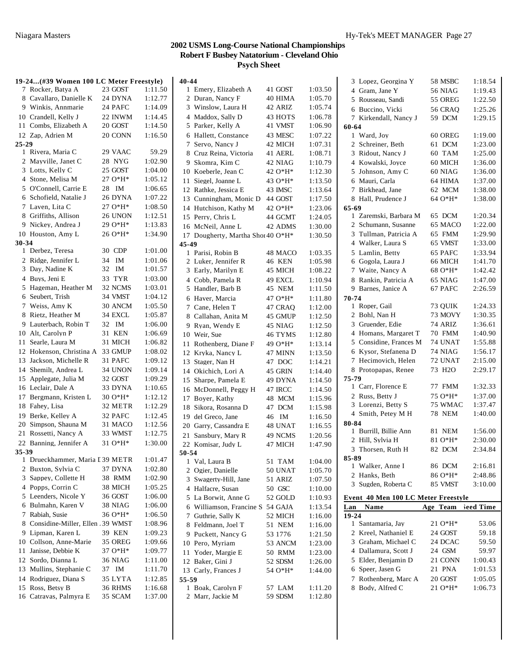|       | 19-24(#39 Women 100 LC Meter Freestyle)  |    |              |                    | 40-44                |
|-------|------------------------------------------|----|--------------|--------------------|----------------------|
|       | 7 Rocker, Batya A                        |    | 23 GOST      | 1:11.50            | 1 E                  |
|       | 8 Cavallaro, Danielle K                  |    | 24 DYNA      | 1:12.77            | 2D                   |
|       | 9 Winkis, Annmarie                       |    | 24 PAFC      | 1:14.09            | $3 \text{ W}$        |
|       | 10 Crandell, Kelly J                     |    | 22 INWM      | 1:14.45            | 4 M                  |
|       | 11 Combs, Elizabeth A                    |    | 20 GOST      | 1:14.50            | 5 P                  |
|       | 12 Zap, Adrien M                         |    | 20 CONN      | 1:16.50            | 6 H                  |
| 25-29 |                                          |    |              |                    | 7S                   |
|       | 1 Rivera, Maria C                        |    | 29 VAAC      | 59.29              | 8 C                  |
|       | 2 Mayville, Janet C                      |    | 28 NYG       | 1:02.90            | 9 SI                 |
|       | 3 Lotts, Kelly C                         |    | 25 GOST      | 1:04.00            | 10 K                 |
|       | 4 Stone, Melisa M                        |    | $27O*H*$     | 1:05.12            | Si<br>11             |
|       | 5 O'Connell, Carrie E                    | 28 | IM           | 1:06.65            | 12<br>R              |
|       | 6 Schofield, Natalie J                   |    | 26 DYNA      | 1:07.22            | 13<br>C              |
| 7     | Laven, Lita C                            |    | 27 O*H*      | 1:08.50            | 14 H                 |
|       | 8 Griffiths, Allison                     |    | 26 UNON      | 1:12.51            | 15 P                 |
|       | 9 Nickey, Andrea J                       |    | 29 O*H*      | 1:13.83            | 16 M                 |
|       | 10 Houston, Amy L                        |    | 26 O*H*      | 1:34.90            | 17 D                 |
| 30-34 |                                          |    |              |                    | 45-49                |
|       | 1 Derbez, Teresa                         |    | 30 CDP       | 1:01.00            | 1 Pa                 |
|       | 2 Ridge, Jennifer L<br>3 Day, Nadine K   | 34 | IM           | 1:01.06            | 2L                   |
|       | 4 Buvs, Jeni E                           | 32 | IM<br>33 TYR | 1:01.57            | 3 E                  |
|       |                                          |    | 32 NCMS      | 1:03.00            | 4 C                  |
|       | 5 Hageman, Heather M<br>6 Seubert, Trish |    | 34 VMST      | 1:03.01<br>1:04.12 | 5H                   |
| 7     | Weiss, Amy K                             |    | 30 ANCM      | 1:05.50            | 6 H                  |
|       | 8 Rietz, Heather M                       |    | 34 EXCL      | 1:05.87            | 7 C                  |
|       | 9 Lauterbach, Robin T                    | 32 | IM           | 1:06.00            | 8 C                  |
|       | 10 Alt, Carolyn P                        | 31 | <b>KEN</b>   | 1:06.69            | 9 R                  |
|       | 11 Searle, Laura M                       |    | 31 MICH      | 1:06.82            | 10W                  |
|       | 12 Hokenson, Christina A                 |    | 33 GMUP      | 1:08.02            | 11<br>R<br>12 K      |
| 13    | Jackson, Michelle R                      |    | 31 PAFC      | 1:09.12            | 13<br>S <sub>1</sub> |
| 14    | Shemilt, Andrea L                        |    | 34 UNON      | 1:09.14            | 14 O                 |
|       | 15 Applegate, Julia M                    |    | 32 GOST      | 1:09.29            | S <sub>1</sub><br>15 |
|       | 16 Leclair, Dale A                       |    | 33 DYNA      | 1:10.65            | 16 M                 |
| 17    | Bergmann, Kristen L                      |    | 30 O*H*      | 1:12.12            | 17<br>B              |
|       | 18 Fahey, Lisa                           |    | 32 METR      | 1:12.29            | 18 Si                |
|       | 19 Berke, Kelley A                       |    | 32 PAFC      | 1:12.45            | 19 de                |
|       | 20 Simpson, Shauna M                     |    | 31 MACO      | 1:12.56            | 20 G                 |
|       | 21 Rossetti, Nancy A                     |    | 33 WMST      | 1:12.75            | 21<br>S:             |
|       | 22 Banning, Jennifer A                   |    | 31 O*H*      | 1:30.00            | 22 K                 |
| 35-39 |                                          |    |              |                    | 50-54                |
| 1     | Drueckhammer, Maria I 39 METR            |    |              | 1:01.47            | 1 V                  |
|       | 2 Buxton, Sylvia C                       |    | 37 DYNA      | 1:02.80            | $2\degree$           |
| 3     | Sappey, Collette H                       |    | 38 RMM       | 1:02.90            | 3 S                  |
|       | 4 Popps, Corrin C                        |    | 38 MICH      | 1:05.25            | 4 H                  |
|       | 5 Leenders, Nicole Y                     |    | 36 GOST      | 1:06.00            | 5 L                  |
|       | 6 Bulmahn, Karen V                       |    | 38 NIAG      | 1:06.00            | 6 W                  |
| 7     | Rabiah, Susie                            |    | 36 O*H*      | 1:06.50            | $7\,G$               |
| 8     | Considine-Miller, Ellen .39 WMST         |    |              | 1:08.96            | 8F                   |
|       | 9 Lipman, Karen L                        |    | 39 KEN       | 1:09.23            | 9 P                  |
|       | 10 Collson, Anne-Marie                   |    | 35 OREG      | 1:09.66            | 10 P                 |
| 11    | Janisse, Debbie K                        |    | 37 O*H*      | 1:09.77            | 11<br>Y              |
|       | 12 Sordo, Dianna L                       |    | 36 NIAG      | 1:11.00            | 12<br>B              |
| 13    | Mullins, Stephanie C                     | 37 | ΙM           | 1:11.70            | 13<br>C              |
|       | 14 Rodriguez, Diana S                    |    | 35 LYTA      | 1:12.85            | 55-59                |
|       | 15 Ross, Betsy B                         |    | 36 RHMS      | 1:16.68            | 1 B                  |
|       | 16 Catravas, Palmyra E                   |    | 35 SCAM      | 1:37.00            | 2 M                  |

| 1              | Emery, Elizabeth A             | 41 GOST | 1:03.50 |
|----------------|--------------------------------|---------|---------|
| $\overline{2}$ | Duran, Nancy F                 | 40 HIMA | 1:05.70 |
|                | 3 Winslow, Laura H             | 42 ARIZ | 1:05.74 |
|                | 4 Maddox, Sally D              | 43 HOTS | 1:06.78 |
| 5              | Parker, Kelly A                | 41 VMST | 1:06.90 |
| 6              | Hallett, Constance             | 43 MESC | 1:07.22 |
| 7              | Servo, Nancy J                 | 42 MICH | 1:07.31 |
| 8              | Cruz Reina, Victoria           | 41 AERL | 1:08.71 |
| 9              | Skomra, Kim C                  | 42 NIAG | 1:10.79 |
|                | 10 Koeberle, Jean C            | 42 O*H* | 1:12.30 |
| 11             | Siegel, Joanne L               | 43 O*H* | 1:13.50 |
| 12             | Rathke, Jessica E              | 43 IMSC | 1:13.64 |
|                | 13 Cunningham, Monic D         |         |         |
|                |                                | 44 GOST | 1:17.50 |
| 14             | Hutchison, Kathy M             | 42 O*H* | 1:23.06 |
| 15             | Perry, Chris L                 | 44 GCMT | 1:24.05 |
| 16             | McNeil, Anne L                 | 42 ADMS | 1:30.00 |
| 17             | Dougherty, Martha Shot 40 O*H* |         | 1:30.50 |
| 45-49          |                                |         |         |
| $\mathbf{1}$   | Parisi, Robin B                | 48 MACO | 1:03.35 |
| $\overline{2}$ | Luker, Jennifer R              | 46 KEN  | 1:05.98 |
|                | 3 Early, Marilyn E             | 45 MICH | 1:08.22 |
|                | 4 Cobb, Pamela R               | 49 EXCL | 1:10.94 |
| 5              | Handler, Barb B                | 45 NEM  | 1:11.50 |
| 6              | Haver, Marcia                  | 47 O*H* | 1:11.80 |
| 7              | Cane, Helen T                  | 47 CRAQ | 1:12.00 |
| 8              | Callahan, Anita M              | 45 GMUP | 1:12.50 |
| 9              | Ryan, Wendy E                  | 45 NIAG | 1:12.50 |
| 10             | Weir, Sue                      | 46 TYMS | 1:12.80 |
| 11             | Rothenberg, Diane F            | 49 O*H* | 1:13.14 |
| 12             | Kryka, Nancy L                 | 47 MINN | 1:13.50 |
| 13             | Stager, Nan H                  | 47 DOC  | 1:14.21 |
| 14             | Okichich, Lori A               | 45 GRIN | 1:14.40 |
| 15             | Sharpe, Pamela E               | 49 DYNA |         |
|                |                                |         | 1:14.50 |
| 16             | McDonnell, Peggy H             | 47 IRCC | 1:14.50 |
| 17             | Boyer, Kathy                   | 48 MCM  | 1:15.96 |
| 18             | Sikora, Rosanna D              | 47 DCM  | 1:15.98 |
| 19             | del Greco, Jane                | 46 IM   | 1:16.50 |
| 20             | Garry, Cassandra E             | 48 UNAT | 1:16.55 |
| 21             | Sansbury, Mary R               | 49 NCMS | 1:20.56 |
| 22             | Komisar, Judy L                | 47 MICH | 1:47.90 |
| 50-54          |                                |         |         |
| 1              | Val, Laura B                   | 51 TAM  | 1:04.00 |
| 2              | Ogier, Danielle                | 50 UNAT | 1:05.70 |
| 3              | Swagerty-Hill, Jane            | 51 ARIZ | 1:07.50 |
| 4              | Halfacre, Susan                | 50 GSC  | 1:10.00 |
| 5              | La Borwit, Anne G              | 52 GOLD | 1:10.93 |
| 6              | Williamson, Francine S         | 54 GAJA | 1:13.54 |
| 7              | Guthrie, Sally K               | 52 MICH | 1:16.00 |
| 8              | Feldmann, Joel T               | 51 NEM  | 1:16.00 |
| 9.             | Puckett, Nancy G               | 53 1776 | 1:21.50 |
|                | 10 Pero, Myriam                | 53 ANCM | 1:23.00 |
| 11             | Yoder, Margie E                | 50 RMM  | 1:23.00 |
| 12             | Baker, Gini J                  | 52 SDSM | 1:26.00 |
|                | 13 Carly, Frances J            | 54 O*H* | 1:44.00 |
| 55-59          |                                |         |         |
| 1              | Boak, Carolyn F                | 57 LAM  |         |
|                | 2 Marr, Jackie M               |         | 1:11.20 |
|                |                                | 59 SDSM | 1:12.80 |

| 3              | Lopez, Georgina Y                   | 58 MSBC             | 1:18.54   |
|----------------|-------------------------------------|---------------------|-----------|
|                | 4 Gram, Jane Y                      | <b>56 NIAG</b>      |           |
|                |                                     |                     | 1:19.43   |
|                | 5 Rousseau, Sandi                   | 55 OREG             | 1:22.50   |
|                | 6 Buccino, Vicki                    | <b>56 CRAQ</b>      | 1:25.26   |
| 7              | Kirkendall, Nancy J                 | 59 DCM              | 1:29.15   |
| 60-64          |                                     |                     |           |
|                | 1 Ward, Joy                         | 60 OREG             | 1:19.00   |
| $\overline{2}$ | Schreiner, Beth                     | 61 DCM              | 1:23.00   |
| 3              | Ridout, Nancy J                     | 60 TAM              | 1:25.00   |
|                | 4 Kowalski, Joyce                   | 60 MICH             | 1:36.00   |
| 5              | Johnson, Amy C                      | 60 NIAG             | 1:36.00   |
|                | 6 Mauri, Carla                      | 64 HIMA             | 1:37.00   |
| 7              | Birkhead, Jane                      | 62 MCM              | 1:38.00   |
| 8              | Hall, Prudence J                    | 64 O*H*             | 1:38.00   |
| $65 - 69$      |                                     |                     |           |
|                | 1 Zaremski, Barbara M               | 65 DCM              | 1:20.34   |
| $\mathbf{2}$   | Schumann, Susanne                   | 65 MACO             | 1:22.00   |
| 3              | Tullman, Patricia A                 | 65 FMM              | 1:29.90   |
|                | 4 Walker, Laura S                   | 65 VMST             | 1:33.00   |
|                | 5 Lamlin, Betty                     | 65 PAFC             | 1:33.94   |
|                | 6 Gogola, Laura J                   | 66 MICH             | 1:41.70   |
| 7              | Waite, Nancy A                      | 68 O*H*             | 1:42.42   |
| 8              | Rankin, Patricia A                  | 65 NIAG             | 1:47.00   |
|                | 9 Barnes, Janice A                  | 67 PAFC             | 2:26.59   |
| 70-74          |                                     |                     |           |
|                | 1 Roper, Gail                       | 73 OUIK             | 1:24.33   |
|                | 2 Bohl, Nan H                       | 73 MOVY             | 1:30.35   |
|                | 3 Gruender, Edie                    | 74 ARIZ             | 1:36.61   |
|                | 4 Homans, Margaret T                | 70 FMM              | 1:40.90   |
| 5              | Considine, Frances M                | 74 UNAT             | 1:55.88   |
| 6              | Kysor, Stefanena D                  | 74 NIAG             | 1:56.17   |
| 7              | Hecimovich, Helen                   | 72 UNAT             | 2:15.00   |
|                | 8 Protopapas, Renee                 | 73 H <sub>2</sub> O | 2:29.17   |
| 75-79          |                                     |                     |           |
|                | 1 Carr, Florence E                  | 77 FMM              | 1:32.33   |
|                | 2 Russ, Betty J                     | 75 O*H*             | 1:37.00   |
|                | 3 Lorenzi, Betty S                  | 75 WMAC             | 1:37.47   |
|                | 4 Smith, Petey M H                  | <b>78 NEM</b>       | 1:40.00   |
| 80-84          |                                     |                     |           |
|                | 1 Burrill, Billie Ann               | 81 NEM              | 1:56.00   |
|                | 2 Hill, Sylvia H                    | 81 O*H*             | 2:30.00   |
| 3              | Thorsen, Ruth H                     | 82 DCM              | 2:34.84   |
| 85-89          |                                     |                     |           |
| 1              | Walker, Anne I                      | 86 DCM              | 2:16.81   |
|                | 2 Hanks, Beth                       | 86 O*H*             | 2:48.86   |
| 3              | Sugden, Roberta C                   | 85 VMST             | 3:10.00   |
|                |                                     |                     |           |
|                | Event 40 Men 100 LC Meter Freestyle |                     |           |
| Lan            | <b>Name</b>                         | Team<br>Age         | leed Time |
| 19-24<br>1     | Santamaria, Jay                     | 21 O*H*             | 53.06     |
| 2              | Kreel, Nathaniel E                  | 24 GOST             | 59.18     |
|                |                                     |                     |           |
|                | 3 Graham, Michael C                 | 24 DCAC<br>24 GSM   | 59.50     |
|                | 4 Dallamura, Scott J                |                     | 59.97     |
|                | 5 Elder, Benjamin D                 | 21 CONN             | 1:00.43   |
|                | 6 Speer, Jasen G                    | 21 PNA              | 1:01.53   |
|                | 7 Rothenberg, Marc A                | 20 GOST             | 1:05.05   |
| 8.             | Body, Alfred C                      | 21 O*H*             | 1:06.73   |
|                |                                     |                     |           |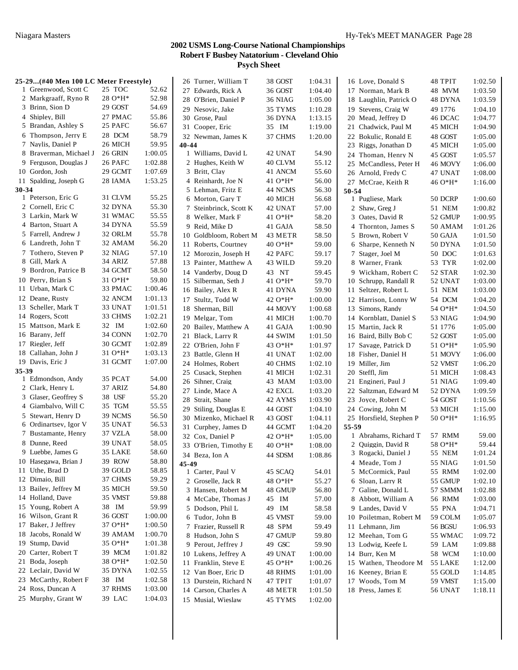|       | 25-29(#40 Men 100 LC Meter Freestyle) |                    |                | 26 Turner, William T   | 38 GOST | 1:04.31 | 16 Love, Donald S       | 48 TPIT | 1:02.50 |
|-------|---------------------------------------|--------------------|----------------|------------------------|---------|---------|-------------------------|---------|---------|
|       | 1 Greenwood, Scott C                  | 25 TOC             | 52.62          | 27 Edwards, Rick A     | 36 GOST | 1:04.40 | 17 Norman, Mark B       | 48 MVM  | 1:03.50 |
|       | 2 Markgraaff, Ryno R                  | $28O*H*$           | 52.98          | 28 O'Brien, Daniel P   | 36 NIAG | 1:05.00 | 18 Laughlin, Patrick O  | 48 DYNA | 1:03.59 |
|       | 3 Brinn, Sion D                       | 29 GOST            | 54.69          | 29 Nesovic, Jake       | 35 TYMS | 1:10.28 | 19 Stevens, Craig W     | 49 1776 | 1:04.10 |
|       | 4 Shipley, Bill                       | 27 PMAC            | 55.86          | 30 Grose, Paul         | 36 DYNA | 1:13.15 | 20 Mead, Jeffrey D      | 46 DCAC | 1:04.77 |
|       | 5 Brandan, Ashley S                   | 25 PAFC            | 56.67          | 31 Cooper, Eric        | 35 IM   | 1:19.00 | 21 Chadwick, Paul M     | 45 MICH | 1:04.90 |
|       | 6 Thompson, Jerry E                   | 28 DCM             | 58.79          | 32 Newman, James K     | 37 CHMS | 1:20.00 | 22 Bokulic, Ronald E    | 48 GOST | 1:05.00 |
|       | 7 Naylis, Daniel P                    | 26 MICH            | 59.95          | 40-44                  |         |         | 23 Riggs, Jonathan D    | 45 MICH | 1:05.00 |
|       | 8 Braverman, Michael J                | 26 GRIN            | 1:00.05        | 1 Williams, David L    | 42 UNAT | 54.90   | 24 Thoman, Henry N      | 45 GOST | 1:05.57 |
|       | 9 Ferguson, Douglas J                 | 26 PAFC            | 1:02.88        | 2 Hughes, Keith W      | 40 CLVM | 55.12   | 25 McCandless, Peter H  | 46 MOVY | 1:06.00 |
|       | 10 Gordon, Josh                       | 29 GCMT            | 1:07.69        | 3 Britt, Clay          | 41 ANCM | 55.60   | 26 Arnold, Fredy C      | 47 UNAT | 1:08.00 |
|       | 11 Spalding, Joseph G                 | 28 IAMA            | 1:53.25        | 4 Reinhardt, Joe N     | 41 O*H* | 56.00   | 27 McCrae, Keith R      | 46 O*H* | 1:16.00 |
| 30-34 |                                       |                    |                | 5 Lehman, Fritz E      | 44 NCMS | 56.30   | 50-54                   |         |         |
|       | 1 Peterson, Eric G                    | 31 CLVM            | 55.25          | 6 Morton, Gary T       | 40 MICH | 56.68   | 1 Pugliese, Mark        | 50 DCRP | 1:00.60 |
|       | 2 Cornell, Eric C                     | 32 DYNA            | 55.30          | 7 Steinbrinck, Scott K | 42 UNAT | 57.00   | 2 Shaw, Greg J          | 51 NEM  | 1:00.82 |
|       | 3 Larkin, Mark W                      | 31 WMAC            | 55.55          | 8 Welker, Mark F       | 41 O*H* | 58.20   | 3 Oates, David R        | 52 GMUP | 1:00.95 |
|       | 4 Barton, Stuart A                    | 34 DYNA            | 55.59          | 9 Reid, Mike D         | 41 GAJA | 58.50   | 4 Thornton, James S     | 50 AMAM | 1:01.26 |
|       | 5 Farrell, Andrew J                   | 32 ORLM            | 55.78          | 10 Goldbloom, Robert M | 43 METR | 58.50   | 5 Brown, Robert V       | 50 GAJA | 1:01.50 |
|       | 6 Landreth, John T                    | 32 AMAM            | 56.20          | 11 Roberts, Courtney   | 40 O*H* | 59.00   | 6 Sharpe, Kenneth N     | 50 DYNA | 1:01.50 |
|       | 7 Tothero, Steven P                   | 32 NIAG            | 57.10          | 12 Morozin, Joseph H   | 42 PAFC | 59.17   | 7 Stager, Joel M        | 50 DOC  | 1:01.63 |
|       | 8 Gill, Mark A                        | 34 ARIZ            | 57.88          | 13 Painter, Matthew A  | 43 WILD | 59.20   | 8 Warner, Frank         | 53 TYR  | 1:02.00 |
|       | 9 Bordron, Patrice B                  | 34 GCMT            | 58.50          | 14 Vanderby, Doug D    | 43 NT   | 59.45   | 9 Wickham, Robert C     | 52 STAR | 1:02.30 |
|       | 10 Perry, Brian S                     | $310*H*$           | 59.80          | 15 Silberman, Seth J   | 41 O*H* | 59.70   | 10 Schrupp, Randall R   | 52 UNAT | 1:03.00 |
|       | 11 Urban, Mark C                      | 33 PMAC            | 1:00.46        | 16 Bailey, Alex R      | 41 DYNA | 59.90   | 11 Seltzer, Robert L    | 51 NEM  | 1:03.00 |
|       | 12 Deane, Rusty                       | 32 ANCM            | 1:01.13        | 17 Stultz, Todd W      | 42 O*H* | 1:00.00 | 12 Harrison, Lonny W    | 54 DCM  | 1:04.20 |
|       | 13 Scheller, Mark T                   | 33 UNAT            | 1:01.51        | 18 Sherman, Bill       | 44 MOVY | 1:00.68 | 13 Simons, Randy        | 54 O*H* | 1:04.50 |
|       | 14 Rogers, Scott                      | 33 CHMS            | 1:02.21        | 19 Melgar, Tom         | 41 MICH | 1:00.70 | 14 Kornblatt, Daniel S  | 53 NIAG | 1:04.90 |
|       | 15 Mattson, Mark E                    | 32 IM              | 1:02.60        | 20 Bailey, Matthew A   | 41 GAJA | 1:00.90 | 15 Martin, Jack R       | 51 1776 | 1:05.00 |
|       | 16 Barany, Jeff                       | 34 CONN            | 1:02.70        | 21 Black, Larry R      | 44 SWIM | 1:01.50 | 16 Baird, Billy Bob C   | 52 GOST | 1:05.00 |
|       | 17 Riegler, Jeff                      | 30 GCMT            | 1:02.89        | 22 O'Brien, John F     | 43 O*H* | 1:01.97 | 17 Savage, Patrick D    | 51 O*H* | 1:05.90 |
|       | 18 Callahan, John J                   | $310*H*$           | 1:03.13        | 23 Battle, Glenn H     | 41 UNAT | 1:02.00 | 18 Fisher, Daniel H     | 51 MOVY | 1:06.00 |
|       | 19 Davis, Eric J                      | 31 GCMT            | 1:07.00        | 24 Holmes, Robert      | 40 CHMS | 1:02.10 | 19 Miller, Jim          | 52 VMST | 1:06.20 |
| 35-39 |                                       |                    |                | 25 Cusack, Stephen     | 41 MICH | 1:02.31 | 20 Steffl, Jim          | 51 MICH | 1:08.43 |
|       | 1 Edmondson, Andy                     | 35 PCAT            | 54.00          | 26 Sihner, Craig       | 43 MAM  | 1:03.00 | 21 Engineri, Paul J     | 51 NIAG | 1:09.40 |
|       | 2 Clark, Henry L                      | 37 ARIZ            | 54.80          | 27 Linde, Mace A       | 42 EXCL | 1:03.20 | 22 Saltzman, Edward M   | 52 DYNA | 1:09.59 |
|       | 3 Glaser, Geoffrey S                  | 38 USF<br>35 TGM   | 55.20          | 28 Strait, Shane       | 42 AYMS | 1:03.90 | 23 Joyce, Robert C      | 54 GOST | 1:10.56 |
|       | 4 Giambalvo, Will C                   |                    | 55.55          | 29 Stiling, Douglas E  | 44 GOST | 1:04.10 | 24 Cowing, John M       | 53 MICH | 1:15.00 |
|       | 5 Stewart, Henry D                    | 39 NCMS            | 56.50          | 30 Mizenko, Michael R  | 43 GOST | 1:04.11 | 25 Horsfield, Stephen P | 50 O*H* | 1:16.95 |
|       | 6 Ordinartsev, Igor V                 | 35 UNAT<br>37 VZLA | 56.53<br>58.00 | 31 Curphey, James D    | 44 GCMT | 1:04.20 | 55-59                   |         |         |
|       | 7 Bustamante, Henry<br>8 Dunne, Reed  | 39 UNAT            |                | 32 Cox, Daniel P       | 42 O*H* | 1:05.00 | 1 Abrahams, Richard T   | 57 RMM  | 59.00   |
|       | 9 Luebbe, James G                     | 35 LAKE            | 58.05<br>58.60 | 33 O'Brien, Timothy E  | 40 O*H* | 1:08.00 | 2 Ouiggin, David R      | 58 O*H* | 59.44   |
|       | 10 Hasegawa, Brian J                  |                    | 58.80          | 34 Beza, Ion A         | 44 SDSM | 1:08.86 | 3 Rogacki, Daniel J     | 55 NEM  | 1:01.24 |
|       | 11 Uthe, Brad D                       | 39 ROW<br>39 GOLD  | 58.85          | 45-49                  |         |         | 4 Meade, Tom J          | 55 NIAG | 1:01.50 |
|       | 12 Dimaio, Bill                       | 37 CHMS            | 59.29          | 1 Carter, Paul V       | 45 SCAQ | 54.01   | 5 McCormick, Paul       | 55 RMM  | 1:02.00 |
|       | 13 Bailey, Jeffrey M                  | 35 MICH            | 59.50          | 2 Groselle, Jack R     | 48 O*H* | 55.27   | 6 Sloan, Larry R        | 55 GMUP | 1:02.10 |
|       | 14 Holland, Dave                      | 35 VMST            | 59.88          | 3 Hansen, Robert M     | 48 GMUP | 56.80   | 7 Galine, Donald L      | 57 SMMM | 1:02.88 |
|       | 15 Young, Robert A                    | 38 IM              | 59.99          | 4 McCabe, Thomas J     | 45 IM   | 57.00   | 8 Abbott, William A     | 56 RMM  | 1:03.00 |
|       | 16 Wilson, Grant R                    | 36 GOST            | 1:00.00        | 5 Dodson, Phil L       | 49 IM   | 58.58   | 9 Landes, David V       | 55 PNA  | 1:04.71 |
|       | 17 Baker, J Jeffrey                   | 37 O*H*            | 1:00.50        | 6 Tudor, John B        | 45 VMST | 59.00   | 10 Poiletman, Robert M  | 59 COLM | 1:05.07 |
|       | 18 Jacobs, Ronald W                   | 39 AMAM            | 1:00.70        | 7 Frazier, Russell R   | 48 SPM  | 59.49   | 11 Lehmann, Jim         | 56 BGSU | 1:06.93 |
|       | 19 Stump, David                       | 35 O*H*            | 1:01.38        | 8 Hudson, John S       | 47 GMUP | 59.80   | 12 Meehan, Tom G        | 55 WMAC | 1:09.72 |
|       | 20 Carter, Robert T                   | 39 MCM             | 1:01.82        | 9 Perout, Jeffrey J    | 49 GSC  | 59.90   | 13 Lodwig, Keefe L      | 59 LAM  | 1:09.88 |
|       | 21 Boda, Joseph                       | 38 O*H*            | 1:02.50        | 10 Lukens, Jeffrey A   | 49 UNAT | 1:00.00 | 14 Burr, Ken M          | 58 WCM  | 1:10.00 |
|       | 22 Leclair, David W                   | 35 DYNA            | 1:02.55        | 11 Franklin, Steve E   | 45 O*H* | 1:00.26 | 15 Wathen, Theodore M   | 55 LAKE | 1:12.00 |
|       | 23 McCarthy, Robert F                 | 38 IM              | 1:02.58        | 12 Van Boer, Eric D    | 48 RHMS | 1:01.00 | 16 Keeney, Brian E      | 55 GOLD | 1:14.85 |
|       | 24 Ross, Duncan A                     | 37 RHMS            | 1:03.00        | 13 Durstein, Richard N | 47 TPIT | 1:01.07 | 17 Woods, Tom M         | 59 VMST | 1:15.00 |
|       | 25 Murphy, Grant W                    | 39 LAC             | 1:04.03        | 14 Carson, Charles A   | 48 METR | 1:01.50 | 18 Press, James E       | 56 UNAT | 1:18.11 |
|       |                                       |                    |                | 15 Musial, Wieslaw     | 45 TYMS | 1:02.00 |                         |         |         |